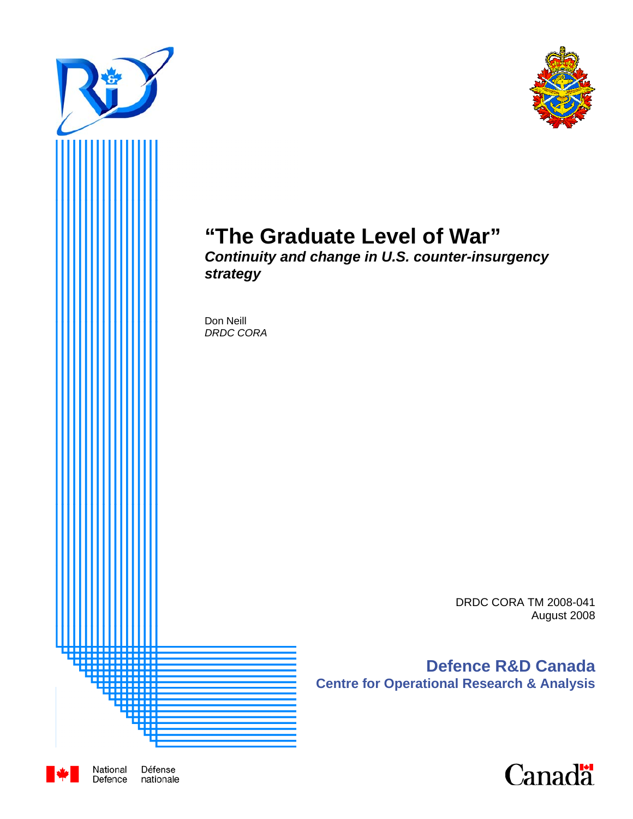



# **"The Graduate Level of War"**

*Continuity and change in U.S. counter-insurgency* 

DRDC CORA TM 2008-041 August 2008

**Defence R&D Canada Centre for Operational Research & Analysis**



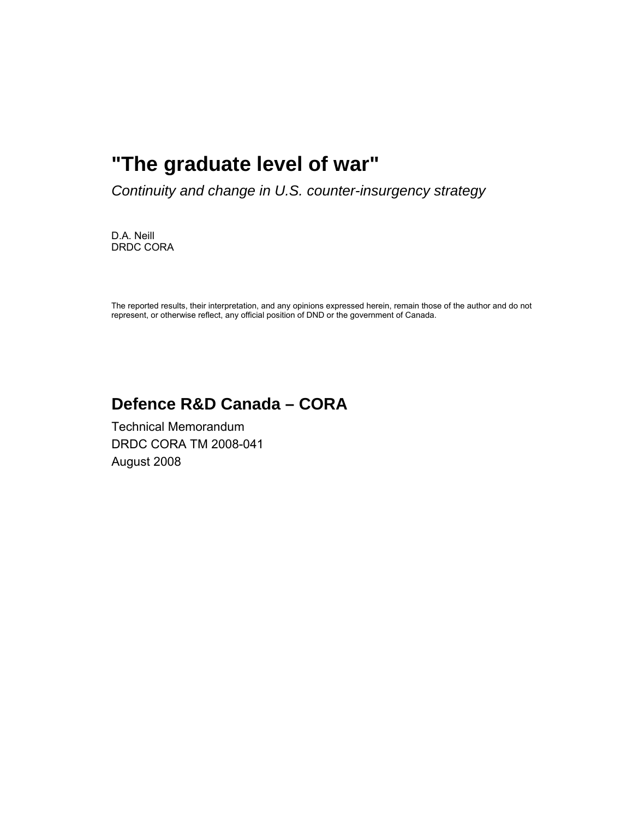# **"The graduate level of war"**

*Continuity and change in U.S. counter-insurgency strategy* 

D.A. Neill DRDC CORA

The reported results, their interpretation, and any opinions expressed herein, remain those of the author and do not represent, or otherwise reflect, any official position of DND or the government of Canada.

# **Defence R&D Canada – CORA**

Technical Memorandum DRDC CORA TM 2008-041 August 2008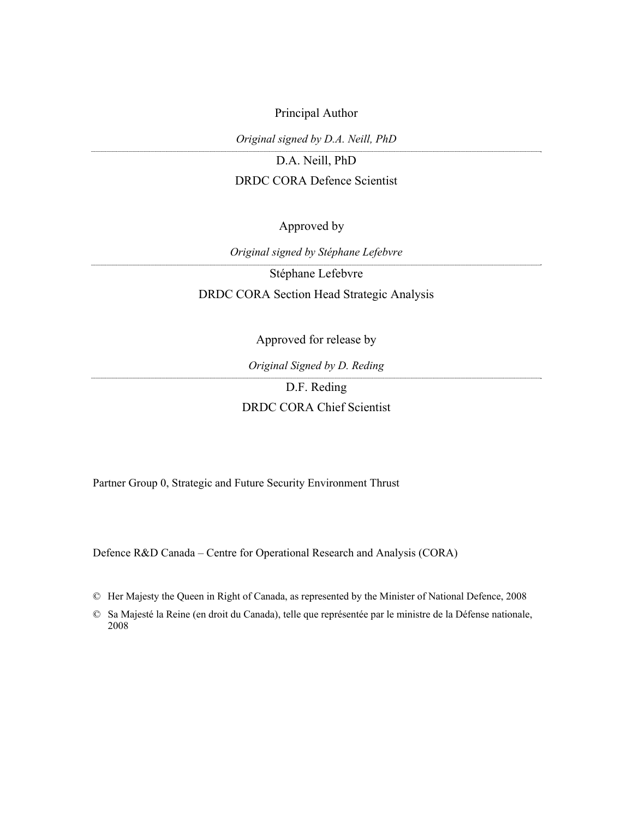Principal Author

*Original signed by D.A. Neill, PhD* 

D.A. Neill, PhD

#### DRDC CORA Defence Scientist

### Approved by

*Original signed by Stéphane Lefebvre* 

Stéphane Lefebvre DRDC CORA Section Head Strategic Analysis

Approved for release by

*Original Signed by D. Reding* 

D.F. Reding DRDC CORA Chief Scientist

Partner Group 0, Strategic and Future Security Environment Thrust

Defence R&D Canada – Centre for Operational Research and Analysis (CORA)

© Her Majesty the Queen in Right of Canada, as represented by the Minister of National Defence, 2008

© Sa Majesté la Reine (en droit du Canada), telle que représentée par le ministre de la Défense nationale, 2008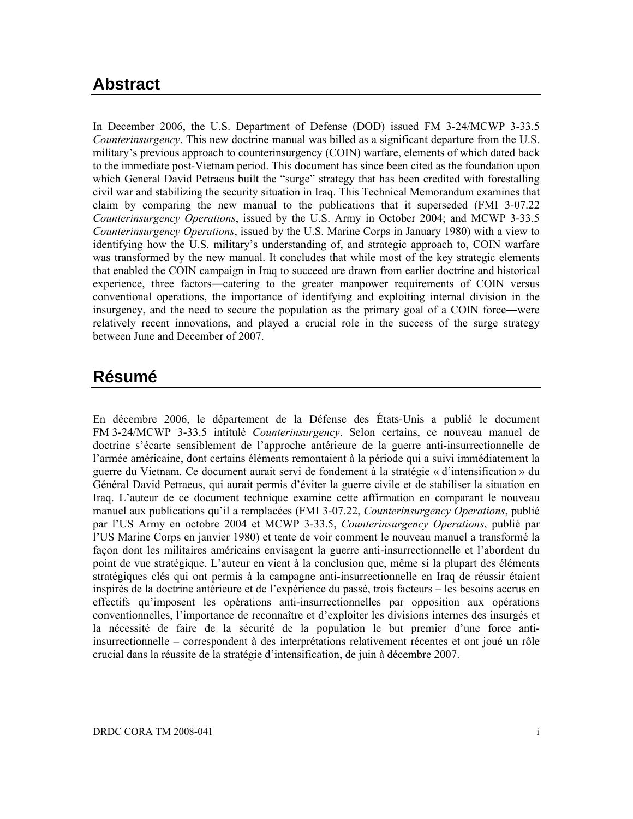## <span id="page-3-0"></span>**Abstract ……..**

In December 2006, the U.S. Department of Defense (DOD) issued FM 3-24/MCWP 3-33.5 *Counterinsurgency*. This new doctrine manual was billed as a significant departure from the U.S. military's previous approach to counterinsurgency (COIN) warfare, elements of which dated back to the immediate post-Vietnam period. This document has since been cited as the foundation upon which General David Petraeus built the "surge" strategy that has been credited with forestalling civil war and stabilizing the security situation in Iraq. This Technical Memorandum examines that claim by comparing the new manual to the publications that it superseded (FMI 3-07.22 *Counterinsurgency Operations*, issued by the U.S. Army in October 2004; and MCWP 3-33.5 *Counterinsurgency Operations*, issued by the U.S. Marine Corps in January 1980) with a view to identifying how the U.S. military's understanding of, and strategic approach to, COIN warfare was transformed by the new manual. It concludes that while most of the key strategic elements that enabled the COIN campaign in Iraq to succeed are drawn from earlier doctrine and historical experience, three factors―catering to the greater manpower requirements of COIN versus conventional operations, the importance of identifying and exploiting internal division in the insurgency, and the need to secure the population as the primary goal of a COIN force―were relatively recent innovations, and played a crucial role in the success of the surge strategy between June and December of 2007.

# **Résumé ….....**

En décembre 2006, le département de la Défense des États-Unis a publié le document FM 3-24/MCWP 3-33.5 intitulé *Counterinsurgency*. Selon certains, ce nouveau manuel de doctrine s'écarte sensiblement de l'approche antérieure de la guerre anti-insurrectionnelle de l'armée américaine, dont certains éléments remontaient à la période qui a suivi immédiatement la guerre du Vietnam. Ce document aurait servi de fondement à la stratégie « d'intensification » du Général David Petraeus, qui aurait permis d'éviter la guerre civile et de stabiliser la situation en Iraq. L'auteur de ce document technique examine cette affirmation en comparant le nouveau manuel aux publications qu'il a remplacées (FMI 3-07.22, *Counterinsurgency Operations*, publié par l'US Army en octobre 2004 et MCWP 3-33.5, *Counterinsurgency Operations*, publié par l'US Marine Corps en janvier 1980) et tente de voir comment le nouveau manuel a transformé la façon dont les militaires américains envisagent la guerre anti-insurrectionnelle et l'abordent du point de vue stratégique. L'auteur en vient à la conclusion que, même si la plupart des éléments stratégiques clés qui ont permis à la campagne anti-insurrectionnelle en Iraq de réussir étaient inspirés de la doctrine antérieure et de l'expérience du passé, trois facteurs – les besoins accrus en effectifs qu'imposent les opérations anti-insurrectionnelles par opposition aux opérations conventionnelles, l'importance de reconnaître et d'exploiter les divisions internes des insurgés et la nécessité de faire de la sécurité de la population le but premier d'une force antiinsurrectionnelle – correspondent à des interprétations relativement récentes et ont joué un rôle crucial dans la réussite de la stratégie d'intensification, de juin à décembre 2007.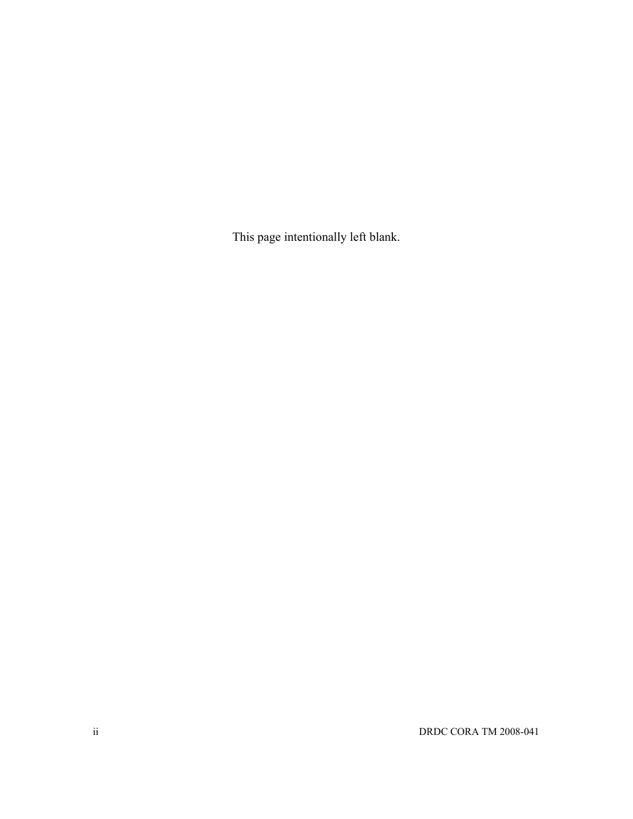This page intentionally left blank.

ii DRDC CORA TM 2008-041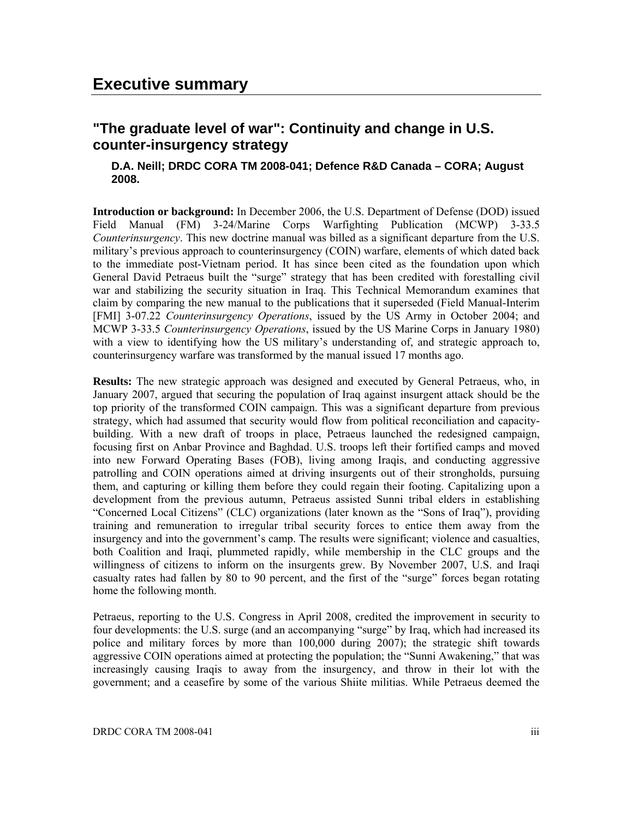### <span id="page-5-0"></span>**"The graduate level of war": Continuity and change in U.S. counter-insurgency strategy**

#### **D.A. Neill; DRDC CORA TM 2008-041; Defence R&D Canada – CORA; August 2008.**

**Introduction or background:** In December 2006, the U.S. Department of Defense (DOD) issued Field Manual (FM) 3-24/Marine Corps Warfighting Publication (MCWP) 3-33.5 *Counterinsurgency*. This new doctrine manual was billed as a significant departure from the U.S. military's previous approach to counterinsurgency (COIN) warfare, elements of which dated back to the immediate post-Vietnam period. It has since been cited as the foundation upon which General David Petraeus built the "surge" strategy that has been credited with forestalling civil war and stabilizing the security situation in Iraq. This Technical Memorandum examines that claim by comparing the new manual to the publications that it superseded (Field Manual-Interim [FMI] 3-07.22 *Counterinsurgency Operations*, issued by the US Army in October 2004; and MCWP 3-33.5 *Counterinsurgency Operations*, issued by the US Marine Corps in January 1980) with a view to identifying how the US military's understanding of, and strategic approach to, counterinsurgency warfare was transformed by the manual issued 17 months ago.

**Results:** The new strategic approach was designed and executed by General Petraeus, who, in January 2007, argued that securing the population of Iraq against insurgent attack should be the top priority of the transformed COIN campaign. This was a significant departure from previous strategy, which had assumed that security would flow from political reconciliation and capacitybuilding. With a new draft of troops in place, Petraeus launched the redesigned campaign, focusing first on Anbar Province and Baghdad. U.S. troops left their fortified camps and moved into new Forward Operating Bases (FOB), living among Iraqis, and conducting aggressive patrolling and COIN operations aimed at driving insurgents out of their strongholds, pursuing them, and capturing or killing them before they could regain their footing. Capitalizing upon a development from the previous autumn, Petraeus assisted Sunni tribal elders in establishing "Concerned Local Citizens" (CLC) organizations (later known as the "Sons of Iraq"), providing training and remuneration to irregular tribal security forces to entice them away from the insurgency and into the government's camp. The results were significant; violence and casualties, both Coalition and Iraqi, plummeted rapidly, while membership in the CLC groups and the willingness of citizens to inform on the insurgents grew. By November 2007, U.S. and Iraqi casualty rates had fallen by 80 to 90 percent, and the first of the "surge" forces began rotating home the following month.

Petraeus, reporting to the U.S. Congress in April 2008, credited the improvement in security to four developments: the U.S. surge (and an accompanying "surge" by Iraq, which had increased its police and military forces by more than 100,000 during 2007); the strategic shift towards aggressive COIN operations aimed at protecting the population; the "Sunni Awakening," that was increasingly causing Iraqis to away from the insurgency, and throw in their lot with the government; and a ceasefire by some of the various Shiite militias. While Petraeus deemed the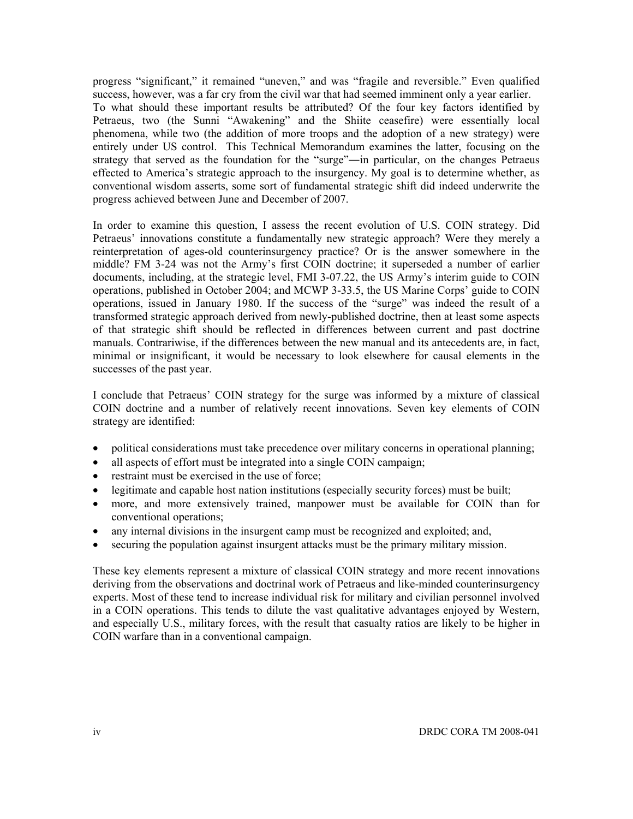progress "significant," it remained "uneven," and was "fragile and reversible." Even qualified success, however, was a far cry from the civil war that had seemed imminent only a year earlier. To what should these important results be attributed? Of the four key factors identified by Petraeus, two (the Sunni "Awakening" and the Shiite ceasefire) were essentially local phenomena, while two (the addition of more troops and the adoption of a new strategy) were entirely under US control. This Technical Memorandum examines the latter, focusing on the strategy that served as the foundation for the "surge"—in particular, on the changes Petraeus effected to America's strategic approach to the insurgency. My goal is to determine whether, as conventional wisdom asserts, some sort of fundamental strategic shift did indeed underwrite the progress achieved between June and December of 2007.

In order to examine this question, I assess the recent evolution of U.S. COIN strategy. Did Petraeus' innovations constitute a fundamentally new strategic approach? Were they merely a reinterpretation of ages-old counterinsurgency practice? Or is the answer somewhere in the middle? FM 3-24 was not the Army's first COIN doctrine; it superseded a number of earlier documents, including, at the strategic level, FMI 3-07.22, the US Army's interim guide to COIN operations, published in October 2004; and MCWP 3-33.5, the US Marine Corps' guide to COIN operations, issued in January 1980. If the success of the "surge" was indeed the result of a transformed strategic approach derived from newly-published doctrine, then at least some aspects of that strategic shift should be reflected in differences between current and past doctrine manuals. Contrariwise, if the differences between the new manual and its antecedents are, in fact, minimal or insignificant, it would be necessary to look elsewhere for causal elements in the successes of the past year.

I conclude that Petraeus' COIN strategy for the surge was informed by a mixture of classical COIN doctrine and a number of relatively recent innovations. Seven key elements of COIN strategy are identified:

- political considerations must take precedence over military concerns in operational planning;
- all aspects of effort must be integrated into a single COIN campaign;
- restraint must be exercised in the use of force;
- legitimate and capable host nation institutions (especially security forces) must be built;
- more, and more extensively trained, manpower must be available for COIN than for conventional operations;
- any internal divisions in the insurgent camp must be recognized and exploited; and,
- securing the population against insurgent attacks must be the primary military mission.

These key elements represent a mixture of classical COIN strategy and more recent innovations deriving from the observations and doctrinal work of Petraeus and like-minded counterinsurgency experts. Most of these tend to increase individual risk for military and civilian personnel involved in a COIN operations. This tends to dilute the vast qualitative advantages enjoyed by Western, and especially U.S., military forces, with the result that casualty ratios are likely to be higher in COIN warfare than in a conventional campaign.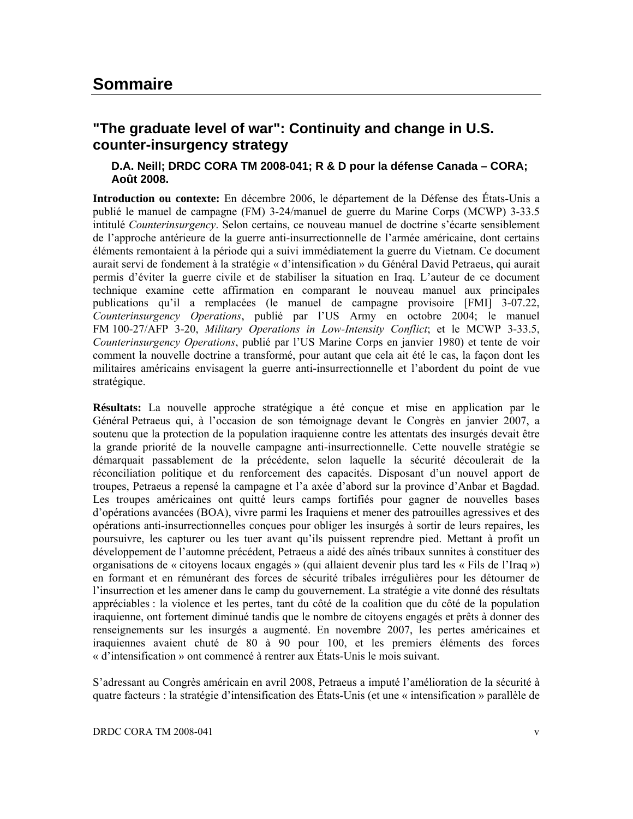## <span id="page-7-0"></span>**Sommaire .....**

### **"The graduate level of war": Continuity and change in U.S. counter-insurgency strategy**

#### **D.A. Neill; DRDC CORA TM 2008-041; R & D pour la défense Canada – CORA; Août 2008.**

**Introduction ou contexte:** En décembre 2006, le département de la Défense des États-Unis a publié le manuel de campagne (FM) 3-24/manuel de guerre du Marine Corps (MCWP) 3-33.5 intitulé *Counterinsurgency*. Selon certains, ce nouveau manuel de doctrine s'écarte sensiblement de l'approche antérieure de la guerre anti-insurrectionnelle de l'armée américaine, dont certains éléments remontaient à la période qui a suivi immédiatement la guerre du Vietnam. Ce document aurait servi de fondement à la stratégie « d'intensification » du Général David Petraeus, qui aurait permis d'éviter la guerre civile et de stabiliser la situation en Iraq. L'auteur de ce document technique examine cette affirmation en comparant le nouveau manuel aux principales publications qu'il a remplacées (le manuel de campagne provisoire [FMI] 3-07.22, *Counterinsurgency Operations*, publié par l'US Army en octobre 2004; le manuel FM 100-27/AFP 3-20, *Military Operations in Low-Intensity Conflict*; et le MCWP 3-33.5, *Counterinsurgency Operations*, publié par l'US Marine Corps en janvier 1980) et tente de voir comment la nouvelle doctrine a transformé, pour autant que cela ait été le cas, la façon dont les militaires américains envisagent la guerre anti-insurrectionnelle et l'abordent du point de vue stratégique.

**Résultats:** La nouvelle approche stratégique a été conçue et mise en application par le Général Petraeus qui, à l'occasion de son témoignage devant le Congrès en janvier 2007, a soutenu que la protection de la population iraquienne contre les attentats des insurgés devait être la grande priorité de la nouvelle campagne anti-insurrectionnelle. Cette nouvelle stratégie se démarquait passablement de la précédente, selon laquelle la sécurité découlerait de la réconciliation politique et du renforcement des capacités. Disposant d'un nouvel apport de troupes, Petraeus a repensé la campagne et l'a axée d'abord sur la province d'Anbar et Bagdad. Les troupes américaines ont quitté leurs camps fortifiés pour gagner de nouvelles bases d'opérations avancées (BOA), vivre parmi les Iraquiens et mener des patrouilles agressives et des opérations anti-insurrectionnelles conçues pour obliger les insurgés à sortir de leurs repaires, les poursuivre, les capturer ou les tuer avant qu'ils puissent reprendre pied. Mettant à profit un développement de l'automne précédent, Petraeus a aidé des aînés tribaux sunnites à constituer des organisations de « citoyens locaux engagés » (qui allaient devenir plus tard les « Fils de l'Iraq ») en formant et en rémunérant des forces de sécurité tribales irrégulières pour les détourner de l'insurrection et les amener dans le camp du gouvernement. La stratégie a vite donné des résultats appréciables : la violence et les pertes, tant du côté de la coalition que du côté de la population iraquienne, ont fortement diminué tandis que le nombre de citoyens engagés et prêts à donner des renseignements sur les insurgés a augmenté. En novembre 2007, les pertes américaines et iraquiennes avaient chuté de 80 à 90 pour 100, et les premiers éléments des forces « d'intensification » ont commencé à rentrer aux États-Unis le mois suivant.

S'adressant au Congrès américain en avril 2008, Petraeus a imputé l'amélioration de la sécurité à quatre facteurs : la stratégie d'intensification des États-Unis (et une « intensification » parallèle de

DRDC CORA TM 2008-041 v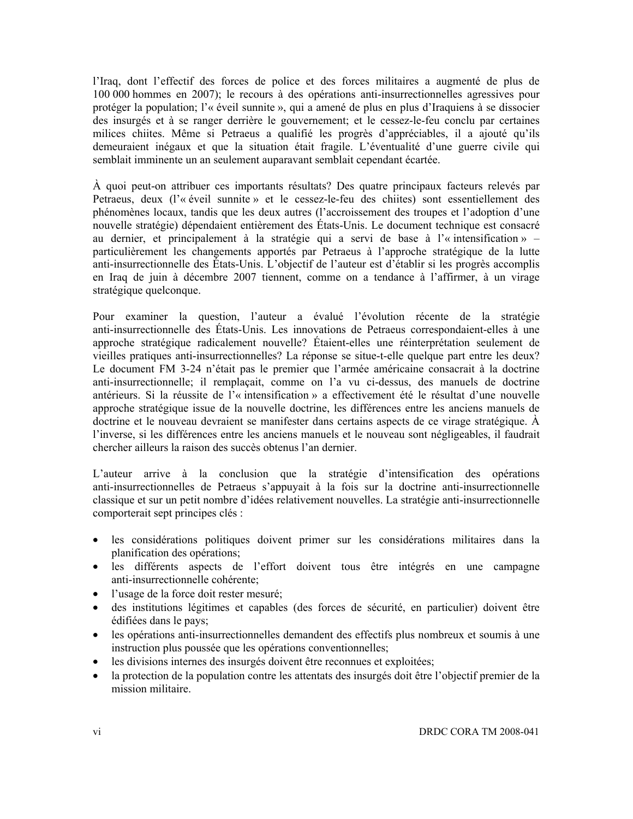l'Iraq, dont l'effectif des forces de police et des forces militaires a augmenté de plus de 100 000 hommes en 2007); le recours à des opérations anti-insurrectionnelles agressives pour protéger la population; l'« éveil sunnite », qui a amené de plus en plus d'Iraquiens à se dissocier des insurgés et à se ranger derrière le gouvernement; et le cessez-le-feu conclu par certaines milices chiites. Même si Petraeus a qualifié les progrès d'appréciables, il a ajouté qu'ils demeuraient inégaux et que la situation était fragile. L'éventualité d'une guerre civile qui semblait imminente un an seulement auparavant semblait cependant écartée.

À quoi peut-on attribuer ces importants résultats? Des quatre principaux facteurs relevés par Petraeus, deux (l'« éveil sunnite » et le cessez-le-feu des chiites) sont essentiellement des phénomènes locaux, tandis que les deux autres (l'accroissement des troupes et l'adoption d'une nouvelle stratégie) dépendaient entièrement des États-Unis. Le document technique est consacré au dernier, et principalement à la stratégie qui a servi de base à l'« intensification » – particulièrement les changements apportés par Petraeus à l'approche stratégique de la lutte anti-insurrectionnelle des États-Unis. L'objectif de l'auteur est d'établir si les progrès accomplis en Iraq de juin à décembre 2007 tiennent, comme on a tendance à l'affirmer, à un virage stratégique quelconque.

Pour examiner la question, l'auteur a évalué l'évolution récente de la stratégie anti-insurrectionnelle des États-Unis. Les innovations de Petraeus correspondaient-elles à une approche stratégique radicalement nouvelle? Étaient-elles une réinterprétation seulement de vieilles pratiques anti-insurrectionnelles? La réponse se situe-t-elle quelque part entre les deux? Le document FM 3-24 n'était pas le premier que l'armée américaine consacrait à la doctrine anti-insurrectionnelle; il remplaçait, comme on l'a vu ci-dessus, des manuels de doctrine antérieurs. Si la réussite de l'« intensification » a effectivement été le résultat d'une nouvelle approche stratégique issue de la nouvelle doctrine, les différences entre les anciens manuels de doctrine et le nouveau devraient se manifester dans certains aspects de ce virage stratégique. À l'inverse, si les différences entre les anciens manuels et le nouveau sont négligeables, il faudrait chercher ailleurs la raison des succès obtenus l'an dernier.

L'auteur arrive à la conclusion que la stratégie d'intensification des opérations anti-insurrectionnelles de Petraeus s'appuyait à la fois sur la doctrine anti-insurrectionnelle classique et sur un petit nombre d'idées relativement nouvelles. La stratégie anti-insurrectionnelle comporterait sept principes clés :

- les considérations politiques doivent primer sur les considérations militaires dans la planification des opérations;
- les différents aspects de l'effort doivent tous être intégrés en une campagne anti-insurrectionnelle cohérente;
- l'usage de la force doit rester mesuré;
- des institutions légitimes et capables (des forces de sécurité, en particulier) doivent être édifiées dans le pays;
- les opérations anti-insurrectionnelles demandent des effectifs plus nombreux et soumis à une instruction plus poussée que les opérations conventionnelles;
- les divisions internes des insurgés doivent être reconnues et exploitées;
- la protection de la population contre les attentats des insurgés doit être l'objectif premier de la mission militaire.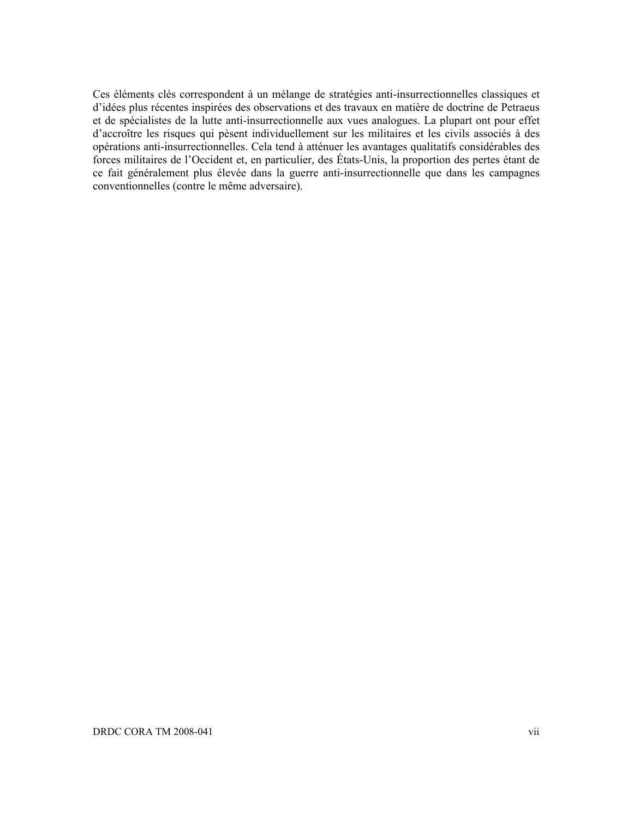Ces éléments clés correspondent à un mélange de stratégies anti-insurrectionnelles classiques et d'idées plus récentes inspirées des observations et des travaux en matière de doctrine de Petraeus et de spécialistes de la lutte anti-insurrectionnelle aux vues analogues. La plupart ont pour effet d'accroître les risques qui pèsent individuellement sur les militaires et les civils associés à des opérations anti-insurrectionnelles. Cela tend à atténuer les avantages qualitatifs considérables des forces militaires de l'Occident et, en particulier, des États-Unis, la proportion des pertes étant de ce fait généralement plus élevée dans la guerre anti-insurrectionnelle que dans les campagnes conventionnelles (contre le même adversaire).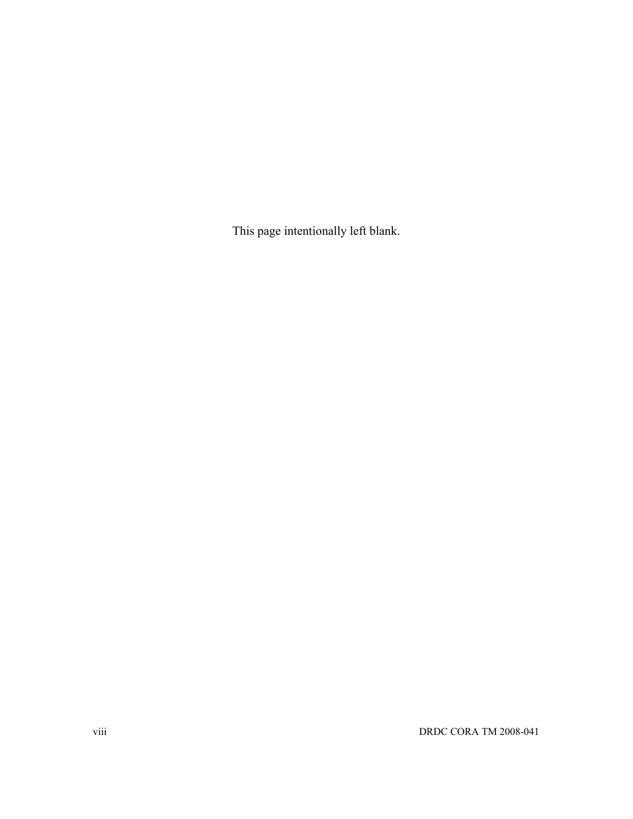This page intentionally left blank.

viii DRDC CORA TM 2008-041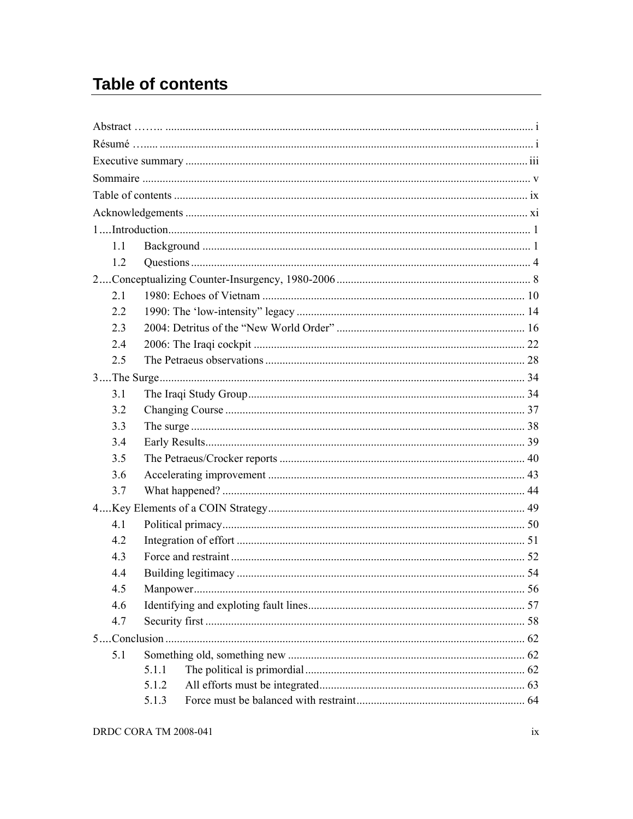# <span id="page-11-0"></span>**Table of contents**

| 1.1 |       |  |  |  |  |
|-----|-------|--|--|--|--|
| 1.2 |       |  |  |  |  |
|     |       |  |  |  |  |
| 2.1 |       |  |  |  |  |
| 2.2 |       |  |  |  |  |
| 2.3 |       |  |  |  |  |
| 2.4 |       |  |  |  |  |
| 2.5 |       |  |  |  |  |
|     |       |  |  |  |  |
| 3.1 |       |  |  |  |  |
| 3.2 |       |  |  |  |  |
| 3.3 |       |  |  |  |  |
| 3.4 |       |  |  |  |  |
| 3.5 |       |  |  |  |  |
| 3.6 |       |  |  |  |  |
| 3.7 |       |  |  |  |  |
|     |       |  |  |  |  |
| 4.1 |       |  |  |  |  |
| 4.2 |       |  |  |  |  |
| 4.3 |       |  |  |  |  |
| 4.4 |       |  |  |  |  |
| 4.5 |       |  |  |  |  |
| 4.6 |       |  |  |  |  |
| 4.7 |       |  |  |  |  |
|     |       |  |  |  |  |
| 5.1 |       |  |  |  |  |
|     | 5.1.1 |  |  |  |  |
|     | 5.1.2 |  |  |  |  |
|     | 5.1.3 |  |  |  |  |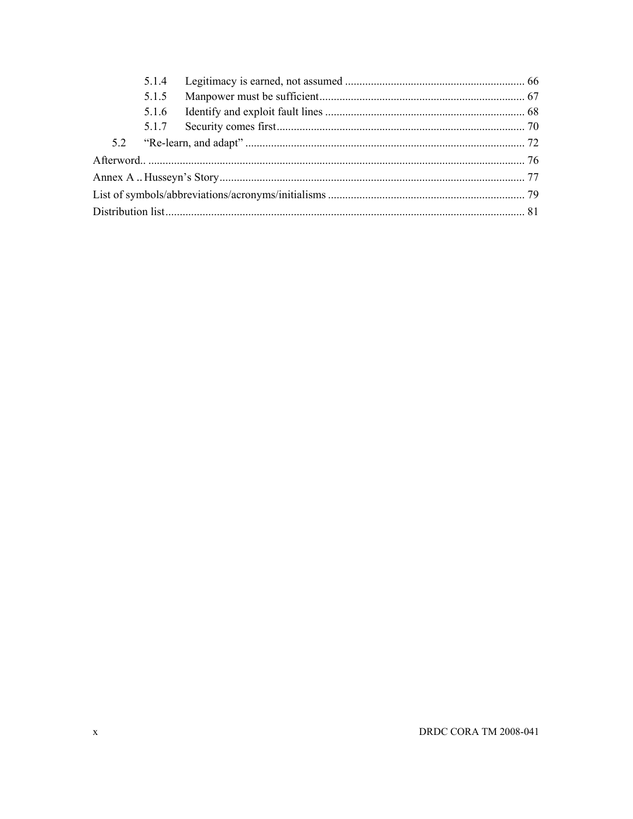|     | 5.1.4 |  |  |  |  |
|-----|-------|--|--|--|--|
|     | 5.1.5 |  |  |  |  |
|     | 5.1.6 |  |  |  |  |
|     | 5.1.7 |  |  |  |  |
| 5.2 |       |  |  |  |  |
|     |       |  |  |  |  |
|     |       |  |  |  |  |
|     |       |  |  |  |  |
|     |       |  |  |  |  |
|     |       |  |  |  |  |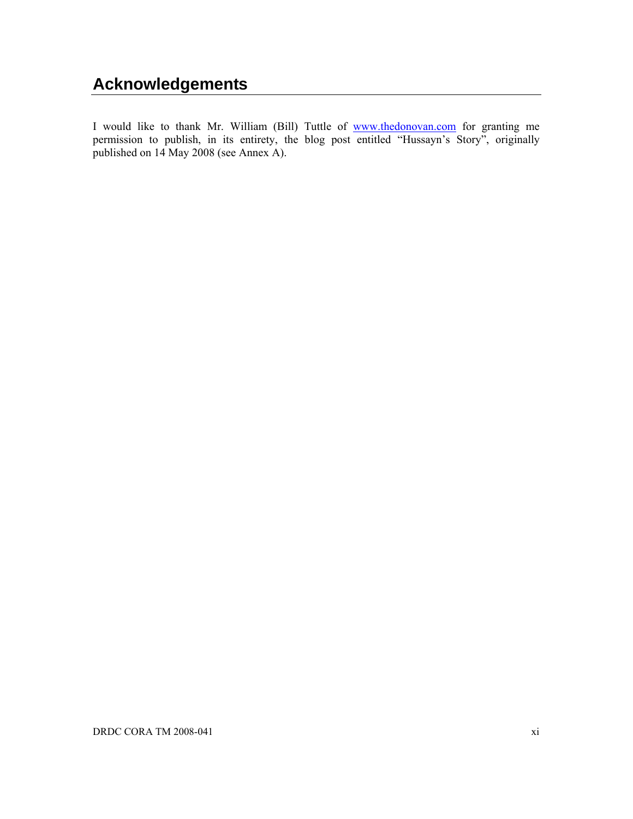# <span id="page-13-0"></span>**Acknowledgements**

I would like to thank Mr. William (Bill) Tuttle of [www.thedonovan.com](http://www.thedonovan.com/) for granting me permission to publish, in its entirety, the blog post entitled "Hussayn's Story", originally published on 14 May 2008 (see Annex A).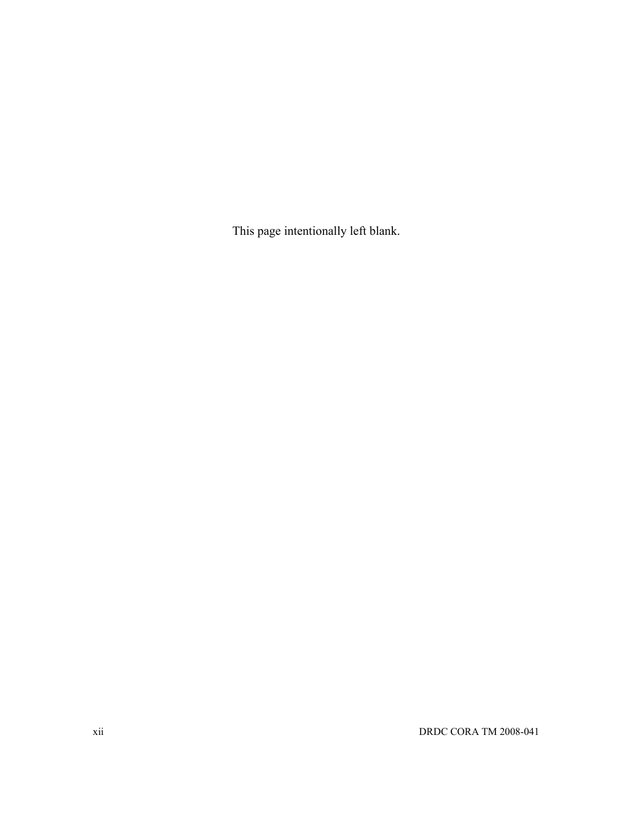This page intentionally left blank.

xii DRDC CORA TM 2008-041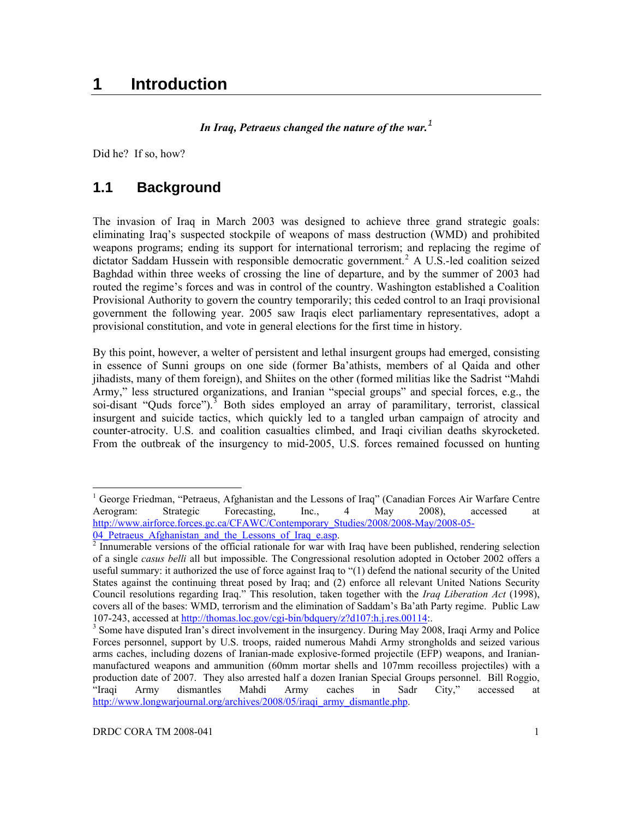*In Iraq, Petraeus changed the nature of the war.[1](#page-15-1)*

<span id="page-15-0"></span>Did he? If so, how?

### **1.1 Background**

The invasion of Iraq in March 2003 was designed to achieve three grand strategic goals: eliminating Iraq's suspected stockpile of weapons of mass destruction (WMD) and prohibited weapons programs; ending its support for international terrorism; and replacing the regime of dictator Saddam Hussein with responsible democratic government.<sup>[2](#page-15-2)</sup> A U.S.-led coalition seized Baghdad within three weeks of crossing the line of departure, and by the summer of 2003 had routed the regime's forces and was in control of the country. Washington established a Coalition Provisional Authority to govern the country temporarily; this ceded control to an Iraqi provisional government the following year. 2005 saw Iraqis elect parliamentary representatives, adopt a provisional constitution, and vote in general elections for the first time in history.

By this point, however, a welter of persistent and lethal insurgent groups had emerged, consisting in essence of Sunni groups on one side (former Ba'athists, members of al Qaida and other jihadists, many of them foreign), and Shiites on the other (formed militias like the Sadrist "Mahdi Army," less structured organizations, and Iranian "special groups" and special forces, e.g., the soi-disant "Quds force").<sup>[3](#page-15-3)</sup> Both sides employed an array of paramilitary, terrorist, classical insurgent and suicide tactics, which quickly led to a tangled urban campaign of atrocity and counter-atrocity. U.S. and coalition casualties climbed, and Iraqi civilian deaths skyrocketed. From the outbreak of the insurgency to mid-2005, U.S. forces remained focussed on hunting

<span id="page-15-1"></span><sup>&</sup>lt;sup>1</sup> George Friedman, "Petraeus, Afghanistan and the Lessons of Iraq" (Canadian Forces Air Warfare Centre Aerogram: Strategic Forecasting, Inc., 4 May 2008), accessed at [http://www.airforce.forces.gc.ca/CFAWC/Contemporary\\_Studies/2008/2008-May/2008-05-](http://www.airforce.forces.gc.ca/CFAWC/Contemporary_Studies/2008/2008-May/2008-05-04_Petraeus_Afghanistan_and_the_Lessons_of_Iraq_e.asp) 04<sup>-</sup> Petraeus Afghanistan and the Lessons of Iraq e.asp.

<span id="page-15-2"></span><sup>&</sup>lt;sup>2</sup> Innumerable versions of the official rationale for war with Iraq have been published, rendering selection of a single *casus belli* all but impossible. The Congressional resolution adopted in October 2002 offers a useful summary: it authorized the use of force against Iraq to "(1) defend the national security of the United States against the continuing threat posed by Iraq; and (2) enforce all relevant United Nations Security Council resolutions regarding Iraq." This resolution, taken together with the *Iraq Liberation Act* (1998), covers all of the bases: WMD, terrorism and the elimination of Saddam's Ba'ath Party regime. Public Law 107-243, accessed at<http://thomas.loc.gov/cgi-bin/bdquery/z?d107:h.j.res.00114>:. 3

<span id="page-15-3"></span><sup>&</sup>lt;sup>3</sup> Some have disputed Iran's direct involvement in the insurgency. During May 2008, Iraqi Army and Police Forces personnel, support by U.S. troops, raided numerous Mahdi Army strongholds and seized various arms caches, including dozens of Iranian-made explosive-formed projectile (EFP) weapons, and Iranianmanufactured weapons and ammunition (60mm mortar shells and 107mm recoilless projectiles) with a production date of 2007. They also arrested half a dozen Iranian Special Groups personnel. Bill Roggio, "Iraqi Army dismantles Mahdi Army caches in Sadr City," accessed at http://www.longwarjournal.org/archives/2008/05/jraqi\_army\_dismantle.php.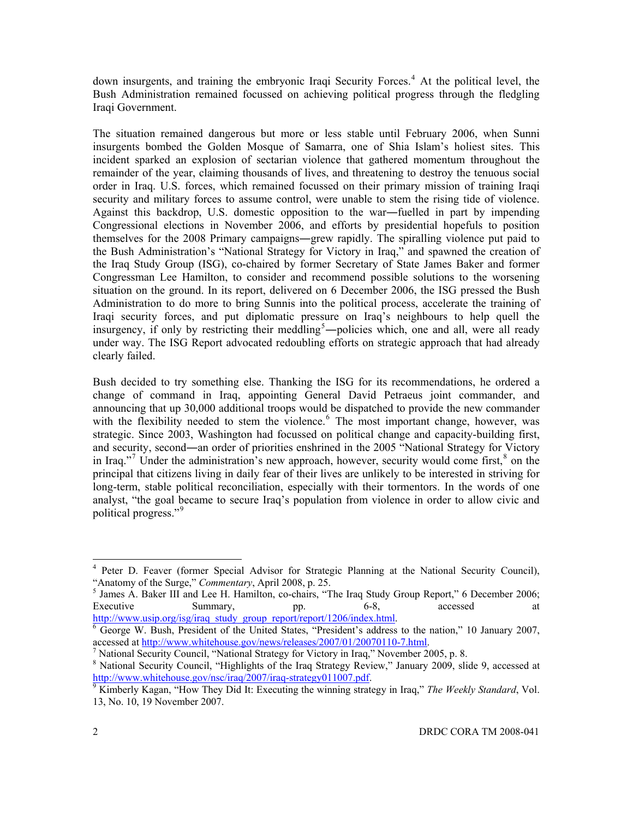down insurgents, and training the embryonic Iraqi Security Forces.<sup>[4](#page-16-0)</sup> At the political level, the Bush Administration remained focussed on achieving political progress through the fledgling Iraqi Government.

The situation remained dangerous but more or less stable until February 2006, when Sunni insurgents bombed the Golden Mosque of Samarra, one of Shia Islam's holiest sites. This incident sparked an explosion of sectarian violence that gathered momentum throughout the remainder of the year, claiming thousands of lives, and threatening to destroy the tenuous social order in Iraq. U.S. forces, which remained focussed on their primary mission of training Iraqi security and military forces to assume control, were unable to stem the rising tide of violence. Against this backdrop, U.S. domestic opposition to the war―fuelled in part by impending Congressional elections in November 2006, and efforts by presidential hopefuls to position themselves for the 2008 Primary campaigns―grew rapidly. The spiralling violence put paid to the Bush Administration's "National Strategy for Victory in Iraq," and spawned the creation of the Iraq Study Group (ISG), co-chaired by former Secretary of State James Baker and former Congressman Lee Hamilton, to consider and recommend possible solutions to the worsening situation on the ground. In its report, delivered on 6 December 2006, the ISG pressed the Bush Administration to do more to bring Sunnis into the political process, accelerate the training of Iraqi security forces, and put diplomatic pressure on Iraq's neighbours to help quell the insurgency, if only by restricting their meddling<sup>[5](#page-16-1)</sup>—policies which, one and all, were all ready under way. The ISG Report advocated redoubling efforts on strategic approach that had already clearly failed.

Bush decided to try something else. Thanking the ISG for its recommendations, he ordered a change of command in Iraq, appointing General David Petraeus joint commander, and announcing that up 30,000 additional troops would be dispatched to provide the new commander with the flexibility needed to stem the violence.<sup>[6](#page-16-2)</sup> The most important change, however, was strategic. Since 2003, Washington had focussed on political change and capacity-building first, and security, second―an order of priorities enshrined in the 2005 "National Strategy for Victory in Iraq."<sup>[7](#page-16-3)</sup> Under the administration's new approach, however, security would come first,<sup>[8](#page-16-4)</sup> on the principal that citizens living in daily fear of their lives are unlikely to be interested in striving for long-term, stable political reconciliation, especially with their tormentors. In the words of one analyst, "the goal became to secure Iraq's population from violence in order to allow civic and political progress."[9](#page-16-5)

<span id="page-16-0"></span> 4 Peter D. Feaver (former Special Advisor for Strategic Planning at the National Security Council), "Anatomy of the Surge," *Commentary*, April 2008, p. 25.<br><sup>5</sup> James A. Baker III and Lee H. Hamilton, co-chairs, "The Iraq Study Group Report," 6 December 2006;

<span id="page-16-1"></span>Executive Summary, pp. 6-8, accessed at [http://www.usip.org/isg/iraq\\_study\\_group\\_report/report/1206/index.html](http://www.usip.org/isg/iraq_study_group_report/report/1206/index.html).

<span id="page-16-2"></span>George W. Bush, President of the United States, "President's address to the nation," 10 January 2007, accessed at<http://www.whitehouse.gov/news/releases/2007/01/20070110-7.html>.

<span id="page-16-3"></span><sup>&</sup>lt;sup>7</sup> National Security Council, "National Strategy for Victory in Iraq," November 2005, p. 8.

<span id="page-16-4"></span>National Security Council, "Highlights of the Iraq Strategy Review," January 2009, slide 9, accessed at <http://www.whitehouse.gov/nsc/iraq/2007/iraq-strategy011007.pdf>.<br><sup>[9](http://www.whitehouse.gov/nsc/iraq/2007/iraq-strategy011007.pdf)</sup> Kimberly Kagen. "How Thoy Did It: Executing the winning strate

<span id="page-16-5"></span><sup>&</sup>lt;sup>9</sup> Kimberly Kagan, "How They Did It: Executing the winning strategy in Iraq," The Weekly Standard, Vol. 13, No. 10, 19 November 2007.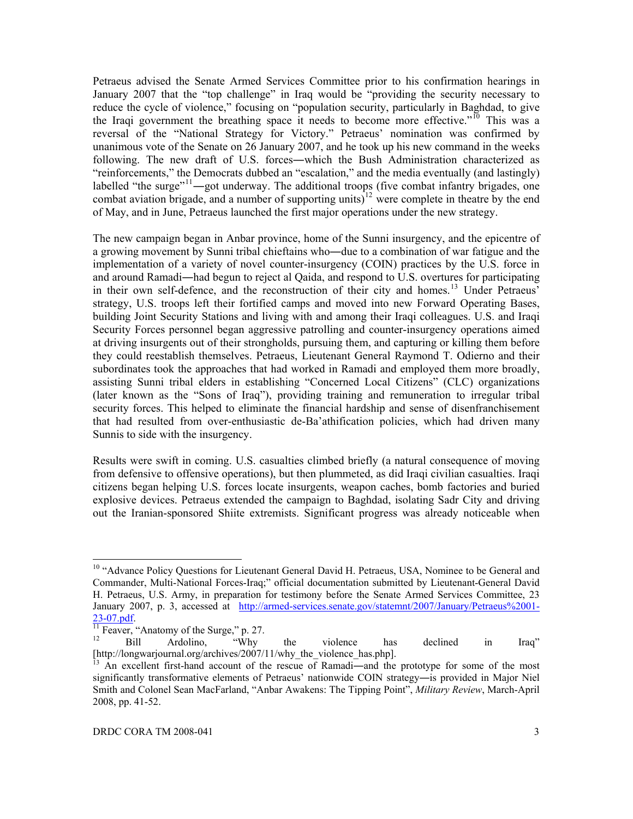Petraeus advised the Senate Armed Services Committee prior to his confirmation hearings in January 2007 that the "top challenge" in Iraq would be "providing the security necessary to reduce the cycle of violence," focusing on "population security, particularly in Baghdad, to give the Iraqi government the breathing space it needs to become more effective."<sup>[10](#page-17-0)</sup> This was a reversal of the "National Strategy for Victory." Petraeus' nomination was confirmed by unanimous vote of the Senate on 26 January 2007, and he took up his new command in the weeks following. The new draft of U.S. forces―which the Bush Administration characterized as "reinforcements," the Democrats dubbed an "escalation," and the media eventually (and lastingly) labelled "the surge"<sup>[11](#page-17-1)</sup>—got underway. The additional troops (five combat infantry brigades, one combat aviation brigade, and a number of supporting units)<sup>[12](#page-17-2)</sup> were complete in theatre by the end of May, and in June, Petraeus launched the first major operations under the new strategy.

The new campaign began in Anbar province, home of the Sunni insurgency, and the epicentre of a growing movement by Sunni tribal chieftains who―due to a combination of war fatigue and the implementation of a variety of novel counter-insurgency (COIN) practices by the U.S. force in and around Ramadi―had begun to reject al Qaida, and respond to U.S. overtures for participating in their own self-defence, and the reconstruction of their city and homes.<sup>[13](#page-17-3)</sup> Under Petraeus' strategy, U.S. troops left their fortified camps and moved into new Forward Operating Bases, building Joint Security Stations and living with and among their Iraqi colleagues. U.S. and Iraqi Security Forces personnel began aggressive patrolling and counter-insurgency operations aimed at driving insurgents out of their strongholds, pursuing them, and capturing or killing them before they could reestablish themselves. Petraeus, Lieutenant General Raymond T. Odierno and their subordinates took the approaches that had worked in Ramadi and employed them more broadly, assisting Sunni tribal elders in establishing "Concerned Local Citizens" (CLC) organizations (later known as the "Sons of Iraq"), providing training and remuneration to irregular tribal security forces. This helped to eliminate the financial hardship and sense of disenfranchisement that had resulted from over-enthusiastic de-Ba'athification policies, which had driven many Sunnis to side with the insurgency.

Results were swift in coming. U.S. casualties climbed briefly (a natural consequence of moving from defensive to offensive operations), but then plummeted, as did Iraqi civilian casualties. Iraqi citizens began helping U.S. forces locate insurgents, weapon caches, bomb factories and buried explosive devices. Petraeus extended the campaign to Baghdad, isolating Sadr City and driving out the Iranian-sponsored Shiite extremists. Significant progress was already noticeable when

<span id="page-17-0"></span><sup>&</sup>lt;sup>10</sup> "Advance Policy Questions for Lieutenant General David H. Petraeus, USA, Nominee to be General and Commander, Multi-National Forces-Iraq;" official documentation submitted by Lieutenant-General David H. Petraeus, U.S. Army, in preparation for testimony before the Senate Armed Services Committee, 23 January 2007, p. 3, accessed at [http://armed-services.senate.gov/statemnt/2007/January/Petraeus%2001-](http://armed-services.senate.gov/statemnt/2007/January/Petraeus%2001-23-07.pdf)  $\frac{23-07. \text{pdf}}{11}$  $\frac{23-07. \text{pdf}}{11}$  $\frac{23-07. \text{pdf}}{11}$  Feaver, "Anatomy of the Surge," p. 27.

<span id="page-17-1"></span>

<span id="page-17-2"></span><sup>&</sup>lt;sup>12</sup> Bill Ardolino, "Why the violence has declined in Iraq"<br>[http://longwarjournal.org/archives/2007/11/why\_the\_violence\_has.php].

<span id="page-17-3"></span>An excellent first-hand account of the rescue of Ramadi—and the prototype for some of the most significantly transformative elements of Petraeus' nationwide COIN strategy―is provided in Major Niel Smith and Colonel Sean MacFarland, "Anbar Awakens: The Tipping Point", *Military Review*, March-April 2008, pp. 41-52.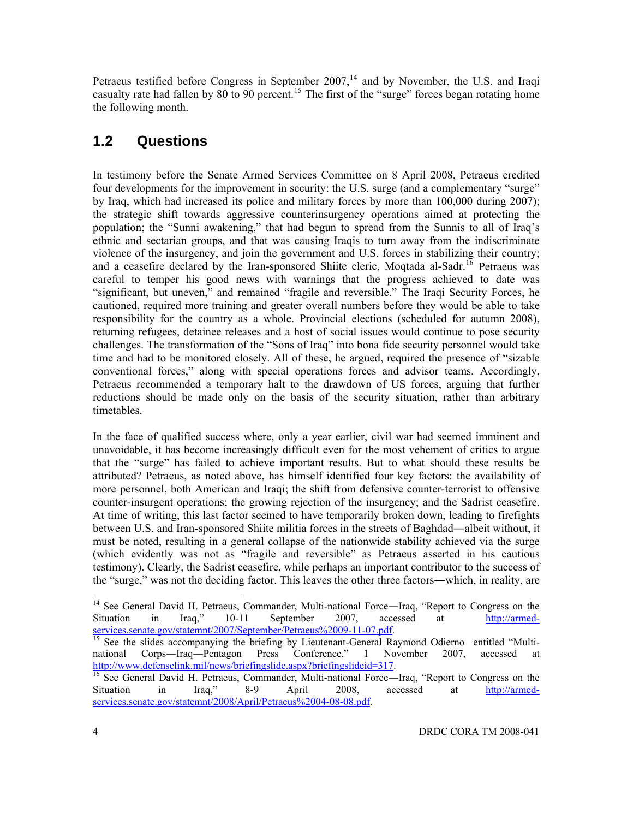<span id="page-18-0"></span>Petraeus testified before Congress in September 2007,<sup>[14](#page-18-1)</sup> and by November, the U.S. and Iraqi casualty rate had fallen by 80 to 90 percent.<sup>[15](#page-18-2)</sup> The first of the "surge" forces began rotating home the following month.

## **1.2 Questions**

In testimony before the Senate Armed Services Committee on 8 April 2008, Petraeus credited four developments for the improvement in security: the U.S. surge (and a complementary "surge" by Iraq, which had increased its police and military forces by more than 100,000 during 2007); the strategic shift towards aggressive counterinsurgency operations aimed at protecting the population; the "Sunni awakening," that had begun to spread from the Sunnis to all of Iraq's ethnic and sectarian groups, and that was causing Iraqis to turn away from the indiscriminate violence of the insurgency, and join the government and U.S. forces in stabilizing their country; and a ceasefire declared by the Iran-sponsored Shiite cleric, Moqtada al-Sadr.<sup>[16](#page-18-3)</sup> Petraeus was careful to temper his good news with warnings that the progress achieved to date was "significant, but uneven," and remained "fragile and reversible." The Iraqi Security Forces, he cautioned, required more training and greater overall numbers before they would be able to take responsibility for the country as a whole. Provincial elections (scheduled for autumn 2008), returning refugees, detainee releases and a host of social issues would continue to pose security challenges. The transformation of the "Sons of Iraq" into bona fide security personnel would take time and had to be monitored closely. All of these, he argued, required the presence of "sizable conventional forces," along with special operations forces and advisor teams. Accordingly, Petraeus recommended a temporary halt to the drawdown of US forces, arguing that further reductions should be made only on the basis of the security situation, rather than arbitrary timetables.

In the face of qualified success where, only a year earlier, civil war had seemed imminent and unavoidable, it has become increasingly difficult even for the most vehement of critics to argue that the "surge" has failed to achieve important results. But to what should these results be attributed? Petraeus, as noted above, has himself identified four key factors: the availability of more personnel, both American and Iraqi; the shift from defensive counter-terrorist to offensive counter-insurgent operations; the growing rejection of the insurgency; and the Sadrist ceasefire. At time of writing, this last factor seemed to have temporarily broken down, leading to firefights between U.S. and Iran-sponsored Shiite militia forces in the streets of Baghdad―albeit without, it must be noted, resulting in a general collapse of the nationwide stability achieved via the surge (which evidently was not as "fragile and reversible" as Petraeus asserted in his cautious testimony). Clearly, the Sadrist ceasefire, while perhaps an important contributor to the success of the "surge," was not the deciding factor. This leaves the other three factors―which, in reality, are l

<span id="page-18-1"></span><sup>&</sup>lt;sup>14</sup> See General David H. Petraeus, Commander, Multi-national Force—Iraq, "Report to Congress on the Situation in Iraq," 10-11 September 2007, accessed at [http://armed-](http://armed-services.senate.gov/statemnt/2007/September/Petraeus%2009-11-07.pdf)

<span id="page-18-2"></span>[services.senate.gov/statemnt/2007/September/Petraeus%2009-11-07.pdf.](http://armed-services.senate.gov/statemnt/2007/September/Petraeus%2009-11-07.pdf)<br><sup>[15](http://armed-services.senate.gov/statemnt/2007/September/Petraeus%2009-11-07.pdf)</sup> See the slides accompanying the briefing by Lieutenant-General Raymond Odierno entitled "Multinational Corps—Iraq—Pentagon Press Conference," 1 November 2007, accessed at http://www.defenselink.mil/news/briefingslide.aspx?briefingslideid=317.

<span id="page-18-3"></span><sup>&</sup>lt;sup>[16](http://www.defenselink.mil/news/briefingslide.aspx?briefingslideid=317)</sup> See General David H. Petraeus, Commander, Multi-national Force—Iraq, "Report to Congress on the Situation in Iraq," 8-9 April 2008, accessed at [http://armed](http://armed-services.senate.gov/statemnt/2008/April/Petraeus%2004-08-08.pdf)[services.senate.gov/statemnt/2008/April/Petraeus%2004-08-08.pdf.](http://armed-services.senate.gov/statemnt/2008/April/Petraeus%2004-08-08.pdf)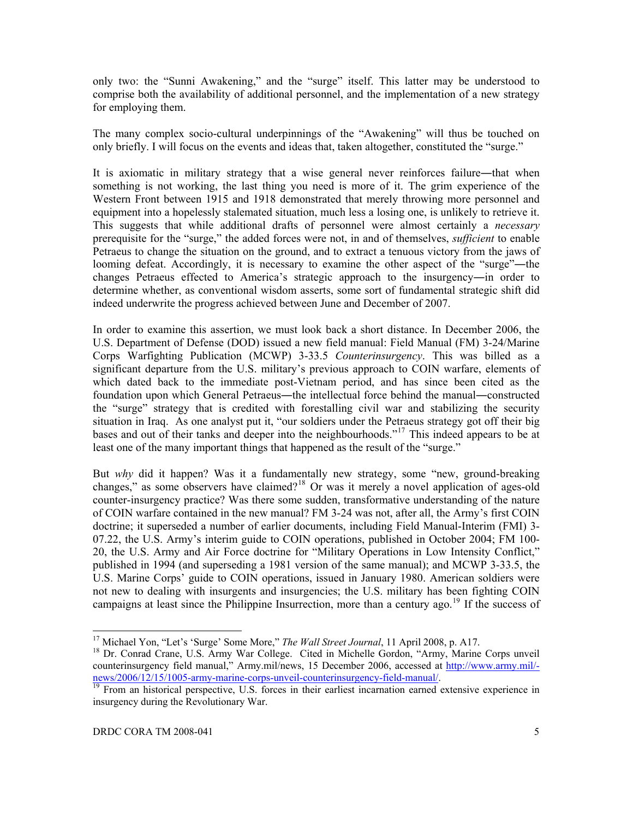only two: the "Sunni Awakening," and the "surge" itself. This latter may be understood to comprise both the availability of additional personnel, and the implementation of a new strategy for employing them.

The many complex socio-cultural underpinnings of the "Awakening" will thus be touched on only briefly. I will focus on the events and ideas that, taken altogether, constituted the "surge."

It is axiomatic in military strategy that a wise general never reinforces failure―that when something is not working, the last thing you need is more of it. The grim experience of the Western Front between 1915 and 1918 demonstrated that merely throwing more personnel and equipment into a hopelessly stalemated situation, much less a losing one, is unlikely to retrieve it. This suggests that while additional drafts of personnel were almost certainly a *necessary* prerequisite for the "surge," the added forces were not, in and of themselves, *sufficient* to enable Petraeus to change the situation on the ground, and to extract a tenuous victory from the jaws of looming defeat. Accordingly, it is necessary to examine the other aspect of the "surge"―the changes Petraeus effected to America's strategic approach to the insurgency―in order to determine whether, as conventional wisdom asserts, some sort of fundamental strategic shift did indeed underwrite the progress achieved between June and December of 2007.

In order to examine this assertion, we must look back a short distance. In December 2006, the U.S. Department of Defense (DOD) issued a new field manual: Field Manual (FM) 3-24/Marine Corps Warfighting Publication (MCWP) 3-33.5 *Counterinsurgency*. This was billed as a significant departure from the U.S. military's previous approach to COIN warfare, elements of which dated back to the immediate post-Vietnam period, and has since been cited as the foundation upon which General Petraeus—the intellectual force behind the manual—constructed the "surge" strategy that is credited with forestalling civil war and stabilizing the security situation in Iraq. As one analyst put it, "our soldiers under the Petraeus strategy got off their big bases and out of their tanks and deeper into the neighbourhoods."<sup>[17](#page-19-0)</sup> This indeed appears to be at least one of the many important things that happened as the result of the "surge."

But *why* did it happen? Was it a fundamentally new strategy, some "new, ground-breaking changes," as some observers have claimed?<sup>[18](#page-19-1)</sup> Or was it merely a novel application of ages-old counter-insurgency practice? Was there some sudden, transformative understanding of the nature of COIN warfare contained in the new manual? FM 3-24 was not, after all, the Army's first COIN doctrine; it superseded a number of earlier documents, including Field Manual-Interim (FMI) 3- 07.22, the U.S. Army's interim guide to COIN operations, published in October 2004; FM 100- 20, the U.S. Army and Air Force doctrine for "Military Operations in Low Intensity Conflict," published in 1994 (and superseding a 1981 version of the same manual); and MCWP 3-33.5, the U.S. Marine Corps' guide to COIN operations, issued in January 1980. American soldiers were not new to dealing with insurgents and insurgencies; the U.S. military has been fighting COIN campaigns at least since the Philippine Insurrection, more than a century ago.<sup>[19](#page-19-2)</sup> If the success of

<span id="page-19-0"></span><sup>&</sup>lt;sup>17</sup> Michael Yon, "Let's 'Surge' Some More," The Wall Street Journal, 11 April 2008, p. A17.

<span id="page-19-1"></span><sup>&</sup>lt;sup>18</sup> Dr. Conrad Crane, U.S. Army War College. Cited in Michelle Gordon, "Army, Marine Corps unveil counterinsurgency field manual," Army.mil/news, 15 December 2006, accessed at [http://www.army.mil/-](http://www.army.mil/-news/2006/12/15/1005-army-marine-corps-unveil-counterinsurgency-field-manual/)<br>news/2006/12/15/1005-army-marine-corps-unveil-counterinsurgency-field-manual/.

<span id="page-19-2"></span> $\frac{19}{19}$  $\frac{19}{19}$  $\frac{19}{19}$  From an historical perspective, U.S. forces in their earliest incarnation earned extensive experience in insurgency during the Revolutionary War.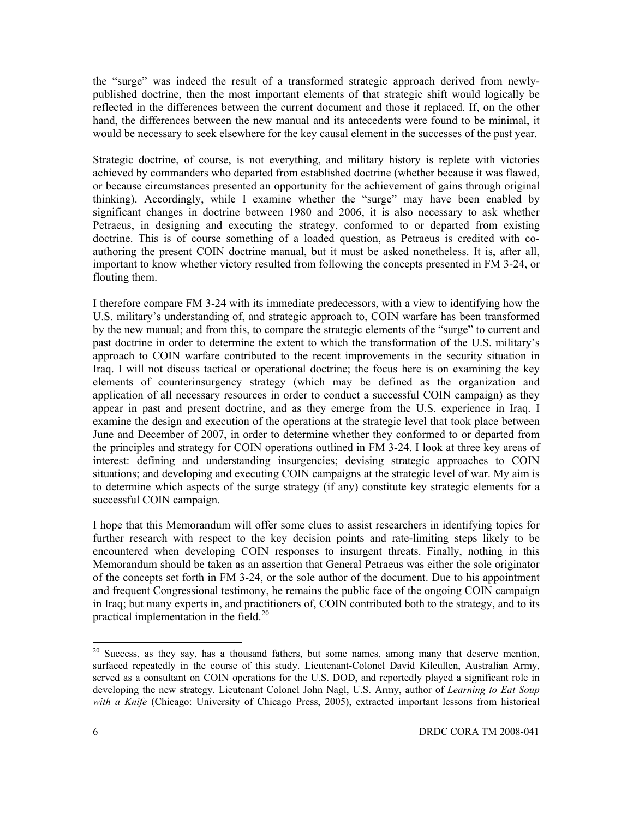the "surge" was indeed the result of a transformed strategic approach derived from newlypublished doctrine, then the most important elements of that strategic shift would logically be reflected in the differences between the current document and those it replaced. If, on the other hand, the differences between the new manual and its antecedents were found to be minimal, it would be necessary to seek elsewhere for the key causal element in the successes of the past year.

Strategic doctrine, of course, is not everything, and military history is replete with victories achieved by commanders who departed from established doctrine (whether because it was flawed, or because circumstances presented an opportunity for the achievement of gains through original thinking). Accordingly, while I examine whether the "surge" may have been enabled by significant changes in doctrine between 1980 and 2006, it is also necessary to ask whether Petraeus, in designing and executing the strategy, conformed to or departed from existing doctrine. This is of course something of a loaded question, as Petraeus is credited with coauthoring the present COIN doctrine manual, but it must be asked nonetheless. It is, after all, important to know whether victory resulted from following the concepts presented in FM 3-24, or flouting them.

I therefore compare FM 3-24 with its immediate predecessors, with a view to identifying how the U.S. military's understanding of, and strategic approach to, COIN warfare has been transformed by the new manual; and from this, to compare the strategic elements of the "surge" to current and past doctrine in order to determine the extent to which the transformation of the U.S. military's approach to COIN warfare contributed to the recent improvements in the security situation in Iraq. I will not discuss tactical or operational doctrine; the focus here is on examining the key elements of counterinsurgency strategy (which may be defined as the organization and application of all necessary resources in order to conduct a successful COIN campaign) as they appear in past and present doctrine, and as they emerge from the U.S. experience in Iraq. I examine the design and execution of the operations at the strategic level that took place between June and December of 2007, in order to determine whether they conformed to or departed from the principles and strategy for COIN operations outlined in FM 3-24. I look at three key areas of interest: defining and understanding insurgencies; devising strategic approaches to COIN situations; and developing and executing COIN campaigns at the strategic level of war. My aim is to determine which aspects of the surge strategy (if any) constitute key strategic elements for a successful COIN campaign.

I hope that this Memorandum will offer some clues to assist researchers in identifying topics for further research with respect to the key decision points and rate-limiting steps likely to be encountered when developing COIN responses to insurgent threats. Finally, nothing in this Memorandum should be taken as an assertion that General Petraeus was either the sole originator of the concepts set forth in FM 3-24, or the sole author of the document. Due to his appointment and frequent Congressional testimony, he remains the public face of the ongoing COIN campaign in Iraq; but many experts in, and practitioners of, COIN contributed both to the strategy, and to its practical implementation in the field.<sup>[20](#page-20-0)</sup>

<span id="page-20-0"></span><sup>&</sup>lt;sup>20</sup> Success, as they say, has a thousand fathers, but some names, among many that deserve mention, surfaced repeatedly in the course of this study. Lieutenant-Colonel David Kilcullen, Australian Army, served as a consultant on COIN operations for the U.S. DOD, and reportedly played a significant role in developing the new strategy. Lieutenant Colonel John Nagl, U.S. Army, author of *Learning to Eat Soup with a Knife* (Chicago: University of Chicago Press, 2005), extracted important lessons from historical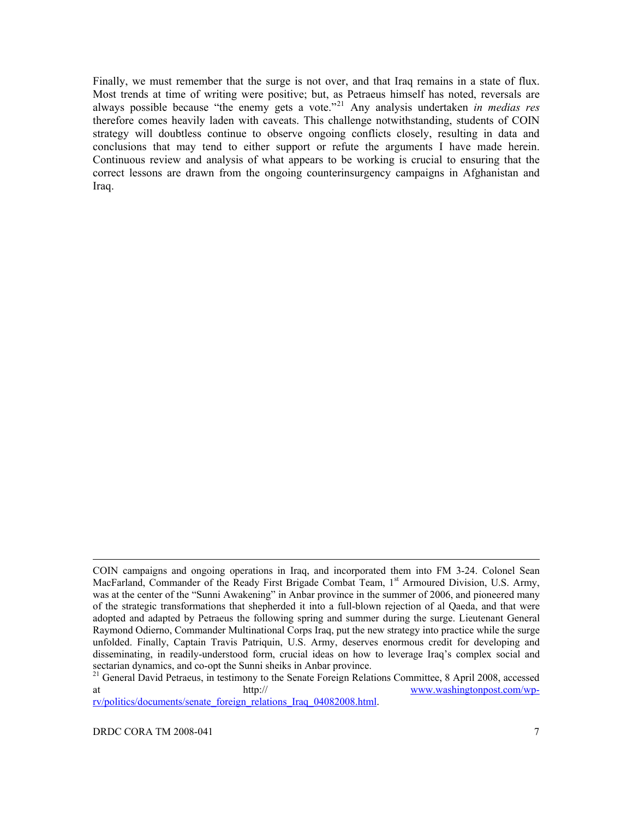Finally, we must remember that the surge is not over, and that Iraq remains in a state of flux. Most trends at time of writing were positive; but, as Petraeus himself has noted, reversals are always possible because "the enemy gets a vote."[21](#page-21-0) Any analysis undertaken *in medias res* therefore comes heavily laden with caveats. This challenge notwithstanding, students of COIN strategy will doubtless continue to observe ongoing conflicts closely, resulting in data and conclusions that may tend to either support or refute the arguments I have made herein. Continuous review and analysis of what appears to be working is crucial to ensuring that the correct lessons are drawn from the ongoing counterinsurgency campaigns in Afghanistan and Iraq.

<u>.</u>

COIN campaigns and ongoing operations in Iraq, and incorporated them into FM 3-24. Colonel Sean MacFarland, Commander of the Ready First Brigade Combat Team, 1<sup>st</sup> Armoured Division, U.S. Army, was at the center of the "Sunni Awakening" in Anbar province in the summer of 2006, and pioneered many of the strategic transformations that shepherded it into a full-blown rejection of al Qaeda, and that were adopted and adapted by Petraeus the following spring and summer during the surge. Lieutenant General Raymond Odierno, Commander Multinational Corps Iraq, put the new strategy into practice while the surge unfolded. Finally, Captain Travis Patriquin, U.S. Army, deserves enormous credit for developing and disseminating, in readily-understood form, crucial ideas on how to leverage Iraq's complex social and sectarian dynamics, and co-opt the Sunni sheiks in Anbar province.

<span id="page-21-0"></span><sup>&</sup>lt;sup>21</sup> General David Petraeus, in testimony to the Senate Foreign Relations Committee, 8 April 2008, accessed http:// [www.washingtonpost.com/wp](http://www.washingtonpost.com/wp-rv/politics/documents/senate_foreign_relations_Iraq_04082008.html)[rv/politics/documents/senate\\_foreign\\_relations\\_Iraq\\_04082008.html.](http://www.washingtonpost.com/wp-rv/politics/documents/senate_foreign_relations_Iraq_04082008.html)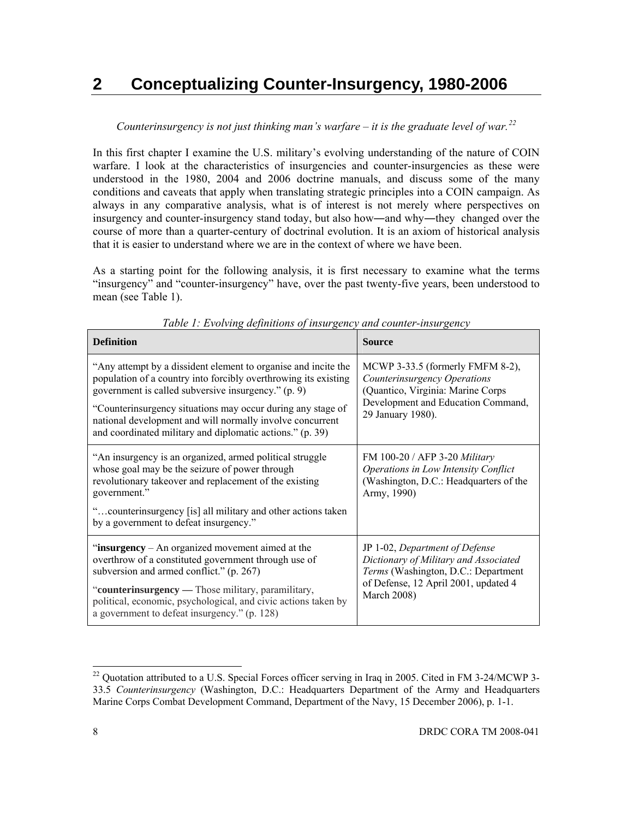# <span id="page-22-0"></span>**2 Conceptualizing Counter-Insurgency, 1980-2006**

#### *Counterinsurgency is not just thinking man's warfare – it is the graduate level of war.[22](#page-22-1)*

In this first chapter I examine the U.S. military's evolving understanding of the nature of COIN warfare. I look at the characteristics of insurgencies and counter-insurgencies as these were understood in the 1980, 2004 and 2006 doctrine manuals, and discuss some of the many conditions and caveats that apply when translating strategic principles into a COIN campaign. As always in any comparative analysis, what is of interest is not merely where perspectives on insurgency and counter-insurgency stand today, but also how―and why―they changed over the course of more than a quarter-century of doctrinal evolution. It is an axiom of historical analysis that it is easier to understand where we are in the context of where we have been.

As a starting point for the following analysis, it is first necessary to examine what the terms "insurgency" and "counter-insurgency" have, over the past twenty-five years, been understood to mean (see Table 1).

| <b>Definition</b>                                                                                                                                                                                                                                                                                                                                                                 | <b>Source</b>                                                                                                                                                                |
|-----------------------------------------------------------------------------------------------------------------------------------------------------------------------------------------------------------------------------------------------------------------------------------------------------------------------------------------------------------------------------------|------------------------------------------------------------------------------------------------------------------------------------------------------------------------------|
| "Any attempt by a dissident element to organise and incite the<br>population of a country into forcibly overthrowing its existing<br>government is called subversive insurgency." (p. 9)<br>"Counterinsurgency situations may occur during any stage of<br>national development and will normally involve concurrent<br>and coordinated military and diplomatic actions." (p. 39) | MCWP 3-33.5 (formerly FMFM 8-2),<br>Counterinsurgency Operations<br>(Quantico, Virginia: Marine Corps<br>Development and Education Command,<br>29 January 1980).             |
| "An insurgency is an organized, armed political struggle<br>whose goal may be the seizure of power through<br>revolutionary takeover and replacement of the existing<br>government."<br>"counterinsurgency [is] all military and other actions taken<br>by a government to defeat insurgency."                                                                                    | FM 100-20 / AFP 3-20 Military<br>Operations in Low Intensity Conflict<br>(Washington, D.C.: Headquarters of the<br>Army, 1990)                                               |
| "insurgency $-$ An organized movement aimed at the<br>overthrow of a constituted government through use of<br>subversion and armed conflict." (p. 267)<br>"counterinsurgency — Those military, paramilitary,<br>political, economic, psychological, and civic actions taken by<br>a government to defeat insurgency." (p. 128)                                                    | JP 1-02, Department of Defense<br>Dictionary of Military and Associated<br>Terms (Washington, D.C.: Department<br>of Defense, 12 April 2001, updated 4<br><b>March 2008)</b> |

*Table 1: Evolving definitions of insurgency and counter-insurgency* 

<span id="page-22-1"></span> $22$  Quotation attributed to a U.S. Special Forces officer serving in Iraq in 2005. Cited in FM 3-24/MCWP 3-33.5 *Counterinsurgency* (Washington, D.C.: Headquarters Department of the Army and Headquarters Marine Corps Combat Development Command, Department of the Navy, 15 December 2006), p. 1-1.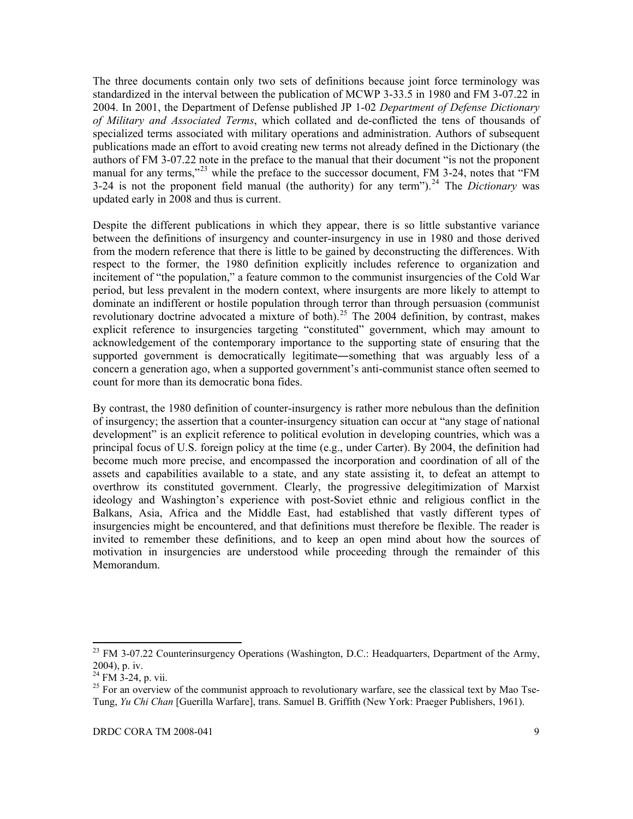The three documents contain only two sets of definitions because joint force terminology was standardized in the interval between the publication of MCWP 3-33.5 in 1980 and FM 3-07.22 in 2004. In 2001, the Department of Defense published JP 1-02 *Department of Defense Dictionary of Military and Associated Terms*, which collated and de-conflicted the tens of thousands of specialized terms associated with military operations and administration. Authors of subsequent publications made an effort to avoid creating new terms not already defined in the Dictionary (the authors of FM 3-07.22 note in the preface to the manual that their document "is not the proponent manual for any terms,"<sup>[23](#page-23-0)</sup> while the preface to the successor document, FM 3-24, notes that "FM 3-[24](#page-23-1) is not the proponent field manual (the authority) for any term<sup>"</sup>).<sup>24</sup> The *Dictionary* was updated early in 2008 and thus is current.

Despite the different publications in which they appear, there is so little substantive variance between the definitions of insurgency and counter-insurgency in use in 1980 and those derived from the modern reference that there is little to be gained by deconstructing the differences. With respect to the former, the 1980 definition explicitly includes reference to organization and incitement of "the population," a feature common to the communist insurgencies of the Cold War period, but less prevalent in the modern context, where insurgents are more likely to attempt to dominate an indifferent or hostile population through terror than through persuasion (communist revolutionary doctrine advocated a mixture of both).<sup>[25](#page-23-2)</sup> The 2004 definition, by contrast, makes explicit reference to insurgencies targeting "constituted" government, which may amount to acknowledgement of the contemporary importance to the supporting state of ensuring that the supported government is democratically legitimate―something that was arguably less of a concern a generation ago, when a supported government's anti-communist stance often seemed to count for more than its democratic bona fides.

By contrast, the 1980 definition of counter-insurgency is rather more nebulous than the definition of insurgency; the assertion that a counter-insurgency situation can occur at "any stage of national development" is an explicit reference to political evolution in developing countries, which was a principal focus of U.S. foreign policy at the time (e.g., under Carter). By 2004, the definition had become much more precise, and encompassed the incorporation and coordination of all of the assets and capabilities available to a state, and any state assisting it, to defeat an attempt to overthrow its constituted government. Clearly, the progressive delegitimization of Marxist ideology and Washington's experience with post-Soviet ethnic and religious conflict in the Balkans, Asia, Africa and the Middle East, had established that vastly different types of insurgencies might be encountered, and that definitions must therefore be flexible. The reader is invited to remember these definitions, and to keep an open mind about how the sources of motivation in insurgencies are understood while proceeding through the remainder of this Memorandum.

<span id="page-23-0"></span><sup>&</sup>lt;sup>23</sup> FM 3-07.22 Counterinsurgency Operations (Washington, D.C.: Headquarters, Department of the Army, 2004), p. iv.

<span id="page-23-1"></span><sup>&</sup>lt;sup>24</sup> FM 3-24, p. vii.

<span id="page-23-2"></span><sup>&</sup>lt;sup>25</sup> For an overview of the communist approach to revolutionary warfare, see the classical text by Mao Tse-Tung, *Yu Chi Chan* [Guerilla Warfare], trans. Samuel B. Griffith (New York: Praeger Publishers, 1961).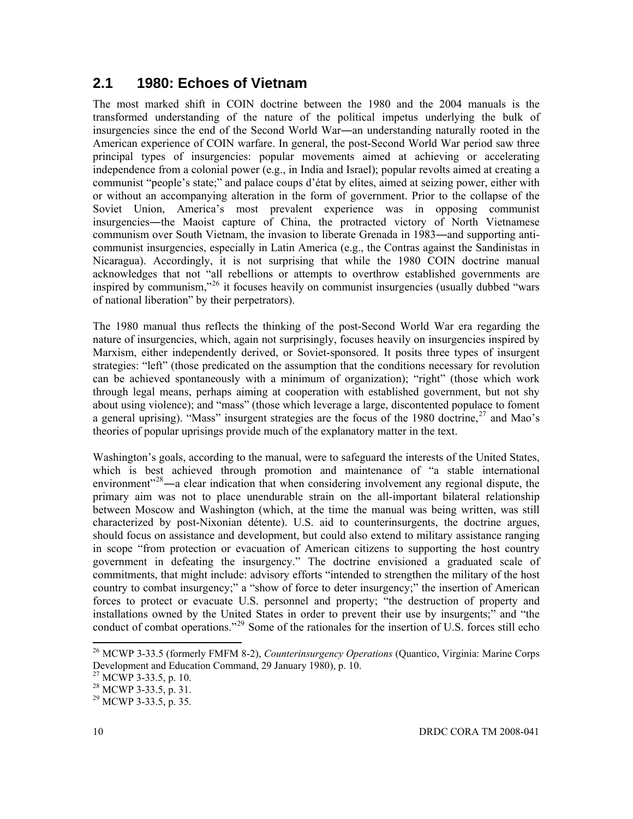### <span id="page-24-0"></span>**2.1 1980: Echoes of Vietnam**

The most marked shift in COIN doctrine between the 1980 and the 2004 manuals is the transformed understanding of the nature of the political impetus underlying the bulk of insurgencies since the end of the Second World War―an understanding naturally rooted in the American experience of COIN warfare. In general, the post-Second World War period saw three principal types of insurgencies: popular movements aimed at achieving or accelerating independence from a colonial power (e.g., in India and Israel); popular revolts aimed at creating a communist "people's state;" and palace coups d'état by elites, aimed at seizing power, either with or without an accompanying alteration in the form of government. Prior to the collapse of the Soviet Union, America's most prevalent experience was in opposing communist insurgencies―the Maoist capture of China, the protracted victory of North Vietnamese communism over South Vietnam, the invasion to liberate Grenada in 1983―and supporting anticommunist insurgencies, especially in Latin America (e.g., the Contras against the Sandinistas in Nicaragua). Accordingly, it is not surprising that while the 1980 COIN doctrine manual acknowledges that not "all rebellions or attempts to overthrow established governments are inspired by communism,"[26](#page-24-1) it focuses heavily on communist insurgencies (usually dubbed "wars of national liberation" by their perpetrators).

The 1980 manual thus reflects the thinking of the post-Second World War era regarding the nature of insurgencies, which, again not surprisingly, focuses heavily on insurgencies inspired by Marxism, either independently derived, or Soviet-sponsored. It posits three types of insurgent strategies: "left" (those predicated on the assumption that the conditions necessary for revolution can be achieved spontaneously with a minimum of organization); "right" (those which work through legal means, perhaps aiming at cooperation with established government, but not shy about using violence); and "mass" (those which leverage a large, discontented populace to foment a general uprising). "Mass" insurgent strategies are the focus of the 1980 doctrine,  $2^7$  and Mao's theories of popular uprisings provide much of the explanatory matter in the text.

Washington's goals, according to the manual, were to safeguard the interests of the United States, which is best achieved through promotion and maintenance of "a stable international environment $128$  $128$ —a clear indication that when considering involvement any regional dispute, the primary aim was not to place unendurable strain on the all-important bilateral relationship between Moscow and Washington (which, at the time the manual was being written, was still characterized by post-Nixonian détente). U.S. aid to counterinsurgents, the doctrine argues, should focus on assistance and development, but could also extend to military assistance ranging in scope "from protection or evacuation of American citizens to supporting the host country government in defeating the insurgency." The doctrine envisioned a graduated scale of commitments, that might include: advisory efforts "intended to strengthen the military of the host country to combat insurgency;" a "show of force to deter insurgency;" the insertion of American forces to protect or evacuate U.S. personnel and property; "the destruction of property and installations owned by the United States in order to prevent their use by insurgents;" and "the conduct of combat operations."<sup>[29](#page-24-4)</sup> Some of the rationales for the insertion of U.S. forces still echo

<span id="page-24-1"></span><sup>26</sup> MCWP 3-33.5 (formerly FMFM 8-2), *Counterinsurgency Operations* (Quantico, Virginia: Marine Corps Development and Education Command, 29 January 1980), p. 10.

<span id="page-24-2"></span><sup>27</sup> MCWP 3-33.5, p. 10.

<span id="page-24-3"></span><sup>28</sup> MCWP 3-33.5, p. 31.

<span id="page-24-4"></span><sup>29</sup> MCWP 3-33.5, p. 35.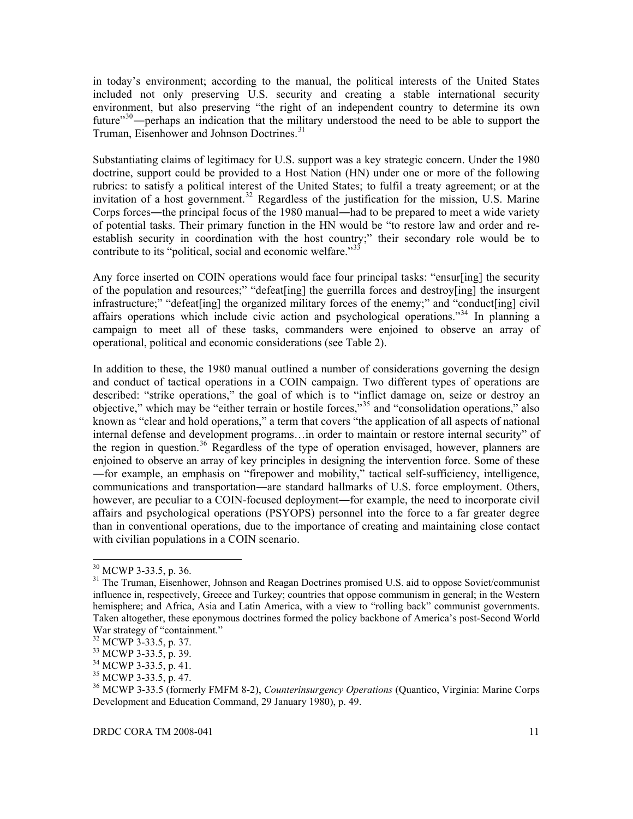in today's environment; according to the manual, the political interests of the United States included not only preserving U.S. security and creating a stable international security environment, but also preserving "the right of an independent country to determine its own future<sup>3[30](#page-25-0)</sup>—perhaps an indication that the military understood the need to be able to support the Truman, Eisenhower and Johnson Doctrines.<sup>[31](#page-25-1)</sup>

Substantiating claims of legitimacy for U.S. support was a key strategic concern. Under the 1980 doctrine, support could be provided to a Host Nation (HN) under one or more of the following rubrics: to satisfy a political interest of the United States; to fulfil a treaty agreement; or at the invitation of a host government.<sup>[32](#page-25-2)</sup> Regardless of the justification for the mission, U.S. Marine Corps forces―the principal focus of the 1980 manual―had to be prepared to meet a wide variety of potential tasks. Their primary function in the HN would be "to restore law and order and reestablish security in coordination with the host country;" their secondary role would be to contribute to its "political, social and economic welfare." $33$ 

Any force inserted on COIN operations would face four principal tasks: "ensur[ing] the security of the population and resources;" "defeat[ing] the guerrilla forces and destroy[ing] the insurgent infrastructure;" "defeat[ing] the organized military forces of the enemy;" and "conduct[ing] civil affairs operations which include civic action and psychological operations."<sup>[34](#page-25-4)</sup> In planning a campaign to meet all of these tasks, commanders were enjoined to observe an array of operational, political and economic considerations (see Table 2).

In addition to these, the 1980 manual outlined a number of considerations governing the design and conduct of tactical operations in a COIN campaign. Two different types of operations are described: "strike operations," the goal of which is to "inflict damage on, seize or destroy an objective," which may be "either terrain or hostile forces,"[35](#page-25-5) and "consolidation operations," also known as "clear and hold operations," a term that covers "the application of all aspects of national internal defense and development programs…in order to maintain or restore internal security" of the region in question.<sup>[36](#page-25-6)</sup> Regardless of the type of operation envisaged, however, planners are enjoined to observe an array of key principles in designing the intervention force. Some of these ―for example, an emphasis on "firepower and mobility," tactical self-sufficiency, intelligence, communications and transportation―are standard hallmarks of U.S. force employment. Others, however, are peculiar to a COIN-focused deployment—for example, the need to incorporate civil affairs and psychological operations (PSYOPS) personnel into the force to a far greater degree than in conventional operations, due to the importance of creating and maintaining close contact with civilian populations in a COIN scenario.

 $30$  MCWP 3-33.5, p. 36.

<span id="page-25-1"></span><span id="page-25-0"></span><sup>&</sup>lt;sup>31</sup> The Truman, Eisenhower, Johnson and Reagan Doctrines promised U.S. aid to oppose Soviet/communist influence in, respectively, Greece and Turkey; countries that oppose communism in general; in the Western hemisphere; and Africa, Asia and Latin America, with a view to "rolling back" communist governments. Taken altogether, these eponymous doctrines formed the policy backbone of America's post-Second World War strategy of "containment."

<span id="page-25-2"></span><sup>32</sup> MCWP 3-33.5, p. 37.

<span id="page-25-3"></span><sup>33</sup> MCWP 3-33.5, p. 39.

<span id="page-25-4"></span><sup>34</sup> MCWP 3-33.5, p. 41.

<span id="page-25-5"></span> $35$  MCWP 3-33.5, p. 47.

<span id="page-25-6"></span><sup>36</sup> MCWP 3-33.5 (formerly FMFM 8-2), *Counterinsurgency Operations* (Quantico, Virginia: Marine Corps Development and Education Command, 29 January 1980), p. 49.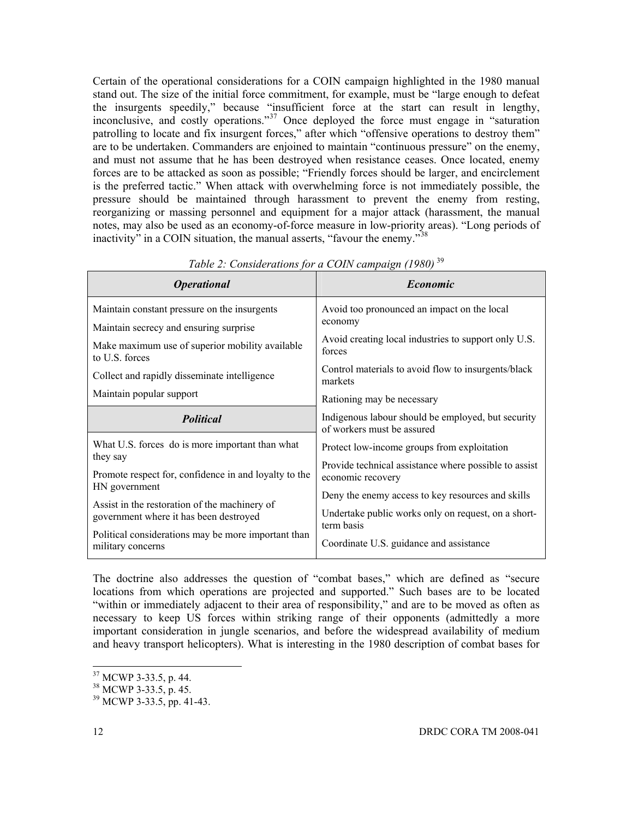Certain of the operational considerations for a COIN campaign highlighted in the 1980 manual stand out. The size of the initial force commitment, for example, must be "large enough to defeat the insurgents speedily," because "insufficient force at the start can result in lengthy, inconclusive, and costly operations."<sup>[37](#page-26-0)</sup> Once deployed the force must engage in "saturation" patrolling to locate and fix insurgent forces," after which "offensive operations to destroy them" are to be undertaken. Commanders are enjoined to maintain "continuous pressure" on the enemy, and must not assume that he has been destroyed when resistance ceases. Once located, enemy forces are to be attacked as soon as possible; "Friendly forces should be larger, and encirclement is the preferred tactic." When attack with overwhelming force is not immediately possible, the pressure should be maintained through harassment to prevent the enemy from resting, reorganizing or massing personnel and equipment for a major attack (harassment, the manual notes, may also be used as an economy-of-force measure in low-priority areas). "Long periods of inactivity" in a COIN situation, the manual asserts, "favour the enemy."<sup>[38](#page-26-1)</sup>

| <i><b>Operational</b></i>                                                                                                                                                            | <i>Economic</i>                                                                                                                                                   |  |
|--------------------------------------------------------------------------------------------------------------------------------------------------------------------------------------|-------------------------------------------------------------------------------------------------------------------------------------------------------------------|--|
| Maintain constant pressure on the insurgents<br>Maintain secrecy and ensuring surprise<br>Make maximum use of superior mobility available<br>to U.S. forces                          | Avoid too pronounced an impact on the local<br>economy<br>Avoid creating local industries to support only U.S.<br>forces                                          |  |
| Collect and rapidly disseminate intelligence<br>Maintain popular support                                                                                                             | Control materials to avoid flow to insurgents/black<br>markets<br>Rationing may be necessary                                                                      |  |
| <b>Political</b>                                                                                                                                                                     | Indigenous labour should be employed, but security<br>of workers must be assured                                                                                  |  |
| What U.S. forces do is more important than what<br>they say<br>Promote respect for, confidence in and loyalty to the                                                                 | Protect low-income groups from exploitation<br>Provide technical assistance where possible to assist<br>economic recovery                                         |  |
| HN government<br>Assist in the restoration of the machinery of<br>government where it has been destroyed<br>Political considerations may be more important than<br>military concerns | Deny the enemy access to key resources and skills<br>Undertake public works only on request, on a short-<br>term basis<br>Coordinate U.S. guidance and assistance |  |

*Table 2: Considerations for a COIN campaign (1980)* [39](#page-26-2)

The doctrine also addresses the question of "combat bases," which are defined as "secure locations from which operations are projected and supported." Such bases are to be located "within or immediately adjacent to their area of responsibility," and are to be moved as often as necessary to keep US forces within striking range of their opponents (admittedly a more important consideration in jungle scenarios, and before the widespread availability of medium and heavy transport helicopters). What is interesting in the 1980 description of combat bases for

<span id="page-26-0"></span> $37$  MCWP 3-33.5, p. 44.

<sup>38</sup> MCWP 3-33.5, p. 45.

<span id="page-26-2"></span><span id="page-26-1"></span><sup>39</sup> MCWP 3-33.5, pp. 41-43.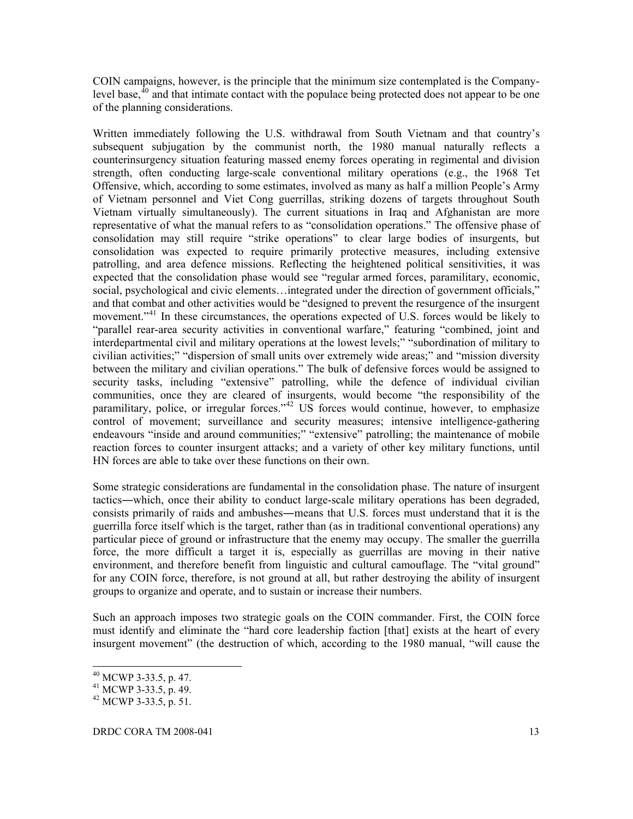COIN campaigns, however, is the principle that the minimum size contemplated is the Companylevel base, $^{40}$  $^{40}$  $^{40}$  and that intimate contact with the populace being protected does not appear to be one of the planning considerations.

Written immediately following the U.S. withdrawal from South Vietnam and that country's subsequent subjugation by the communist north, the 1980 manual naturally reflects a counterinsurgency situation featuring massed enemy forces operating in regimental and division strength, often conducting large-scale conventional military operations (e.g., the 1968 Tet Offensive, which, according to some estimates, involved as many as half a million People's Army of Vietnam personnel and Viet Cong guerrillas, striking dozens of targets throughout South Vietnam virtually simultaneously). The current situations in Iraq and Afghanistan are more representative of what the manual refers to as "consolidation operations." The offensive phase of consolidation may still require "strike operations" to clear large bodies of insurgents, but consolidation was expected to require primarily protective measures, including extensive patrolling, and area defence missions. Reflecting the heightened political sensitivities, it was expected that the consolidation phase would see "regular armed forces, paramilitary, economic, social, psychological and civic elements...integrated under the direction of government officials," and that combat and other activities would be "designed to prevent the resurgence of the insurgent movement."<sup>[41](#page-27-1)</sup> In these circumstances, the operations expected of U.S. forces would be likely to "parallel rear-area security activities in conventional warfare," featuring "combined, joint and interdepartmental civil and military operations at the lowest levels;" "subordination of military to civilian activities;" "dispersion of small units over extremely wide areas;" and "mission diversity between the military and civilian operations." The bulk of defensive forces would be assigned to security tasks, including "extensive" patrolling, while the defence of individual civilian communities, once they are cleared of insurgents, would become "the responsibility of the paramilitary, police, or irregular forces."[42](#page-27-2) US forces would continue, however, to emphasize control of movement; surveillance and security measures; intensive intelligence-gathering endeavours "inside and around communities;" "extensive" patrolling; the maintenance of mobile reaction forces to counter insurgent attacks; and a variety of other key military functions, until HN forces are able to take over these functions on their own.

Some strategic considerations are fundamental in the consolidation phase. The nature of insurgent tactics―which, once their ability to conduct large-scale military operations has been degraded, consists primarily of raids and ambushes―means that U.S. forces must understand that it is the guerrilla force itself which is the target, rather than (as in traditional conventional operations) any particular piece of ground or infrastructure that the enemy may occupy. The smaller the guerrilla force, the more difficult a target it is, especially as guerrillas are moving in their native environment, and therefore benefit from linguistic and cultural camouflage. The "vital ground" for any COIN force, therefore, is not ground at all, but rather destroying the ability of insurgent groups to organize and operate, and to sustain or increase their numbers.

Such an approach imposes two strategic goals on the COIN commander. First, the COIN force must identify and eliminate the "hard core leadership faction [that] exists at the heart of every insurgent movement" (the destruction of which, according to the 1980 manual, "will cause the

 $^{40}$  MCWP 3-33.5, p. 47.

<span id="page-27-1"></span><span id="page-27-0"></span><sup>41</sup> MCWP 3-33.5, p. 49.

<span id="page-27-2"></span> $42$  MCWP 3-33.5, p. 51.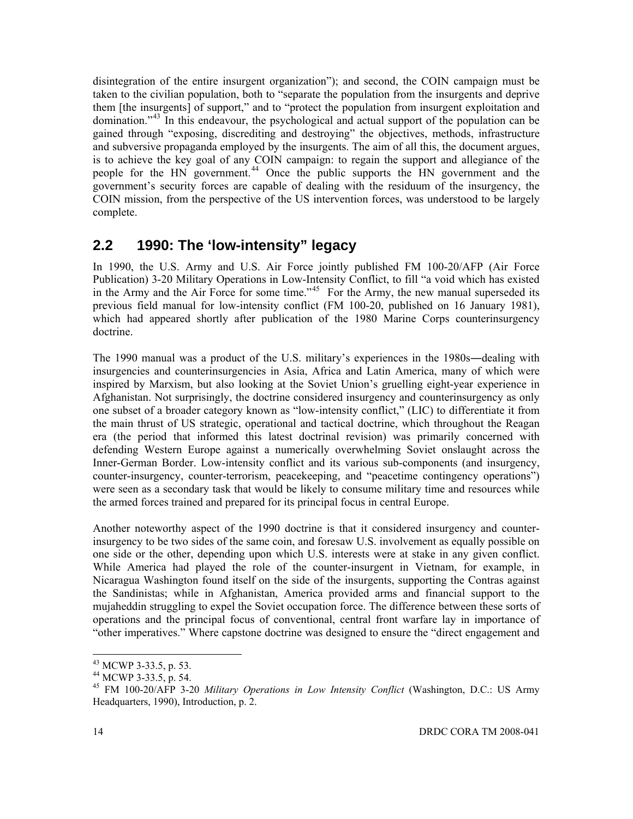<span id="page-28-0"></span>disintegration of the entire insurgent organization"); and second, the COIN campaign must be taken to the civilian population, both to "separate the population from the insurgents and deprive them [the insurgents] of support," and to "protect the population from insurgent exploitation and domination."[43](#page-28-1) In this endeavour, the psychological and actual support of the population can be gained through "exposing, discrediting and destroying" the objectives, methods, infrastructure and subversive propaganda employed by the insurgents. The aim of all this, the document argues, is to achieve the key goal of any COIN campaign: to regain the support and allegiance of the people for the HN government.<sup>[44](#page-28-2)</sup> Once the public supports the HN government and the government's security forces are capable of dealing with the residuum of the insurgency, the COIN mission, from the perspective of the US intervention forces, was understood to be largely complete.

### **2.2 1990: The 'low-intensity" legacy**

In 1990, the U.S. Army and U.S. Air Force jointly published FM 100-20/AFP (Air Force Publication) 3-20 Military Operations in Low-Intensity Conflict, to fill "a void which has existed in the Army and the Air Force for some time." $45$  For the Army, the new manual superseded its previous field manual for low-intensity conflict (FM 100-20, published on 16 January 1981), which had appeared shortly after publication of the 1980 Marine Corps counterinsurgency doctrine.

The 1990 manual was a product of the U.S. military's experiences in the 1980s―dealing with insurgencies and counterinsurgencies in Asia, Africa and Latin America, many of which were inspired by Marxism, but also looking at the Soviet Union's gruelling eight-year experience in Afghanistan. Not surprisingly, the doctrine considered insurgency and counterinsurgency as only one subset of a broader category known as "low-intensity conflict," (LIC) to differentiate it from the main thrust of US strategic, operational and tactical doctrine, which throughout the Reagan era (the period that informed this latest doctrinal revision) was primarily concerned with defending Western Europe against a numerically overwhelming Soviet onslaught across the Inner-German Border. Low-intensity conflict and its various sub-components (and insurgency, counter-insurgency, counter-terrorism, peacekeeping, and "peacetime contingency operations") were seen as a secondary task that would be likely to consume military time and resources while the armed forces trained and prepared for its principal focus in central Europe.

Another noteworthy aspect of the 1990 doctrine is that it considered insurgency and counterinsurgency to be two sides of the same coin, and foresaw U.S. involvement as equally possible on one side or the other, depending upon which U.S. interests were at stake in any given conflict. While America had played the role of the counter-insurgent in Vietnam, for example, in Nicaragua Washington found itself on the side of the insurgents, supporting the Contras against the Sandinistas; while in Afghanistan, America provided arms and financial support to the mujaheddin struggling to expel the Soviet occupation force. The difference between these sorts of operations and the principal focus of conventional, central front warfare lay in importance of "other imperatives." Where capstone doctrine was designed to ensure the "direct engagement and

l 43 MCWP 3-33.5, p. 53.

<span id="page-28-2"></span><span id="page-28-1"></span><sup>44</sup> MCWP 3-33.5, p. 54.

<span id="page-28-3"></span><sup>45</sup> FM 100-20/AFP 3-20 *Military Operations in Low Intensity Conflict* (Washington, D.C.: US Army Headquarters, 1990), Introduction, p. 2.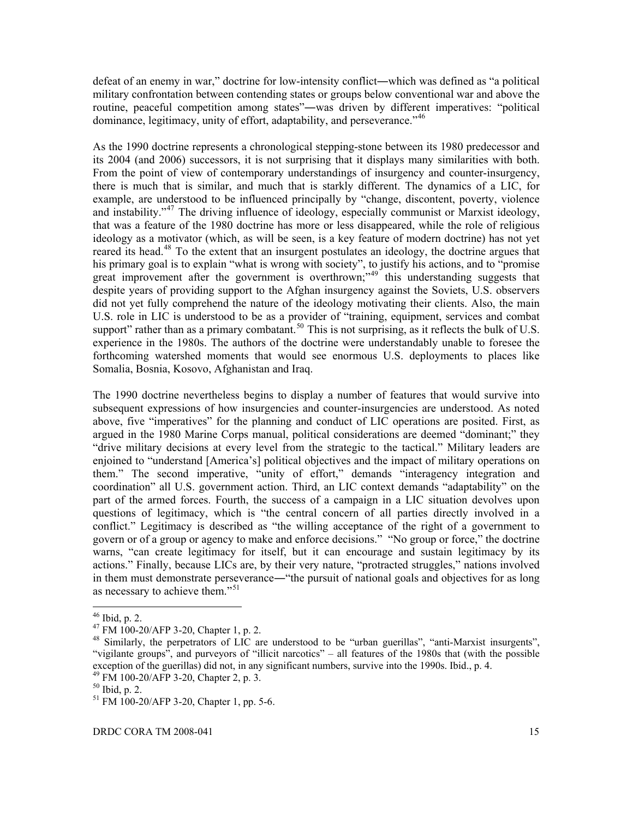defeat of an enemy in war," doctrine for low-intensity conflict―which was defined as "a political military confrontation between contending states or groups below conventional war and above the routine, peaceful competition among states"―was driven by different imperatives: "political dominance, legitimacy, unity of effort, adaptability, and perseverance."<sup>[46](#page-29-0)</sup>

As the 1990 doctrine represents a chronological stepping-stone between its 1980 predecessor and its 2004 (and 2006) successors, it is not surprising that it displays many similarities with both. From the point of view of contemporary understandings of insurgency and counter-insurgency, there is much that is similar, and much that is starkly different. The dynamics of a LIC, for example, are understood to be influenced principally by "change, discontent, poverty, violence and instability."<sup>[47](#page-29-1)</sup> The driving influence of ideology, especially communist or Marxist ideology, that was a feature of the 1980 doctrine has more or less disappeared, while the role of religious ideology as a motivator (which, as will be seen, is a key feature of modern doctrine) has not yet reared its head.<sup>[48](#page-29-2)</sup> To the extent that an insurgent postulates an ideology, the doctrine argues that his primary goal is to explain "what is wrong with society", to justify his actions, and to "promise great improvement after the government is overthrown;"<sup>[49](#page-29-3)</sup> this understanding suggests that despite years of providing support to the Afghan insurgency against the Soviets, U.S. observers did not yet fully comprehend the nature of the ideology motivating their clients. Also, the main U.S. role in LIC is understood to be as a provider of "training, equipment, services and combat support" rather than as a primary combatant.<sup>[50](#page-29-4)</sup> This is not surprising, as it reflects the bulk of U.S. experience in the 1980s. The authors of the doctrine were understandably unable to foresee the forthcoming watershed moments that would see enormous U.S. deployments to places like Somalia, Bosnia, Kosovo, Afghanistan and Iraq.

The 1990 doctrine nevertheless begins to display a number of features that would survive into subsequent expressions of how insurgencies and counter-insurgencies are understood. As noted above, five "imperatives" for the planning and conduct of LIC operations are posited. First, as argued in the 1980 Marine Corps manual, political considerations are deemed "dominant;" they "drive military decisions at every level from the strategic to the tactical." Military leaders are enjoined to "understand [America's] political objectives and the impact of military operations on them." The second imperative, "unity of effort," demands "interagency integration and coordination" all U.S. government action. Third, an LIC context demands "adaptability" on the part of the armed forces. Fourth, the success of a campaign in a LIC situation devolves upon questions of legitimacy, which is "the central concern of all parties directly involved in a conflict." Legitimacy is described as "the willing acceptance of the right of a government to govern or of a group or agency to make and enforce decisions." "No group or force," the doctrine warns, "can create legitimacy for itself, but it can encourage and sustain legitimacy by its actions." Finally, because LICs are, by their very nature, "protracted struggles," nations involved in them must demonstrate perseverance―"the pursuit of national goals and objectives for as long as necessary to achieve them."<sup>[51](#page-29-5)</sup>

 $46$  Ibid, p. 2.

<span id="page-29-1"></span><span id="page-29-0"></span><sup>47</sup> FM 100-20/AFP 3-20, Chapter 1, p. 2.

<span id="page-29-2"></span><sup>&</sup>lt;sup>48</sup> Similarly, the perpetrators of LIC are understood to be "urban guerillas", "anti-Marxist insurgents", "vigilante groups", and purveyors of "illicit narcotics" – all features of the 1980s that (with the possible exception of the guerillas) did not, in any significant numbers, survive into the 1990s. Ibid., p. 4. 49 FM 100-20/AFP 3-20, Chapter 2, p. 3.

<span id="page-29-4"></span><span id="page-29-3"></span><sup>50</sup> Ibid, p. 2.

<span id="page-29-5"></span><sup>&</sup>lt;sup>51</sup> FM 100-20/AFP 3-20, Chapter 1, pp. 5-6.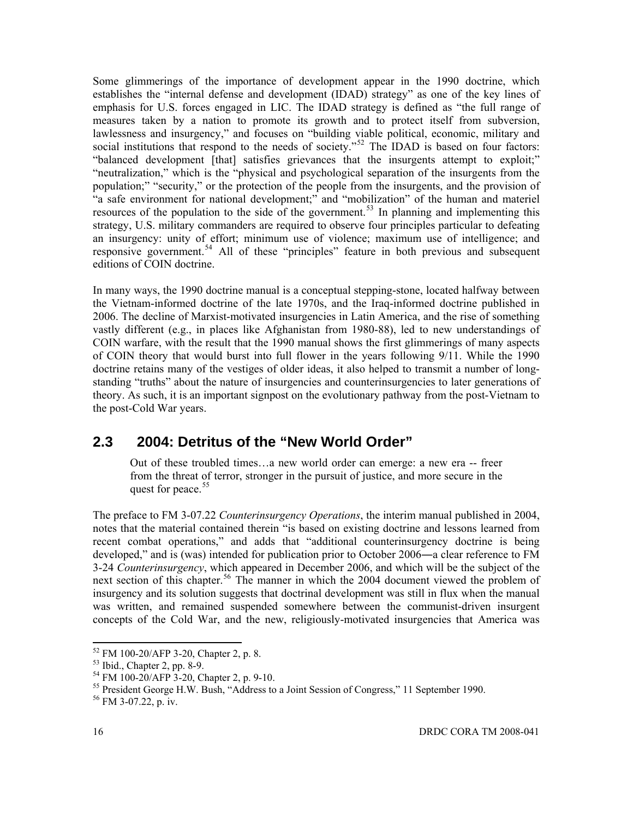<span id="page-30-0"></span>Some glimmerings of the importance of development appear in the 1990 doctrine, which establishes the "internal defense and development (IDAD) strategy" as one of the key lines of emphasis for U.S. forces engaged in LIC. The IDAD strategy is defined as "the full range of measures taken by a nation to promote its growth and to protect itself from subversion, lawlessness and insurgency," and focuses on "building viable political, economic, military and social institutions that respond to the needs of society."<sup>[52](#page-30-1)</sup> The IDAD is based on four factors: "balanced development [that] satisfies grievances that the insurgents attempt to exploit;" "neutralization," which is the "physical and psychological separation of the insurgents from the population;" "security," or the protection of the people from the insurgents, and the provision of "a safe environment for national development;" and "mobilization" of the human and materiel resources of the population to the side of the government.<sup>[53](#page-30-2)</sup> In planning and implementing this strategy, U.S. military commanders are required to observe four principles particular to defeating an insurgency: unity of effort; minimum use of violence; maximum use of intelligence; and responsive government.<sup>[54](#page-30-3)</sup> All of these "principles" feature in both previous and subsequent editions of COIN doctrine.

In many ways, the 1990 doctrine manual is a conceptual stepping-stone, located halfway between the Vietnam-informed doctrine of the late 1970s, and the Iraq-informed doctrine published in 2006. The decline of Marxist-motivated insurgencies in Latin America, and the rise of something vastly different (e.g., in places like Afghanistan from 1980-88), led to new understandings of COIN warfare, with the result that the 1990 manual shows the first glimmerings of many aspects of COIN theory that would burst into full flower in the years following 9/11. While the 1990 doctrine retains many of the vestiges of older ideas, it also helped to transmit a number of longstanding "truths" about the nature of insurgencies and counterinsurgencies to later generations of theory. As such, it is an important signpost on the evolutionary pathway from the post-Vietnam to the post-Cold War years.

### **2.3 2004: Detritus of the "New World Order"**

Out of these troubled times…a new world order can emerge: a new era -- freer from the threat of terror, stronger in the pursuit of justice, and more secure in the quest for peace.<sup>[55](#page-30-4)</sup>

The preface to FM 3-07.22 *Counterinsurgency Operations*, the interim manual published in 2004, notes that the material contained therein "is based on existing doctrine and lessons learned from recent combat operations," and adds that "additional counterinsurgency doctrine is being developed," and is (was) intended for publication prior to October 2006―a clear reference to FM 3-24 *Counterinsurgency*, which appeared in December 2006, and which will be the subject of the next section of this chapter.<sup>[56](#page-30-5)</sup> The manner in which the 2004 document viewed the problem of insurgency and its solution suggests that doctrinal development was still in flux when the manual was written, and remained suspended somewhere between the communist-driven insurgent concepts of the Cold War, and the new, religiously-motivated insurgencies that America was

<span id="page-30-1"></span> $52$  FM 100-20/AFP 3-20, Chapter 2, p. 8.

<span id="page-30-2"></span><sup>53</sup> Ibid., Chapter 2, pp. 8-9.

<span id="page-30-3"></span> $54$  FM 100-20/AFP 3-20, Chapter 2, p. 9-10.

<span id="page-30-4"></span><sup>&</sup>lt;sup>55</sup> President George H.W. Bush, "Address to a Joint Session of Congress," 11 September 1990.

<span id="page-30-5"></span> $56$  FM 3-07.22, p. iv.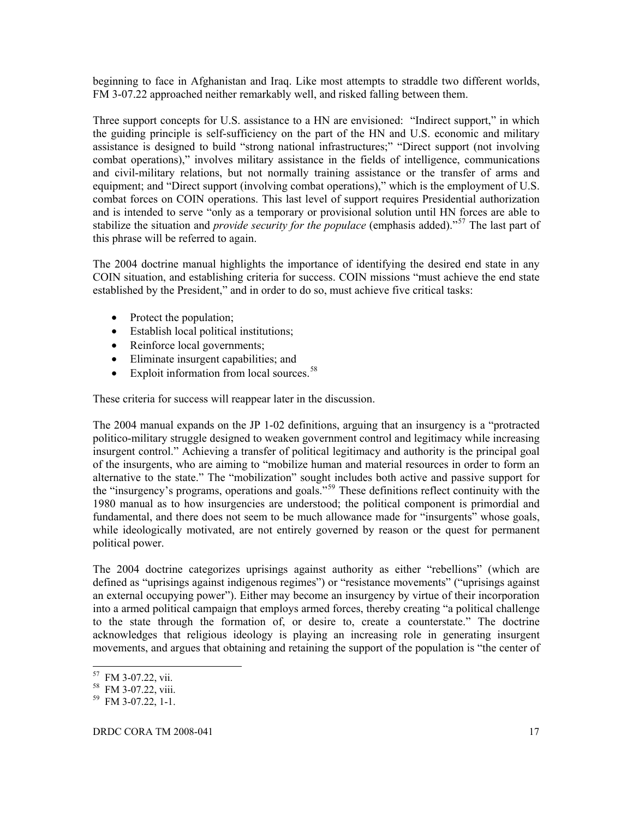beginning to face in Afghanistan and Iraq. Like most attempts to straddle two different worlds, FM 3-07.22 approached neither remarkably well, and risked falling between them.

Three support concepts for U.S. assistance to a HN are envisioned: "Indirect support," in which the guiding principle is self-sufficiency on the part of the HN and U.S. economic and military assistance is designed to build "strong national infrastructures;" "Direct support (not involving combat operations)," involves military assistance in the fields of intelligence, communications and civil-military relations, but not normally training assistance or the transfer of arms and equipment; and "Direct support (involving combat operations)," which is the employment of U.S. combat forces on COIN operations. This last level of support requires Presidential authorization and is intended to serve "only as a temporary or provisional solution until HN forces are able to stabilize the situation and *provide security for the populace* (emphasis added)."<sup>[57](#page-31-0)</sup> The last part of this phrase will be referred to again.

The 2004 doctrine manual highlights the importance of identifying the desired end state in any COIN situation, and establishing criteria for success. COIN missions "must achieve the end state established by the President," and in order to do so, must achieve five critical tasks:

- Protect the population;
- Establish local political institutions;
- Reinforce local governments;
- Eliminate insurgent capabilities; and
- Exploit information from local sources. $58$

These criteria for success will reappear later in the discussion.

The 2004 manual expands on the JP 1-02 definitions, arguing that an insurgency is a "protracted politico-military struggle designed to weaken government control and legitimacy while increasing insurgent control." Achieving a transfer of political legitimacy and authority is the principal goal of the insurgents, who are aiming to "mobilize human and material resources in order to form an alternative to the state." The "mobilization" sought includes both active and passive support for the "insurgency's programs, operations and goals."[59](#page-31-2) These definitions reflect continuity with the 1980 manual as to how insurgencies are understood; the political component is primordial and fundamental, and there does not seem to be much allowance made for "insurgents" whose goals, while ideologically motivated, are not entirely governed by reason or the quest for permanent political power.

The 2004 doctrine categorizes uprisings against authority as either "rebellions" (which are defined as "uprisings against indigenous regimes") or "resistance movements" ("uprisings against an external occupying power"). Either may become an insurgency by virtue of their incorporation into a armed political campaign that employs armed forces, thereby creating "a political challenge to the state through the formation of, or desire to, create a counterstate." The doctrine acknowledges that religious ideology is playing an increasing role in generating insurgent movements, and argues that obtaining and retaining the support of the population is "the center of

<sup>&</sup>lt;sup>57</sup> FM 3-07.22, vii.

<span id="page-31-1"></span><span id="page-31-0"></span><sup>&</sup>lt;sup>58</sup> FM 3-07.22, viii.

<span id="page-31-2"></span> $^{59}$  FM 3-07.22, 1-1.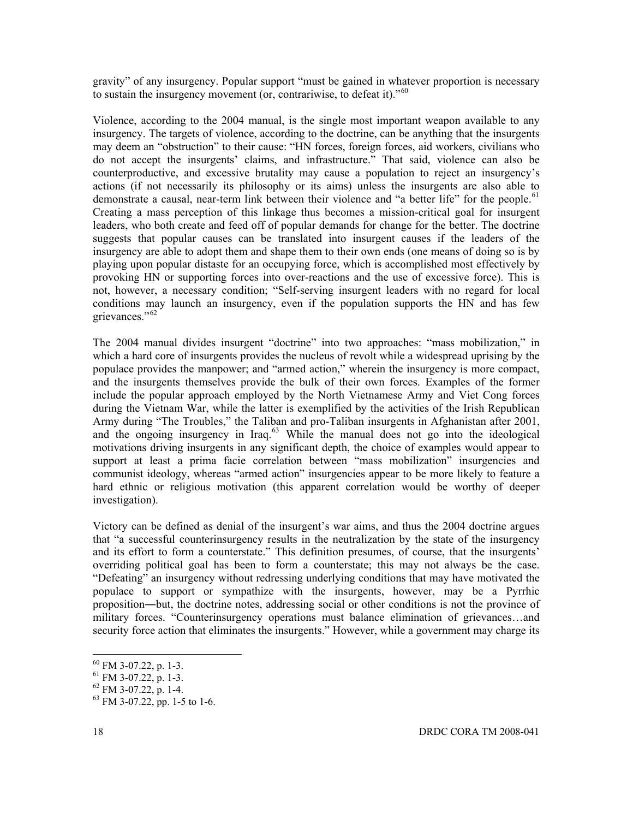gravity" of any insurgency. Popular support "must be gained in whatever proportion is necessary to sustain the insurgency movement (or, contrariwise, to defeat it).<sup> $10^{60}$  $10^{60}$  $10^{60}$ </sup>

Violence, according to the 2004 manual, is the single most important weapon available to any insurgency. The targets of violence, according to the doctrine, can be anything that the insurgents may deem an "obstruction" to their cause: "HN forces, foreign forces, aid workers, civilians who do not accept the insurgents' claims, and infrastructure." That said, violence can also be counterproductive, and excessive brutality may cause a population to reject an insurgency's actions (if not necessarily its philosophy or its aims) unless the insurgents are also able to demonstrate a causal, near-term link between their violence and "a better life" for the people.<sup>[61](#page-32-1)</sup> Creating a mass perception of this linkage thus becomes a mission-critical goal for insurgent leaders, who both create and feed off of popular demands for change for the better. The doctrine suggests that popular causes can be translated into insurgent causes if the leaders of the insurgency are able to adopt them and shape them to their own ends (one means of doing so is by playing upon popular distaste for an occupying force, which is accomplished most effectively by provoking HN or supporting forces into over-reactions and the use of excessive force). This is not, however, a necessary condition; "Self-serving insurgent leaders with no regard for local conditions may launch an insurgency, even if the population supports the HN and has few grievances."<sup>[62](#page-32-2)</sup>

The 2004 manual divides insurgent "doctrine" into two approaches: "mass mobilization," in which a hard core of insurgents provides the nucleus of revolt while a widespread uprising by the populace provides the manpower; and "armed action," wherein the insurgency is more compact, and the insurgents themselves provide the bulk of their own forces. Examples of the former include the popular approach employed by the North Vietnamese Army and Viet Cong forces during the Vietnam War, while the latter is exemplified by the activities of the Irish Republican Army during "The Troubles," the Taliban and pro-Taliban insurgents in Afghanistan after 2001, and the ongoing insurgency in Iraq.<sup>[63](#page-32-3)</sup> While the manual does not go into the ideological motivations driving insurgents in any significant depth, the choice of examples would appear to support at least a prima facie correlation between "mass mobilization" insurgencies and communist ideology, whereas "armed action" insurgencies appear to be more likely to feature a hard ethnic or religious motivation (this apparent correlation would be worthy of deeper investigation).

Victory can be defined as denial of the insurgent's war aims, and thus the 2004 doctrine argues that "a successful counterinsurgency results in the neutralization by the state of the insurgency and its effort to form a counterstate." This definition presumes, of course, that the insurgents' overriding political goal has been to form a counterstate; this may not always be the case. "Defeating" an insurgency without redressing underlying conditions that may have motivated the populace to support or sympathize with the insurgents, however, may be a Pyrrhic proposition―but, the doctrine notes, addressing social or other conditions is not the province of military forces. "Counterinsurgency operations must balance elimination of grievances…and security force action that eliminates the insurgents." However, while a government may charge its

 $^{60}$  FM 3-07.22, p. 1-3.

<span id="page-32-1"></span><span id="page-32-0"></span> $^{61}$  FM 3-07.22, p. 1-3.

<span id="page-32-2"></span> $62$  FM 3-07.22, p. 1-4.

<span id="page-32-3"></span> $^{63}$  FM 3-07.22, pp. 1-5 to 1-6.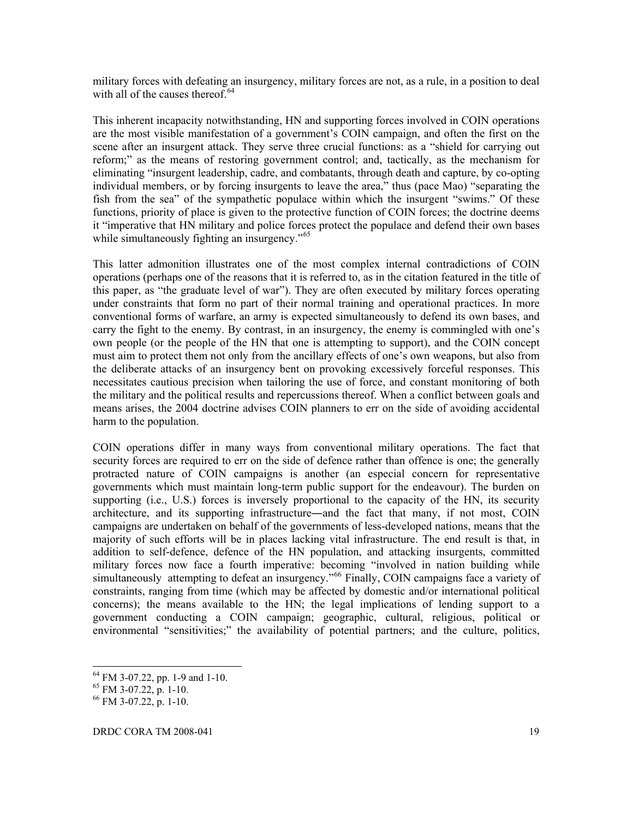military forces with defeating an insurgency, military forces are not, as a rule, in a position to deal with all of the causes thereof.  $64$ 

This inherent incapacity notwithstanding, HN and supporting forces involved in COIN operations are the most visible manifestation of a government's COIN campaign, and often the first on the scene after an insurgent attack. They serve three crucial functions: as a "shield for carrying out reform;" as the means of restoring government control; and, tactically, as the mechanism for eliminating "insurgent leadership, cadre, and combatants, through death and capture, by co-opting individual members, or by forcing insurgents to leave the area," thus (pace Mao) "separating the fish from the sea" of the sympathetic populace within which the insurgent "swims." Of these functions, priority of place is given to the protective function of COIN forces; the doctrine deems it "imperative that HN military and police forces protect the populace and defend their own bases while simultaneously fighting an insurgency."<sup>[65](#page-33-1)</sup>

This latter admonition illustrates one of the most complex internal contradictions of COIN operations (perhaps one of the reasons that it is referred to, as in the citation featured in the title of this paper, as "the graduate level of war"). They are often executed by military forces operating under constraints that form no part of their normal training and operational practices. In more conventional forms of warfare, an army is expected simultaneously to defend its own bases, and carry the fight to the enemy. By contrast, in an insurgency, the enemy is commingled with one's own people (or the people of the HN that one is attempting to support), and the COIN concept must aim to protect them not only from the ancillary effects of one's own weapons, but also from the deliberate attacks of an insurgency bent on provoking excessively forceful responses. This necessitates cautious precision when tailoring the use of force, and constant monitoring of both the military and the political results and repercussions thereof. When a conflict between goals and means arises, the 2004 doctrine advises COIN planners to err on the side of avoiding accidental harm to the population.

COIN operations differ in many ways from conventional military operations. The fact that security forces are required to err on the side of defence rather than offence is one; the generally protracted nature of COIN campaigns is another (an especial concern for representative governments which must maintain long-term public support for the endeavour). The burden on supporting (i.e., U.S.) forces is inversely proportional to the capacity of the HN, its security architecture, and its supporting infrastructure―and the fact that many, if not most, COIN campaigns are undertaken on behalf of the governments of less-developed nations, means that the majority of such efforts will be in places lacking vital infrastructure. The end result is that, in addition to self-defence, defence of the HN population, and attacking insurgents, committed military forces now face a fourth imperative: becoming "involved in nation building while simultaneously attempting to defeat an insurgency."<sup>[66](#page-33-2)</sup> Finally, COIN campaigns face a variety of constraints, ranging from time (which may be affected by domestic and/or international political concerns); the means available to the HN; the legal implications of lending support to a government conducting a COIN campaign; geographic, cultural, religious, political or environmental "sensitivities;" the availability of potential partners; and the culture, politics,

DRDC CORA TM 2008-041 19

<span id="page-33-0"></span><sup>&</sup>lt;sup>64</sup> FM 3-07.22, pp. 1-9 and 1-10.

<span id="page-33-1"></span> $^{65}$  FM 3-07.22, p. 1-10.

<span id="page-33-2"></span> $^{66}$  FM 3-07.22, p. 1-10.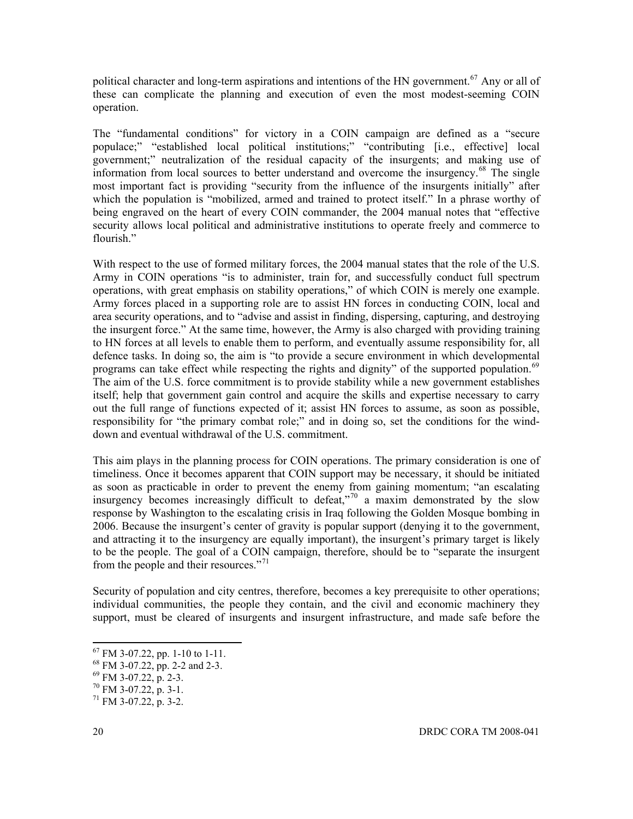political character and long-term aspirations and intentions of the HN government.<sup>[67](#page-34-0)</sup> Any or all of these can complicate the planning and execution of even the most modest-seeming COIN operation.

The "fundamental conditions" for victory in a COIN campaign are defined as a "secure populace;" "established local political institutions;" "contributing [i.e., effective] local government;" neutralization of the residual capacity of the insurgents; and making use of information from local sources to better understand and overcome the insurgency.<sup>[68](#page-34-1)</sup> The single most important fact is providing "security from the influence of the insurgents initially" after which the population is "mobilized, armed and trained to protect itself." In a phrase worthy of being engraved on the heart of every COIN commander, the 2004 manual notes that "effective security allows local political and administrative institutions to operate freely and commerce to flourish"

With respect to the use of formed military forces, the 2004 manual states that the role of the U.S. Army in COIN operations "is to administer, train for, and successfully conduct full spectrum operations, with great emphasis on stability operations," of which COIN is merely one example. Army forces placed in a supporting role are to assist HN forces in conducting COIN, local and area security operations, and to "advise and assist in finding, dispersing, capturing, and destroying the insurgent force." At the same time, however, the Army is also charged with providing training to HN forces at all levels to enable them to perform, and eventually assume responsibility for, all defence tasks. In doing so, the aim is "to provide a secure environment in which developmental programs can take effect while respecting the rights and dignity" of the supported population.<sup>[69](#page-34-2)</sup> The aim of the U.S. force commitment is to provide stability while a new government establishes itself; help that government gain control and acquire the skills and expertise necessary to carry out the full range of functions expected of it; assist HN forces to assume, as soon as possible, responsibility for "the primary combat role;" and in doing so, set the conditions for the winddown and eventual withdrawal of the U.S. commitment.

This aim plays in the planning process for COIN operations. The primary consideration is one of timeliness. Once it becomes apparent that COIN support may be necessary, it should be initiated as soon as practicable in order to prevent the enemy from gaining momentum; "an escalating insurgency becomes increasingly difficult to defeat,"[70](#page-34-3) a maxim demonstrated by the slow response by Washington to the escalating crisis in Iraq following the Golden Mosque bombing in 2006. Because the insurgent's center of gravity is popular support (denying it to the government, and attracting it to the insurgency are equally important), the insurgent's primary target is likely to be the people. The goal of a COIN campaign, therefore, should be to "separate the insurgent from the people and their resources."<sup>[71](#page-34-4)</sup>

Security of population and city centres, therefore, becomes a key prerequisite to other operations; individual communities, the people they contain, and the civil and economic machinery they support, must be cleared of insurgents and insurgent infrastructure, and made safe before the

<span id="page-34-0"></span> $67$  FM 3-07.22, pp. 1-10 to 1-11.

<span id="page-34-1"></span><sup>68</sup> FM 3-07.22, pp. 2-2 and 2-3.

<span id="page-34-2"></span> $^{69}$  FM 3-07.22, p. 2-3.

<span id="page-34-3"></span> $70$  FM 3-07.22, p. 3-1.

<span id="page-34-4"></span> $71$  FM 3-07.22, p. 3-2.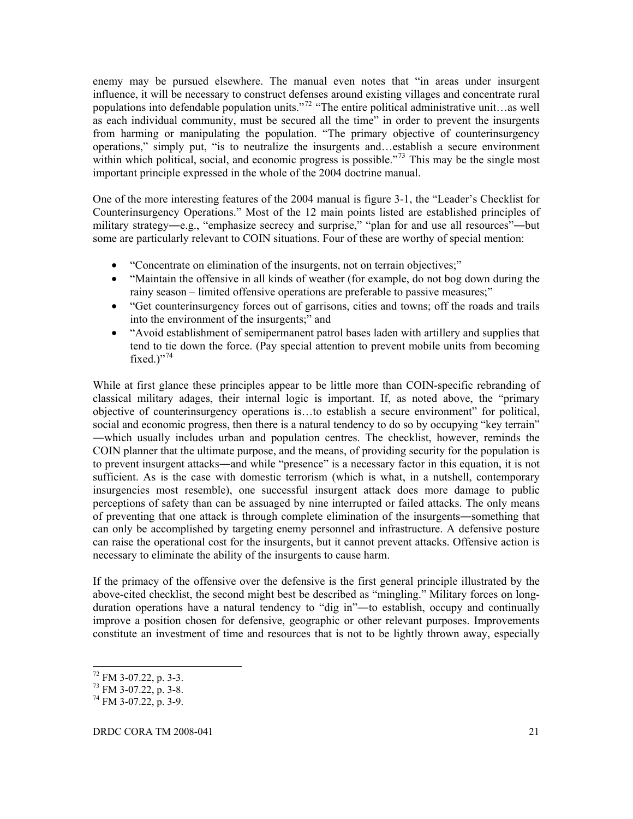enemy may be pursued elsewhere. The manual even notes that "in areas under insurgent influence, it will be necessary to construct defenses around existing villages and concentrate rural populations into defendable population units.<sup> $272$  $272$ </sup> "The entire political administrative unit…as well as each individual community, must be secured all the time" in order to prevent the insurgents from harming or manipulating the population. "The primary objective of counterinsurgency operations," simply put, "is to neutralize the insurgents and…establish a secure environment within which political, social, and economic progress is possible."<sup>[73](#page-35-1)</sup> This may be the single most important principle expressed in the whole of the 2004 doctrine manual.

One of the more interesting features of the 2004 manual is figure 3-1, the "Leader's Checklist for Counterinsurgency Operations." Most of the 12 main points listed are established principles of military strategy—e.g., "emphasize secrecy and surprise," "plan for and use all resources"—but some are particularly relevant to COIN situations. Four of these are worthy of special mention:

- "Concentrate on elimination of the insurgents, not on terrain objectives;"
- "Maintain the offensive in all kinds of weather (for example, do not bog down during the rainy season – limited offensive operations are preferable to passive measures;"
- "Get counterinsurgency forces out of garrisons, cities and towns; off the roads and trails into the environment of the insurgents;" and
- "Avoid establishment of semipermanent patrol bases laden with artillery and supplies that tend to tie down the force. (Pay special attention to prevent mobile units from becoming fixed.)" $^{74}$  $^{74}$  $^{74}$

While at first glance these principles appear to be little more than COIN-specific rebranding of classical military adages, their internal logic is important. If, as noted above, the "primary objective of counterinsurgency operations is…to establish a secure environment" for political, social and economic progress, then there is a natural tendency to do so by occupying "key terrain" ―which usually includes urban and population centres. The checklist, however, reminds the COIN planner that the ultimate purpose, and the means, of providing security for the population is to prevent insurgent attacks―and while "presence" is a necessary factor in this equation, it is not sufficient. As is the case with domestic terrorism (which is what, in a nutshell, contemporary insurgencies most resemble), one successful insurgent attack does more damage to public perceptions of safety than can be assuaged by nine interrupted or failed attacks. The only means of preventing that one attack is through complete elimination of the insurgents―something that can only be accomplished by targeting enemy personnel and infrastructure. A defensive posture can raise the operational cost for the insurgents, but it cannot prevent attacks. Offensive action is necessary to eliminate the ability of the insurgents to cause harm.

If the primacy of the offensive over the defensive is the first general principle illustrated by the above-cited checklist, the second might best be described as "mingling." Military forces on longduration operations have a natural tendency to "dig in"―to establish, occupy and continually improve a position chosen for defensive, geographic or other relevant purposes. Improvements constitute an investment of time and resources that is not to be lightly thrown away, especially

 $^{72}$  FM 3-07.22, p. 3-3.

<span id="page-35-1"></span><span id="page-35-0"></span> $73$  FM 3-07.22, p. 3-8.

<span id="page-35-2"></span> $74$  FM 3-07.22, p. 3-9.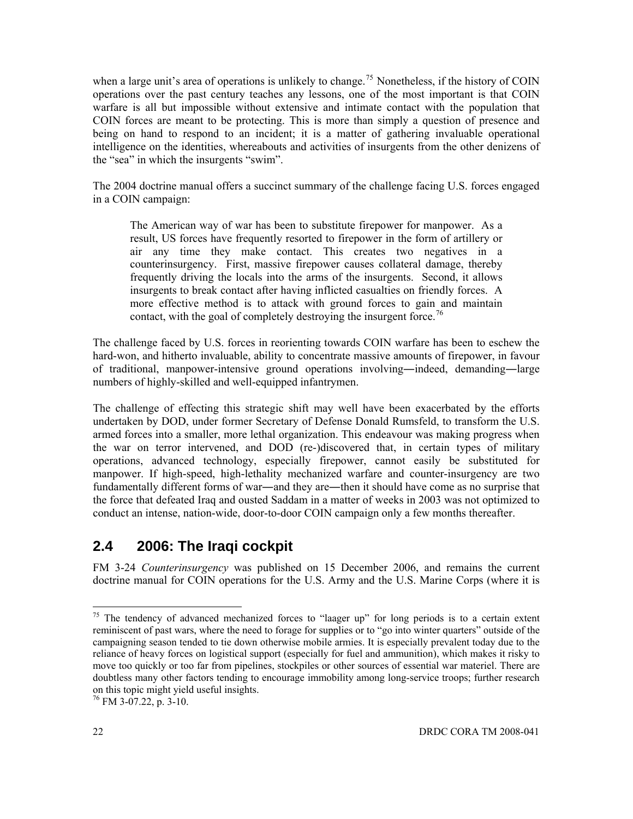when a large unit's area of operations is unlikely to change.<sup>[75](#page-36-0)</sup> Nonetheless, if the history of COIN operations over the past century teaches any lessons, one of the most important is that COIN warfare is all but impossible without extensive and intimate contact with the population that COIN forces are meant to be protecting. This is more than simply a question of presence and being on hand to respond to an incident; it is a matter of gathering invaluable operational intelligence on the identities, whereabouts and activities of insurgents from the other denizens of the "sea" in which the insurgents "swim".

The 2004 doctrine manual offers a succinct summary of the challenge facing U.S. forces engaged in a COIN campaign:

The American way of war has been to substitute firepower for manpower. As a result, US forces have frequently resorted to firepower in the form of artillery or air any time they make contact. This creates two negatives in a counterinsurgency. First, massive firepower causes collateral damage, thereby frequently driving the locals into the arms of the insurgents. Second, it allows insurgents to break contact after having inflicted casualties on friendly forces. A more effective method is to attack with ground forces to gain and maintain contact, with the goal of completely destroying the insurgent force.<sup>[76](#page-36-1)</sup>

The challenge faced by U.S. forces in reorienting towards COIN warfare has been to eschew the hard-won, and hitherto invaluable, ability to concentrate massive amounts of firepower, in favour of traditional, manpower-intensive ground operations involving―indeed, demanding―large numbers of highly-skilled and well-equipped infantrymen.

The challenge of effecting this strategic shift may well have been exacerbated by the efforts undertaken by DOD, under former Secretary of Defense Donald Rumsfeld, to transform the U.S. armed forces into a smaller, more lethal organization. This endeavour was making progress when the war on terror intervened, and DOD (re-)discovered that, in certain types of military operations, advanced technology, especially firepower, cannot easily be substituted for manpower. If high-speed, high-lethality mechanized warfare and counter-insurgency are two fundamentally different forms of war—and they are—then it should have come as no surprise that the force that defeated Iraq and ousted Saddam in a matter of weeks in 2003 was not optimized to conduct an intense, nation-wide, door-to-door COIN campaign only a few months thereafter.

## **2.4 2006: The Iraqi cockpit**

FM 3-24 *Counterinsurgency* was published on 15 December 2006, and remains the current doctrine manual for COIN operations for the U.S. Army and the U.S. Marine Corps (where it is

<span id="page-36-0"></span> $75$  The tendency of advanced mechanized forces to "laager up" for long periods is to a certain extent reminiscent of past wars, where the need to forage for supplies or to "go into winter quarters" outside of the campaigning season tended to tie down otherwise mobile armies. It is especially prevalent today due to the reliance of heavy forces on logistical support (especially for fuel and ammunition), which makes it risky to move too quickly or too far from pipelines, stockpiles or other sources of essential war materiel. There are doubtless many other factors tending to encourage immobility among long-service troops; further research on this topic might yield useful insights.

<span id="page-36-1"></span><sup>76</sup> FM 3-07.22, p. 3-10.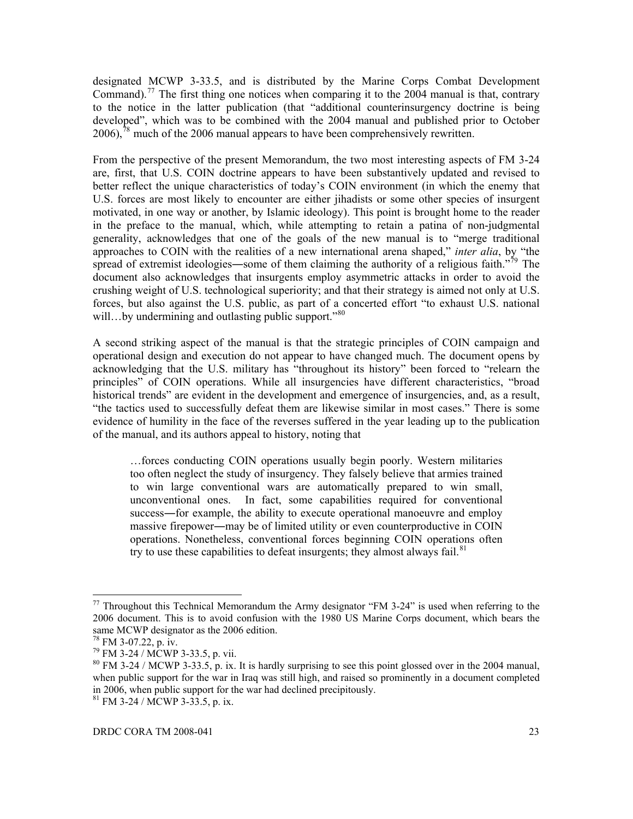designated MCWP 3-33.5, and is distributed by the Marine Corps Combat Development Command).<sup>[77](#page-37-0)</sup> The first thing one notices when comparing it to the 2004 manual is that, contrary to the notice in the latter publication (that "additional counterinsurgency doctrine is being developed", which was to be combined with the 2004 manual and published prior to October  $2006$ ),  $\frac{78}{3}$  $\frac{78}{3}$  $\frac{78}{3}$  much of the 2006 manual appears to have been comprehensively rewritten.

From the perspective of the present Memorandum, the two most interesting aspects of FM 3-24 are, first, that U.S. COIN doctrine appears to have been substantively updated and revised to better reflect the unique characteristics of today's COIN environment (in which the enemy that U.S. forces are most likely to encounter are either jihadists or some other species of insurgent motivated, in one way or another, by Islamic ideology). This point is brought home to the reader in the preface to the manual, which, while attempting to retain a patina of non-judgmental generality, acknowledges that one of the goals of the new manual is to "merge traditional approaches to COIN with the realities of a new international arena shaped," *inter alia*, by "the spread of extremist ideologies—some of them claiming the authority of a religious faith.<sup>"[79](#page-37-2)</sup> The document also acknowledges that insurgents employ asymmetric attacks in order to avoid the crushing weight of U.S. technological superiority; and that their strategy is aimed not only at U.S. forces, but also against the U.S. public, as part of a concerted effort "to exhaust U.S. national will...by undermining and outlasting public support."<sup>[80](#page-37-3)</sup>

A second striking aspect of the manual is that the strategic principles of COIN campaign and operational design and execution do not appear to have changed much. The document opens by acknowledging that the U.S. military has "throughout its history" been forced to "relearn the principles" of COIN operations. While all insurgencies have different characteristics, "broad historical trends" are evident in the development and emergence of insurgencies, and, as a result, "the tactics used to successfully defeat them are likewise similar in most cases." There is some evidence of humility in the face of the reverses suffered in the year leading up to the publication of the manual, and its authors appeal to history, noting that

…forces conducting COIN operations usually begin poorly. Western militaries too often neglect the study of insurgency. They falsely believe that armies trained to win large conventional wars are automatically prepared to win small, unconventional ones. In fact, some capabilities required for conventional success—for example, the ability to execute operational manoeuvre and employ massive firepower―may be of limited utility or even counterproductive in COIN operations. Nonetheless, conventional forces beginning COIN operations often try to use these capabilities to defeat insurgents; they almost always fail. $81$ 

 $\overline{a}$ 

<span id="page-37-0"></span> $77$  Throughout this Technical Memorandum the Army designator "FM 3-24" is used when referring to the 2006 document. This is to avoid confusion with the 1980 US Marine Corps document, which bears the same MCWP designator as the 2006 edition.

 $78$  FM 3-07.22, p. iv.

<span id="page-37-3"></span>

<span id="page-37-2"></span><span id="page-37-1"></span><sup>&</sup>lt;sup>79</sup> FM 3-24 / MCWP 3-33.5, p. vii.<br><sup>80</sup> FM 3-24 / MCWP 3-33.5, p. ix. It is hardly surprising to see this point glossed over in the 2004 manual, when public support for the war in Iraq was still high, and raised so prominently in a document completed in 2006, when public support for the war had declined precipitously.

<span id="page-37-4"></span><sup>81</sup> FM 3-24 / MCWP 3-33.5, p. ix.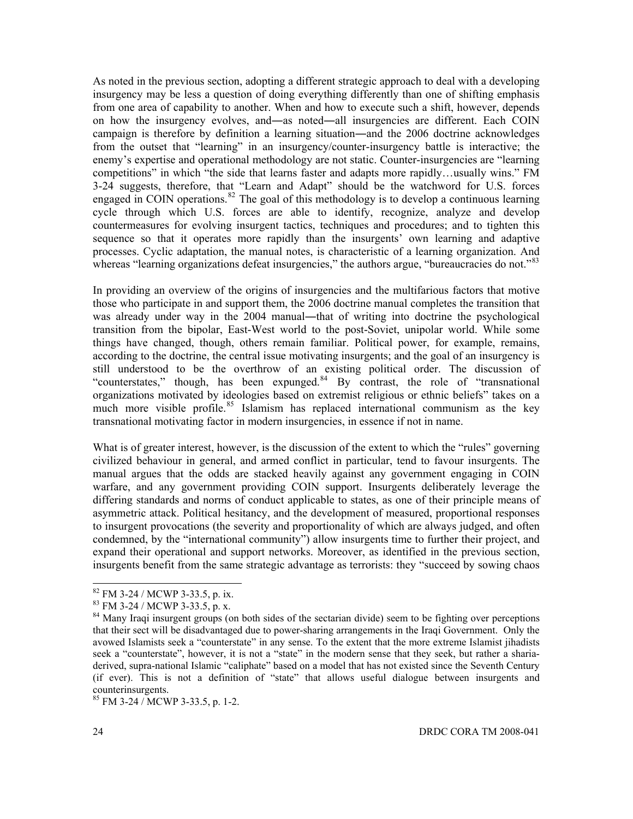As noted in the previous section, adopting a different strategic approach to deal with a developing insurgency may be less a question of doing everything differently than one of shifting emphasis from one area of capability to another. When and how to execute such a shift, however, depends on how the insurgency evolves, and―as noted―all insurgencies are different. Each COIN campaign is therefore by definition a learning situation―and the 2006 doctrine acknowledges from the outset that "learning" in an insurgency/counter-insurgency battle is interactive; the enemy's expertise and operational methodology are not static. Counter-insurgencies are "learning competitions" in which "the side that learns faster and adapts more rapidly…usually wins." FM 3-24 suggests, therefore, that "Learn and Adapt" should be the watchword for U.S. forces engaged in COIN operations. $82$  The goal of this methodology is to develop a continuous learning cycle through which U.S. forces are able to identify, recognize, analyze and develop countermeasures for evolving insurgent tactics, techniques and procedures; and to tighten this sequence so that it operates more rapidly than the insurgents' own learning and adaptive processes. Cyclic adaptation, the manual notes, is characteristic of a learning organization. And whereas "learning organizations defeat insurgencies," the authors argue, "bureaucracies do not."<sup>[83](#page-38-1)</sup>

In providing an overview of the origins of insurgencies and the multifarious factors that motive those who participate in and support them, the 2006 doctrine manual completes the transition that was already under way in the 2004 manual—that of writing into doctrine the psychological transition from the bipolar, East-West world to the post-Soviet, unipolar world. While some things have changed, though, others remain familiar. Political power, for example, remains, according to the doctrine, the central issue motivating insurgents; and the goal of an insurgency is still understood to be the overthrow of an existing political order. The discussion of "counterstates," though, has been expunged.<sup>[84](#page-38-2)</sup> By contrast, the role of "transnational" organizations motivated by ideologies based on extremist religious or ethnic beliefs" takes on a much more visible profile.<sup>[85](#page-38-3)</sup> Islamism has replaced international communism as the key transnational motivating factor in modern insurgencies, in essence if not in name.

What is of greater interest, however, is the discussion of the extent to which the "rules" governing civilized behaviour in general, and armed conflict in particular, tend to favour insurgents. The manual argues that the odds are stacked heavily against any government engaging in COIN warfare, and any government providing COIN support. Insurgents deliberately leverage the differing standards and norms of conduct applicable to states, as one of their principle means of asymmetric attack. Political hesitancy, and the development of measured, proportional responses to insurgent provocations (the severity and proportionality of which are always judged, and often condemned, by the "international community") allow insurgents time to further their project, and expand their operational and support networks. Moreover, as identified in the previous section, insurgents benefit from the same strategic advantage as terrorists: they "succeed by sowing chaos

<span id="page-38-2"></span>

<span id="page-38-1"></span><span id="page-38-0"></span><sup>&</sup>lt;sup>82</sup> FM 3-24 / MCWP 3-33.5, p. ix.<br><sup>83</sup> FM 3-24 / MCWP 3-33.5, p. x.<br><sup>84</sup> Many Iraqi insurgent groups (on both sides of the sectarian divide) seem to be fighting over perceptions that their sect will be disadvantaged due to power-sharing arrangements in the Iraqi Government. Only the avowed Islamists seek a "counterstate" in any sense. To the extent that the more extreme Islamist jihadists seek a "counterstate", however, it is not a "state" in the modern sense that they seek, but rather a shariaderived, supra-national Islamic "caliphate" based on a model that has not existed since the Seventh Century (if ever). This is not a definition of "state" that allows useful dialogue between insurgents and counterinsurgents.

<span id="page-38-3"></span><sup>85</sup> FM 3-24 / MCWP 3-33.5, p. 1-2.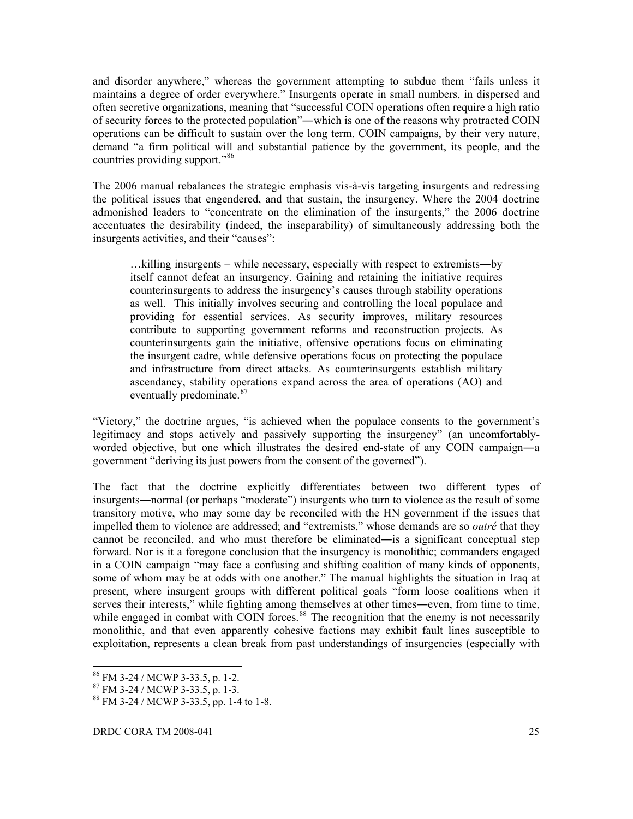and disorder anywhere," whereas the government attempting to subdue them "fails unless it maintains a degree of order everywhere." Insurgents operate in small numbers, in dispersed and often secretive organizations, meaning that "successful COIN operations often require a high ratio of security forces to the protected population"―which is one of the reasons why protracted COIN operations can be difficult to sustain over the long term. COIN campaigns, by their very nature, demand "a firm political will and substantial patience by the government, its people, and the countries providing support."[86](#page-39-0)

The 2006 manual rebalances the strategic emphasis vis-à-vis targeting insurgents and redressing the political issues that engendered, and that sustain, the insurgency. Where the 2004 doctrine admonished leaders to "concentrate on the elimination of the insurgents," the 2006 doctrine accentuates the desirability (indeed, the inseparability) of simultaneously addressing both the insurgents activities, and their "causes":

…killing insurgents – while necessary, especially with respect to extremists―by itself cannot defeat an insurgency. Gaining and retaining the initiative requires counterinsurgents to address the insurgency's causes through stability operations as well. This initially involves securing and controlling the local populace and providing for essential services. As security improves, military resources contribute to supporting government reforms and reconstruction projects. As counterinsurgents gain the initiative, offensive operations focus on eliminating the insurgent cadre, while defensive operations focus on protecting the populace and infrastructure from direct attacks. As counterinsurgents establish military ascendancy, stability operations expand across the area of operations (AO) and eventually predominate.<sup>[87](#page-39-1)</sup>

"Victory," the doctrine argues, "is achieved when the populace consents to the government's legitimacy and stops actively and passively supporting the insurgency" (an uncomfortablyworded objective, but one which illustrates the desired end-state of any COIN campaign—a government "deriving its just powers from the consent of the governed").

The fact that the doctrine explicitly differentiates between two different types of insurgents―normal (or perhaps "moderate") insurgents who turn to violence as the result of some transitory motive, who may some day be reconciled with the HN government if the issues that impelled them to violence are addressed; and "extremists," whose demands are so *outré* that they cannot be reconciled, and who must therefore be eliminated―is a significant conceptual step forward. Nor is it a foregone conclusion that the insurgency is monolithic; commanders engaged in a COIN campaign "may face a confusing and shifting coalition of many kinds of opponents, some of whom may be at odds with one another." The manual highlights the situation in Iraq at present, where insurgent groups with different political goals "form loose coalitions when it serves their interests," while fighting among themselves at other times―even, from time to time, while engaged in combat with COIN forces.<sup>[88](#page-39-2)</sup> The recognition that the enemy is not necessarily monolithic, and that even apparently cohesive factions may exhibit fault lines susceptible to exploitation, represents a clean break from past understandings of insurgencies (especially with

<sup>&</sup>lt;sup>86</sup> FM 3-24 / MCWP 3-33.5, p. 1-2.

<span id="page-39-2"></span><span id="page-39-1"></span><span id="page-39-0"></span> $^{87}$  FM 3-24 / MCWP 3-33.5, p. 1-3.<br> $^{88}$  FM 3-24 / MCWP 3-33.5, pp. 1-4 to 1-8.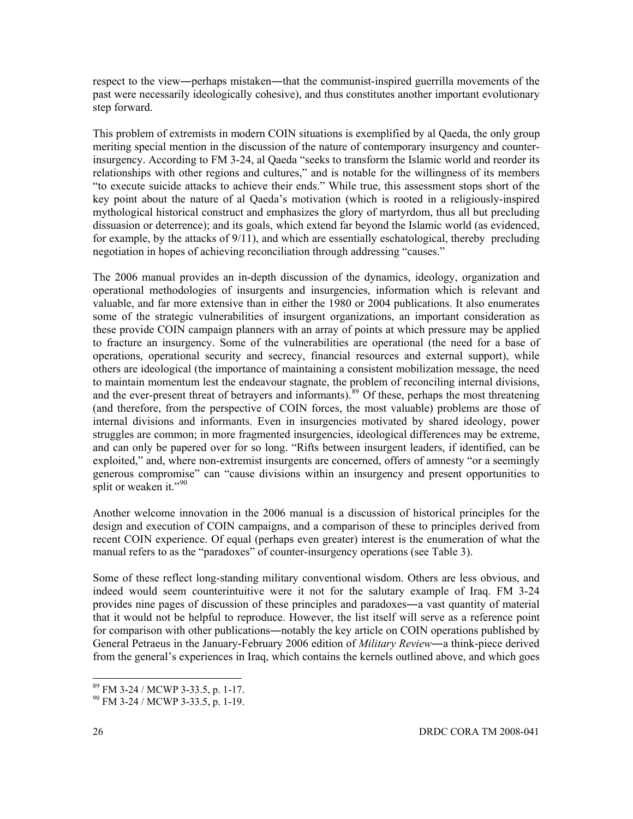respect to the view—perhaps mistaken—that the communist-inspired guerrilla movements of the past were necessarily ideologically cohesive), and thus constitutes another important evolutionary step forward.

This problem of extremists in modern COIN situations is exemplified by al Qaeda, the only group meriting special mention in the discussion of the nature of contemporary insurgency and counterinsurgency. According to FM 3-24, al Qaeda "seeks to transform the Islamic world and reorder its relationships with other regions and cultures," and is notable for the willingness of its members "to execute suicide attacks to achieve their ends." While true, this assessment stops short of the key point about the nature of al Qaeda's motivation (which is rooted in a religiously-inspired mythological historical construct and emphasizes the glory of martyrdom, thus all but precluding dissuasion or deterrence); and its goals, which extend far beyond the Islamic world (as evidenced, for example, by the attacks of 9/11), and which are essentially eschatological, thereby precluding negotiation in hopes of achieving reconciliation through addressing "causes."

The 2006 manual provides an in-depth discussion of the dynamics, ideology, organization and operational methodologies of insurgents and insurgencies, information which is relevant and valuable, and far more extensive than in either the 1980 or 2004 publications. It also enumerates some of the strategic vulnerabilities of insurgent organizations, an important consideration as these provide COIN campaign planners with an array of points at which pressure may be applied to fracture an insurgency. Some of the vulnerabilities are operational (the need for a base of operations, operational security and secrecy, financial resources and external support), while others are ideological (the importance of maintaining a consistent mobilization message, the need to maintain momentum lest the endeavour stagnate, the problem of reconciling internal divisions, and the ever-present threat of betrayers and informants).<sup>[89](#page-40-0)</sup> Of these, perhaps the most threatening (and therefore, from the perspective of COIN forces, the most valuable) problems are those of internal divisions and informants. Even in insurgencies motivated by shared ideology, power struggles are common; in more fragmented insurgencies, ideological differences may be extreme, and can only be papered over for so long. "Rifts between insurgent leaders, if identified, can be exploited," and, where non-extremist insurgents are concerned, offers of amnesty "or a seemingly generous compromise" can "cause divisions within an insurgency and present opportunities to split or weaken it."<sup>[90](#page-40-1)</sup>

Another welcome innovation in the 2006 manual is a discussion of historical principles for the design and execution of COIN campaigns, and a comparison of these to principles derived from recent COIN experience. Of equal (perhaps even greater) interest is the enumeration of what the manual refers to as the "paradoxes" of counter-insurgency operations (see Table 3).

Some of these reflect long-standing military conventional wisdom. Others are less obvious, and indeed would seem counterintuitive were it not for the salutary example of Iraq. FM 3-24 provides nine pages of discussion of these principles and paradoxes―a vast quantity of material that it would not be helpful to reproduce. However, the list itself will serve as a reference point for comparison with other publications―notably the key article on COIN operations published by General Petraeus in the January-February 2006 edition of *Military Review―*a think-piece derived from the general's experiences in Iraq, which contains the kernels outlined above, and which goes

<span id="page-40-0"></span><sup>&</sup>lt;sup>89</sup> FM 3-24 / MCWP 3-33.5, p. 1-17.<br><sup>90</sup> FM 3-24 / MCWP 3-33.5, p. 1-19.

<span id="page-40-1"></span>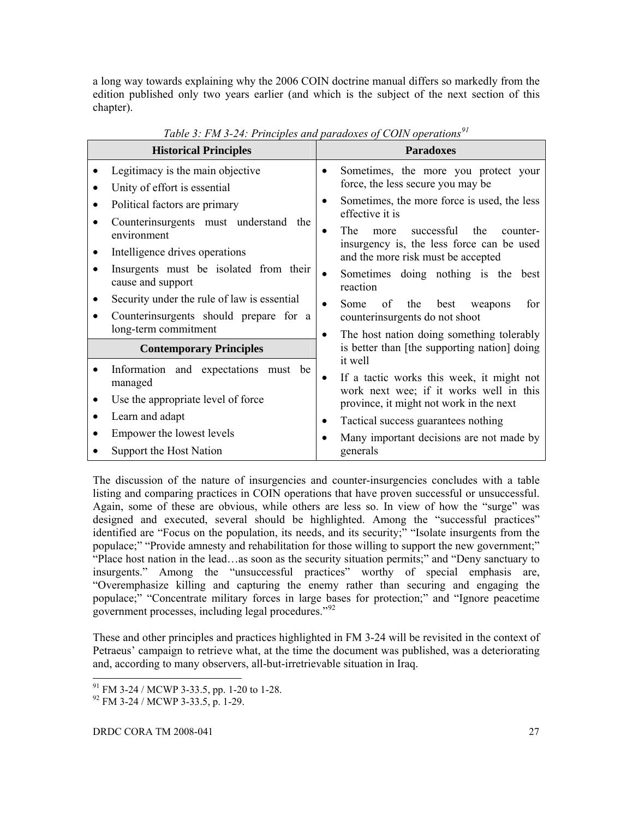a long way towards explaining why the 2006 COIN doctrine manual differs so markedly from the edition published only two years earlier (and which is the subject of the next section of this chapter).

|   | <b>Historical Principles</b>                                                                                  |   | <b>Paradoxes</b>                                                                                                                |
|---|---------------------------------------------------------------------------------------------------------------|---|---------------------------------------------------------------------------------------------------------------------------------|
|   | Legitimacy is the main objective<br>Unity of effort is essential                                              |   | Sometimes, the more you protect your<br>force, the less secure you may be                                                       |
|   | Political factors are primary<br>Counterinsurgents must understand the                                        |   | Sometimes, the more force is used, the less<br>effective it is                                                                  |
|   | environment<br>Intelligence drives operations                                                                 |   | the<br>successful<br>The<br>more<br>counter-<br>insurgency is, the less force can be used<br>and the more risk must be accepted |
|   | Insurgents must be isolated from their<br>cause and support                                                   |   | Sometimes doing nothing is the best<br>reaction                                                                                 |
|   | Security under the rule of law is essential<br>Counterinsurgents should prepare for a<br>long-term commitment |   | for<br>of<br>the<br>best<br>Some<br>weapons<br>counterinsurgents do not shoot                                                   |
|   | <b>Contemporary Principles</b>                                                                                |   | The host nation doing something tolerably<br>is better than [the supporting nation] doing<br>it well                            |
|   | Information and expectations must be<br>managed                                                               | ٠ | If a tactic works this week, it might not<br>work next wee; if it works well in this                                            |
|   | Use the appropriate level of force                                                                            |   | province, it might not work in the next                                                                                         |
| ٠ | Learn and adapt                                                                                               |   | Tactical success guarantees nothing                                                                                             |
|   | Empower the lowest levels<br>Support the Host Nation                                                          |   | Many important decisions are not made by<br>generals                                                                            |

*Table 3: FM 3-24: Principles and paradoxes of COIN operations[91](#page-41-0)*

The discussion of the nature of insurgencies and counter-insurgencies concludes with a table listing and comparing practices in COIN operations that have proven successful or unsuccessful. Again, some of these are obvious, while others are less so. In view of how the "surge" was designed and executed, several should be highlighted. Among the "successful practices" identified are "Focus on the population, its needs, and its security;" "Isolate insurgents from the populace;" "Provide amnesty and rehabilitation for those willing to support the new government;" "Place host nation in the lead…as soon as the security situation permits;" and "Deny sanctuary to insurgents." Among the "unsuccessful practices" worthy of special emphasis are, "Overemphasize killing and capturing the enemy rather than securing and engaging the populace;" "Concentrate military forces in large bases for protection;" and "Ignore peacetime government processes, including legal procedures."[92](#page-41-1)

These and other principles and practices highlighted in FM 3-24 will be revisited in the context of Petraeus' campaign to retrieve what, at the time the document was published, was a deteriorating and, according to many observers, all-but-irretrievable situation in Iraq.

<span id="page-41-0"></span><sup>&</sup>lt;sup>91</sup> FM 3-24 / MCWP 3-33.5, pp. 1-20 to 1-28.<br><sup>92</sup> FM 3-24 / MCWP 3-33.5, p. 1-29.

<span id="page-41-1"></span>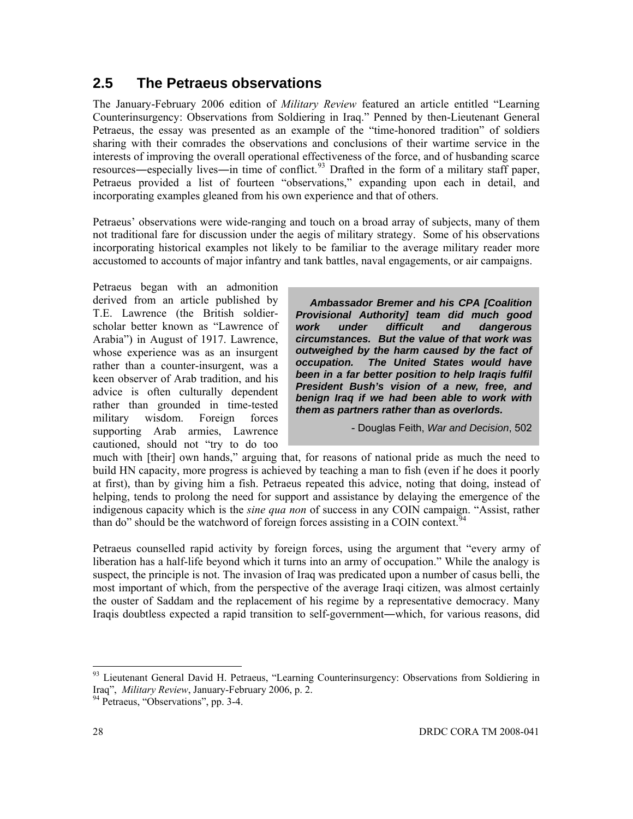#### **2.5 The Petraeus observations**

The January-February 2006 edition of *Military Review* featured an article entitled "Learning Counterinsurgency: Observations from Soldiering in Iraq." Penned by then-Lieutenant General Petraeus, the essay was presented as an example of the "time-honored tradition" of soldiers sharing with their comrades the observations and conclusions of their wartime service in the interests of improving the overall operational effectiveness of the force, and of husbanding scarce resources—especially lives—in time of conflict.<sup>[93](#page-42-0)</sup> Drafted in the form of a military staff paper, Petraeus provided a list of fourteen "observations," expanding upon each in detail, and incorporating examples gleaned from his own experience and that of others.

Petraeus' observations were wide-ranging and touch on a broad array of subjects, many of them not traditional fare for discussion under the aegis of military strategy. Some of his observations incorporating historical examples not likely to be familiar to the average military reader more accustomed to accounts of major infantry and tank battles, naval engagements, or air campaigns.

Petraeus began with an admonition derived from an article published by T.E. Lawrence (the British soldierscholar better known as "Lawrence of Arabia") in August of 1917. Lawrence, whose experience was as an insurgent rather than a counter-insurgent, was a keen observer of Arab tradition, and his advice is often culturally dependent rather than grounded in time-tested military wisdom. Foreign forces supporting Arab armies, Lawrence cautioned, should not "try to do too

 *Ambassador Bremer and his CPA [Coalition Provisional Authority] team did much good work under difficult and dangerous circumstances. But the value of that work was outweighed by the harm caused by the fact of occupation. The United States would have been in a far better position to help Iraqis fulfil President Bush's vision of a new, free, and benign Iraq if we had been able to work with them as partners rather than as overlords.* 

- Douglas Feith, *War and Decision*, 502

much with [their] own hands," arguing that, for reasons of national pride as much the need to build HN capacity, more progress is achieved by teaching a man to fish (even if he does it poorly at first), than by giving him a fish. Petraeus repeated this advice, noting that doing, instead of helping, tends to prolong the need for support and assistance by delaying the emergence of the indigenous capacity which is the *sine qua non* of success in any COIN campaign. "Assist, rather than do" should be the watchword of foreign forces assisting in a COIN context.<sup>[94](#page-42-1)</sup>

Petraeus counselled rapid activity by foreign forces, using the argument that "every army of liberation has a half-life beyond which it turns into an army of occupation." While the analogy is suspect, the principle is not. The invasion of Iraq was predicated upon a number of casus belli, the most important of which, from the perspective of the average Iraqi citizen, was almost certainly the ouster of Saddam and the replacement of his regime by a representative democracy. Many Iraqis doubtless expected a rapid transition to self-government―which, for various reasons, did

<span id="page-42-0"></span><sup>93</sup> Lieutenant General David H. Petraeus, "Learning Counterinsurgency: Observations from Soldiering in Iraq", *Military Review*, January-February 2006, p. 2. 94 Petraeus, "Observations", pp. 3-4.

<span id="page-42-1"></span>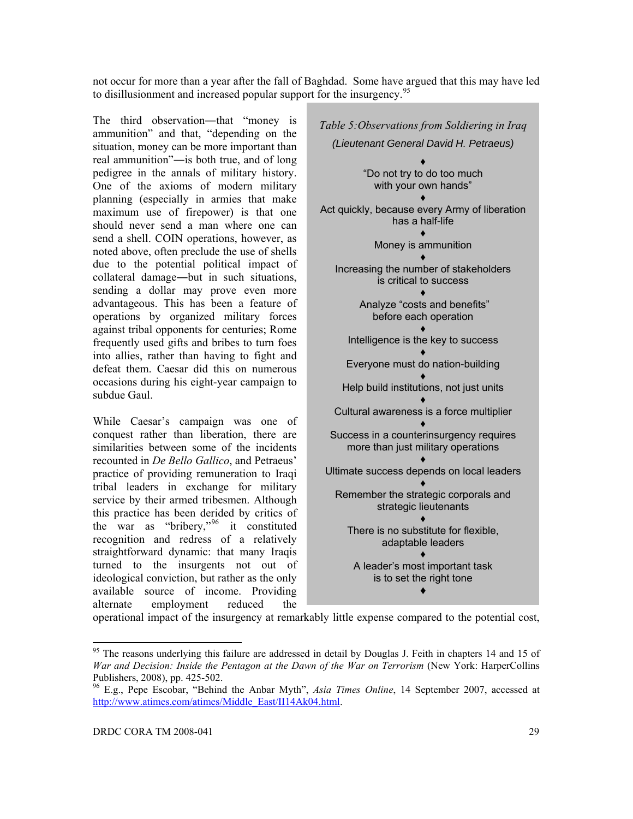not occur for more than a year after the fall of Baghdad. Some have argued that this may have led to disillusionment and increased popular support for the insurgency.<sup>[95](#page-43-0)</sup>

The third observation—that "money is ammunition" and that, "depending on the situation, money can be more important than real ammunition"―is both true, and of long pedigree in the annals of military history. One of the axioms of modern military planning (especially in armies that make maximum use of firepower) is that one should never send a man where one can send a shell. COIN operations, however, as noted above, often preclude the use of shells due to the potential political impact of collateral damage―but in such situations, sending a dollar may prove even more advantageous. This has been a feature of operations by organized military forces against tribal opponents for centuries; Rome frequently used gifts and bribes to turn foes into allies, rather than having to fight and defeat them. Caesar did this on numerous occasions during his eight-year campaign to subdue Gaul.

While Caesar's campaign was one of conquest rather than liberation, there are similarities between some of the incidents recounted in *De Bello Gallico*, and Petraeus' practice of providing remuneration to Iraqi tribal leaders in exchange for military service by their armed tribesmen. Although this practice has been derided by critics of the war as "bribery,"[96](#page-43-1) it constituted recognition and redress of a relatively straightforward dynamic: that many Iraqis turned to the insurgents not out of ideological conviction, but rather as the only available source of income. Providing alternate employment reduced the

*Table 5:Observations from Soldiering in Iraq (Lieutenant General David H. Petraeus)*  ♦ "Do not try to do too much with your own hands" ♦ Act quickly, because every Army of liberation has a half-life ♦ Money is ammunition ♦ Increasing the number of stakeholders is critical to success ♦ Analyze "costs and benefits" before each operation ♦ Intelligence is the key to success ♦ Everyone must do nation-building ♦ Help build institutions, not just units ♦ Cultural awareness is a force multiplier ♦ Success in a counterinsurgency requires more than just military operations ♦ Ultimate success depends on local leaders ♦ Remember the strategic corporals and strategic lieutenants ♦ There is no substitute for flexible, adaptable leaders ♦ A leader's most important task is to set the right tone ♦

operational impact of the insurgency at remarkably little expense compared to the potential cost,

<span id="page-43-0"></span><sup>&</sup>lt;sup>95</sup> The reasons underlying this failure are addressed in detail by Douglas J. Feith in chapters 14 and 15 of *War and Decision: Inside the Pentagon at the Dawn of the War on Terrorism* (New York: HarperCollins Publishers, 2008), pp. 425-502.

<span id="page-43-1"></span><sup>96</sup> E.g., Pepe Escobar, "Behind the Anbar Myth", *Asia Times Online*, 14 September 2007, accessed at [http://www.atimes.com/atimes/Middle\\_East/II14Ak04.html.](http://www.atimes.com/atimes/Middle_East/II14Ak04.html)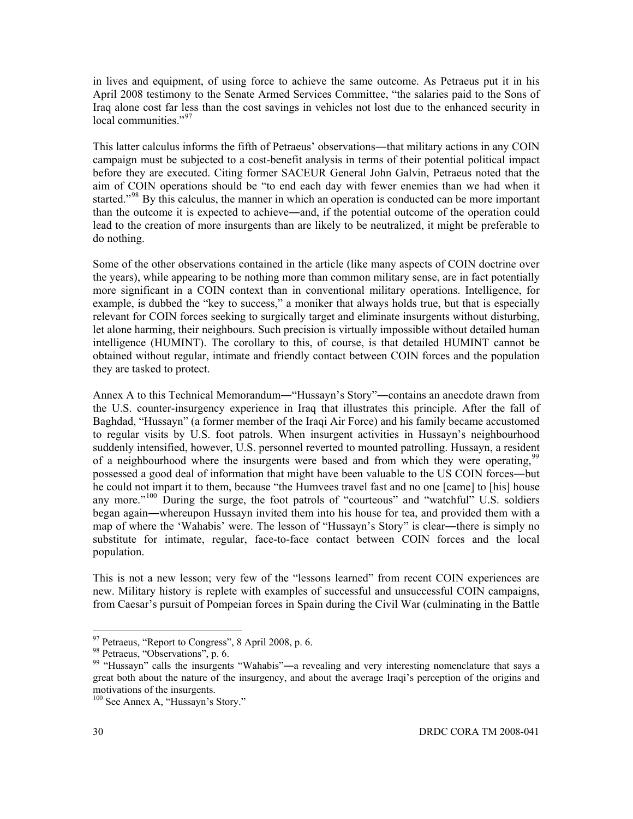in lives and equipment, of using force to achieve the same outcome. As Petraeus put it in his April 2008 testimony to the Senate Armed Services Committee, "the salaries paid to the Sons of Iraq alone cost far less than the cost savings in vehicles not lost due to the enhanced security in local communities."<sup>[97](#page-44-0)</sup>

This latter calculus informs the fifth of Petraeus' observations―that military actions in any COIN campaign must be subjected to a cost-benefit analysis in terms of their potential political impact before they are executed. Citing former SACEUR General John Galvin, Petraeus noted that the aim of COIN operations should be "to end each day with fewer enemies than we had when it started."<sup>[98](#page-44-1)</sup> By this calculus, the manner in which an operation is conducted can be more important than the outcome it is expected to achieve―and, if the potential outcome of the operation could lead to the creation of more insurgents than are likely to be neutralized, it might be preferable to do nothing.

Some of the other observations contained in the article (like many aspects of COIN doctrine over the years), while appearing to be nothing more than common military sense, are in fact potentially more significant in a COIN context than in conventional military operations. Intelligence, for example, is dubbed the "key to success," a moniker that always holds true, but that is especially relevant for COIN forces seeking to surgically target and eliminate insurgents without disturbing, let alone harming, their neighbours. Such precision is virtually impossible without detailed human intelligence (HUMINT). The corollary to this, of course, is that detailed HUMINT cannot be obtained without regular, intimate and friendly contact between COIN forces and the population they are tasked to protect.

Annex A to this Technical Memorandum―"Hussayn's Story"―contains an anecdote drawn from the U.S. counter-insurgency experience in Iraq that illustrates this principle. After the fall of Baghdad, "Hussayn" (a former member of the Iraqi Air Force) and his family became accustomed to regular visits by U.S. foot patrols. When insurgent activities in Hussayn's neighbourhood suddenly intensified, however, U.S. personnel reverted to mounted patrolling. Hussayn, a resident of a neighbourhood where the insurgents were based and from which they were operating,<sup>[99](#page-44-2)</sup> possessed a good deal of information that might have been valuable to the US COIN forces―but he could not impart it to them, because "the Humvees travel fast and no one [came] to [his] house any more."<sup>[100](#page-44-3)</sup> During the surge, the foot patrols of "courteous" and "watchful" U.S. soldiers began again―whereupon Hussayn invited them into his house for tea, and provided them with a map of where the 'Wahabis' were. The lesson of "Hussayn's Story" is clear―there is simply no substitute for intimate, regular, face-to-face contact between COIN forces and the local population.

This is not a new lesson; very few of the "lessons learned" from recent COIN experiences are new. Military history is replete with examples of successful and unsuccessful COIN campaigns, from Caesar's pursuit of Pompeian forces in Spain during the Civil War (culminating in the Battle

 $97$  Petraeus, "Report to Congress", 8 April 2008, p. 6.

<span id="page-44-1"></span><span id="page-44-0"></span><sup>98</sup> Petraeus, "Observations", p. 6.

<span id="page-44-2"></span><sup>99 &</sup>quot;Hussayn" calls the insurgents "Wahabis"—a revealing and very interesting nomenclature that says a great both about the nature of the insurgency, and about the average Iraqi's perception of the origins and motivations of the insurgents.

<span id="page-44-3"></span><sup>&</sup>lt;sup>100</sup> See Annex A, "Hussayn's Story."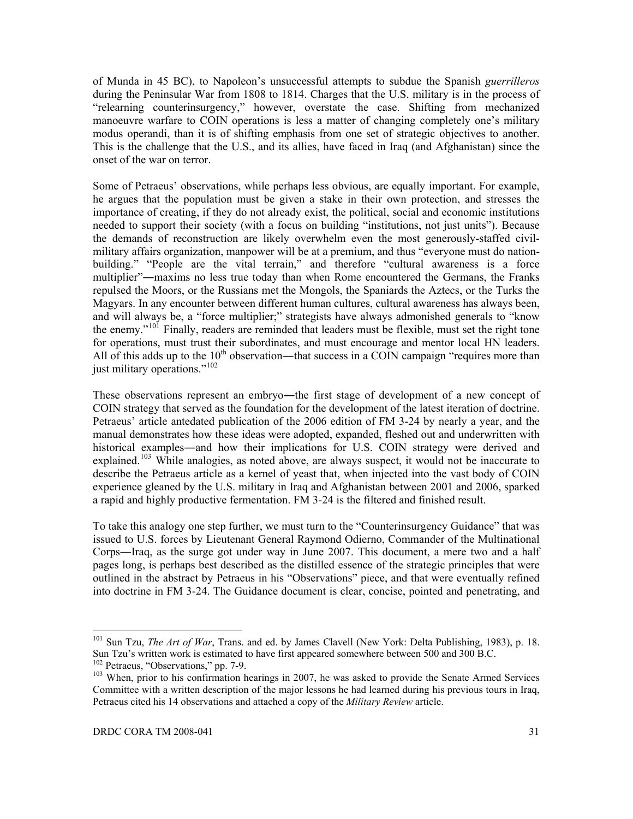of Munda in 45 BC), to Napoleon's unsuccessful attempts to subdue the Spanish *guerrilleros* during the Peninsular War from 1808 to 1814. Charges that the U.S. military is in the process of "relearning counterinsurgency," however, overstate the case. Shifting from mechanized manoeuvre warfare to COIN operations is less a matter of changing completely one's military modus operandi, than it is of shifting emphasis from one set of strategic objectives to another. This is the challenge that the U.S., and its allies, have faced in Iraq (and Afghanistan) since the onset of the war on terror.

Some of Petraeus' observations, while perhaps less obvious, are equally important. For example, he argues that the population must be given a stake in their own protection, and stresses the importance of creating, if they do not already exist, the political, social and economic institutions needed to support their society (with a focus on building "institutions, not just units"). Because the demands of reconstruction are likely overwhelm even the most generously-staffed civilmilitary affairs organization, manpower will be at a premium, and thus "everyone must do nationbuilding." "People are the vital terrain," and therefore "cultural awareness is a force multiplier"―maxims no less true today than when Rome encountered the Germans, the Franks repulsed the Moors, or the Russians met the Mongols, the Spaniards the Aztecs, or the Turks the Magyars. In any encounter between different human cultures, cultural awareness has always been, and will always be, a "force multiplier;" strategists have always admonished generals to "know the enemy."<sup>[101](#page-45-0)</sup> Finally, readers are reminded that leaders must be flexible, must set the right tone for operations, must trust their subordinates, and must encourage and mentor local HN leaders. All of this adds up to the  $10<sup>th</sup>$  observation—that success in a COIN campaign "requires more than just military operations."<sup>[102](#page-45-1)</sup>

These observations represent an embryo—the first stage of development of a new concept of COIN strategy that served as the foundation for the development of the latest iteration of doctrine. Petraeus' article antedated publication of the 2006 edition of FM 3-24 by nearly a year, and the manual demonstrates how these ideas were adopted, expanded, fleshed out and underwritten with historical examples—and how their implications for U.S. COIN strategy were derived and explained.<sup>[103](#page-45-2)</sup> While analogies, as noted above, are always suspect, it would not be inaccurate to describe the Petraeus article as a kernel of yeast that, when injected into the vast body of COIN experience gleaned by the U.S. military in Iraq and Afghanistan between 2001 and 2006, sparked a rapid and highly productive fermentation. FM 3-24 is the filtered and finished result.

To take this analogy one step further, we must turn to the "Counterinsurgency Guidance" that was issued to U.S. forces by Lieutenant General Raymond Odierno, Commander of the Multinational Corps―Iraq, as the surge got under way in June 2007. This document, a mere two and a half pages long, is perhaps best described as the distilled essence of the strategic principles that were outlined in the abstract by Petraeus in his "Observations" piece, and that were eventually refined into doctrine in FM 3-24. The Guidance document is clear, concise, pointed and penetrating, and

<span id="page-45-0"></span><sup>101</sup> Sun Tzu, *The Art of War*, Trans. and ed. by James Clavell (New York: Delta Publishing, 1983), p. 18. Sun Tzu's written work is estimated to have first appeared somewhere between 500 and 300 B.C.<br><sup>102</sup> Petraeus, "Observations," pp. 7-9.<br><sup>103</sup> When, prior to his confirmation hearings in 2007, he was asked to provide the Sen

<span id="page-45-2"></span><span id="page-45-1"></span>Committee with a written description of the major lessons he had learned during his previous tours in Iraq, Petraeus cited his 14 observations and attached a copy of the *Military Review* article.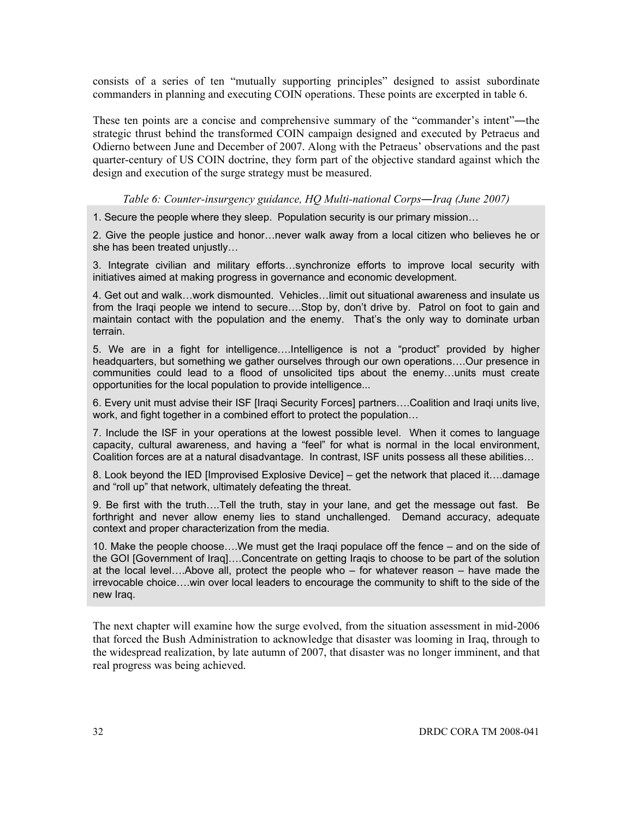consists of a series of ten "mutually supporting principles" designed to assist subordinate commanders in planning and executing COIN operations. These points are excerpted in table 6.

These ten points are a concise and comprehensive summary of the "commander's intent"―the strategic thrust behind the transformed COIN campaign designed and executed by Petraeus and Odierno between June and December of 2007. Along with the Petraeus' observations and the past quarter-century of US COIN doctrine, they form part of the objective standard against which the design and execution of the surge strategy must be measured.

#### *Table 6: Counter-insurgency guidance, HQ Multi-national Corps―Iraq (June 2007)*

1. Secure the people where they sleep. Population security is our primary mission…

2. Give the people justice and honor…never walk away from a local citizen who believes he or she has been treated unjustly…

3. Integrate civilian and military efforts…synchronize efforts to improve local security with initiatives aimed at making progress in governance and economic development.

4. Get out and walk…work dismounted. Vehicles…limit out situational awareness and insulate us from the Iraqi people we intend to secure….Stop by, don't drive by. Patrol on foot to gain and maintain contact with the population and the enemy. That's the only way to dominate urban terrain.

5. We are in a fight for intelligence….Intelligence is not a "product" provided by higher headquarters, but something we gather ourselves through our own operations….Our presence in communities could lead to a flood of unsolicited tips about the enemy…units must create opportunities for the local population to provide intelligence...

6. Every unit must advise their ISF [Iraqi Security Forces] partners….Coalition and Iraqi units live, work, and fight together in a combined effort to protect the population…

7. Include the ISF in your operations at the lowest possible level. When it comes to language capacity, cultural awareness, and having a "feel" for what is normal in the local environment, Coalition forces are at a natural disadvantage. In contrast, ISF units possess all these abilities…

8. Look beyond the IED [Improvised Explosive Device] – get the network that placed it….damage and "roll up" that network, ultimately defeating the threat.

9. Be first with the truth….Tell the truth, stay in your lane, and get the message out fast. Be forthright and never allow enemy lies to stand unchallenged. Demand accuracy, adequate context and proper characterization from the media.

10. Make the people choose….We must get the Iraqi populace off the fence – and on the side of the GOI [Government of Iraq]….Concentrate on getting Iraqis to choose to be part of the solution at the local level….Above all, protect the people who – for whatever reason – have made the irrevocable choice….win over local leaders to encourage the community to shift to the side of the new Iraq.

The next chapter will examine how the surge evolved, from the situation assessment in mid-2006 that forced the Bush Administration to acknowledge that disaster was looming in Iraq, through to the widespread realization, by late autumn of 2007, that disaster was no longer imminent, and that real progress was being achieved.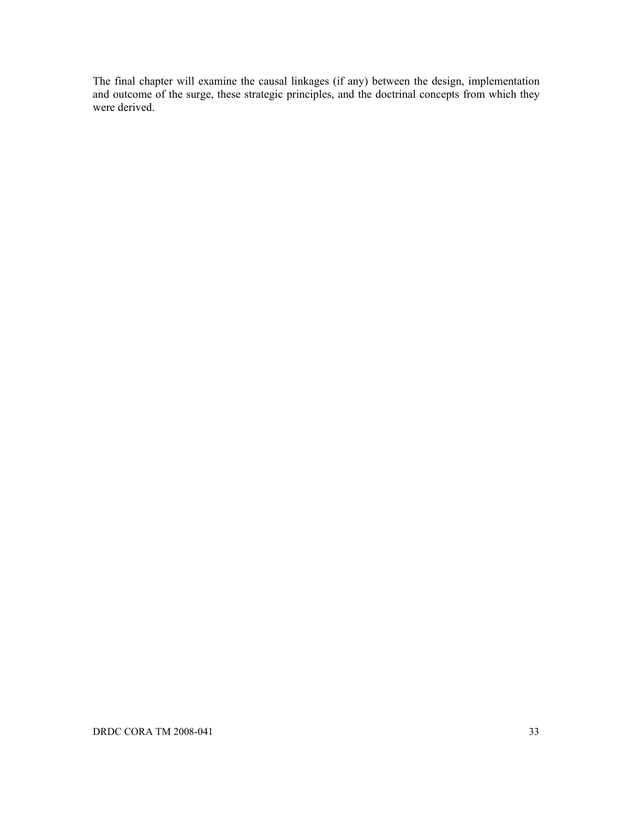The final chapter will examine the causal linkages (if any) between the design, implementation and outcome of the surge, these strategic principles, and the doctrinal concepts from which they were derived.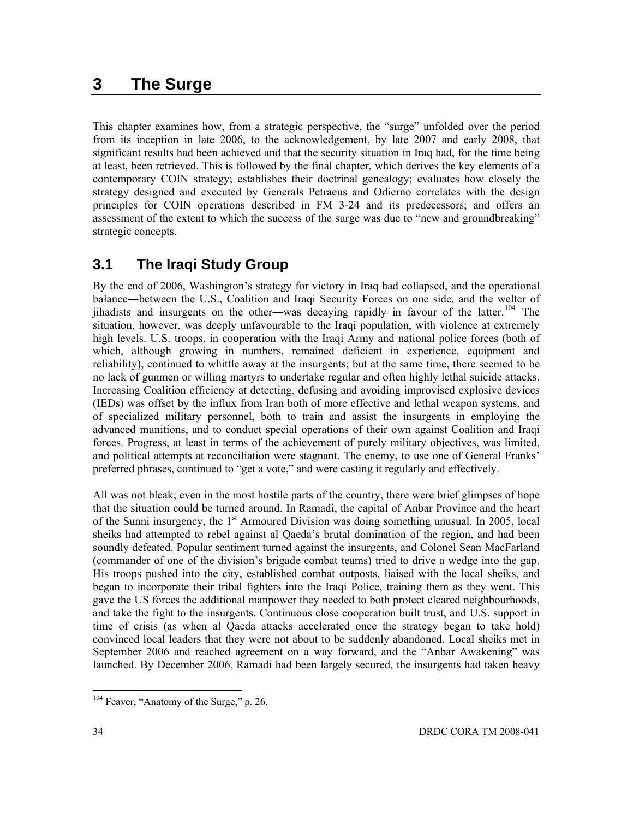# **3 The Surge**

This chapter examines how, from a strategic perspective, the "surge" unfolded over the period from its inception in late 2006, to the acknowledgement, by late 2007 and early 2008, that significant results had been achieved and that the security situation in Iraq had, for the time being at least, been retrieved. This is followed by the final chapter, which derives the key elements of a contemporary COIN strategy; establishes their doctrinal genealogy; evaluates how closely the strategy designed and executed by Generals Petraeus and Odierno correlates with the design principles for COIN operations described in FM 3-24 and its predecessors; and offers an assessment of the extent to which the success of the surge was due to "new and groundbreaking" strategic concepts.

# **3.1 The Iraqi Study Group**

By the end of 2006, Washington's strategy for victory in Iraq had collapsed, and the operational balance―between the U.S., Coalition and Iraqi Security Forces on one side, and the welter of jihadists and insurgents on the other—was decaying rapidly in favour of the latter.<sup>[104](#page-48-0)</sup> The situation, however, was deeply unfavourable to the Iraqi population, with violence at extremely high levels. U.S. troops, in cooperation with the Iraqi Army and national police forces (both of which, although growing in numbers, remained deficient in experience, equipment and reliability), continued to whittle away at the insurgents; but at the same time, there seemed to be no lack of gunmen or willing martyrs to undertake regular and often highly lethal suicide attacks. Increasing Coalition efficiency at detecting, defusing and avoiding improvised explosive devices (IEDs) was offset by the influx from Iran both of more effective and lethal weapon systems, and of specialized military personnel, both to train and assist the insurgents in employing the advanced munitions, and to conduct special operations of their own against Coalition and Iraqi forces. Progress, at least in terms of the achievement of purely military objectives, was limited, and political attempts at reconciliation were stagnant. The enemy, to use one of General Franks' preferred phrases, continued to "get a vote," and were casting it regularly and effectively.

All was not bleak; even in the most hostile parts of the country, there were brief glimpses of hope that the situation could be turned around. In Ramadi, the capital of Anbar Province and the heart of the Sunni insurgency, the  $1<sup>st</sup>$  Armoured Division was doing something unusual. In 2005, local sheiks had attempted to rebel against al Qaeda's brutal domination of the region, and had been soundly defeated. Popular sentiment turned against the insurgents, and Colonel Sean MacFarland (commander of one of the division's brigade combat teams) tried to drive a wedge into the gap. His troops pushed into the city, established combat outposts, liaised with the local sheiks, and began to incorporate their tribal fighters into the Iraqi Police, training them as they went. This gave the US forces the additional manpower they needed to both protect cleared neighbourhoods, and take the fight to the insurgents. Continuous close cooperation built trust, and U.S. support in time of crisis (as when al Qaeda attacks accelerated once the strategy began to take hold) convinced local leaders that they were not about to be suddenly abandoned. Local sheiks met in September 2006 and reached agreement on a way forward, and the "Anbar Awakening" was launched. By December 2006, Ramadi had been largely secured, the insurgents had taken heavy

<span id="page-48-0"></span><sup>&</sup>lt;sup>104</sup> Feaver, "Anatomy of the Surge," p. 26.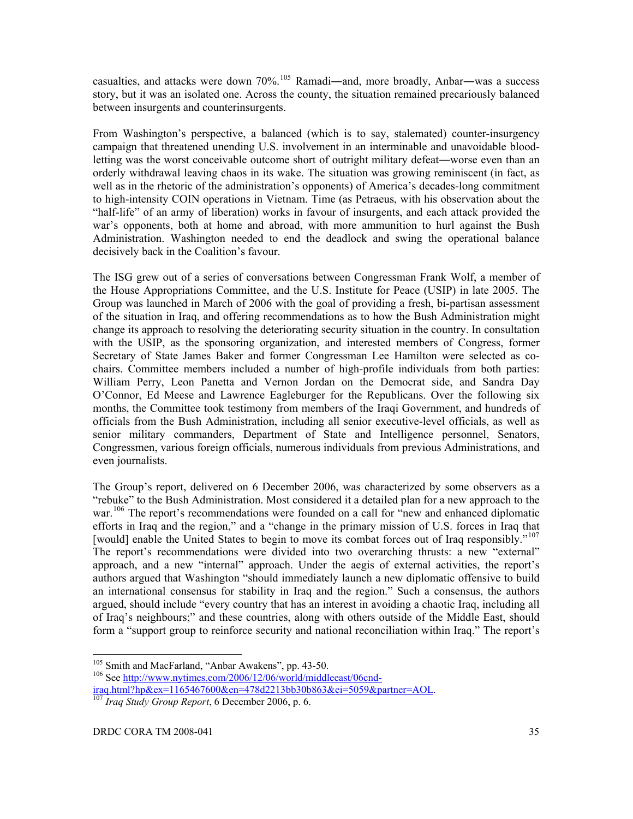casualties, and attacks were down 70%.<sup>[105](#page-49-0)</sup> Ramadi—and, more broadly, Anbar—was a success story, but it was an isolated one. Across the county, the situation remained precariously balanced between insurgents and counterinsurgents.

From Washington's perspective, a balanced (which is to say, stalemated) counter-insurgency campaign that threatened unending U.S. involvement in an interminable and unavoidable bloodletting was the worst conceivable outcome short of outright military defeat―worse even than an orderly withdrawal leaving chaos in its wake. The situation was growing reminiscent (in fact, as well as in the rhetoric of the administration's opponents) of America's decades-long commitment to high-intensity COIN operations in Vietnam. Time (as Petraeus, with his observation about the "half-life" of an army of liberation) works in favour of insurgents, and each attack provided the war's opponents, both at home and abroad, with more ammunition to hurl against the Bush Administration. Washington needed to end the deadlock and swing the operational balance decisively back in the Coalition's favour.

The ISG grew out of a series of conversations between Congressman Frank Wolf, a member of the House Appropriations Committee, and the U.S. Institute for Peace (USIP) in late 2005. The Group was launched in March of 2006 with the goal of providing a fresh, bi-partisan assessment of the situation in Iraq, and offering recommendations as to how the Bush Administration might change its approach to resolving the deteriorating security situation in the country. In consultation with the USIP, as the sponsoring organization, and interested members of Congress, former Secretary of State James Baker and former Congressman Lee Hamilton were selected as cochairs. Committee members included a number of high-profile individuals from both parties: William Perry, Leon Panetta and Vernon Jordan on the Democrat side, and Sandra Day O'Connor, Ed Meese and Lawrence Eagleburger for the Republicans. Over the following six months, the Committee took testimony from members of the Iraqi Government, and hundreds of officials from the Bush Administration, including all senior executive-level officials, as well as senior military commanders, Department of State and Intelligence personnel, Senators, Congressmen, various foreign officials, numerous individuals from previous Administrations, and even journalists.

The Group's report, delivered on 6 December 2006, was characterized by some observers as a "rebuke" to the Bush Administration. Most considered it a detailed plan for a new approach to the war.<sup>[106](#page-49-1)</sup> The report's recommendations were founded on a call for "new and enhanced diplomatic efforts in Iraq and the region," and a "change in the primary mission of U.S. forces in Iraq that [would] enable the United States to begin to move its combat forces out of Iraq responsibly."<sup>[107](#page-49-2)</sup> The report's recommendations were divided into two overarching thrusts: a new "external" approach, and a new "internal" approach. Under the aegis of external activities, the report's authors argued that Washington "should immediately launch a new diplomatic offensive to build an international consensus for stability in Iraq and the region." Such a consensus, the authors argued, should include "every country that has an interest in avoiding a chaotic Iraq, including all of Iraq's neighbours;" and these countries, along with others outside of the Middle East, should form a "support group to reinforce security and national reconciliation within Iraq." The report's

<span id="page-49-0"></span><sup>&</sup>lt;sup>105</sup> Smith and MacFarland, "Anbar Awakens", pp. 43-50.<br><sup>106</sup> See [http://www.nytimes.com/2006/12/06/world/middleeast/06cnd-](http://www.nytimes.com/2006/12/06/world/middleeast/06cnd-iraq.html?hp&ex=1165467600&en=478d2213bb30b863&ei=5059&partner=AOL)

<span id="page-49-2"></span><span id="page-49-1"></span>[iraq.html?hp&ex=1165467600&en=478d2213bb30b863&ei=5059&partner=AOL](http://www.nytimes.com/2006/12/06/world/middleeast/06cnd-iraq.html?hp&ex=1165467600&en=478d2213bb30b863&ei=5059&partner=AOL). [107](http://www.nytimes.com/2006/12/06/world/middleeast/06cnd-iraq.html?hp&ex=1165467600&en=478d2213bb30b863&ei=5059&partner=AOL) *Iraq Study Group Report*, 6 December 2006, p. 6.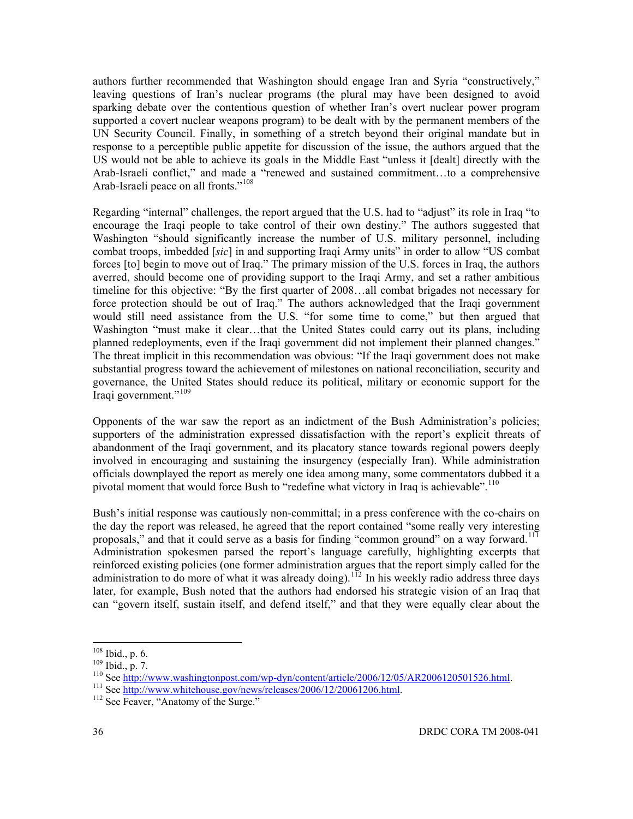authors further recommended that Washington should engage Iran and Syria "constructively," leaving questions of Iran's nuclear programs (the plural may have been designed to avoid sparking debate over the contentious question of whether Iran's overt nuclear power program supported a covert nuclear weapons program) to be dealt with by the permanent members of the UN Security Council. Finally, in something of a stretch beyond their original mandate but in response to a perceptible public appetite for discussion of the issue, the authors argued that the US would not be able to achieve its goals in the Middle East "unless it [dealt] directly with the Arab-Israeli conflict," and made a "renewed and sustained commitment…to a comprehensive Arab-Israeli peace on all fronts."<sup>[108](#page-50-0)</sup>

Regarding "internal" challenges, the report argued that the U.S. had to "adjust" its role in Iraq "to encourage the Iraqi people to take control of their own destiny." The authors suggested that Washington "should significantly increase the number of U.S. military personnel, including combat troops, imbedded [*sic*] in and supporting Iraqi Army units" in order to allow "US combat forces [to] begin to move out of Iraq." The primary mission of the U.S. forces in Iraq, the authors averred, should become one of providing support to the Iraqi Army, and set a rather ambitious timeline for this objective: "By the first quarter of 2008…all combat brigades not necessary for force protection should be out of Iraq." The authors acknowledged that the Iraqi government would still need assistance from the U.S. "for some time to come," but then argued that Washington "must make it clear…that the United States could carry out its plans, including planned redeployments, even if the Iraqi government did not implement their planned changes." The threat implicit in this recommendation was obvious: "If the Iraqi government does not make substantial progress toward the achievement of milestones on national reconciliation, security and governance, the United States should reduce its political, military or economic support for the Iraqi government."<sup>[109](#page-50-1)</sup>

Opponents of the war saw the report as an indictment of the Bush Administration's policies; supporters of the administration expressed dissatisfaction with the report's explicit threats of abandonment of the Iraqi government, and its placatory stance towards regional powers deeply involved in encouraging and sustaining the insurgency (especially Iran). While administration officials downplayed the report as merely one idea among many, some commentators dubbed it a pivotal moment that would force Bush to "redefine what victory in Iraq is achievable".<sup>[110](#page-50-2)</sup>

Bush's initial response was cautiously non-committal; in a press conference with the co-chairs on the day the report was released, he agreed that the report contained "some really very interesting proposals," and that it could serve as a basis for finding "common ground" on a way forward.<sup>[111](#page-50-3)</sup> Administration spokesmen parsed the report's language carefully, highlighting excerpts that reinforced existing policies (one former administration argues that the report simply called for the administration to do more of what it was already doing).<sup>[112](#page-50-4)</sup> In his weekly radio address three days later, for example, Bush noted that the authors had endorsed his strategic vision of an Iraq that can "govern itself, sustain itself, and defend itself," and that they were equally clear about the

 $108$  Ibid., p. 6.

<span id="page-50-2"></span><span id="page-50-1"></span><span id="page-50-0"></span><sup>&</sup>lt;sup>109</sup> Ibid., p. 7.<br>
<sup>109</sup> Ibid., p. 7.<br>
<sup>110</sup> See <u>http://www.washingtonpost.com/wp-dyn/content/article/2006/12/05/AR2006120501526.html.<br>
<sup>111</sup> See <u>http://www.whitehouse.gov/news/releases/2006/12/20061206.html</u>.<br>
<sup>112</sup> S</u>

<span id="page-50-3"></span>

<span id="page-50-4"></span>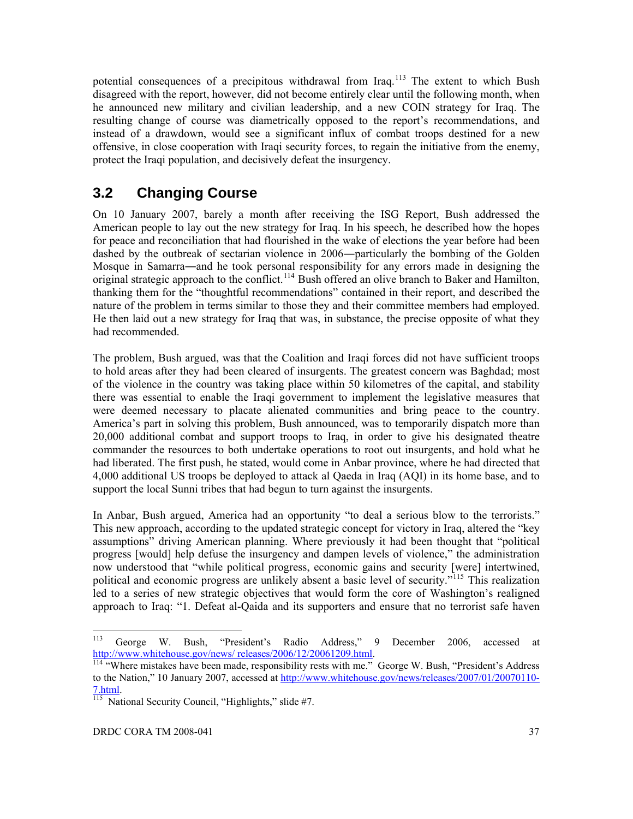potential consequences of a precipitous withdrawal from Iraq.<sup>[113](#page-51-0)</sup> The extent to which Bush disagreed with the report, however, did not become entirely clear until the following month, when he announced new military and civilian leadership, and a new COIN strategy for Iraq. The resulting change of course was diametrically opposed to the report's recommendations, and instead of a drawdown, would see a significant influx of combat troops destined for a new offensive, in close cooperation with Iraqi security forces, to regain the initiative from the enemy, protect the Iraqi population, and decisively defeat the insurgency.

# **3.2 Changing Course**

On 10 January 2007, barely a month after receiving the ISG Report, Bush addressed the American people to lay out the new strategy for Iraq. In his speech, he described how the hopes for peace and reconciliation that had flourished in the wake of elections the year before had been dashed by the outbreak of sectarian violence in 2006―particularly the bombing of the Golden Mosque in Samarra―and he took personal responsibility for any errors made in designing the original strategic approach to the conflict.<sup>[114](#page-51-1)</sup> Bush offered an olive branch to Baker and Hamilton, thanking them for the "thoughtful recommendations" contained in their report, and described the nature of the problem in terms similar to those they and their committee members had employed. He then laid out a new strategy for Iraq that was, in substance, the precise opposite of what they had recommended.

The problem, Bush argued, was that the Coalition and Iraqi forces did not have sufficient troops to hold areas after they had been cleared of insurgents. The greatest concern was Baghdad; most of the violence in the country was taking place within 50 kilometres of the capital, and stability there was essential to enable the Iraqi government to implement the legislative measures that were deemed necessary to placate alienated communities and bring peace to the country. America's part in solving this problem, Bush announced, was to temporarily dispatch more than 20,000 additional combat and support troops to Iraq, in order to give his designated theatre commander the resources to both undertake operations to root out insurgents, and hold what he had liberated. The first push, he stated, would come in Anbar province, where he had directed that 4,000 additional US troops be deployed to attack al Qaeda in Iraq (AQI) in its home base, and to support the local Sunni tribes that had begun to turn against the insurgents.

In Anbar, Bush argued, America had an opportunity "to deal a serious blow to the terrorists." This new approach, according to the updated strategic concept for victory in Iraq, altered the "key assumptions" driving American planning. Where previously it had been thought that "political progress [would] help defuse the insurgency and dampen levels of violence," the administration now understood that "while political progress, economic gains and security [were] intertwined, political and economic progress are unlikely absent a basic level of security.<sup>"[115](#page-51-2)</sup> This realization led to a series of new strategic objectives that would form the core of Washington's realigned approach to Iraq: "1. Defeat al-Qaida and its supporters and ensure that no terrorist safe haven

<span id="page-51-0"></span><sup>113</sup> 113 George W. Bush, "President's Radio Address," 9 December 2006, accessed at http://www.whitehouse.gov/news/ releases/2006/12/20061209.html.<br><sup>114</sup> "Where mistakes have been made, responsibility rests with me." George W. Bush, "President's Address

<span id="page-51-1"></span>to the Nation," 10 January 2007, accessed at [http://www.whitehouse.gov/news/releases/2007/01/20070110-](http://www.whitehouse.gov/news/releases/2007/01/20070110-7.html)  $\frac{7. \text{html}}{^{115}}$  $\frac{7. \text{html}}{^{115}}$  $\frac{7. \text{html}}{^{115}}$  National Security Council, "Highlights," slide #7.

<span id="page-51-2"></span>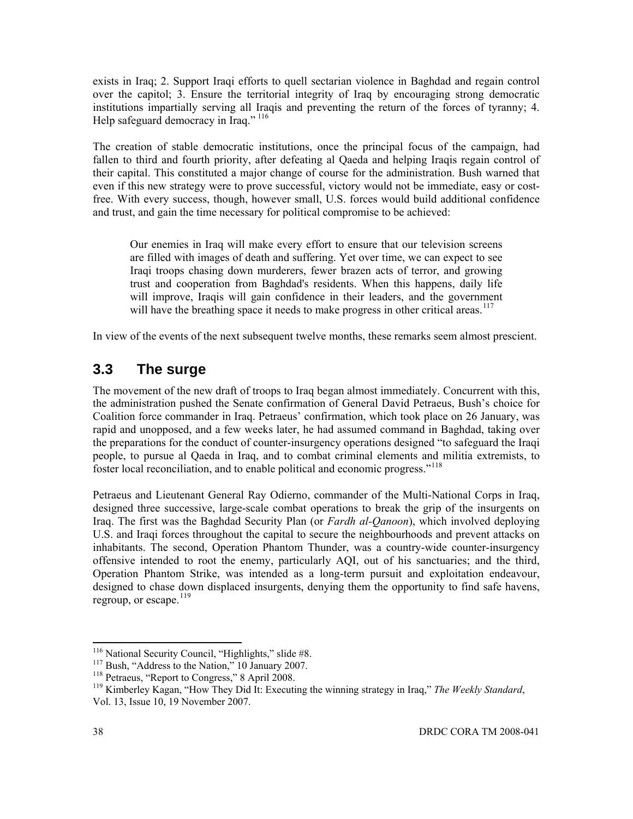exists in Iraq; 2. Support Iraqi efforts to quell sectarian violence in Baghdad and regain control over the capitol; 3. Ensure the territorial integrity of Iraq by encouraging strong democratic institutions impartially serving all Iraqis and preventing the return of the forces of tyranny; 4. Help safeguard democracy in Iraq."<sup>[116](#page-52-0)</sup>

The creation of stable democratic institutions, once the principal focus of the campaign, had fallen to third and fourth priority, after defeating al Qaeda and helping Iraqis regain control of their capital. This constituted a major change of course for the administration. Bush warned that even if this new strategy were to prove successful, victory would not be immediate, easy or costfree. With every success, though, however small, U.S. forces would build additional confidence and trust, and gain the time necessary for political compromise to be achieved:

Our enemies in Iraq will make every effort to ensure that our television screens are filled with images of death and suffering. Yet over time, we can expect to see Iraqi troops chasing down murderers, fewer brazen acts of terror, and growing trust and cooperation from Baghdad's residents. When this happens, daily life will improve, Iraqis will gain confidence in their leaders, and the government will have the breathing space it needs to make progress in other critical areas.<sup>[117](#page-52-1)</sup>

In view of the events of the next subsequent twelve months, these remarks seem almost prescient.

## **3.3 The surge**

The movement of the new draft of troops to Iraq began almost immediately. Concurrent with this, the administration pushed the Senate confirmation of General David Petraeus, Bush's choice for Coalition force commander in Iraq. Petraeus' confirmation, which took place on 26 January, was rapid and unopposed, and a few weeks later, he had assumed command in Baghdad, taking over the preparations for the conduct of counter-insurgency operations designed "to safeguard the Iraqi people, to pursue al Qaeda in Iraq, and to combat criminal elements and militia extremists, to foster local reconciliation, and to enable political and economic progress."[118](#page-52-2)

Petraeus and Lieutenant General Ray Odierno, commander of the Multi-National Corps in Iraq, designed three successive, large-scale combat operations to break the grip of the insurgents on Iraq. The first was the Baghdad Security Plan (or *Fardh al-Qanoon*), which involved deploying U.S. and Iraqi forces throughout the capital to secure the neighbourhoods and prevent attacks on inhabitants. The second, Operation Phantom Thunder, was a country-wide counter-insurgency offensive intended to root the enemy, particularly AQI, out of his sanctuaries; and the third, Operation Phantom Strike, was intended as a long-term pursuit and exploitation endeavour, designed to chase down displaced insurgents, denying them the opportunity to find safe havens, regroup, or escape.  $^{119}$  $^{119}$  $^{119}$ 

<span id="page-52-2"></span><span id="page-52-1"></span>

<span id="page-52-3"></span>

<span id="page-52-0"></span><sup>&</sup>lt;sup>116</sup> National Security Council, "Highlights," slide #8.<br><sup>117</sup> Bush, "Address to the Nation," 10 January 2007.<br><sup>118</sup> Petraeus, "Report to Congress," 8 April 2008.<br><sup>119</sup> Kimberley Kagan, "How They Did It: Executing the winn Vol. 13, Issue 10, 19 November 2007.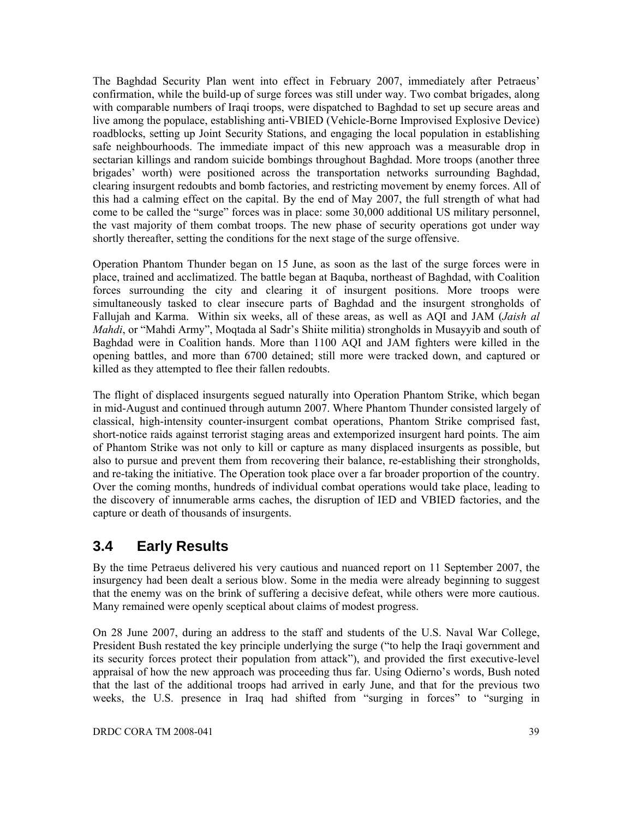The Baghdad Security Plan went into effect in February 2007, immediately after Petraeus' confirmation, while the build-up of surge forces was still under way. Two combat brigades, along with comparable numbers of Iraqi troops, were dispatched to Baghdad to set up secure areas and live among the populace, establishing anti-VBIED (Vehicle-Borne Improvised Explosive Device) roadblocks, setting up Joint Security Stations, and engaging the local population in establishing safe neighbourhoods. The immediate impact of this new approach was a measurable drop in sectarian killings and random suicide bombings throughout Baghdad. More troops (another three brigades' worth) were positioned across the transportation networks surrounding Baghdad, clearing insurgent redoubts and bomb factories, and restricting movement by enemy forces. All of this had a calming effect on the capital. By the end of May 2007, the full strength of what had come to be called the "surge" forces was in place: some 30,000 additional US military personnel, the vast majority of them combat troops. The new phase of security operations got under way shortly thereafter, setting the conditions for the next stage of the surge offensive.

Operation Phantom Thunder began on 15 June, as soon as the last of the surge forces were in place, trained and acclimatized. The battle began at Baquba, northeast of Baghdad, with Coalition forces surrounding the city and clearing it of insurgent positions. More troops were simultaneously tasked to clear insecure parts of Baghdad and the insurgent strongholds of Fallujah and Karma. Within six weeks, all of these areas, as well as AQI and JAM (*Jaish al Mahdi*, or "Mahdi Army", Moqtada al Sadr's Shiite militia) strongholds in Musayyib and south of Baghdad were in Coalition hands. More than 1100 AQI and JAM fighters were killed in the opening battles, and more than 6700 detained; still more were tracked down, and captured or killed as they attempted to flee their fallen redoubts.

The flight of displaced insurgents segued naturally into Operation Phantom Strike, which began in mid-August and continued through autumn 2007. Where Phantom Thunder consisted largely of classical, high-intensity counter-insurgent combat operations, Phantom Strike comprised fast, short-notice raids against terrorist staging areas and extemporized insurgent hard points. The aim of Phantom Strike was not only to kill or capture as many displaced insurgents as possible, but also to pursue and prevent them from recovering their balance, re-establishing their strongholds, and re-taking the initiative. The Operation took place over a far broader proportion of the country. Over the coming months, hundreds of individual combat operations would take place, leading to the discovery of innumerable arms caches, the disruption of IED and VBIED factories, and the capture or death of thousands of insurgents.

## **3.4 Early Results**

By the time Petraeus delivered his very cautious and nuanced report on 11 September 2007, the insurgency had been dealt a serious blow. Some in the media were already beginning to suggest that the enemy was on the brink of suffering a decisive defeat, while others were more cautious. Many remained were openly sceptical about claims of modest progress.

On 28 June 2007, during an address to the staff and students of the U.S. Naval War College, President Bush restated the key principle underlying the surge ("to help the Iraqi government and its security forces protect their population from attack"), and provided the first executive-level appraisal of how the new approach was proceeding thus far. Using Odierno's words, Bush noted that the last of the additional troops had arrived in early June, and that for the previous two weeks, the U.S. presence in Iraq had shifted from "surging in forces" to "surging in

DRDC CORA TM 2008-041 39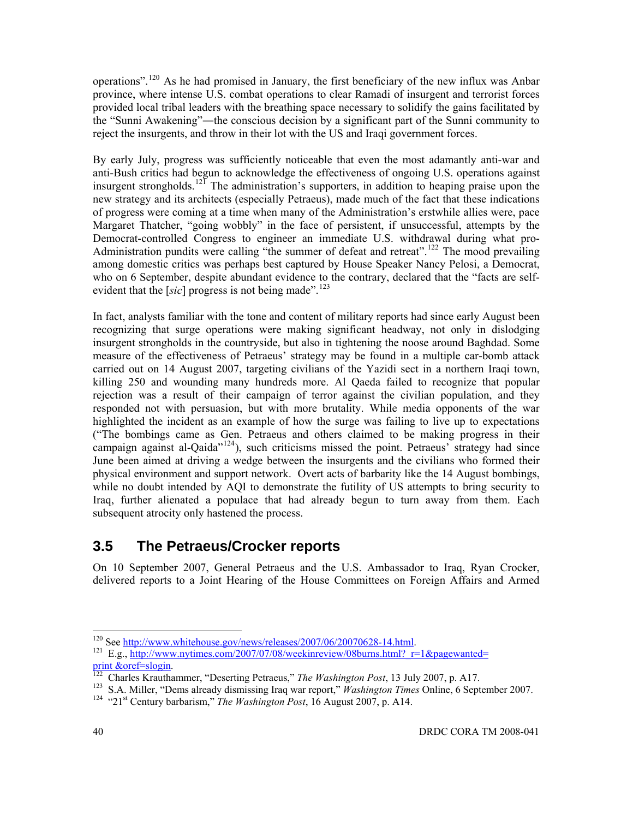operations".[120](#page-54-0) As he had promised in January, the first beneficiary of the new influx was Anbar province, where intense U.S. combat operations to clear Ramadi of insurgent and terrorist forces provided local tribal leaders with the breathing space necessary to solidify the gains facilitated by the "Sunni Awakening"―the conscious decision by a significant part of the Sunni community to reject the insurgents, and throw in their lot with the US and Iraqi government forces.

By early July, progress was sufficiently noticeable that even the most adamantly anti-war and anti-Bush critics had begun to acknowledge the effectiveness of ongoing U.S. operations against insurgent strongholds.<sup>[121](#page-54-1)</sup> The administration's supporters, in addition to heaping praise upon the new strategy and its architects (especially Petraeus), made much of the fact that these indications of progress were coming at a time when many of the Administration's erstwhile allies were, pace Margaret Thatcher, "going wobbly" in the face of persistent, if unsuccessful, attempts by the Democrat-controlled Congress to engineer an immediate U.S. withdrawal during what pro-Administration pundits were calling "the summer of defeat and retreat".<sup>[122](#page-54-2)</sup> The mood prevailing among domestic critics was perhaps best captured by House Speaker Nancy Pelosi, a Democrat, who on 6 September, despite abundant evidence to the contrary, declared that the "facts are selfevident that the [*sic*] progress is not being made".<sup>[123](#page-54-3)</sup>

In fact, analysts familiar with the tone and content of military reports had since early August been recognizing that surge operations were making significant headway, not only in dislodging insurgent strongholds in the countryside, but also in tightening the noose around Baghdad. Some measure of the effectiveness of Petraeus' strategy may be found in a multiple car-bomb attack carried out on 14 August 2007, targeting civilians of the Yazidi sect in a northern Iraqi town, killing 250 and wounding many hundreds more. Al Qaeda failed to recognize that popular rejection was a result of their campaign of terror against the civilian population, and they responded not with persuasion, but with more brutality. While media opponents of the war highlighted the incident as an example of how the surge was failing to live up to expectations ("The bombings came as Gen. Petraeus and others claimed to be making progress in their campaign against al-Qaida"<sup>[124](#page-54-4)</sup>), such criticisms missed the point. Petraeus' strategy had since June been aimed at driving a wedge between the insurgents and the civilians who formed their physical environment and support network. Overt acts of barbarity like the 14 August bombings, while no doubt intended by AQI to demonstrate the futility of US attempts to bring security to Iraq, further alienated a populace that had already begun to turn away from them. Each subsequent atrocity only hastened the process.

## **3.5 The Petraeus/Crocker reports**

On 10 September 2007, General Petraeus and the U.S. Ambassador to Iraq, Ryan Crocker, delivered reports to a Joint Hearing of the House Committees on Foreign Affairs and Armed

<span id="page-54-0"></span><sup>&</sup>lt;sup>120</sup> See http://www.whitehouse.gov/news/releases/2007/06/20070628-14.html.

<span id="page-54-1"></span><sup>&</sup>lt;sup>121</sup> E.g., http://www.nytimes.com/2007/07/08/weekinreview/08burns.html?  $r=1$ &pagewanted= print &oref=slogin.<br>
<sup>122</sup> Charles Krauthammer, "Deserting Petraeus," *The Washington Post*, 13 July 2007, p. A17.<br>
<sup>123</sup> S.A. Miller, "Dems already dismissing Iraq war report," *Washington Times* Online, 6 September 2007

<span id="page-54-2"></span>

<span id="page-54-4"></span><span id="page-54-3"></span>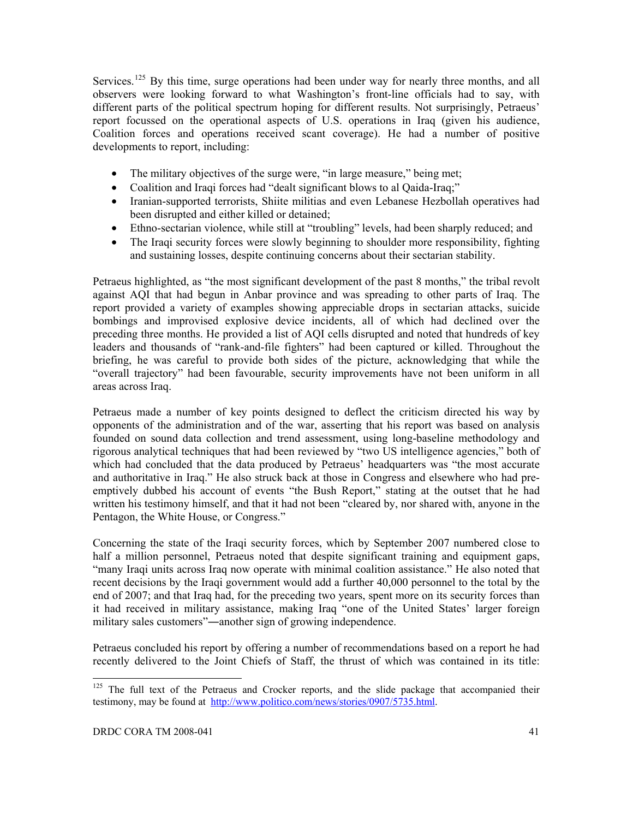Services.<sup>[125](#page-55-0)</sup> By this time, surge operations had been under way for nearly three months, and all observers were looking forward to what Washington's front-line officials had to say, with different parts of the political spectrum hoping for different results. Not surprisingly, Petraeus' report focussed on the operational aspects of U.S. operations in Iraq (given his audience, Coalition forces and operations received scant coverage). He had a number of positive developments to report, including:

- The military objectives of the surge were, "in large measure," being met;
- Coalition and Iraqi forces had "dealt significant blows to al Qaida-Iraq;"
- Iranian-supported terrorists, Shiite militias and even Lebanese Hezbollah operatives had been disrupted and either killed or detained;
- Ethno-sectarian violence, while still at "troubling" levels, had been sharply reduced; and
- The Iraqi security forces were slowly beginning to shoulder more responsibility, fighting and sustaining losses, despite continuing concerns about their sectarian stability.

Petraeus highlighted, as "the most significant development of the past 8 months," the tribal revolt against AQI that had begun in Anbar province and was spreading to other parts of Iraq. The report provided a variety of examples showing appreciable drops in sectarian attacks, suicide bombings and improvised explosive device incidents, all of which had declined over the preceding three months. He provided a list of AQI cells disrupted and noted that hundreds of key leaders and thousands of "rank-and-file fighters" had been captured or killed. Throughout the briefing, he was careful to provide both sides of the picture, acknowledging that while the "overall trajectory" had been favourable, security improvements have not been uniform in all areas across Iraq.

Petraeus made a number of key points designed to deflect the criticism directed his way by opponents of the administration and of the war, asserting that his report was based on analysis founded on sound data collection and trend assessment, using long-baseline methodology and rigorous analytical techniques that had been reviewed by "two US intelligence agencies," both of which had concluded that the data produced by Petraeus' headquarters was "the most accurate and authoritative in Iraq." He also struck back at those in Congress and elsewhere who had preemptively dubbed his account of events "the Bush Report," stating at the outset that he had written his testimony himself, and that it had not been "cleared by, nor shared with, anyone in the Pentagon, the White House, or Congress."

Concerning the state of the Iraqi security forces, which by September 2007 numbered close to half a million personnel, Petraeus noted that despite significant training and equipment gaps, "many Iraqi units across Iraq now operate with minimal coalition assistance." He also noted that recent decisions by the Iraqi government would add a further 40,000 personnel to the total by the end of 2007; and that Iraq had, for the preceding two years, spent more on its security forces than it had received in military assistance, making Iraq "one of the United States' larger foreign military sales customers"―another sign of growing independence.

Petraeus concluded his report by offering a number of recommendations based on a report he had recently delivered to the Joint Chiefs of Staff, the thrust of which was contained in its title:

<span id="page-55-0"></span> $125$  The full text of the Petraeus and Crocker reports, and the slide package that accompanied their testimony, may be found at [http://www.politico.com/news/stories/0907/5735.html.](http://www.politico.com/news/stories/0907/5735.html)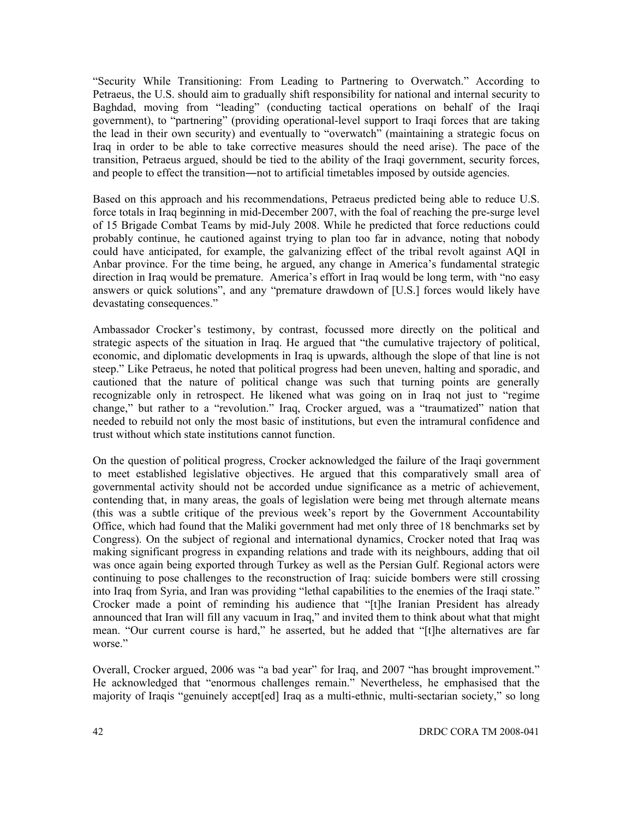"Security While Transitioning: From Leading to Partnering to Overwatch." According to Petraeus, the U.S. should aim to gradually shift responsibility for national and internal security to Baghdad, moving from "leading" (conducting tactical operations on behalf of the Iraqi government), to "partnering" (providing operational-level support to Iraqi forces that are taking the lead in their own security) and eventually to "overwatch" (maintaining a strategic focus on Iraq in order to be able to take corrective measures should the need arise). The pace of the transition, Petraeus argued, should be tied to the ability of the Iraqi government, security forces, and people to effect the transition―not to artificial timetables imposed by outside agencies.

Based on this approach and his recommendations, Petraeus predicted being able to reduce U.S. force totals in Iraq beginning in mid-December 2007, with the foal of reaching the pre-surge level of 15 Brigade Combat Teams by mid-July 2008. While he predicted that force reductions could probably continue, he cautioned against trying to plan too far in advance, noting that nobody could have anticipated, for example, the galvanizing effect of the tribal revolt against AQI in Anbar province. For the time being, he argued, any change in America's fundamental strategic direction in Iraq would be premature. America's effort in Iraq would be long term, with "no easy answers or quick solutions", and any "premature drawdown of [U.S.] forces would likely have devastating consequences."

Ambassador Crocker's testimony, by contrast, focussed more directly on the political and strategic aspects of the situation in Iraq. He argued that "the cumulative trajectory of political, economic, and diplomatic developments in Iraq is upwards, although the slope of that line is not steep." Like Petraeus, he noted that political progress had been uneven, halting and sporadic, and cautioned that the nature of political change was such that turning points are generally recognizable only in retrospect. He likened what was going on in Iraq not just to "regime change," but rather to a "revolution." Iraq, Crocker argued, was a "traumatized" nation that needed to rebuild not only the most basic of institutions, but even the intramural confidence and trust without which state institutions cannot function.

On the question of political progress, Crocker acknowledged the failure of the Iraqi government to meet established legislative objectives. He argued that this comparatively small area of governmental activity should not be accorded undue significance as a metric of achievement, contending that, in many areas, the goals of legislation were being met through alternate means (this was a subtle critique of the previous week's report by the Government Accountability Office, which had found that the Maliki government had met only three of 18 benchmarks set by Congress). On the subject of regional and international dynamics, Crocker noted that Iraq was making significant progress in expanding relations and trade with its neighbours, adding that oil was once again being exported through Turkey as well as the Persian Gulf. Regional actors were continuing to pose challenges to the reconstruction of Iraq: suicide bombers were still crossing into Iraq from Syria, and Iran was providing "lethal capabilities to the enemies of the Iraqi state." Crocker made a point of reminding his audience that "[t]he Iranian President has already announced that Iran will fill any vacuum in Iraq," and invited them to think about what that might mean. "Our current course is hard," he asserted, but he added that "[t]he alternatives are far worse."

Overall, Crocker argued, 2006 was "a bad year" for Iraq, and 2007 "has brought improvement." He acknowledged that "enormous challenges remain." Nevertheless, he emphasised that the majority of Iraqis "genuinely accept[ed] Iraq as a multi-ethnic, multi-sectarian society," so long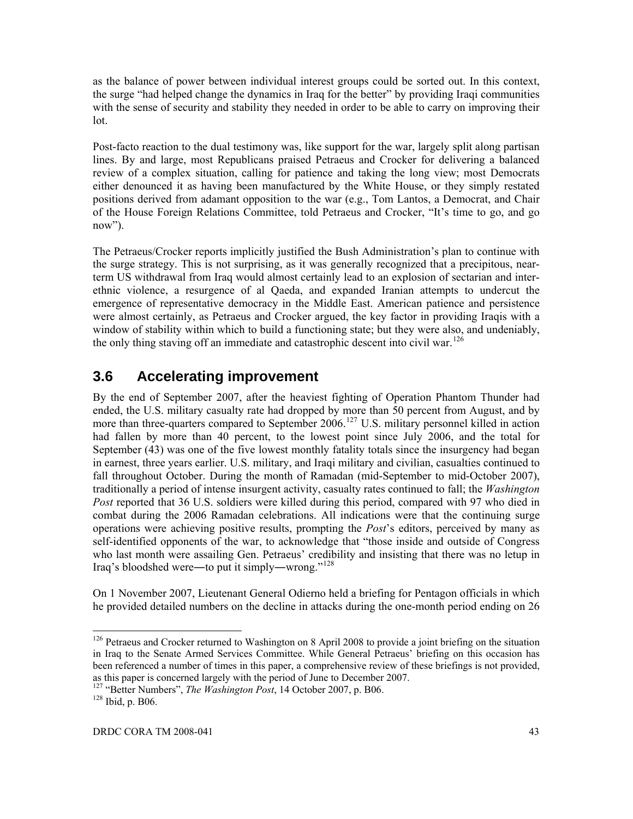as the balance of power between individual interest groups could be sorted out. In this context, the surge "had helped change the dynamics in Iraq for the better" by providing Iraqi communities with the sense of security and stability they needed in order to be able to carry on improving their lot.

Post-facto reaction to the dual testimony was, like support for the war, largely split along partisan lines. By and large, most Republicans praised Petraeus and Crocker for delivering a balanced review of a complex situation, calling for patience and taking the long view; most Democrats either denounced it as having been manufactured by the White House, or they simply restated positions derived from adamant opposition to the war (e.g., Tom Lantos, a Democrat, and Chair of the House Foreign Relations Committee, told Petraeus and Crocker, "It's time to go, and go now").

The Petraeus/Crocker reports implicitly justified the Bush Administration's plan to continue with the surge strategy. This is not surprising, as it was generally recognized that a precipitous, nearterm US withdrawal from Iraq would almost certainly lead to an explosion of sectarian and interethnic violence, a resurgence of al Qaeda, and expanded Iranian attempts to undercut the emergence of representative democracy in the Middle East. American patience and persistence were almost certainly, as Petraeus and Crocker argued, the key factor in providing Iraqis with a window of stability within which to build a functioning state; but they were also, and undeniably, the only thing staving off an immediate and catastrophic descent into civil war.<sup>[126](#page-57-0)</sup>

## **3.6 Accelerating improvement**

By the end of September 2007, after the heaviest fighting of Operation Phantom Thunder had ended, the U.S. military casualty rate had dropped by more than 50 percent from August, and by more than three-quarters compared to September 2006.<sup>[127](#page-57-1)</sup> U.S. military personnel killed in action had fallen by more than 40 percent, to the lowest point since July 2006, and the total for September (43) was one of the five lowest monthly fatality totals since the insurgency had began in earnest, three years earlier. U.S. military, and Iraqi military and civilian, casualties continued to fall throughout October. During the month of Ramadan (mid-September to mid-October 2007), traditionally a period of intense insurgent activity, casualty rates continued to fall; the *Washington Post* reported that 36 U.S. soldiers were killed during this period, compared with 97 who died in combat during the 2006 Ramadan celebrations. All indications were that the continuing surge operations were achieving positive results, prompting the *Post*'s editors, perceived by many as self-identified opponents of the war, to acknowledge that "those inside and outside of Congress who last month were assailing Gen. Petraeus' credibility and insisting that there was no letup in Iraq's bloodshed were―to put it simply―wrong."[128](#page-57-2)

On 1 November 2007, Lieutenant General Odierno held a briefing for Pentagon officials in which he provided detailed numbers on the decline in attacks during the one-month period ending on 26

<span id="page-57-0"></span><sup>&</sup>lt;sup>126</sup> Petraeus and Crocker returned to Washington on 8 April 2008 to provide a joint briefing on the situation in Iraq to the Senate Armed Services Committee. While General Petraeus' briefing on this occasion has been referenced a number of times in this paper, a comprehensive review of these briefings is not provided, as this paper is concerned largely with the period of June to December 2007. <sup>127</sup> "Better Numbers", *The Washington Post*, 14 October 2007, p. B06. <sup>128</sup> Ibid, p. B06.

<span id="page-57-2"></span><span id="page-57-1"></span>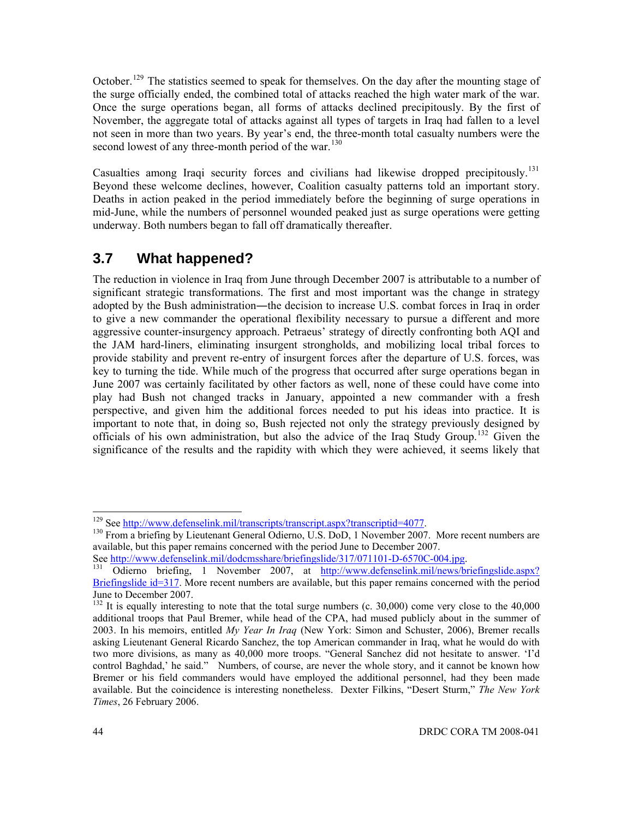October.<sup>[129](#page-58-0)</sup> The statistics seemed to speak for themselves. On the day after the mounting stage of the surge officially ended, the combined total of attacks reached the high water mark of the war. Once the surge operations began, all forms of attacks declined precipitously. By the first of November, the aggregate total of attacks against all types of targets in Iraq had fallen to a level not seen in more than two years. By year's end, the three-month total casualty numbers were the second lowest of any three-month period of the war.<sup>[130](#page-58-1)</sup>

Casualties among Iraqi security forces and civilians had likewise dropped precipitously.<sup>[131](#page-58-2)</sup> Beyond these welcome declines, however, Coalition casualty patterns told an important story. Deaths in action peaked in the period immediately before the beginning of surge operations in mid-June, while the numbers of personnel wounded peaked just as surge operations were getting underway. Both numbers began to fall off dramatically thereafter.

# **3.7 What happened?**

The reduction in violence in Iraq from June through December 2007 is attributable to a number of significant strategic transformations. The first and most important was the change in strategy adopted by the Bush administration―the decision to increase U.S. combat forces in Iraq in order to give a new commander the operational flexibility necessary to pursue a different and more aggressive counter-insurgency approach. Petraeus' strategy of directly confronting both AQI and the JAM hard-liners, eliminating insurgent strongholds, and mobilizing local tribal forces to provide stability and prevent re-entry of insurgent forces after the departure of U.S. forces, was key to turning the tide. While much of the progress that occurred after surge operations began in June 2007 was certainly facilitated by other factors as well, none of these could have come into play had Bush not changed tracks in January, appointed a new commander with a fresh perspective, and given him the additional forces needed to put his ideas into practice. It is important to note that, in doing so, Bush rejected not only the strategy previously designed by officials of his own administration, but also the advice of the Iraq Study Group.<sup>[132](#page-58-3)</sup> Given the significance of the results and the rapidity with which they were achieved, it seems likely that

l

<span id="page-58-1"></span><span id="page-58-0"></span><sup>&</sup>lt;sup>129</sup> See<http://www.defenselink.mil/transcripts/transcript.aspx?transcriptid=4077>.<br><sup>130</sup> From a briefing by Lieutenant General Odierno, U.S. DoD, 1 November 2007. More recent numbers are available, but this paper remains concerned with the period June to December 2007.<br>See http://www.defenselink.mil/dodcmsshare/briefingslide/317/071101-D-6570C-004.jpg.

<span id="page-58-2"></span>Odierno briefing, 1 November 2007, at http://www.defenselink.mil/news/briefingslide.aspx? Briefingslide id=317. More recent numbers are available, but this paper remains concerned with the period June to December 2007.

<span id="page-58-3"></span><sup>&</sup>lt;sup>132</sup> It is equally interesting to note that the total surge numbers (c. 30,000) come very close to the 40,000 additional troops that Paul Bremer, while head of the CPA, had mused publicly about in the summer of 2003. In his memoirs, entitled *My Year In Iraq* (New York: Simon and Schuster, 2006), Bremer recalls asking Lieutenant General Ricardo Sanchez, the top American commander in Iraq, what he would do with two more divisions, as many as 40,000 more troops. "General Sanchez did not hesitate to answer. 'I'd control Baghdad,' he said." Numbers, of course, are never the whole story, and it cannot be known how Bremer or his field commanders would have employed the additional personnel, had they been made available. But the coincidence is interesting nonetheless. Dexter Filkins, "Desert Sturm," *The New York Times*, 26 February 2006.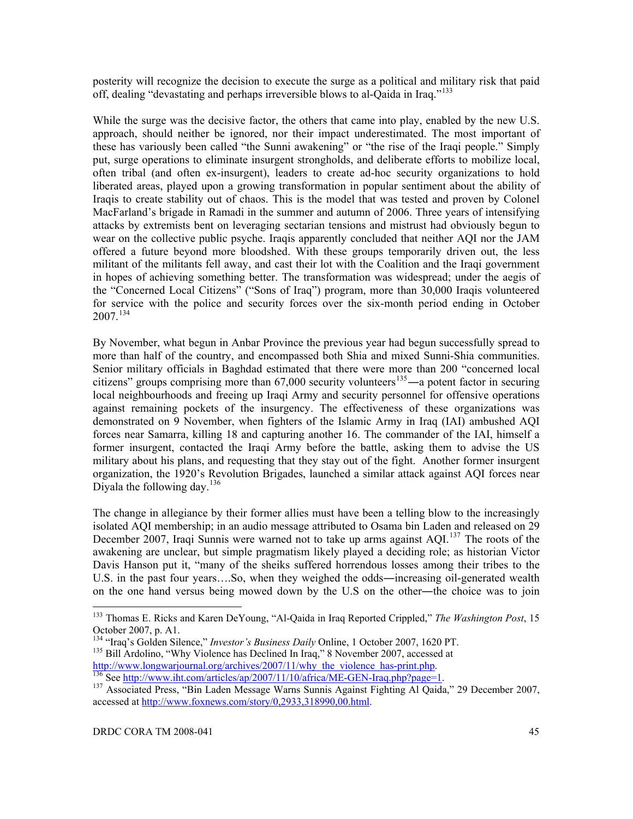posterity will recognize the decision to execute the surge as a political and military risk that paid off, dealing "devastating and perhaps irreversible blows to al-Qaida in Iraq."[133](#page-59-0)

While the surge was the decisive factor, the others that came into play, enabled by the new U.S. approach, should neither be ignored, nor their impact underestimated. The most important of these has variously been called "the Sunni awakening" or "the rise of the Iraqi people." Simply put, surge operations to eliminate insurgent strongholds, and deliberate efforts to mobilize local, often tribal (and often ex-insurgent), leaders to create ad-hoc security organizations to hold liberated areas, played upon a growing transformation in popular sentiment about the ability of Iraqis to create stability out of chaos. This is the model that was tested and proven by Colonel MacFarland's brigade in Ramadi in the summer and autumn of 2006. Three years of intensifying attacks by extremists bent on leveraging sectarian tensions and mistrust had obviously begun to wear on the collective public psyche. Iraqis apparently concluded that neither AQI nor the JAM offered a future beyond more bloodshed. With these groups temporarily driven out, the less militant of the militants fell away, and cast their lot with the Coalition and the Iraqi government in hopes of achieving something better. The transformation was widespread; under the aegis of the "Concerned Local Citizens" ("Sons of Iraq") program, more than 30,000 Iraqis volunteered for service with the police and security forces over the six-month period ending in October  $2007.<sup>134</sup>$  $2007.<sup>134</sup>$  $2007.<sup>134</sup>$ 

By November, what begun in Anbar Province the previous year had begun successfully spread to more than half of the country, and encompassed both Shia and mixed Sunni-Shia communities. Senior military officials in Baghdad estimated that there were more than 200 "concerned local citizens" groups comprising more than  $67,000$  security volunteers<sup>[135](#page-59-2)</sup>—a potent factor in securing local neighbourhoods and freeing up Iraqi Army and security personnel for offensive operations against remaining pockets of the insurgency. The effectiveness of these organizations was demonstrated on 9 November, when fighters of the Islamic Army in Iraq (IAI) ambushed AQI forces near Samarra, killing 18 and capturing another 16. The commander of the IAI, himself a former insurgent, contacted the Iraqi Army before the battle, asking them to advise the US military about his plans, and requesting that they stay out of the fight. Another former insurgent organization, the 1920's Revolution Brigades, launched a similar attack against AQI forces near Divala the following day.<sup>[136](#page-59-3)</sup>

The change in allegiance by their former allies must have been a telling blow to the increasingly isolated AQI membership; in an audio message attributed to Osama bin Laden and released on 29 December 2007, Iraqi Sunnis were warned not to take up arms against  $AQI$ <sup>[137](#page-59-4)</sup>. The roots of the awakening are unclear, but simple pragmatism likely played a deciding role; as historian Victor Davis Hanson put it, "many of the sheiks suffered horrendous losses among their tribes to the U.S. in the past four years….So, when they weighed the odds―increasing oil-generated wealth on the one hand versus being mowed down by the U.S on the other―the choice was to join

<span id="page-59-0"></span><sup>133</sup> Thomas E. Ricks and Karen DeYoung, "Al-Qaida in Iraq Reported Crippled," *The Washington Post*, 15 October 2007, p. A1.<br><sup>134</sup> "Iraq's Golden Silence," *Investor's Business Daily* Online, 1 October 2007, 1620 PT.

<span id="page-59-1"></span>

<span id="page-59-2"></span><sup>&</sup>lt;sup>135</sup> Bill Ardolino, "Why Violence has Declined In Iraq," 8 November 2007, accessed at http://www.longwarjournal.org/archives/2007/11/why\_the\_violence\_has-print.php.

<span id="page-59-4"></span><span id="page-59-3"></span><sup>&</sup>lt;sup>136</sup>See [http://www.iht.com/articles/ap/2007/11/10/africa/ME-GEN-Iraq.php?page=1.](http://www.iht.com/articles/ap/2007/11/10/africa/ME-GEN-Iraq.php?page=1)<br><sup>137</sup> Associated Press, "Bin Laden Message Warns Sunnis Against Fighting Al Qaida," 29 December 2007, accessed at<http://www.foxnews.com/story/0,2933,318990,00.html>.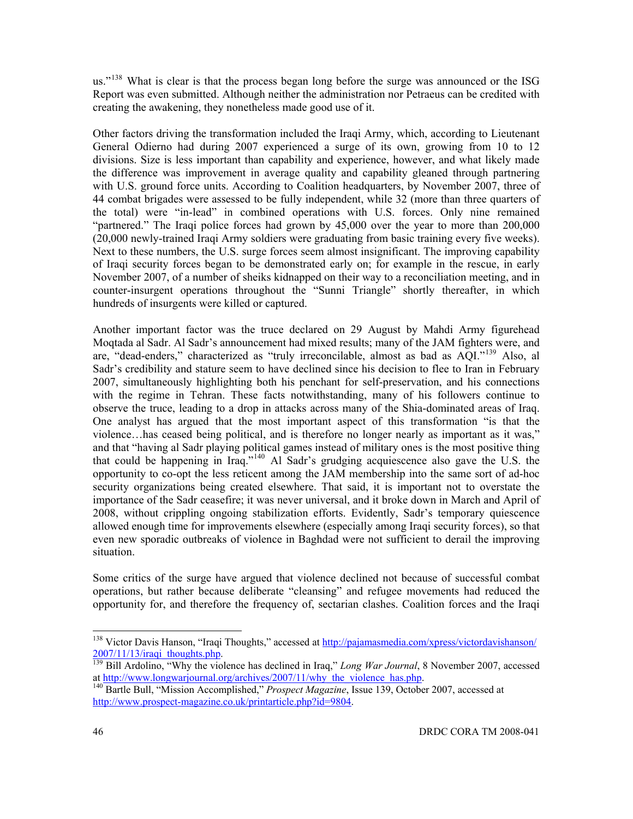us."<sup>[138](#page-60-0)</sup> What is clear is that the process began long before the surge was announced or the ISG Report was even submitted. Although neither the administration nor Petraeus can be credited with creating the awakening, they nonetheless made good use of it.

Other factors driving the transformation included the Iraqi Army, which, according to Lieutenant General Odierno had during 2007 experienced a surge of its own, growing from 10 to 12 divisions. Size is less important than capability and experience, however, and what likely made the difference was improvement in average quality and capability gleaned through partnering with U.S. ground force units. According to Coalition headquarters, by November 2007, three of 44 combat brigades were assessed to be fully independent, while 32 (more than three quarters of the total) were "in-lead" in combined operations with U.S. forces. Only nine remained "partnered." The Iraqi police forces had grown by 45,000 over the year to more than 200,000 (20,000 newly-trained Iraqi Army soldiers were graduating from basic training every five weeks). Next to these numbers, the U.S. surge forces seem almost insignificant. The improving capability of Iraqi security forces began to be demonstrated early on; for example in the rescue, in early November 2007, of a number of sheiks kidnapped on their way to a reconciliation meeting, and in counter-insurgent operations throughout the "Sunni Triangle" shortly thereafter, in which hundreds of insurgents were killed or captured.

Another important factor was the truce declared on 29 August by Mahdi Army figurehead Moqtada al Sadr. Al Sadr's announcement had mixed results; many of the JAM fighters were, and are, "dead-enders," characterized as "truly irreconcilable, almost as bad as AQI."[139](#page-60-1) Also, al Sadr's credibility and stature seem to have declined since his decision to flee to Iran in February 2007, simultaneously highlighting both his penchant for self-preservation, and his connections with the regime in Tehran. These facts notwithstanding, many of his followers continue to observe the truce, leading to a drop in attacks across many of the Shia-dominated areas of Iraq. One analyst has argued that the most important aspect of this transformation "is that the violence…has ceased being political, and is therefore no longer nearly as important as it was," and that "having al Sadr playing political games instead of military ones is the most positive thing that could be happening in Iraq."[140](#page-60-2) Al Sadr's grudging acquiescence also gave the U.S. the opportunity to co-opt the less reticent among the JAM membership into the same sort of ad-hoc security organizations being created elsewhere. That said, it is important not to overstate the importance of the Sadr ceasefire; it was never universal, and it broke down in March and April of 2008, without crippling ongoing stabilization efforts. Evidently, Sadr's temporary quiescence allowed enough time for improvements elsewhere (especially among Iraqi security forces), so that even new sporadic outbreaks of violence in Baghdad were not sufficient to derail the improving situation.

Some critics of the surge have argued that violence declined not because of successful combat operations, but rather because deliberate "cleansing" and refugee movements had reduced the opportunity for, and therefore the frequency of, sectarian clashes. Coalition forces and the Iraqi

 <sup>138</sup> Victor Davis Hanson, "Iraqi Thoughts," accessed at http://pajamasmedia.com/xpress/victordavishanson/

<span id="page-60-1"></span><span id="page-60-0"></span><sup>2007/11/13/</sup>iraqi\_thoughts.php.<br>
<sup>139</sup> Bill Ardolino, "Why the violence has declined in Iraq," *Long War Journal*, 8 November 2007, accessed<br>
at http://www.longwarjournal.org/archives/2007/11/why the violence has.php.

<span id="page-60-2"></span><sup>&</sup>lt;sup>140</sup> Bartle Bull, "Mission Accomplished," *Prospect Magazine*, Issue 139, October 2007, accessed at [http://www.prospect-magazine.co.uk/printarticle.php?id=9804.](http://www.prospect-magazine.co.uk/printarticle.php?id=9804)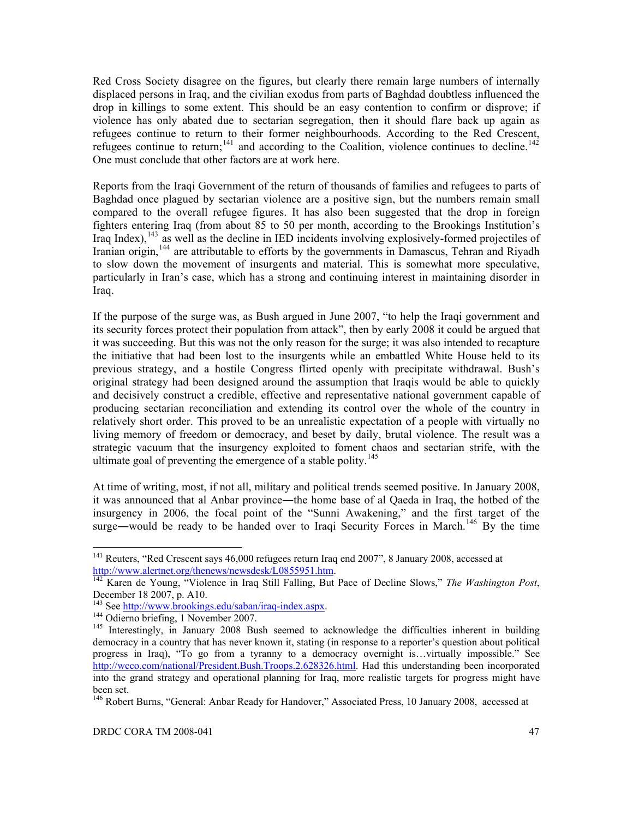Red Cross Society disagree on the figures, but clearly there remain large numbers of internally displaced persons in Iraq, and the civilian exodus from parts of Baghdad doubtless influenced the drop in killings to some extent. This should be an easy contention to confirm or disprove; if violence has only abated due to sectarian segregation, then it should flare back up again as refugees continue to return to their former neighbourhoods. According to the Red Crescent, refugees continue to return;<sup>[141](#page-61-0)</sup> and according to the Coalition, violence continues to decline.<sup>[142](#page-61-1)</sup> One must conclude that other factors are at work here.

Reports from the Iraqi Government of the return of thousands of families and refugees to parts of Baghdad once plagued by sectarian violence are a positive sign, but the numbers remain small compared to the overall refugee figures. It has also been suggested that the drop in foreign fighters entering Iraq (from about 85 to 50 per month, according to the Brookings Institution's Iraq Index),<sup>[143](#page-61-2)</sup> as well as the decline in IED incidents involving explosively-formed projectiles of Iranian origin,<sup>[144](#page-61-3)</sup> are attributable to efforts by the governments in Damascus, Tehran and Riyadh to slow down the movement of insurgents and material. This is somewhat more speculative, particularly in Iran's case, which has a strong and continuing interest in maintaining disorder in Iraq.

If the purpose of the surge was, as Bush argued in June 2007, "to help the Iraqi government and its security forces protect their population from attack", then by early 2008 it could be argued that it was succeeding. But this was not the only reason for the surge; it was also intended to recapture the initiative that had been lost to the insurgents while an embattled White House held to its previous strategy, and a hostile Congress flirted openly with precipitate withdrawal. Bush's original strategy had been designed around the assumption that Iraqis would be able to quickly and decisively construct a credible, effective and representative national government capable of producing sectarian reconciliation and extending its control over the whole of the country in relatively short order. This proved to be an unrealistic expectation of a people with virtually no living memory of freedom or democracy, and beset by daily, brutal violence. The result was a strategic vacuum that the insurgency exploited to foment chaos and sectarian strife, with the ultimate goal of preventing the emergence of a stable polity.<sup>[145](#page-61-4)</sup>

At time of writing, most, if not all, military and political trends seemed positive. In January 2008, it was announced that al Anbar province—the home base of al Qaeda in Iraq, the hotbed of the insurgency in 2006, the focal point of the "Sunni Awakening," and the first target of the surge—would be ready to be handed over to Iraqi Security Forces in March.<sup>[146](#page-61-5)</sup> By the time

<span id="page-61-0"></span><sup>&</sup>lt;sup>141</sup> Reuters, "Red Crescent says 46,000 refugees return Iraq end 2007", 8 January 2008, accessed at [http://www.alertnet.org/thenews/newsdesk/L0855951.htm.](http://www.alertnet.org/thenews/newsdesk/L0855951.htm) [142](http://www.alertnet.org/thenews/newsdesk/L0855951.htm) Karen de Young, "Violence in Iraq Still Falling, But Pace of Decline Slows," *The Washington Post*,

<span id="page-61-1"></span>December 18 2007, p. A10.<br><sup>143</sup> See http://www.brookings.edu/saban/iraq-index.aspx.

<span id="page-61-4"></span><span id="page-61-3"></span><span id="page-61-2"></span><sup>&</sup>lt;sup>144</sup> Odierno briefing, 1 November 2007.<br><sup>145</sup> Interestingly, in January 2008 Bush seemed to acknowledge the difficulties inherent in building democracy in a country that has never known it, stating (in response to a reporter's question about political progress in Iraq), "To go from a tyranny to a democracy overnight is…virtually impossible." See <http://wcco.com/national/President.Bush.Troops.2.628326.html>. Had this understanding been incorporated into the grand strategy and operational planning for Iraq, more realistic targets for progress might have been set.

<span id="page-61-5"></span><sup>&</sup>lt;sup>146</sup> Robert Burns, "General: Anbar Ready for Handover," Associated Press, 10 January 2008, accessed at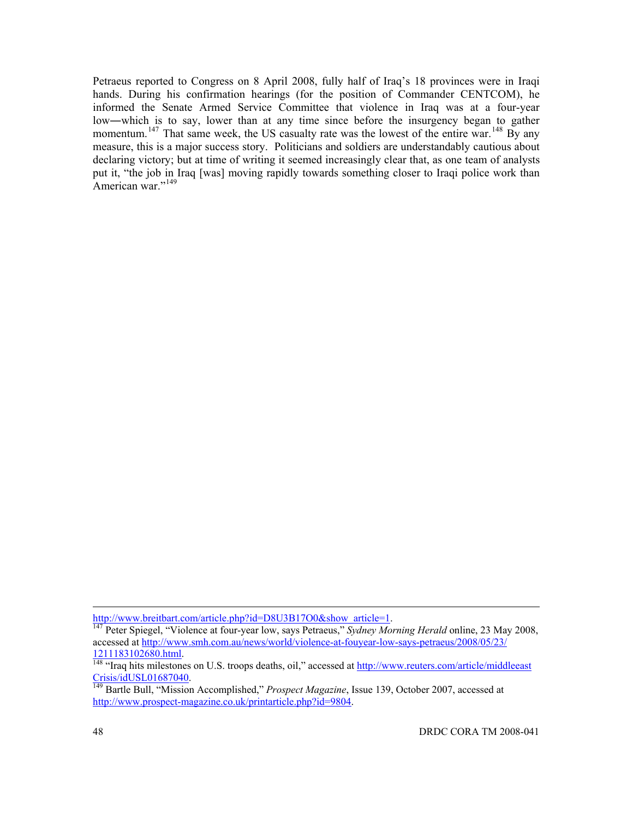Petraeus reported to Congress on 8 April 2008, fully half of Iraq's 18 provinces were in Iraqi hands. During his confirmation hearings (for the position of Commander CENTCOM), he informed the Senate Armed Service Committee that violence in Iraq was at a four-year low―which is to say, lower than at any time since before the insurgency began to gather momentum.<sup>[147](#page-62-0)</sup> That same week, the US casualty rate was the lowest of the entire war.<sup>[148](#page-62-1)</sup> By any measure, this is a major success story. Politicians and soldiers are understandably cautious about declaring victory; but at time of writing it seemed increasingly clear that, as one team of analysts put it, "the job in Iraq [was] moving rapidly towards something closer to Iraqi police work than American war."<sup>[149](#page-62-2)</sup>

<u>.</u>

<span id="page-62-0"></span>[http://www.breitbart.com/article.php?id=D8U3B17O0&show\\_article=1.](http://www.breitbart.com/article.php?id=D8U3B17O0&show_article=1)<br><sup>[147](http://www.breitbart.com/article.php?id=D8U3B17O0&show_article=1)</sup> Peter Spiegel, "Violence at four-year low, says Petraeus," *Sydney Morning Herald* online, 23 May 2008, accessed at http://www.smh.com.au/news/world/violence-at-fouyear-low-says-petraeus/2008/05/23/ 1211183102680.html. 148 "Iraq hits milestones on U.S. troops deaths, oil," accessed at [http://www.reuters.com/article/middleeast](http://www.reuters.com/article/middleeast%20Crisis/idUSL01687040) 

<span id="page-62-2"></span><span id="page-62-1"></span>[Crisis/idUSL01687040.](http://www.reuters.com/article/middleeast%20Crisis/idUSL01687040) [149](http://www.reuters.com/article/middleeast%20Crisis/idUSL01687040) Bartle Bull, "Mission Accomplished," *Prospect Magazine*, Issue 139, October 2007, accessed at [http://www.prospect-magazine.co.uk/printarticle.php?id=9804.](http://www.prospect-magazine.co.uk/printarticle.php?id=9804)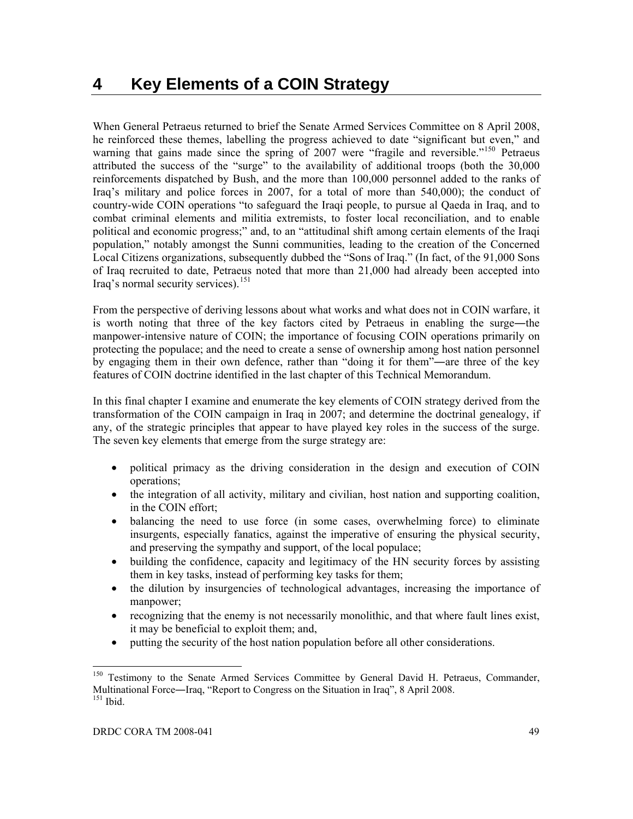When General Petraeus returned to brief the Senate Armed Services Committee on 8 April 2008, he reinforced these themes, labelling the progress achieved to date "significant but even," and warning that gains made since the spring of 2007 were "fragile and reversible."<sup>[150](#page-63-0)</sup> Petraeus attributed the success of the "surge" to the availability of additional troops (both the 30,000 reinforcements dispatched by Bush, and the more than 100,000 personnel added to the ranks of Iraq's military and police forces in 2007, for a total of more than 540,000); the conduct of country-wide COIN operations "to safeguard the Iraqi people, to pursue al Qaeda in Iraq, and to combat criminal elements and militia extremists, to foster local reconciliation, and to enable political and economic progress;" and, to an "attitudinal shift among certain elements of the Iraqi population," notably amongst the Sunni communities, leading to the creation of the Concerned Local Citizens organizations, subsequently dubbed the "Sons of Iraq." (In fact, of the 91,000 Sons of Iraq recruited to date, Petraeus noted that more than 21,000 had already been accepted into Iraq's normal security services).<sup>[151](#page-63-1)</sup>

From the perspective of deriving lessons about what works and what does not in COIN warfare, it is worth noting that three of the key factors cited by Petraeus in enabling the surge―the manpower-intensive nature of COIN; the importance of focusing COIN operations primarily on protecting the populace; and the need to create a sense of ownership among host nation personnel by engaging them in their own defence, rather than "doing it for them"―are three of the key features of COIN doctrine identified in the last chapter of this Technical Memorandum.

In this final chapter I examine and enumerate the key elements of COIN strategy derived from the transformation of the COIN campaign in Iraq in 2007; and determine the doctrinal genealogy, if any, of the strategic principles that appear to have played key roles in the success of the surge. The seven key elements that emerge from the surge strategy are:

- political primacy as the driving consideration in the design and execution of COIN operations;
- the integration of all activity, military and civilian, host nation and supporting coalition, in the COIN effort;
- balancing the need to use force (in some cases, overwhelming force) to eliminate insurgents, especially fanatics, against the imperative of ensuring the physical security, and preserving the sympathy and support, of the local populace;
- building the confidence, capacity and legitimacy of the HN security forces by assisting them in key tasks, instead of performing key tasks for them;
- the dilution by insurgencies of technological advantages, increasing the importance of manpower;
- recognizing that the enemy is not necessarily monolithic, and that where fault lines exist, it may be beneficial to exploit them; and,
- putting the security of the host nation population before all other considerations.

<span id="page-63-1"></span><span id="page-63-0"></span><sup>&</sup>lt;sup>150</sup> Testimony to the Senate Armed Services Committee by General David H. Petraeus, Commander, Multinational Force―Iraq, "Report to Congress on the Situation in Iraq", 8 April 2008. 151 Ibid.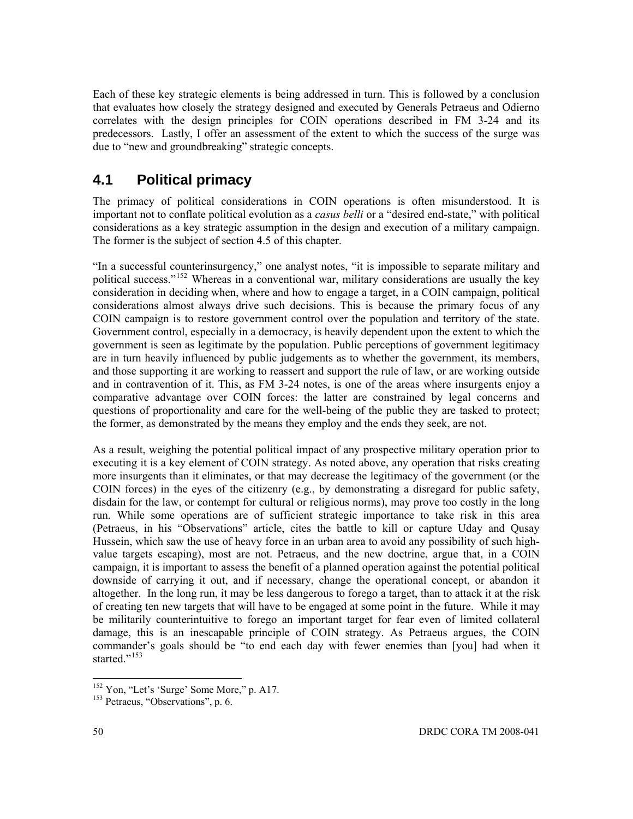Each of these key strategic elements is being addressed in turn. This is followed by a conclusion that evaluates how closely the strategy designed and executed by Generals Petraeus and Odierno correlates with the design principles for COIN operations described in FM 3-24 and its predecessors. Lastly, I offer an assessment of the extent to which the success of the surge was due to "new and groundbreaking" strategic concepts.

### **4.1 Political primacy**

The primacy of political considerations in COIN operations is often misunderstood. It is important not to conflate political evolution as a *casus belli* or a "desired end-state," with political considerations as a key strategic assumption in the design and execution of a military campaign. The former is the subject of section 4.5 of this chapter.

"In a successful counterinsurgency," one analyst notes, "it is impossible to separate military and political success."[152](#page-64-0) Whereas in a conventional war, military considerations are usually the key consideration in deciding when, where and how to engage a target, in a COIN campaign, political considerations almost always drive such decisions. This is because the primary focus of any COIN campaign is to restore government control over the population and territory of the state. Government control, especially in a democracy, is heavily dependent upon the extent to which the government is seen as legitimate by the population. Public perceptions of government legitimacy are in turn heavily influenced by public judgements as to whether the government, its members, and those supporting it are working to reassert and support the rule of law, or are working outside and in contravention of it. This, as FM 3-24 notes, is one of the areas where insurgents enjoy a comparative advantage over COIN forces: the latter are constrained by legal concerns and questions of proportionality and care for the well-being of the public they are tasked to protect; the former, as demonstrated by the means they employ and the ends they seek, are not.

As a result, weighing the potential political impact of any prospective military operation prior to executing it is a key element of COIN strategy. As noted above, any operation that risks creating more insurgents than it eliminates, or that may decrease the legitimacy of the government (or the COIN forces) in the eyes of the citizenry (e.g., by demonstrating a disregard for public safety, disdain for the law, or contempt for cultural or religious norms), may prove too costly in the long run. While some operations are of sufficient strategic importance to take risk in this area (Petraeus, in his "Observations" article, cites the battle to kill or capture Uday and Qusay Hussein, which saw the use of heavy force in an urban area to avoid any possibility of such highvalue targets escaping), most are not. Petraeus, and the new doctrine, argue that, in a COIN campaign, it is important to assess the benefit of a planned operation against the potential political downside of carrying it out, and if necessary, change the operational concept, or abandon it altogether. In the long run, it may be less dangerous to forego a target, than to attack it at the risk of creating ten new targets that will have to be engaged at some point in the future. While it may be militarily counterintuitive to forego an important target for fear even of limited collateral damage, this is an inescapable principle of COIN strategy. As Petraeus argues, the COIN commander's goals should be "to end each day with fewer enemies than [you] had when it started<sup>"[153](#page-64-1)</sup>

<span id="page-64-0"></span><sup>&</sup>lt;sup>152</sup> Yon, "Let's 'Surge' Some More," p. A17.<br><sup>153</sup> Petraeus, "Observations", p. 6.

<span id="page-64-1"></span>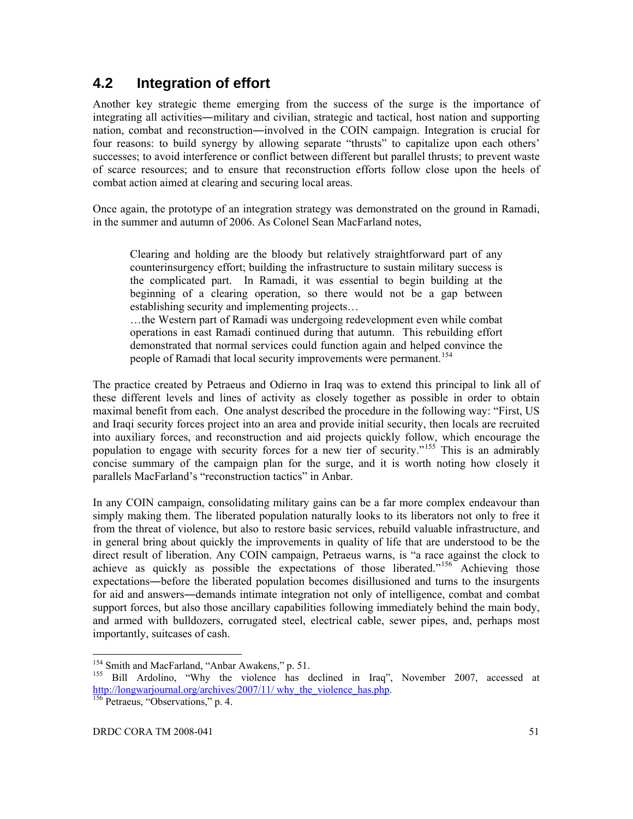#### **4.2 Integration of effort**

Another key strategic theme emerging from the success of the surge is the importance of integrating all activities―military and civilian, strategic and tactical, host nation and supporting nation, combat and reconstruction―involved in the COIN campaign. Integration is crucial for four reasons: to build synergy by allowing separate "thrusts" to capitalize upon each others' successes; to avoid interference or conflict between different but parallel thrusts; to prevent waste of scarce resources; and to ensure that reconstruction efforts follow close upon the heels of combat action aimed at clearing and securing local areas.

Once again, the prototype of an integration strategy was demonstrated on the ground in Ramadi, in the summer and autumn of 2006. As Colonel Sean MacFarland notes,

Clearing and holding are the bloody but relatively straightforward part of any counterinsurgency effort; building the infrastructure to sustain military success is the complicated part. In Ramadi, it was essential to begin building at the beginning of a clearing operation, so there would not be a gap between establishing security and implementing projects…

…the Western part of Ramadi was undergoing redevelopment even while combat operations in east Ramadi continued during that autumn. This rebuilding effort demonstrated that normal services could function again and helped convince the people of Ramadi that local security improvements were permanent.<sup>[154](#page-65-0)</sup>

The practice created by Petraeus and Odierno in Iraq was to extend this principal to link all of these different levels and lines of activity as closely together as possible in order to obtain maximal benefit from each. One analyst described the procedure in the following way: "First, US and Iraqi security forces project into an area and provide initial security, then locals are recruited into auxiliary forces, and reconstruction and aid projects quickly follow, which encourage the population to engage with security forces for a new tier of security."<sup>[155](#page-65-1)</sup> This is an admirably concise summary of the campaign plan for the surge, and it is worth noting how closely it parallels MacFarland's "reconstruction tactics" in Anbar.

In any COIN campaign, consolidating military gains can be a far more complex endeavour than simply making them. The liberated population naturally looks to its liberators not only to free it from the threat of violence, but also to restore basic services, rebuild valuable infrastructure, and in general bring about quickly the improvements in quality of life that are understood to be the direct result of liberation. Any COIN campaign, Petraeus warns, is "a race against the clock to achieve as quickly as possible the expectations of those liberated."<sup>[156](#page-65-2)</sup> Achieving those expectations―before the liberated population becomes disillusioned and turns to the insurgents for aid and answers―demands intimate integration not only of intelligence, combat and combat support forces, but also those ancillary capabilities following immediately behind the main body, and armed with bulldozers, corrugated steel, electrical cable, sewer pipes, and, perhaps most importantly, suitcases of cash.

<span id="page-65-0"></span><sup>&</sup>lt;sup>154</sup> Smith and MacFarland, "Anbar Awakens," p. 51.

<span id="page-65-1"></span><sup>&</sup>lt;sup>155</sup> Bill Ardolino, "Why the violence has declined in Iraq", November 2007, accessed at http://longwarjournal.org/archives/2007/11/ why\_the\_violence\_has.php. 156 Petraeus, "Observations," p. 4.

<span id="page-65-2"></span>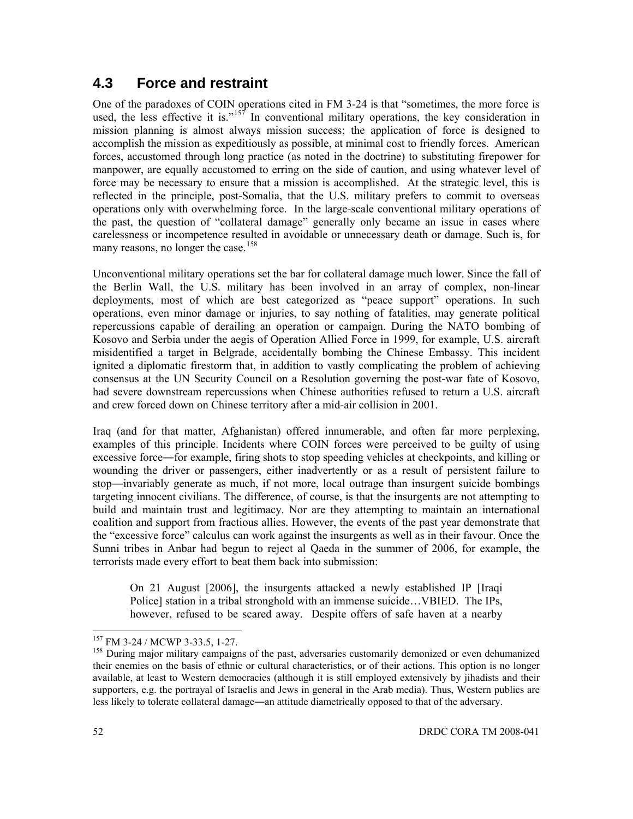#### **4.3 Force and restraint**

One of the paradoxes of COIN operations cited in FM 3-24 is that "sometimes, the more force is used, the less effective it is."<sup>[157](#page-66-0)</sup> In conventional military operations, the key consideration in mission planning is almost always mission success; the application of force is designed to accomplish the mission as expeditiously as possible, at minimal cost to friendly forces. American forces, accustomed through long practice (as noted in the doctrine) to substituting firepower for manpower, are equally accustomed to erring on the side of caution, and using whatever level of force may be necessary to ensure that a mission is accomplished. At the strategic level, this is reflected in the principle, post-Somalia, that the U.S. military prefers to commit to overseas operations only with overwhelming force. In the large-scale conventional military operations of the past, the question of "collateral damage" generally only became an issue in cases where carelessness or incompetence resulted in avoidable or unnecessary death or damage. Such is, for many reasons, no longer the case.<sup>[158](#page-66-1)</sup>

Unconventional military operations set the bar for collateral damage much lower. Since the fall of the Berlin Wall, the U.S. military has been involved in an array of complex, non-linear deployments, most of which are best categorized as "peace support" operations. In such operations, even minor damage or injuries, to say nothing of fatalities, may generate political repercussions capable of derailing an operation or campaign. During the NATO bombing of Kosovo and Serbia under the aegis of Operation Allied Force in 1999, for example, U.S. aircraft misidentified a target in Belgrade, accidentally bombing the Chinese Embassy. This incident ignited a diplomatic firestorm that, in addition to vastly complicating the problem of achieving consensus at the UN Security Council on a Resolution governing the post-war fate of Kosovo, had severe downstream repercussions when Chinese authorities refused to return a U.S. aircraft and crew forced down on Chinese territory after a mid-air collision in 2001.

Iraq (and for that matter, Afghanistan) offered innumerable, and often far more perplexing, examples of this principle. Incidents where COIN forces were perceived to be guilty of using excessive force―for example, firing shots to stop speeding vehicles at checkpoints, and killing or wounding the driver or passengers, either inadvertently or as a result of persistent failure to stop―invariably generate as much, if not more, local outrage than insurgent suicide bombings targeting innocent civilians. The difference, of course, is that the insurgents are not attempting to build and maintain trust and legitimacy. Nor are they attempting to maintain an international coalition and support from fractious allies. However, the events of the past year demonstrate that the "excessive force" calculus can work against the insurgents as well as in their favour. Once the Sunni tribes in Anbar had begun to reject al Qaeda in the summer of 2006, for example, the terrorists made every effort to beat them back into submission:

On 21 August [2006], the insurgents attacked a newly established IP [Iraqi Police] station in a tribal stronghold with an immense suicide…VBIED. The IPs, however, refused to be scared away. Despite offers of safe haven at a nearby

<span id="page-66-0"></span><sup>&</sup>lt;sup>157</sup> FM 3-24 / MCWP 3-33.5, 1-27.

<span id="page-66-1"></span><sup>&</sup>lt;sup>158</sup> During major military campaigns of the past, adversaries customarily demonized or even dehumanized their enemies on the basis of ethnic or cultural characteristics, or of their actions. This option is no longer available, at least to Western democracies (although it is still employed extensively by jihadists and their supporters, e.g. the portrayal of Israelis and Jews in general in the Arab media). Thus, Western publics are less likely to tolerate collateral damage―an attitude diametrically opposed to that of the adversary.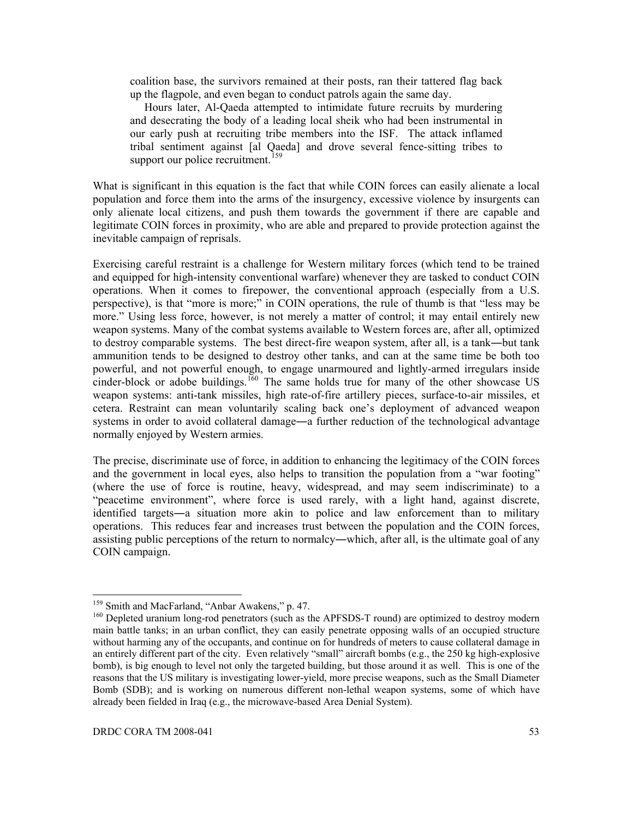coalition base, the survivors remained at their posts, ran their tattered flag back up the flagpole, and even began to conduct patrols again the same day.

 Hours later, Al-Qaeda attempted to intimidate future recruits by murdering and desecrating the body of a leading local sheik who had been instrumental in our early push at recruiting tribe members into the ISF. The attack inflamed tribal sentiment against [al Qaeda] and drove several fence-sitting tribes to support our police recruitment.<sup>[159](#page-67-0)</sup>

What is significant in this equation is the fact that while COIN forces can easily alienate a local population and force them into the arms of the insurgency, excessive violence by insurgents can only alienate local citizens, and push them towards the government if there are capable and legitimate COIN forces in proximity, who are able and prepared to provide protection against the inevitable campaign of reprisals.

Exercising careful restraint is a challenge for Western military forces (which tend to be trained and equipped for high-intensity conventional warfare) whenever they are tasked to conduct COIN operations. When it comes to firepower, the conventional approach (especially from a U.S. perspective), is that "more is more;" in COIN operations, the rule of thumb is that "less may be more." Using less force, however, is not merely a matter of control; it may entail entirely new weapon systems. Many of the combat systems available to Western forces are, after all, optimized to destroy comparable systems. The best direct-fire weapon system, after all, is a tank―but tank ammunition tends to be designed to destroy other tanks, and can at the same time be both too powerful, and not powerful enough, to engage unarmoured and lightly-armed irregulars inside cinder-block or adobe buildings.<sup>[160](#page-67-1)</sup> The same holds true for many of the other showcase US weapon systems: anti-tank missiles, high rate-of-fire artillery pieces, surface-to-air missiles, et cetera. Restraint can mean voluntarily scaling back one's deployment of advanced weapon systems in order to avoid collateral damage―a further reduction of the technological advantage normally enjoyed by Western armies.

The precise, discriminate use of force, in addition to enhancing the legitimacy of the COIN forces and the government in local eyes, also helps to transition the population from a "war footing" (where the use of force is routine, heavy, widespread, and may seem indiscriminate) to a "peacetime environment", where force is used rarely, with a light hand, against discrete, identified targets―a situation more akin to police and law enforcement than to military operations. This reduces fear and increases trust between the population and the COIN forces, assisting public perceptions of the return to normalcy―which, after all, is the ultimate goal of any COIN campaign.

<span id="page-67-0"></span><sup>&</sup>lt;sup>159</sup> Smith and MacFarland, "Anbar Awakens," p. 47.

<span id="page-67-1"></span><sup>&</sup>lt;sup>160</sup> Depleted uranium long-rod penetrators (such as the APFSDS-T round) are optimized to destroy modern main battle tanks; in an urban conflict, they can easily penetrate opposing walls of an occupied structure without harming any of the occupants, and continue on for hundreds of meters to cause collateral damage in an entirely different part of the city. Even relatively "small" aircraft bombs (e.g., the 250 kg high-explosive bomb), is big enough to level not only the targeted building, but those around it as well. This is one of the reasons that the US military is investigating lower-yield, more precise weapons, such as the Small Diameter Bomb (SDB); and is working on numerous different non-lethal weapon systems, some of which have already been fielded in Iraq (e.g., the microwave-based Area Denial System).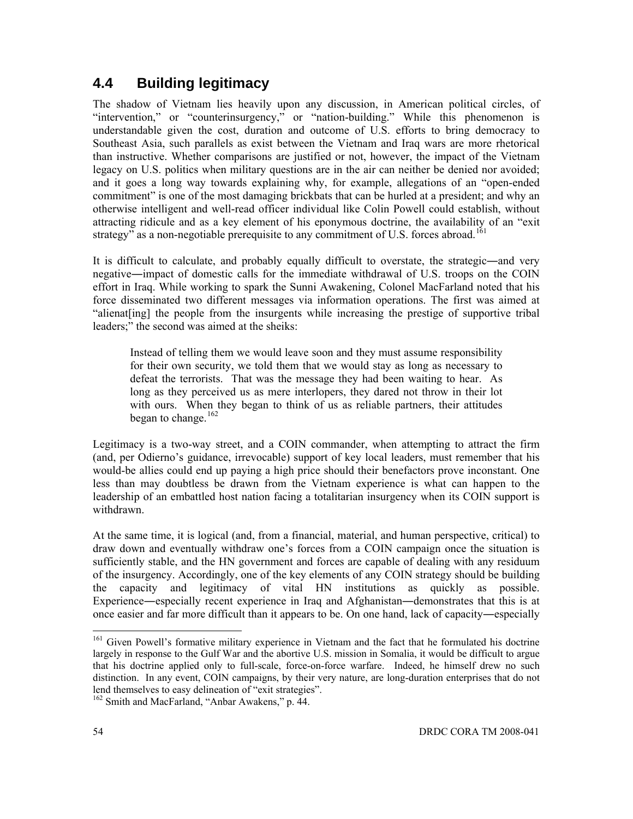## **4.4 Building legitimacy**

The shadow of Vietnam lies heavily upon any discussion, in American political circles, of "intervention," or "counterinsurgency," or "nation-building." While this phenomenon is understandable given the cost, duration and outcome of U.S. efforts to bring democracy to Southeast Asia, such parallels as exist between the Vietnam and Iraq wars are more rhetorical than instructive. Whether comparisons are justified or not, however, the impact of the Vietnam legacy on U.S. politics when military questions are in the air can neither be denied nor avoided; and it goes a long way towards explaining why, for example, allegations of an "open-ended commitment" is one of the most damaging brickbats that can be hurled at a president; and why an otherwise intelligent and well-read officer individual like Colin Powell could establish, without attracting ridicule and as a key element of his eponymous doctrine, the availability of an "exit strategy" as a non-negotiable prerequisite to any commitment of U.S. forces abroad.<sup>[161](#page-68-0)</sup>

It is difficult to calculate, and probably equally difficult to overstate, the strategic―and very negative―impact of domestic calls for the immediate withdrawal of U.S. troops on the COIN effort in Iraq. While working to spark the Sunni Awakening, Colonel MacFarland noted that his force disseminated two different messages via information operations. The first was aimed at "alienat[ing] the people from the insurgents while increasing the prestige of supportive tribal leaders;" the second was aimed at the sheiks:

Instead of telling them we would leave soon and they must assume responsibility for their own security, we told them that we would stay as long as necessary to defeat the terrorists. That was the message they had been waiting to hear. As long as they perceived us as mere interlopers, they dared not throw in their lot with ours. When they began to think of us as reliable partners, their attitudes began to change.<sup>[162](#page-68-1)</sup>

Legitimacy is a two-way street, and a COIN commander, when attempting to attract the firm (and, per Odierno's guidance, irrevocable) support of key local leaders, must remember that his would-be allies could end up paying a high price should their benefactors prove inconstant. One less than may doubtless be drawn from the Vietnam experience is what can happen to the leadership of an embattled host nation facing a totalitarian insurgency when its COIN support is withdrawn.

At the same time, it is logical (and, from a financial, material, and human perspective, critical) to draw down and eventually withdraw one's forces from a COIN campaign once the situation is sufficiently stable, and the HN government and forces are capable of dealing with any residuum of the insurgency. Accordingly, one of the key elements of any COIN strategy should be building the capacity and legitimacy of vital HN institutions as quickly as possible. Experience―especially recent experience in Iraq and Afghanistan―demonstrates that this is at once easier and far more difficult than it appears to be. On one hand, lack of capacity―especially

<span id="page-68-0"></span><sup>&</sup>lt;sup>161</sup> Given Powell's formative military experience in Vietnam and the fact that he formulated his doctrine largely in response to the Gulf War and the abortive U.S. mission in Somalia, it would be difficult to argue that his doctrine applied only to full-scale, force-on-force warfare. Indeed, he himself drew no such distinction. In any event, COIN campaigns, by their very nature, are long-duration enterprises that do not lend themselves to easy delineation of "exit strategies".

<span id="page-68-1"></span><sup>162</sup> Smith and MacFarland, "Anbar Awakens," p. 44.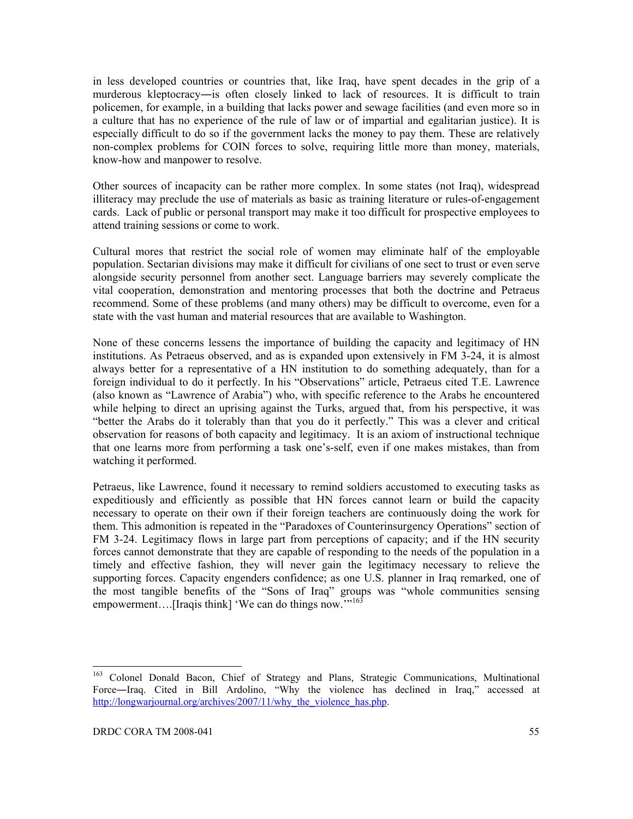in less developed countries or countries that, like Iraq, have spent decades in the grip of a murderous kleptocracy―is often closely linked to lack of resources. It is difficult to train policemen, for example, in a building that lacks power and sewage facilities (and even more so in a culture that has no experience of the rule of law or of impartial and egalitarian justice). It is especially difficult to do so if the government lacks the money to pay them. These are relatively non-complex problems for COIN forces to solve, requiring little more than money, materials, know-how and manpower to resolve.

Other sources of incapacity can be rather more complex. In some states (not Iraq), widespread illiteracy may preclude the use of materials as basic as training literature or rules-of-engagement cards. Lack of public or personal transport may make it too difficult for prospective employees to attend training sessions or come to work.

Cultural mores that restrict the social role of women may eliminate half of the employable population. Sectarian divisions may make it difficult for civilians of one sect to trust or even serve alongside security personnel from another sect. Language barriers may severely complicate the vital cooperation, demonstration and mentoring processes that both the doctrine and Petraeus recommend. Some of these problems (and many others) may be difficult to overcome, even for a state with the vast human and material resources that are available to Washington.

None of these concerns lessens the importance of building the capacity and legitimacy of HN institutions. As Petraeus observed, and as is expanded upon extensively in FM 3-24, it is almost always better for a representative of a HN institution to do something adequately, than for a foreign individual to do it perfectly. In his "Observations" article, Petraeus cited T.E. Lawrence (also known as "Lawrence of Arabia") who, with specific reference to the Arabs he encountered while helping to direct an uprising against the Turks, argued that, from his perspective, it was "better the Arabs do it tolerably than that you do it perfectly." This was a clever and critical observation for reasons of both capacity and legitimacy. It is an axiom of instructional technique that one learns more from performing a task one's-self, even if one makes mistakes, than from watching it performed.

Petraeus, like Lawrence, found it necessary to remind soldiers accustomed to executing tasks as expeditiously and efficiently as possible that HN forces cannot learn or build the capacity necessary to operate on their own if their foreign teachers are continuously doing the work for them. This admonition is repeated in the "Paradoxes of Counterinsurgency Operations" section of FM 3-24. Legitimacy flows in large part from perceptions of capacity; and if the HN security forces cannot demonstrate that they are capable of responding to the needs of the population in a timely and effective fashion, they will never gain the legitimacy necessary to relieve the supporting forces. Capacity engenders confidence; as one U.S. planner in Iraq remarked, one of the most tangible benefits of the "Sons of Iraq" groups was "whole communities sensing empowerment....[Iraqis think] 'We can do things now."<sup>[163](#page-69-0)</sup>

 $\overline{a}$ 

<span id="page-69-0"></span><sup>&</sup>lt;sup>163</sup> Colonel Donald Bacon, Chief of Strategy and Plans, Strategic Communications, Multinational Force―Iraq. Cited in Bill Ardolino, "Why the violence has declined in Iraq," accessed at http://longwarjournal.org/archives/2007/11/why the violence has.php.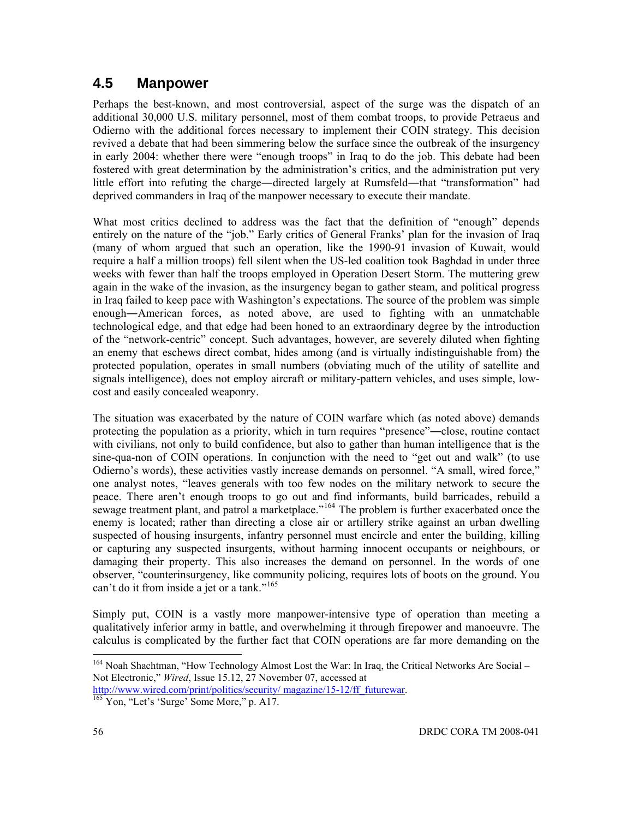### **4.5 Manpower**

Perhaps the best-known, and most controversial, aspect of the surge was the dispatch of an additional 30,000 U.S. military personnel, most of them combat troops, to provide Petraeus and Odierno with the additional forces necessary to implement their COIN strategy. This decision revived a debate that had been simmering below the surface since the outbreak of the insurgency in early 2004: whether there were "enough troops" in Iraq to do the job. This debate had been fostered with great determination by the administration's critics, and the administration put very little effort into refuting the charge—directed largely at Rumsfeld—that "transformation" had deprived commanders in Iraq of the manpower necessary to execute their mandate.

What most critics declined to address was the fact that the definition of "enough" depends entirely on the nature of the "job." Early critics of General Franks' plan for the invasion of Iraq (many of whom argued that such an operation, like the 1990-91 invasion of Kuwait, would require a half a million troops) fell silent when the US-led coalition took Baghdad in under three weeks with fewer than half the troops employed in Operation Desert Storm. The muttering grew again in the wake of the invasion, as the insurgency began to gather steam, and political progress in Iraq failed to keep pace with Washington's expectations. The source of the problem was simple enough―American forces, as noted above, are used to fighting with an unmatchable technological edge, and that edge had been honed to an extraordinary degree by the introduction of the "network-centric" concept. Such advantages, however, are severely diluted when fighting an enemy that eschews direct combat, hides among (and is virtually indistinguishable from) the protected population, operates in small numbers (obviating much of the utility of satellite and signals intelligence), does not employ aircraft or military-pattern vehicles, and uses simple, lowcost and easily concealed weaponry.

The situation was exacerbated by the nature of COIN warfare which (as noted above) demands protecting the population as a priority, which in turn requires "presence"―close, routine contact with civilians, not only to build confidence, but also to gather than human intelligence that is the sine-qua-non of COIN operations. In conjunction with the need to "get out and walk" (to use Odierno's words), these activities vastly increase demands on personnel. "A small, wired force," one analyst notes, "leaves generals with too few nodes on the military network to secure the peace. There aren't enough troops to go out and find informants, build barricades, rebuild a sewage treatment plant, and patrol a marketplace."<sup>[164](#page-70-0)</sup> The problem is further exacerbated once the enemy is located; rather than directing a close air or artillery strike against an urban dwelling suspected of housing insurgents, infantry personnel must encircle and enter the building, killing or capturing any suspected insurgents, without harming innocent occupants or neighbours, or damaging their property. This also increases the demand on personnel. In the words of one observer, "counterinsurgency, like community policing, requires lots of boots on the ground. You can't do it from inside a jet or a tank."<sup>[165](#page-70-1)</sup>

Simply put, COIN is a vastly more manpower-intensive type of operation than meeting a qualitatively inferior army in battle, and overwhelming it through firepower and manoeuvre. The calculus is complicated by the further fact that COIN operations are far more demanding on the

<span id="page-70-0"></span><sup>&</sup>lt;sup>164</sup> Noah Shachtman, "How Technology Almost Lost the War: In Iraq, the Critical Networks Are Social – Not Electronic," *Wired*, Issue 15.12, 27 November 07, accessed at http://www.wired.com/print/politics/security/ magazine/15-12/ff\_futurewar. 165 Yon, "Let's 'Surge' Some More," p. A17.

<span id="page-70-1"></span>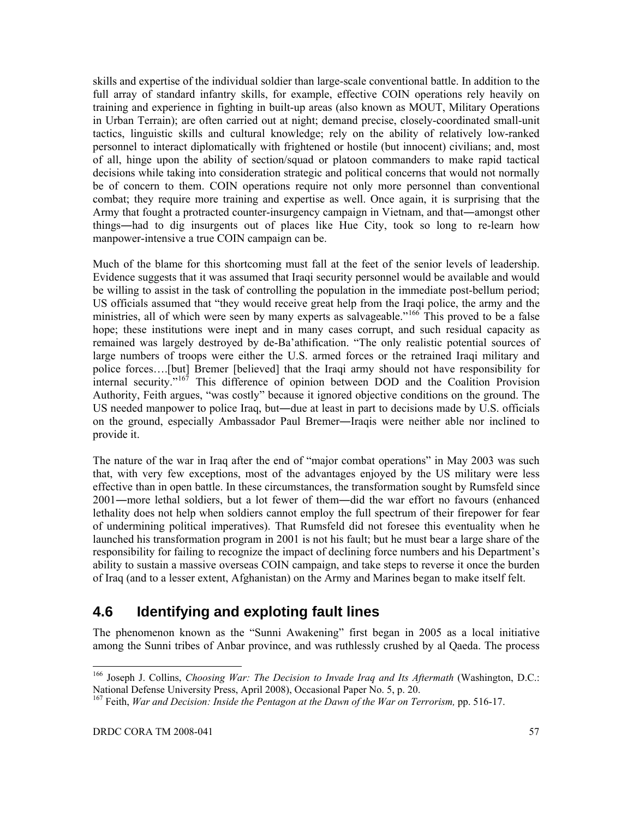skills and expertise of the individual soldier than large-scale conventional battle. In addition to the full array of standard infantry skills, for example, effective COIN operations rely heavily on training and experience in fighting in built-up areas (also known as MOUT, Military Operations in Urban Terrain); are often carried out at night; demand precise, closely-coordinated small-unit tactics, linguistic skills and cultural knowledge; rely on the ability of relatively low-ranked personnel to interact diplomatically with frightened or hostile (but innocent) civilians; and, most of all, hinge upon the ability of section/squad or platoon commanders to make rapid tactical decisions while taking into consideration strategic and political concerns that would not normally be of concern to them. COIN operations require not only more personnel than conventional combat; they require more training and expertise as well. Once again, it is surprising that the Army that fought a protracted counter-insurgency campaign in Vietnam, and that―amongst other things―had to dig insurgents out of places like Hue City, took so long to re-learn how manpower-intensive a true COIN campaign can be.

Much of the blame for this shortcoming must fall at the feet of the senior levels of leadership. Evidence suggests that it was assumed that Iraqi security personnel would be available and would be willing to assist in the task of controlling the population in the immediate post-bellum period; US officials assumed that "they would receive great help from the Iraqi police, the army and the ministries, all of which were seen by many experts as salvageable."<sup>[166](#page-71-0)</sup> This proved to be a false hope; these institutions were inept and in many cases corrupt, and such residual capacity as remained was largely destroyed by de-Ba'athification. "The only realistic potential sources of large numbers of troops were either the U.S. armed forces or the retrained Iraqi military and police forces….[but] Bremer [believed] that the Iraqi army should not have responsibility for  $\frac{1}{2}$  internal security.<sup>"[167](#page-71-1)</sup> This difference of opinion between DOD and the Coalition Provision Authority, Feith argues, "was costly" because it ignored objective conditions on the ground. The US needed manpower to police Iraq, but―due at least in part to decisions made by U.S. officials on the ground, especially Ambassador Paul Bremer―Iraqis were neither able nor inclined to provide it.

The nature of the war in Iraq after the end of "major combat operations" in May 2003 was such that, with very few exceptions, most of the advantages enjoyed by the US military were less effective than in open battle. In these circumstances, the transformation sought by Rumsfeld since 2001―more lethal soldiers, but a lot fewer of them―did the war effort no favours (enhanced lethality does not help when soldiers cannot employ the full spectrum of their firepower for fear of undermining political imperatives). That Rumsfeld did not foresee this eventuality when he launched his transformation program in 2001 is not his fault; but he must bear a large share of the responsibility for failing to recognize the impact of declining force numbers and his Department's ability to sustain a massive overseas COIN campaign, and take steps to reverse it once the burden of Iraq (and to a lesser extent, Afghanistan) on the Army and Marines began to make itself felt.

#### **4.6 Identifying and exploting fault lines**

The phenomenon known as the "Sunni Awakening" first began in 2005 as a local initiative among the Sunni tribes of Anbar province, and was ruthlessly crushed by al Qaeda. The process

<span id="page-71-0"></span><sup>166</sup> Joseph J. Collins, *Choosing War: The Decision to Invade Iraq and Its Aftermath* (Washington, D.C.: National Defense University Press, April 2008), Occasional Paper No. 5, p. 20. 167 Feith, *War and Decision: Inside the Pentagon at the Dawn of the War on Terrorism,* pp. 516-17.

<span id="page-71-1"></span>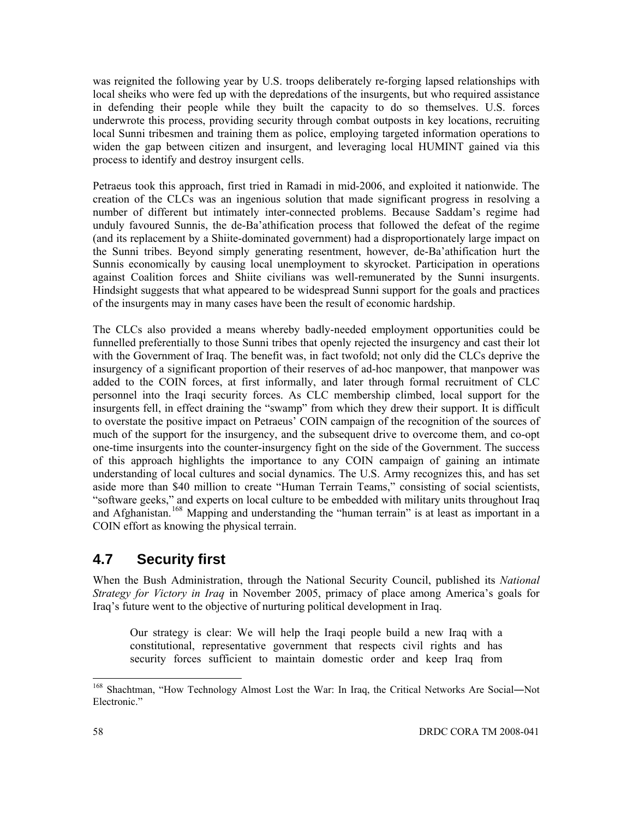was reignited the following year by U.S. troops deliberately re-forging lapsed relationships with local sheiks who were fed up with the depredations of the insurgents, but who required assistance in defending their people while they built the capacity to do so themselves. U.S. forces underwrote this process, providing security through combat outposts in key locations, recruiting local Sunni tribesmen and training them as police, employing targeted information operations to widen the gap between citizen and insurgent, and leveraging local HUMINT gained via this process to identify and destroy insurgent cells.

Petraeus took this approach, first tried in Ramadi in mid-2006, and exploited it nationwide. The creation of the CLCs was an ingenious solution that made significant progress in resolving a number of different but intimately inter-connected problems. Because Saddam's regime had unduly favoured Sunnis, the de-Ba'athification process that followed the defeat of the regime (and its replacement by a Shiite-dominated government) had a disproportionately large impact on the Sunni tribes. Beyond simply generating resentment, however, de-Ba'athification hurt the Sunnis economically by causing local unemployment to skyrocket. Participation in operations against Coalition forces and Shiite civilians was well-remunerated by the Sunni insurgents. Hindsight suggests that what appeared to be widespread Sunni support for the goals and practices of the insurgents may in many cases have been the result of economic hardship.

The CLCs also provided a means whereby badly-needed employment opportunities could be funnelled preferentially to those Sunni tribes that openly rejected the insurgency and cast their lot with the Government of Iraq. The benefit was, in fact twofold; not only did the CLCs deprive the insurgency of a significant proportion of their reserves of ad-hoc manpower, that manpower was added to the COIN forces, at first informally, and later through formal recruitment of CLC personnel into the Iraqi security forces. As CLC membership climbed, local support for the insurgents fell, in effect draining the "swamp" from which they drew their support. It is difficult to overstate the positive impact on Petraeus' COIN campaign of the recognition of the sources of much of the support for the insurgency, and the subsequent drive to overcome them, and co-opt one-time insurgents into the counter-insurgency fight on the side of the Government. The success of this approach highlights the importance to any COIN campaign of gaining an intimate understanding of local cultures and social dynamics. The U.S. Army recognizes this, and has set aside more than \$40 million to create "Human Terrain Teams," consisting of social scientists, "software geeks," and experts on local culture to be embedded with military units throughout Iraq and Afghanistan.<sup>[168](#page-72-0)</sup> Mapping and understanding the "human terrain" is at least as important in a COIN effort as knowing the physical terrain.

## **4.7 Security first**

When the Bush Administration, through the National Security Council, published its *National Strategy for Victory in Iraq* in November 2005, primacy of place among America's goals for Iraq's future went to the objective of nurturing political development in Iraq.

Our strategy is clear: We will help the Iraqi people build a new Iraq with a constitutional, representative government that respects civil rights and has security forces sufficient to maintain domestic order and keep Iraq from

<span id="page-72-0"></span><sup>168</sup> Shachtman, "How Technology Almost Lost the War: In Iraq, the Critical Networks Are Social-Not Electronic."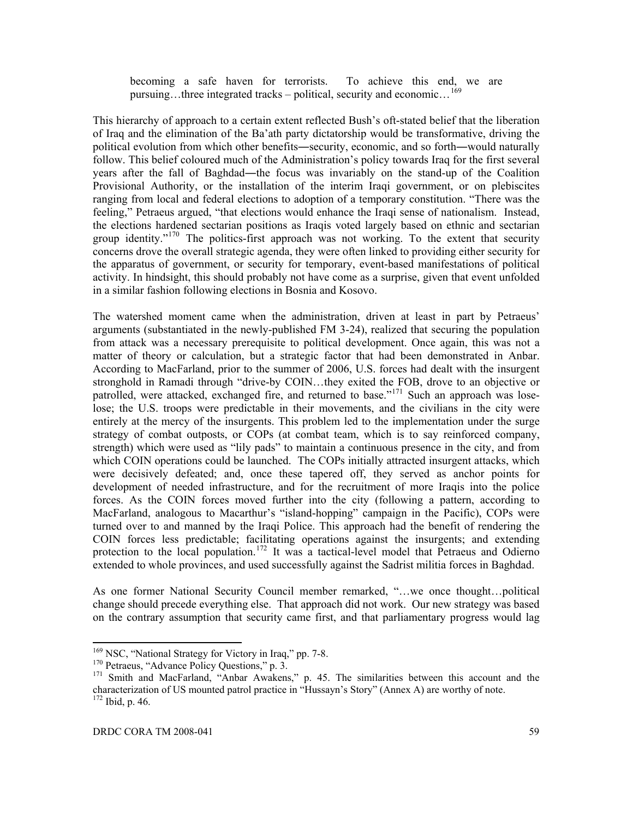becoming a safe haven for terrorists. To achieve this end, we are pursuing…three integrated tracks – political, security and economic…<sup>[169](#page-73-0)</sup>

This hierarchy of approach to a certain extent reflected Bush's oft-stated belief that the liberation of Iraq and the elimination of the Ba'ath party dictatorship would be transformative, driving the political evolution from which other benefits―security, economic, and so forth―would naturally follow. This belief coloured much of the Administration's policy towards Iraq for the first several years after the fall of Baghdad―the focus was invariably on the stand-up of the Coalition Provisional Authority, or the installation of the interim Iraqi government, or on plebiscites ranging from local and federal elections to adoption of a temporary constitution. "There was the feeling," Petraeus argued, "that elections would enhance the Iraqi sense of nationalism. Instead, the elections hardened sectarian positions as Iraqis voted largely based on ethnic and sectarian group identity."<sup>[170](#page-73-1)</sup> The politics-first approach was not working. To the extent that security concerns drove the overall strategic agenda, they were often linked to providing either security for the apparatus of government, or security for temporary, event-based manifestations of political activity. In hindsight, this should probably not have come as a surprise, given that event unfolded in a similar fashion following elections in Bosnia and Kosovo.

The watershed moment came when the administration, driven at least in part by Petraeus' arguments (substantiated in the newly-published FM 3-24), realized that securing the population from attack was a necessary prerequisite to political development. Once again, this was not a matter of theory or calculation, but a strategic factor that had been demonstrated in Anbar. According to MacFarland, prior to the summer of 2006, U.S. forces had dealt with the insurgent stronghold in Ramadi through "drive-by COIN…they exited the FOB, drove to an objective or patrolled, were attacked, exchanged fire, and returned to base."<sup>[171](#page-73-2)</sup> Such an approach was loselose; the U.S. troops were predictable in their movements, and the civilians in the city were entirely at the mercy of the insurgents. This problem led to the implementation under the surge strategy of combat outposts, or COPs (at combat team, which is to say reinforced company, strength) which were used as "lily pads" to maintain a continuous presence in the city, and from which COIN operations could be launched. The COPs initially attracted insurgent attacks, which were decisively defeated; and, once these tapered off, they served as anchor points for development of needed infrastructure, and for the recruitment of more Iraqis into the police forces. As the COIN forces moved further into the city (following a pattern, according to MacFarland, analogous to Macarthur's "island-hopping" campaign in the Pacific), COPs were turned over to and manned by the Iraqi Police. This approach had the benefit of rendering the COIN forces less predictable; facilitating operations against the insurgents; and extending protection to the local population.<sup>[172](#page-73-3)</sup> It was a tactical-level model that Petraeus and Odierno extended to whole provinces, and used successfully against the Sadrist militia forces in Baghdad.

As one former National Security Council member remarked, "…we once thought…political change should precede everything else. That approach did not work. Our new strategy was based on the contrary assumption that security came first, and that parliamentary progress would lag

<span id="page-73-3"></span><span id="page-73-2"></span><span id="page-73-1"></span>

<span id="page-73-0"></span><sup>&</sup>lt;sup>169</sup> NSC, "National Strategy for Victory in Iraq," pp. 7-8.<br><sup>170</sup> Petraeus, "Advance Policy Questions," p. 3.<br><sup>171</sup> Smith and MacFarland, "Anbar Awakens," p. 45. The similarities between this account and the characterization of US mounted patrol practice in "Hussayn's Story" (Annex A) are worthy of note. 172 Ibid, p. 46.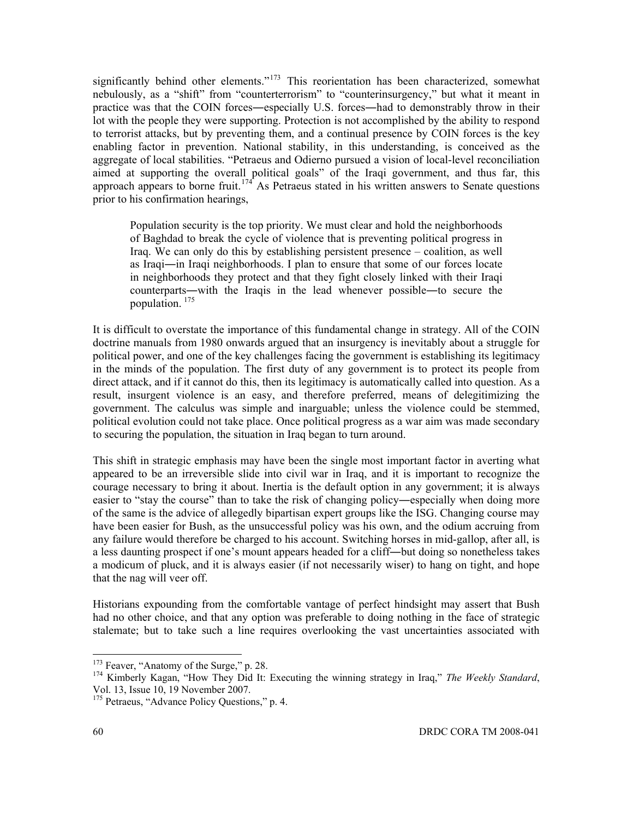significantly behind other elements."<sup>[173](#page-74-0)</sup> This reorientation has been characterized, somewhat nebulously, as a "shift" from "counterterrorism" to "counterinsurgency," but what it meant in practice was that the COIN forces—especially U.S. forces—had to demonstrably throw in their lot with the people they were supporting. Protection is not accomplished by the ability to respond to terrorist attacks, but by preventing them, and a continual presence by COIN forces is the key enabling factor in prevention. National stability, in this understanding, is conceived as the aggregate of local stabilities. "Petraeus and Odierno pursued a vision of local-level reconciliation aimed at supporting the overall political goals" of the Iraqi government, and thus far, this approach appears to borne fruit.<sup>[174](#page-74-1)</sup> As Petraeus stated in his written answers to Senate questions prior to his confirmation hearings,

Population security is the top priority. We must clear and hold the neighborhoods of Baghdad to break the cycle of violence that is preventing political progress in Iraq. We can only do this by establishing persistent presence – coalition, as well as Iraqi―in Iraqi neighborhoods. I plan to ensure that some of our forces locate in neighborhoods they protect and that they fight closely linked with their Iraqi counterparts―with the Iraqis in the lead whenever possible―to secure the population. [175](#page-74-2)

It is difficult to overstate the importance of this fundamental change in strategy. All of the COIN doctrine manuals from 1980 onwards argued that an insurgency is inevitably about a struggle for political power, and one of the key challenges facing the government is establishing its legitimacy in the minds of the population. The first duty of any government is to protect its people from direct attack, and if it cannot do this, then its legitimacy is automatically called into question. As a result, insurgent violence is an easy, and therefore preferred, means of delegitimizing the government. The calculus was simple and inarguable; unless the violence could be stemmed, political evolution could not take place. Once political progress as a war aim was made secondary to securing the population, the situation in Iraq began to turn around.

This shift in strategic emphasis may have been the single most important factor in averting what appeared to be an irreversible slide into civil war in Iraq, and it is important to recognize the courage necessary to bring it about. Inertia is the default option in any government; it is always easier to "stay the course" than to take the risk of changing policy―especially when doing more of the same is the advice of allegedly bipartisan expert groups like the ISG. Changing course may have been easier for Bush, as the unsuccessful policy was his own, and the odium accruing from any failure would therefore be charged to his account. Switching horses in mid-gallop, after all, is a less daunting prospect if one's mount appears headed for a cliff―but doing so nonetheless takes a modicum of pluck, and it is always easier (if not necessarily wiser) to hang on tight, and hope that the nag will veer off.

Historians expounding from the comfortable vantage of perfect hindsight may assert that Bush had no other choice, and that any option was preferable to doing nothing in the face of strategic stalemate; but to take such a line requires overlooking the vast uncertainties associated with

<span id="page-74-1"></span><span id="page-74-0"></span><sup>&</sup>lt;sup>173</sup> Feaver, "Anatomy of the Surge," p. 28.<br><sup>174</sup> Kimberly Kagan, "How They Did It: Executing the winning strategy in Iraq," *The Weekly Standard*, Vol. 13, Issue 10, 19 November 2007.

<span id="page-74-2"></span><sup>&</sup>lt;sup>175</sup> Petraeus, "Advance Policy Questions," p. 4.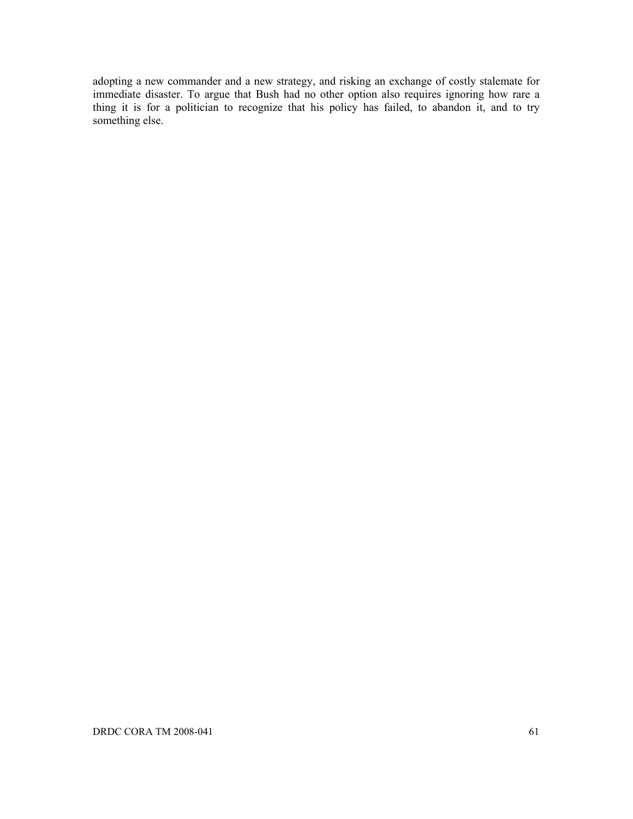adopting a new commander and a new strategy, and risking an exchange of costly stalemate for immediate disaster. To argue that Bush had no other option also requires ignoring how rare a thing it is for a politician to recognize that his policy has failed, to abandon it, and to try something else.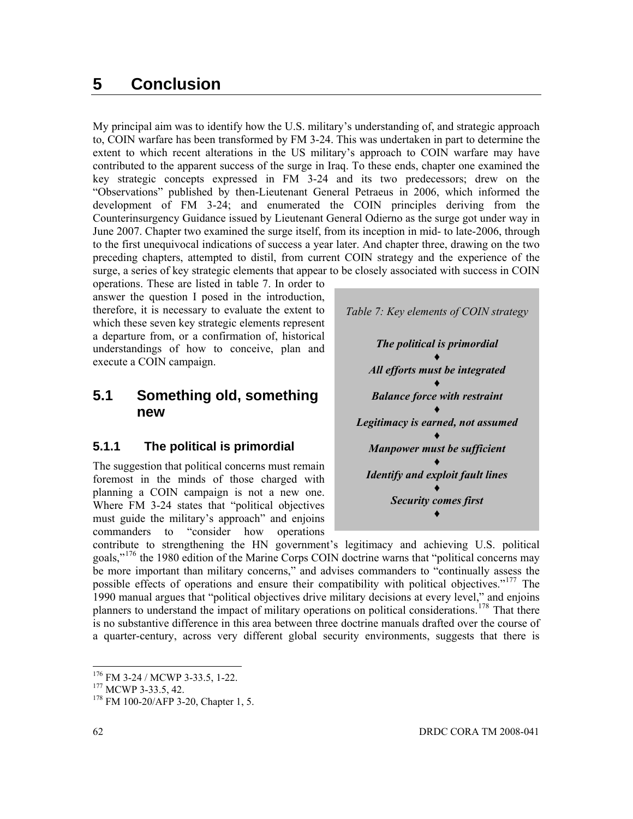## **5 Conclusion**

My principal aim was to identify how the U.S. military's understanding of, and strategic approach to, COIN warfare has been transformed by FM 3-24. This was undertaken in part to determine the extent to which recent alterations in the US military's approach to COIN warfare may have contributed to the apparent success of the surge in Iraq. To these ends, chapter one examined the key strategic concepts expressed in FM 3-24 and its two predecessors; drew on the "Observations" published by then-Lieutenant General Petraeus in 2006, which informed the development of FM 3-24; and enumerated the COIN principles deriving from the Counterinsurgency Guidance issued by Lieutenant General Odierno as the surge got under way in June 2007. Chapter two examined the surge itself, from its inception in mid- to late-2006, through to the first unequivocal indications of success a year later. And chapter three, drawing on the two preceding chapters, attempted to distil, from current COIN strategy and the experience of the surge, a series of key strategic elements that appear to be closely associated with success in COIN

operations. These are listed in table 7. In order to answer the question I posed in the introduction, therefore, it is necessary to evaluate the extent to which these seven key strategic elements represent a departure from, or a confirmation of, historical understandings of how to conceive, plan and execute a COIN campaign.

## **5.1 Something old, something new**

#### **5.1.1 The political is primordial**

The suggestion that political concerns must remain foremost in the minds of those charged with planning a COIN campaign is not a new one. Where FM 3-24 states that "political objectives must guide the military's approach" and enjoins commanders to "consider how operations *Table 7: Key elements of COIN strategy The political is primordial ♦ All efforts must be integrated ♦ Balance force with restraint ♦ Legitimacy is earned, not assumed ♦ Manpower must be sufficient ♦ Identify and exploit fault lines ♦ Security comes first ♦*

contribute to strengthening the HN government's legitimacy and achieving U.S. political goals,"<sup>[176](#page-76-0)</sup> the 1980 edition of the Marine Corps COIN doctrine warns that "political concerns may be more important than military concerns," and advises commanders to "continually assess the possible effects of operations and ensure their compatibility with political objectives."<sup>[177](#page-76-1)</sup> The 1990 manual argues that "political objectives drive military decisions at every level," and enjoins planners to understand the impact of military operations on political considerations.<sup>[178](#page-76-2)</sup> That there is no substantive difference in this area between three doctrine manuals drafted over the course of a quarter-century, across very different global security environments, suggests that there is

<span id="page-76-2"></span><span id="page-76-1"></span>

<span id="page-76-0"></span><sup>&</sup>lt;sup>176</sup> FM 3-24 / MCWP 3-33.5, 1-22.<br><sup>177</sup> MCWP 3-33.5, 42.<br><sup>178</sup> FM 100-20/AFP 3-20, Chapter 1, 5.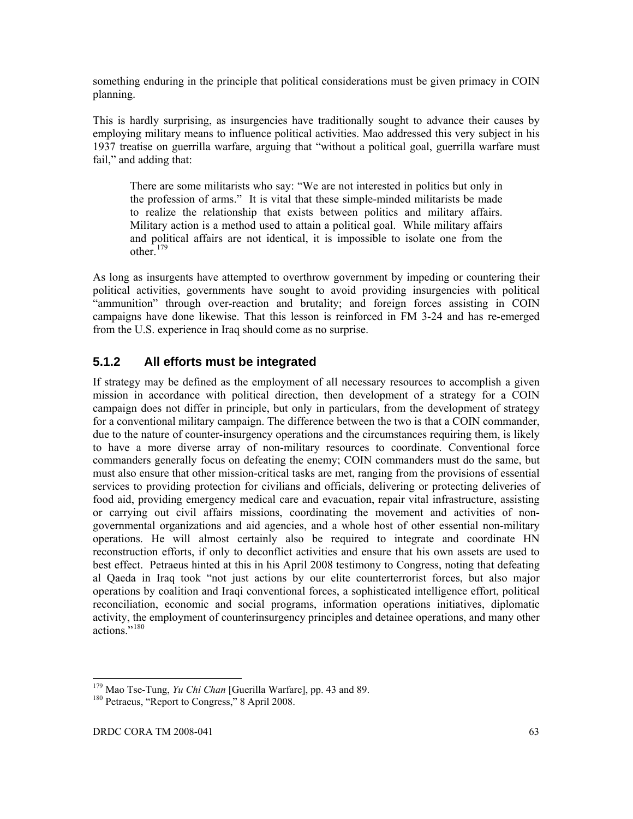something enduring in the principle that political considerations must be given primacy in COIN planning.

This is hardly surprising, as insurgencies have traditionally sought to advance their causes by employing military means to influence political activities. Mao addressed this very subject in his 1937 treatise on guerrilla warfare, arguing that "without a political goal, guerrilla warfare must fail," and adding that:

There are some militarists who say: "We are not interested in politics but only in the profession of arms." It is vital that these simple-minded militarists be made to realize the relationship that exists between politics and military affairs. Military action is a method used to attain a political goal. While military affairs and political affairs are not identical, it is impossible to isolate one from the other.<sup>[179](#page-77-0)</sup>

As long as insurgents have attempted to overthrow government by impeding or countering their political activities, governments have sought to avoid providing insurgencies with political "ammunition" through over-reaction and brutality; and foreign forces assisting in COIN campaigns have done likewise. That this lesson is reinforced in FM 3-24 and has re-emerged from the U.S. experience in Iraq should come as no surprise.

#### **5.1.2 All efforts must be integrated**

If strategy may be defined as the employment of all necessary resources to accomplish a given mission in accordance with political direction, then development of a strategy for a COIN campaign does not differ in principle, but only in particulars, from the development of strategy for a conventional military campaign. The difference between the two is that a COIN commander, due to the nature of counter-insurgency operations and the circumstances requiring them, is likely to have a more diverse array of non-military resources to coordinate. Conventional force commanders generally focus on defeating the enemy; COIN commanders must do the same, but must also ensure that other mission-critical tasks are met, ranging from the provisions of essential services to providing protection for civilians and officials, delivering or protecting deliveries of food aid, providing emergency medical care and evacuation, repair vital infrastructure, assisting or carrying out civil affairs missions, coordinating the movement and activities of nongovernmental organizations and aid agencies, and a whole host of other essential non-military operations. He will almost certainly also be required to integrate and coordinate HN reconstruction efforts, if only to deconflict activities and ensure that his own assets are used to best effect. Petraeus hinted at this in his April 2008 testimony to Congress, noting that defeating al Qaeda in Iraq took "not just actions by our elite counterterrorist forces, but also major operations by coalition and Iraqi conventional forces, a sophisticated intelligence effort, political reconciliation, economic and social programs, information operations initiatives, diplomatic activity, the employment of counterinsurgency principles and detainee operations, and many other actions."[180](#page-77-1)

<span id="page-77-0"></span><sup>&</sup>lt;sup>179</sup> Mao Tse-Tung, *Yu Chi Chan* [Guerilla Warfare], pp. 43 and 89.<br><sup>180</sup> Petraeus, "Report to Congress," 8 April 2008.

<span id="page-77-1"></span>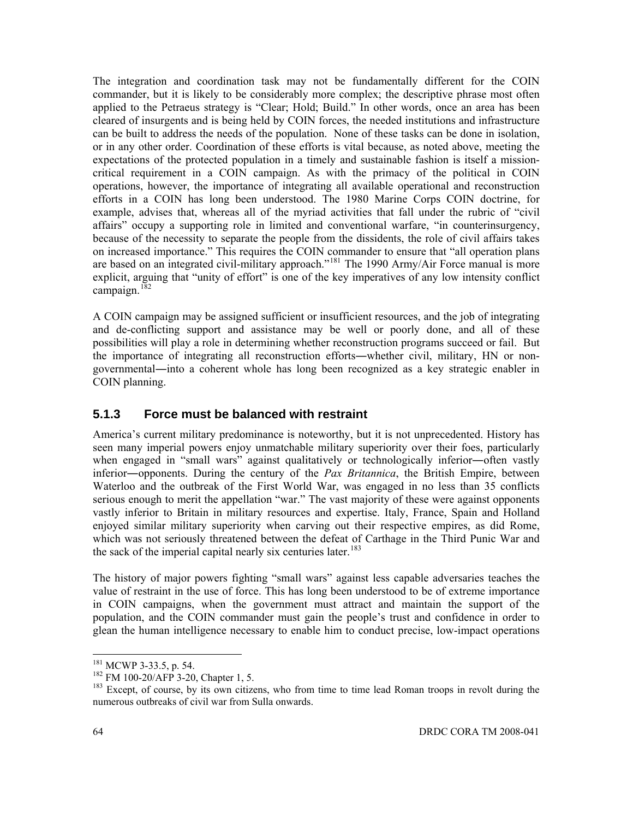The integration and coordination task may not be fundamentally different for the COIN commander, but it is likely to be considerably more complex; the descriptive phrase most often applied to the Petraeus strategy is "Clear; Hold; Build." In other words, once an area has been cleared of insurgents and is being held by COIN forces, the needed institutions and infrastructure can be built to address the needs of the population. None of these tasks can be done in isolation, or in any other order. Coordination of these efforts is vital because, as noted above, meeting the expectations of the protected population in a timely and sustainable fashion is itself a missioncritical requirement in a COIN campaign. As with the primacy of the political in COIN operations, however, the importance of integrating all available operational and reconstruction efforts in a COIN has long been understood. The 1980 Marine Corps COIN doctrine, for example, advises that, whereas all of the myriad activities that fall under the rubric of "civil affairs" occupy a supporting role in limited and conventional warfare, "in counterinsurgency, because of the necessity to separate the people from the dissidents, the role of civil affairs takes on increased importance." This requires the COIN commander to ensure that "all operation plans are based on an integrated civil-military approach."<sup>[181](#page-78-0)</sup> The 1990 Army/Air Force manual is more explicit, arguing that "unity of effort" is one of the key imperatives of any low intensity conflict campaign. $182$ 

A COIN campaign may be assigned sufficient or insufficient resources, and the job of integrating and de-conflicting support and assistance may be well or poorly done, and all of these possibilities will play a role in determining whether reconstruction programs succeed or fail. But the importance of integrating all reconstruction efforts―whether civil, military, HN or nongovernmental―into a coherent whole has long been recognized as a key strategic enabler in COIN planning.

#### **5.1.3 Force must be balanced with restraint**

America's current military predominance is noteworthy, but it is not unprecedented. History has seen many imperial powers enjoy unmatchable military superiority over their foes, particularly when engaged in "small wars" against qualitatively or technologically inferior—often vastly inferior―opponents. During the century of the *Pax Britannica*, the British Empire, between Waterloo and the outbreak of the First World War, was engaged in no less than 35 conflicts serious enough to merit the appellation "war." The vast majority of these were against opponents vastly inferior to Britain in military resources and expertise. Italy, France, Spain and Holland enjoyed similar military superiority when carving out their respective empires, as did Rome, which was not seriously threatened between the defeat of Carthage in the Third Punic War and the sack of the imperial capital nearly six centuries later.<sup>[183](#page-78-2)</sup>

The history of major powers fighting "small wars" against less capable adversaries teaches the value of restraint in the use of force. This has long been understood to be of extreme importance in COIN campaigns, when the government must attract and maintain the support of the population, and the COIN commander must gain the people's trust and confidence in order to glean the human intelligence necessary to enable him to conduct precise, low-impact operations

<span id="page-78-0"></span><sup>&</sup>lt;sup>181</sup> MCWP 3-33.5, p. 54.

<span id="page-78-2"></span><span id="page-78-1"></span> $182$  FM 100-20/AFP 3-20, Chapter 1, 5.<br><sup>183</sup> Except, of course, by its own citizens, who from time to time lead Roman troops in revolt during the numerous outbreaks of civil war from Sulla onwards.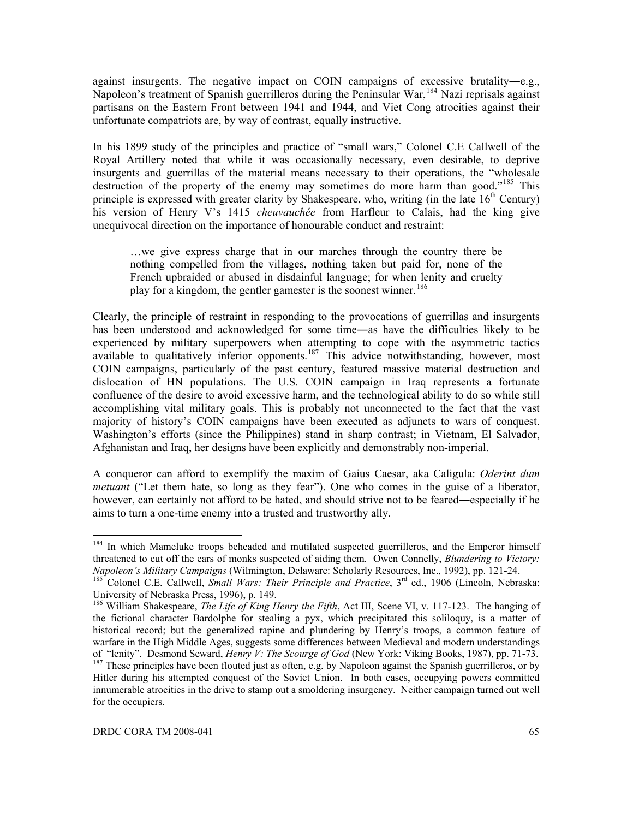against insurgents. The negative impact on COIN campaigns of excessive brutality―e.g., Napoleon's treatment of Spanish guerrilleros during the Peninsular War, <sup>[184](#page-79-0)</sup> Nazi reprisals against partisans on the Eastern Front between 1941 and 1944, and Viet Cong atrocities against their unfortunate compatriots are, by way of contrast, equally instructive.

In his 1899 study of the principles and practice of "small wars," Colonel C.E Callwell of the Royal Artillery noted that while it was occasionally necessary, even desirable, to deprive insurgents and guerrillas of the material means necessary to their operations, the "wholesale destruction of the property of the enemy may sometimes do more harm than good."<sup>[185](#page-79-1)</sup> This principle is expressed with greater clarity by Shakespeare, who, writing (in the late  $16<sup>th</sup>$  Century) his version of Henry V's 1415 *cheuvauchée* from Harfleur to Calais, had the king give unequivocal direction on the importance of honourable conduct and restraint:

…we give express charge that in our marches through the country there be nothing compelled from the villages, nothing taken but paid for, none of the French upbraided or abused in disdainful language; for when lenity and cruelty play for a kingdom, the gentler gamester is the soonest winner.<sup>[186](#page-79-2)</sup>

Clearly, the principle of restraint in responding to the provocations of guerrillas and insurgents has been understood and acknowledged for some time―as have the difficulties likely to be experienced by military superpowers when attempting to cope with the asymmetric tactics available to qualitatively inferior opponents.<sup>[187](#page-79-3)</sup> This advice notwithstanding, however, most COIN campaigns, particularly of the past century, featured massive material destruction and dislocation of HN populations. The U.S. COIN campaign in Iraq represents a fortunate confluence of the desire to avoid excessive harm, and the technological ability to do so while still accomplishing vital military goals. This is probably not unconnected to the fact that the vast majority of history's COIN campaigns have been executed as adjuncts to wars of conquest. Washington's efforts (since the Philippines) stand in sharp contrast; in Vietnam, El Salvador, Afghanistan and Iraq, her designs have been explicitly and demonstrably non-imperial.

A conqueror can afford to exemplify the maxim of Gaius Caesar, aka Caligula: *Oderint dum metuant* ("Let them hate, so long as they fear"). One who comes in the guise of a liberator, however, can certainly not afford to be hated, and should strive not to be feared―especially if he aims to turn a one-time enemy into a trusted and trustworthy ally.

<span id="page-79-0"></span><sup>&</sup>lt;sup>184</sup> In which Mameluke troops beheaded and mutilated suspected guerrilleros, and the Emperor himself threatened to cut off the ears of monks suspected of aiding them. Owen Connelly, *Blundering to Victory: Napoleon's Military Campaigns* (Wilmington, Delaware: Scholarly Resources, Inc., 1992), pp. 121-24.

<span id="page-79-1"></span>*Napoleon's Milliary Callwell, Small Wars: Their Principle and Practice*, 3<sup>rd</sup> ed., 1906 (Lincoln, Nebraska: University of Nebraska Press, 1996), p. 149.

<span id="page-79-2"></span><sup>186</sup> William Shakespeare, *The Life of King Henry the Fifth*, Act III, Scene VI, v. 117-123. The hanging of the fictional character Bardolphe for stealing a pyx, which precipitated this soliloquy, is a matter of historical record; but the generalized rapine and plundering by Henry's troops, a common feature of warfare in the High Middle Ages, suggests some differences between Medieval and modern understandings of "lenity". Desmond Seward, *Henry V: The Scourge of God* (New York: Viking Books, 1987), pp. 71-73.<br><sup>187</sup> These principles have been flouted just as often, e.g. by Napoleon against the Spanish guerrilleros, or by

<span id="page-79-3"></span>Hitler during his attempted conquest of the Soviet Union. In both cases, occupying powers committed innumerable atrocities in the drive to stamp out a smoldering insurgency. Neither campaign turned out well for the occupiers.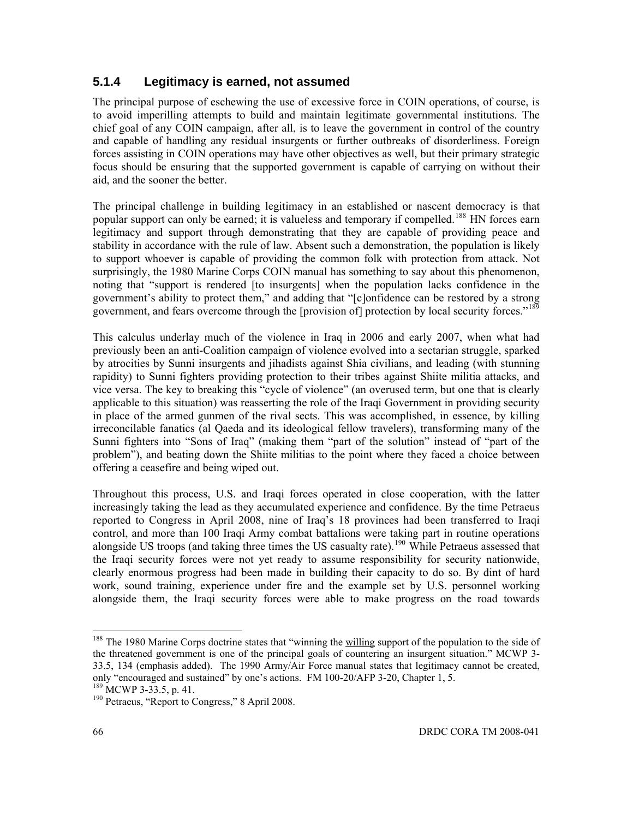#### **5.1.4 Legitimacy is earned, not assumed**

The principal purpose of eschewing the use of excessive force in COIN operations, of course, is to avoid imperilling attempts to build and maintain legitimate governmental institutions. The chief goal of any COIN campaign, after all, is to leave the government in control of the country and capable of handling any residual insurgents or further outbreaks of disorderliness. Foreign forces assisting in COIN operations may have other objectives as well, but their primary strategic focus should be ensuring that the supported government is capable of carrying on without their aid, and the sooner the better.

The principal challenge in building legitimacy in an established or nascent democracy is that popular support can only be earned; it is valueless and temporary if compelled.<sup>[188](#page-80-0)</sup> HN forces earn legitimacy and support through demonstrating that they are capable of providing peace and stability in accordance with the rule of law. Absent such a demonstration, the population is likely to support whoever is capable of providing the common folk with protection from attack. Not surprisingly, the 1980 Marine Corps COIN manual has something to say about this phenomenon, noting that "support is rendered [to insurgents] when the population lacks confidence in the government's ability to protect them," and adding that "[c]onfidence can be restored by a strong government, and fears overcome through the [provision of] protection by local security forces."<sup>[189](#page-80-1)</sup>

This calculus underlay much of the violence in Iraq in 2006 and early 2007, when what had previously been an anti-Coalition campaign of violence evolved into a sectarian struggle, sparked by atrocities by Sunni insurgents and jihadists against Shia civilians, and leading (with stunning rapidity) to Sunni fighters providing protection to their tribes against Shiite militia attacks, and vice versa. The key to breaking this "cycle of violence" (an overused term, but one that is clearly applicable to this situation) was reasserting the role of the Iraqi Government in providing security in place of the armed gunmen of the rival sects. This was accomplished, in essence, by killing irreconcilable fanatics (al Qaeda and its ideological fellow travelers), transforming many of the Sunni fighters into "Sons of Iraq" (making them "part of the solution" instead of "part of the problem"), and beating down the Shiite militias to the point where they faced a choice between offering a ceasefire and being wiped out.

Throughout this process, U.S. and Iraqi forces operated in close cooperation, with the latter increasingly taking the lead as they accumulated experience and confidence. By the time Petraeus reported to Congress in April 2008, nine of Iraq's 18 provinces had been transferred to Iraqi control, and more than 100 Iraqi Army combat battalions were taking part in routine operations alongside US troops (and taking three times the US casualty rate).<sup>[190](#page-80-2)</sup> While Petraeus assessed that the Iraqi security forces were not yet ready to assume responsibility for security nationwide, clearly enormous progress had been made in building their capacity to do so. By dint of hard work, sound training, experience under fire and the example set by U.S. personnel working alongside them, the Iraqi security forces were able to make progress on the road towards

<span id="page-80-0"></span><sup>&</sup>lt;sup>188</sup> The 1980 Marine Corps doctrine states that "winning the willing support of the population to the side of the threatened government is one of the principal goals of countering an insurgent situation." MCWP 3- 33.5, 134 (emphasis added). The 1990 Army/Air Force manual states that legitimacy cannot be created, only "encouraged and sustained" by one's actions. FM 100-20/AFP 3-20, Chapter 1, 5.<br><sup>189</sup> MCWP 3-33.5, p. 41.

<span id="page-80-2"></span><span id="page-80-1"></span> $190$  Petraeus, "Report to Congress," 8 April 2008.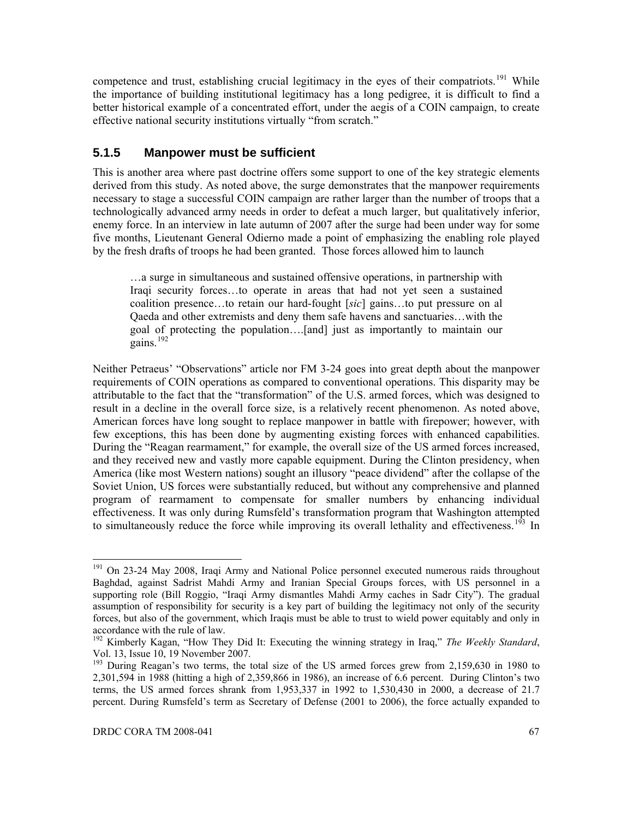competence and trust, establishing crucial legitimacy in the eyes of their compatriots.<sup>[191](#page-81-0)</sup> While the importance of building institutional legitimacy has a long pedigree, it is difficult to find a better historical example of a concentrated effort, under the aegis of a COIN campaign, to create effective national security institutions virtually "from scratch."

#### **5.1.5 Manpower must be sufficient**

This is another area where past doctrine offers some support to one of the key strategic elements derived from this study. As noted above, the surge demonstrates that the manpower requirements necessary to stage a successful COIN campaign are rather larger than the number of troops that a technologically advanced army needs in order to defeat a much larger, but qualitatively inferior, enemy force. In an interview in late autumn of 2007 after the surge had been under way for some five months, Lieutenant General Odierno made a point of emphasizing the enabling role played by the fresh drafts of troops he had been granted. Those forces allowed him to launch

…a surge in simultaneous and sustained offensive operations, in partnership with Iraqi security forces…to operate in areas that had not yet seen a sustained coalition presence…to retain our hard-fought [*sic*] gains…to put pressure on al Qaeda and other extremists and deny them safe havens and sanctuaries…with the goal of protecting the population….[and] just as importantly to maintain our gains.[192](#page-81-1)

Neither Petraeus' "Observations" article nor FM 3-24 goes into great depth about the manpower requirements of COIN operations as compared to conventional operations. This disparity may be attributable to the fact that the "transformation" of the U.S. armed forces, which was designed to result in a decline in the overall force size, is a relatively recent phenomenon. As noted above, American forces have long sought to replace manpower in battle with firepower; however, with few exceptions, this has been done by augmenting existing forces with enhanced capabilities. During the "Reagan rearmament," for example, the overall size of the US armed forces increased, and they received new and vastly more capable equipment. During the Clinton presidency, when America (like most Western nations) sought an illusory "peace dividend" after the collapse of the Soviet Union, US forces were substantially reduced, but without any comprehensive and planned program of rearmament to compensate for smaller numbers by enhancing individual effectiveness. It was only during Rumsfeld's transformation program that Washington attempted to simultaneously reduce the force while improving its overall lethality and effectiveness.<sup>[193](#page-81-2)</sup> In

<span id="page-81-0"></span><sup>&</sup>lt;sup>191</sup> On 23-24 May 2008, Iraqi Army and National Police personnel executed numerous raids throughout Baghdad, against Sadrist Mahdi Army and Iranian Special Groups forces, with US personnel in a supporting role (Bill Roggio, "Iraqi Army dismantles Mahdi Army caches in Sadr City"). The gradual assumption of responsibility for security is a key part of building the legitimacy not only of the security forces, but also of the government, which Iraqis must be able to trust to wield power equitably and only in

<span id="page-81-1"></span>accordance with the rule of law. They Did It: Executing the winning strategy in Iraq," *The Weekly Standard*, Vol. 13, Issue 10, 19 November 2007.

<span id="page-81-2"></span><sup>&</sup>lt;sup>193</sup> During Reagan's two terms, the total size of the US armed forces grew from 2,159,630 in 1980 to 2,301,594 in 1988 (hitting a high of 2,359,866 in 1986), an increase of 6.6 percent. During Clinton's two terms, the US armed forces shrank from 1,953,337 in 1992 to 1,530,430 in 2000, a decrease of 21.7 percent. During Rumsfeld's term as Secretary of Defense (2001 to 2006), the force actually expanded to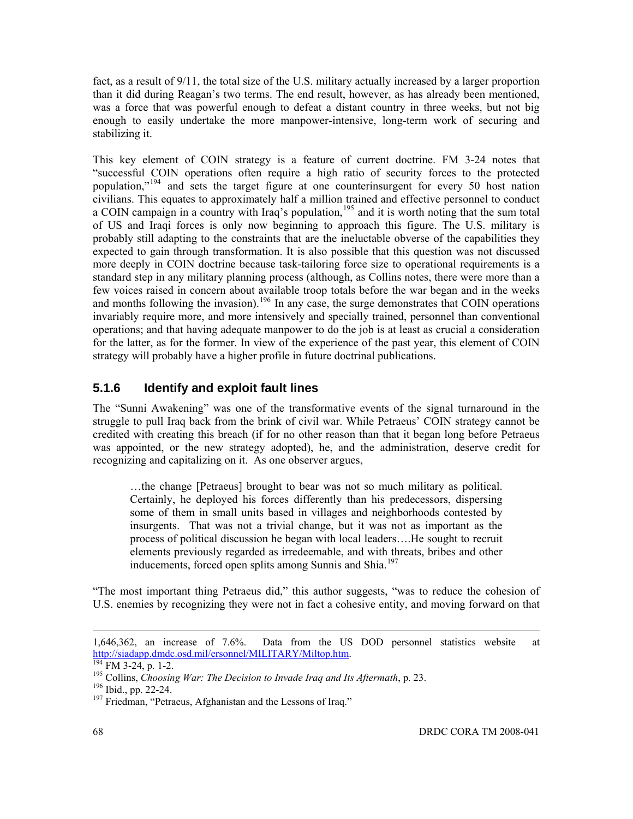fact, as a result of 9/11, the total size of the U.S. military actually increased by a larger proportion than it did during Reagan's two terms. The end result, however, as has already been mentioned, was a force that was powerful enough to defeat a distant country in three weeks, but not big enough to easily undertake the more manpower-intensive, long-term work of securing and stabilizing it.

This key element of COIN strategy is a feature of current doctrine. FM 3-24 notes that "successful COIN operations often require a high ratio of security forces to the protected population,"[194](#page-82-0) and sets the target figure at one counterinsurgent for every 50 host nation civilians. This equates to approximately half a million trained and effective personnel to conduct a COIN campaign in a country with Iraq's population,<sup>[195](#page-82-1)</sup> and it is worth noting that the sum total of US and Iraqi forces is only now beginning to approach this figure. The U.S. military is probably still adapting to the constraints that are the ineluctable obverse of the capabilities they expected to gain through transformation. It is also possible that this question was not discussed more deeply in COIN doctrine because task-tailoring force size to operational requirements is a standard step in any military planning process (although, as Collins notes, there were more than a few voices raised in concern about available troop totals before the war began and in the weeks and months following the invasion).<sup>[196](#page-82-2)</sup> In any case, the surge demonstrates that COIN operations invariably require more, and more intensively and specially trained, personnel than conventional operations; and that having adequate manpower to do the job is at least as crucial a consideration for the latter, as for the former. In view of the experience of the past year, this element of COIN strategy will probably have a higher profile in future doctrinal publications.

### **5.1.6 Identify and exploit fault lines**

The "Sunni Awakening" was one of the transformative events of the signal turnaround in the struggle to pull Iraq back from the brink of civil war. While Petraeus' COIN strategy cannot be credited with creating this breach (if for no other reason than that it began long before Petraeus was appointed, or the new strategy adopted), he, and the administration, deserve credit for recognizing and capitalizing on it. As one observer argues,

…the change [Petraeus] brought to bear was not so much military as political. Certainly, he deployed his forces differently than his predecessors, dispersing some of them in small units based in villages and neighborhoods contested by insurgents. That was not a trivial change, but it was not as important as the process of political discussion he began with local leaders….He sought to recruit elements previously regarded as irredeemable, and with threats, bribes and other inducements, forced open splits among Sunnis and Shia.<sup>[197](#page-82-3)</sup>

"The most important thing Petraeus did," this author suggests, "was to reduce the cohesion of U.S. enemies by recognizing they were not in fact a cohesive entity, and moving forward on that

<u>.</u>

<sup>1,646,362,</sup> an increase of 7.6%. Data from the US DOD personnel statistics website at http://siadapp.dmdc.osd.mil/ersonnel/MILITARY/Miltop.htm.

<span id="page-82-1"></span><span id="page-82-0"></span><sup>&</sup>lt;sup>[194](http://siadapp.dmdc.osd.mil/ersonnel/MILITARY/Miltop.htm)</sup> FM 3-24, p. 1-2.<br><sup>195</sup> Collins, *Choosing War: The Decision to Invade Iraq and Its Aftermath*, p. 23.<br><sup>196</sup> Ibid., pp. 22-24.<br><sup>197</sup> Friedman. "Petraeus. Afghanistan and the Lessons of Iraq."

<span id="page-82-2"></span>

<span id="page-82-3"></span>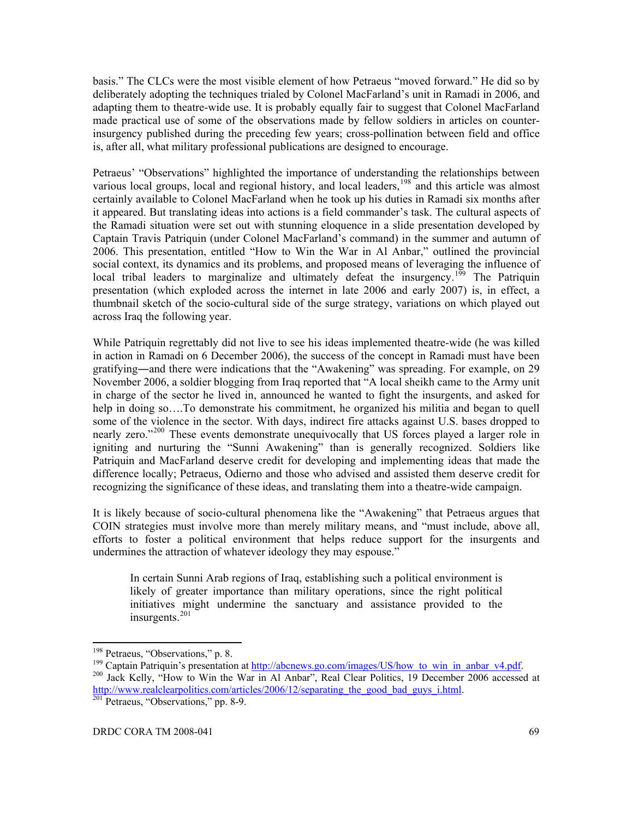basis." The CLCs were the most visible element of how Petraeus "moved forward." He did so by deliberately adopting the techniques trialed by Colonel MacFarland's unit in Ramadi in 2006, and adapting them to theatre-wide use. It is probably equally fair to suggest that Colonel MacFarland made practical use of some of the observations made by fellow soldiers in articles on counterinsurgency published during the preceding few years; cross-pollination between field and office is, after all, what military professional publications are designed to encourage.

Petraeus' "Observations" highlighted the importance of understanding the relationships between various local groups, local and regional history, and local leaders,<sup>[198](#page-83-0)</sup> and this article was almost certainly available to Colonel MacFarland when he took up his duties in Ramadi six months after it appeared. But translating ideas into actions is a field commander's task. The cultural aspects of the Ramadi situation were set out with stunning eloquence in a slide presentation developed by Captain Travis Patriquin (under Colonel MacFarland's command) in the summer and autumn of 2006. This presentation, entitled "How to Win the War in Al Anbar," outlined the provincial social context, its dynamics and its problems, and proposed means of leveraging the influence of local tribal leaders to marginalize and ultimately defeat the insurgency.<sup>[199](#page-83-1)</sup> The Patriquin presentation (which exploded across the internet in late 2006 and early 2007) is, in effect, a thumbnail sketch of the socio-cultural side of the surge strategy, variations on which played out across Iraq the following year.

While Patriquin regrettably did not live to see his ideas implemented theatre-wide (he was killed in action in Ramadi on 6 December 2006), the success of the concept in Ramadi must have been gratifying―and there were indications that the "Awakening" was spreading. For example, on 29 November 2006, a soldier blogging from Iraq reported that "A local sheikh came to the Army unit in charge of the sector he lived in, announced he wanted to fight the insurgents, and asked for help in doing so....To demonstrate his commitment, he organized his militia and began to quell some of the violence in the sector. With days, indirect fire attacks against U.S. bases dropped to nearly zero."<sup>[200](#page-83-2)</sup> These events demonstrate unequivocally that US forces played a larger role in igniting and nurturing the "Sunni Awakening" than is generally recognized. Soldiers like Patriquin and MacFarland deserve credit for developing and implementing ideas that made the difference locally; Petraeus, Odierno and those who advised and assisted them deserve credit for recognizing the significance of these ideas, and translating them into a theatre-wide campaign.

It is likely because of socio-cultural phenomena like the "Awakening" that Petraeus argues that COIN strategies must involve more than merely military means, and "must include, above all, efforts to foster a political environment that helps reduce support for the insurgents and undermines the attraction of whatever ideology they may espouse."

In certain Sunni Arab regions of Iraq, establishing such a political environment is likely of greater importance than military operations, since the right political initiatives might undermine the sanctuary and assistance provided to the insurgents.<sup>[201](#page-83-3)</sup>

<span id="page-83-2"></span><span id="page-83-1"></span><span id="page-83-0"></span><sup>&</sup>lt;sup>198</sup> Petraeus, "Observations," p. 8.<br><sup>199</sup> Captain Patriquin's presentation at <u>http://abcnews.go.com/images/US/how\_to\_win\_in\_anbar\_v4.pdf</u>.<br><sup>200</sup> Jack Kelly, "How to Win the War in Al Anbar", Real Clear Politics, 19 Dece [http://www.realclearpolitics.com/articles/2006/12/separating\\_the\\_good\\_bad\\_guys\\_i.html.](http://www.realclearpolitics.com/articles/2006/12/separating_the_good_bad_guys_i.html)<br><sup>[201](http://www.realclearpolitics.com/articles/2006/12/separating_the_good_bad_guys_i.html)</sup> Petraeus, "Observations," pp. 8-9.

<span id="page-83-3"></span>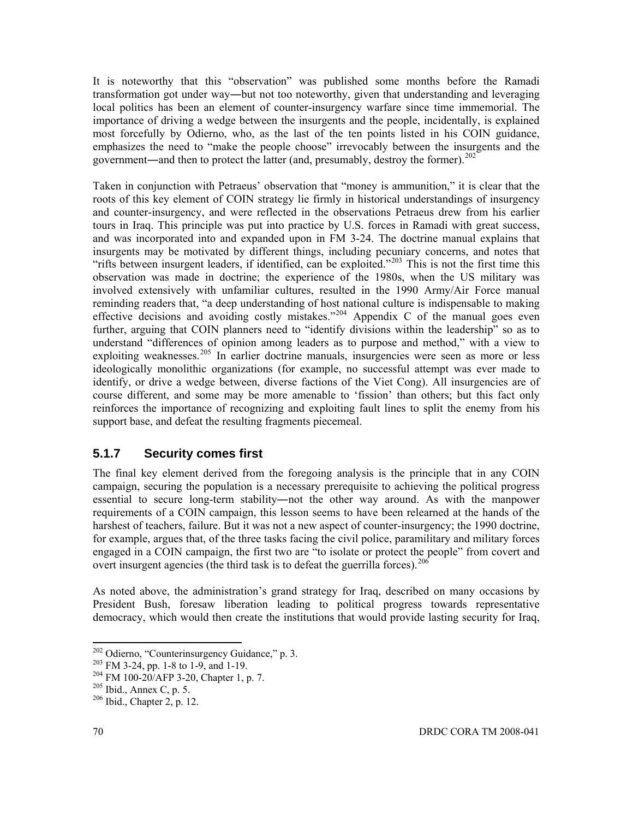It is noteworthy that this "observation" was published some months before the Ramadi transformation got under way―but not too noteworthy, given that understanding and leveraging local politics has been an element of counter-insurgency warfare since time immemorial. The importance of driving a wedge between the insurgents and the people, incidentally, is explained most forcefully by Odierno, who, as the last of the ten points listed in his COIN guidance, emphasizes the need to "make the people choose" irrevocably between the insurgents and the government—and then to protect the latter (and, presumably, destroy the former).<sup>[202](#page-84-0)</sup>

Taken in conjunction with Petraeus' observation that "money is ammunition," it is clear that the roots of this key element of COIN strategy lie firmly in historical understandings of insurgency and counter-insurgency, and were reflected in the observations Petraeus drew from his earlier tours in Iraq. This principle was put into practice by U.S. forces in Ramadi with great success, and was incorporated into and expanded upon in FM 3-24. The doctrine manual explains that insurgents may be motivated by different things, including pecuniary concerns, and notes that "rifts between insurgent leaders, if identified, can be exploited."<sup>[203](#page-84-1)</sup> This is not the first time this observation was made in doctrine; the experience of the 1980s, when the US military was involved extensively with unfamiliar cultures, resulted in the 1990 Army/Air Force manual reminding readers that, "a deep understanding of host national culture is indispensable to making effective decisions and avoiding costly mistakes."<sup>[204](#page-84-2)</sup> Appendix C of the manual goes even further, arguing that COIN planners need to "identify divisions within the leadership" so as to understand "differences of opinion among leaders as to purpose and method," with a view to exploiting weaknesses.<sup>[205](#page-84-3)</sup> In earlier doctrine manuals, insurgencies were seen as more or less ideologically monolithic organizations (for example, no successful attempt was ever made to identify, or drive a wedge between, diverse factions of the Viet Cong). All insurgencies are of course different, and some may be more amenable to 'fission' than others; but this fact only reinforces the importance of recognizing and exploiting fault lines to split the enemy from his support base, and defeat the resulting fragments piecemeal.

#### **5.1.7 Security comes first**

The final key element derived from the foregoing analysis is the principle that in any COIN campaign, securing the population is a necessary prerequisite to achieving the political progress essential to secure long-term stability―not the other way around. As with the manpower requirements of a COIN campaign, this lesson seems to have been relearned at the hands of the harshest of teachers, failure. But it was not a new aspect of counter-insurgency; the 1990 doctrine, for example, argues that, of the three tasks facing the civil police, paramilitary and military forces engaged in a COIN campaign, the first two are "to isolate or protect the people" from covert and overt insurgent agencies (the third task is to defeat the guerrilla forces).  $206$ 

As noted above, the administration's grand strategy for Iraq, described on many occasions by President Bush, foresaw liberation leading to political progress towards representative democracy, which would then create the institutions that would provide lasting security for Iraq,

<span id="page-84-1"></span><span id="page-84-0"></span><sup>&</sup>lt;sup>202</sup> Odierno, "Counterinsurgency Guidance," p. 3.<br><sup>203</sup> FM 3-24, pp. 1-8 to 1-9, and 1-19.<br><sup>204</sup> FM 100-20/AFP 3-20, Chapter 1, p. 7.<br><sup>205</sup> Ibid., Annex C, p. 5.<br><sup>206</sup> Ibid., Chapter 2, p. 12.

<span id="page-84-2"></span>

<span id="page-84-3"></span>

<span id="page-84-4"></span>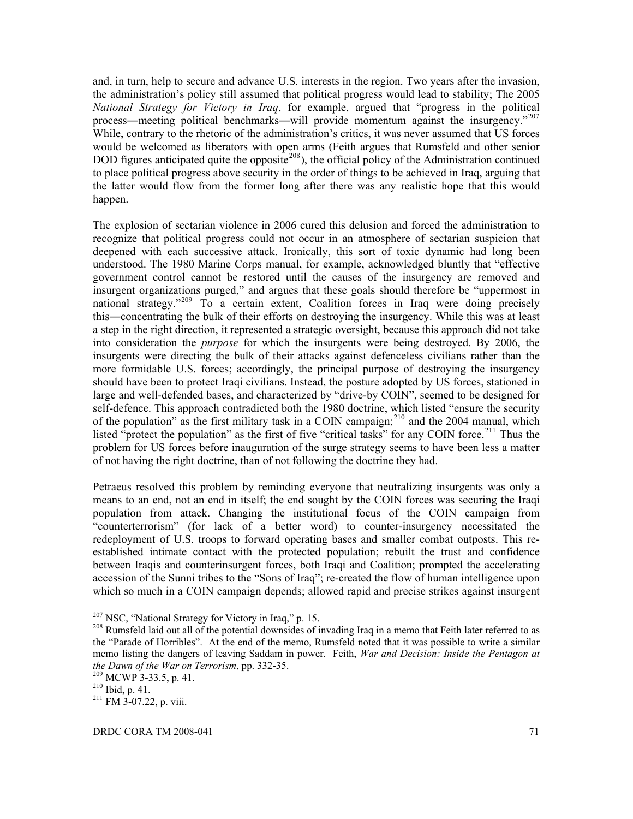and, in turn, help to secure and advance U.S. interests in the region. Two years after the invasion, the administration's policy still assumed that political progress would lead to stability; The 2005 *National Strategy for Victory in Iraq*, for example, argued that "progress in the political process—meeting political benchmarks—will provide momentum against the insurgency."[207](#page-85-0) While, contrary to the rhetoric of the administration's critics, it was never assumed that US forces would be welcomed as liberators with open arms (Feith argues that Rumsfeld and other senior DOD figures anticipated quite the opposite<sup>[208](#page-85-1)</sup>), the official policy of the Administration continued to place political progress above security in the order of things to be achieved in Iraq, arguing that the latter would flow from the former long after there was any realistic hope that this would happen.

The explosion of sectarian violence in 2006 cured this delusion and forced the administration to recognize that political progress could not occur in an atmosphere of sectarian suspicion that deepened with each successive attack. Ironically, this sort of toxic dynamic had long been understood. The 1980 Marine Corps manual, for example, acknowledged bluntly that "effective government control cannot be restored until the causes of the insurgency are removed and insurgent organizations purged," and argues that these goals should therefore be "uppermost in national strategy."[209](#page-85-2) To a certain extent, Coalition forces in Iraq were doing precisely this―concentrating the bulk of their efforts on destroying the insurgency. While this was at least a step in the right direction, it represented a strategic oversight, because this approach did not take into consideration the *purpose* for which the insurgents were being destroyed. By 2006, the insurgents were directing the bulk of their attacks against defenceless civilians rather than the more formidable U.S. forces; accordingly, the principal purpose of destroying the insurgency should have been to protect Iraqi civilians. Instead, the posture adopted by US forces, stationed in large and well-defended bases, and characterized by "drive-by COIN", seemed to be designed for self-defence. This approach contradicted both the 1980 doctrine, which listed "ensure the security of the population" as the first military task in a COIN campaign;<sup>[210](#page-85-3)</sup> and the 2004 manual, which listed "protect the population" as the first of five "critical tasks" for any COIN force.<sup>[211](#page-85-4)</sup> Thus the problem for US forces before inauguration of the surge strategy seems to have been less a matter of not having the right doctrine, than of not following the doctrine they had.

Petraeus resolved this problem by reminding everyone that neutralizing insurgents was only a means to an end, not an end in itself; the end sought by the COIN forces was securing the Iraqi population from attack. Changing the institutional focus of the COIN campaign from "counterterrorism" (for lack of a better word) to counter-insurgency necessitated the redeployment of U.S. troops to forward operating bases and smaller combat outposts. This reestablished intimate contact with the protected population; rebuilt the trust and confidence between Iraqis and counterinsurgent forces, both Iraqi and Coalition; prompted the accelerating accession of the Sunni tribes to the "Sons of Iraq"; re-created the flow of human intelligence upon which so much in a COIN campaign depends; allowed rapid and precise strikes against insurgent

<span id="page-85-0"></span><sup>&</sup>lt;sup>207</sup> NSC, "National Strategy for Victory in Iraq," p. 15.

<span id="page-85-1"></span><sup>&</sup>lt;sup>208</sup> Rumsfeld laid out all of the potential downsides of invading Iraq in a memo that Feith later referred to as the "Parade of Horribles". At the end of the memo, Rumsfeld noted that it was possible to write a similar memo listing the dangers of leaving Saddam in power. Feith, *War and Decision: Inside the Pentagon at the Dawn of the War on Terrorism*, pp. 332-35.<br><sup>209</sup> MCWP 3-33.5, p. 41.<br><sup>210</sup> Ibid, p. 41.<br><sup>211</sup> FM 3-07.22, p. viii.

<span id="page-85-2"></span>

<span id="page-85-3"></span>

<span id="page-85-4"></span>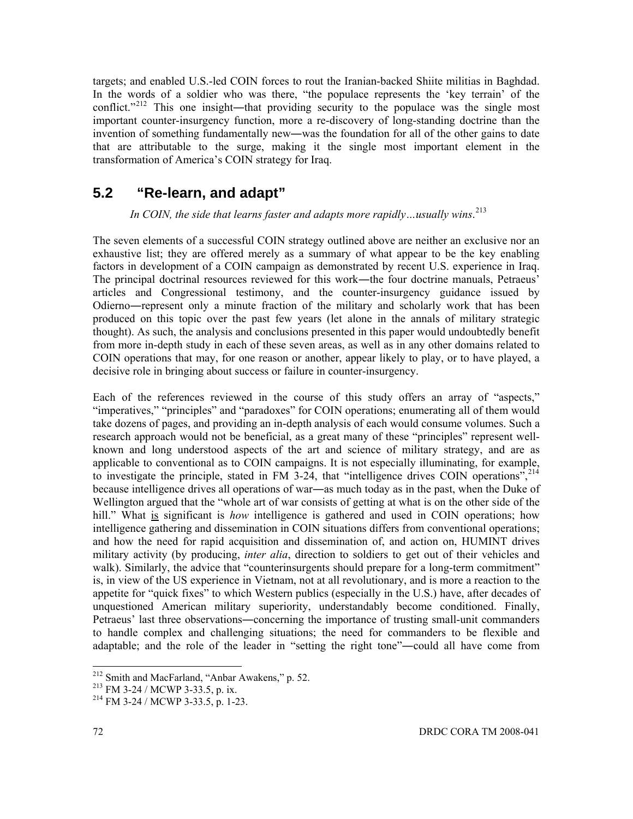targets; and enabled U.S.-led COIN forces to rout the Iranian-backed Shiite militias in Baghdad. In the words of a soldier who was there, "the populace represents the 'key terrain' of the conflict."<sup>[212](#page-86-0)</sup> This one insight—that providing security to the populace was the single most important counter-insurgency function, more a re-discovery of long-standing doctrine than the invention of something fundamentally new―was the foundation for all of the other gains to date that are attributable to the surge, making it the single most important element in the transformation of America's COIN strategy for Iraq.

## **5.2 "Re-learn, and adapt"**

*In COIN, the side that learns faster and adapts more rapidly…usually wins*. [213](#page-86-1)

The seven elements of a successful COIN strategy outlined above are neither an exclusive nor an exhaustive list; they are offered merely as a summary of what appear to be the key enabling factors in development of a COIN campaign as demonstrated by recent U.S. experience in Iraq. The principal doctrinal resources reviewed for this work—the four doctrine manuals, Petraeus' articles and Congressional testimony, and the counter-insurgency guidance issued by Odierno―represent only a minute fraction of the military and scholarly work that has been produced on this topic over the past few years (let alone in the annals of military strategic thought). As such, the analysis and conclusions presented in this paper would undoubtedly benefit from more in-depth study in each of these seven areas, as well as in any other domains related to COIN operations that may, for one reason or another, appear likely to play, or to have played, a decisive role in bringing about success or failure in counter-insurgency.

Each of the references reviewed in the course of this study offers an array of "aspects," "imperatives," "principles" and "paradoxes" for COIN operations; enumerating all of them would take dozens of pages, and providing an in-depth analysis of each would consume volumes. Such a research approach would not be beneficial, as a great many of these "principles" represent wellknown and long understood aspects of the art and science of military strategy, and are as applicable to conventional as to COIN campaigns. It is not especially illuminating, for example, to investigate the principle, stated in FM  $3-24$ , that "intelligence drives COIN operations",  $214$ because intelligence drives all operations of war―as much today as in the past, when the Duke of Wellington argued that the "whole art of war consists of getting at what is on the other side of the hill." What is significant is *how* intelligence is gathered and used in COIN operations; how intelligence gathering and dissemination in COIN situations differs from conventional operations; and how the need for rapid acquisition and dissemination of, and action on, HUMINT drives military activity (by producing, *inter alia*, direction to soldiers to get out of their vehicles and walk). Similarly, the advice that "counterinsurgents should prepare for a long-term commitment" is, in view of the US experience in Vietnam, not at all revolutionary, and is more a reaction to the appetite for "quick fixes" to which Western publics (especially in the U.S.) have, after decades of unquestioned American military superiority, understandably become conditioned. Finally, Petraeus' last three observations―concerning the importance of trusting small-unit commanders to handle complex and challenging situations; the need for commanders to be flexible and adaptable; and the role of the leader in "setting the right tone"―could all have come from

<span id="page-86-0"></span><sup>&</sup>lt;sup>212</sup> Smith and MacFarland, "Anbar Awakens," p. 52.<br><sup>213</sup> FM 3-24 / MCWP 3-33.5, p. ix.<br><sup>214</sup> FM 3-24 / MCWP 3-33.5, p. 1-23.

<span id="page-86-1"></span>

<span id="page-86-2"></span>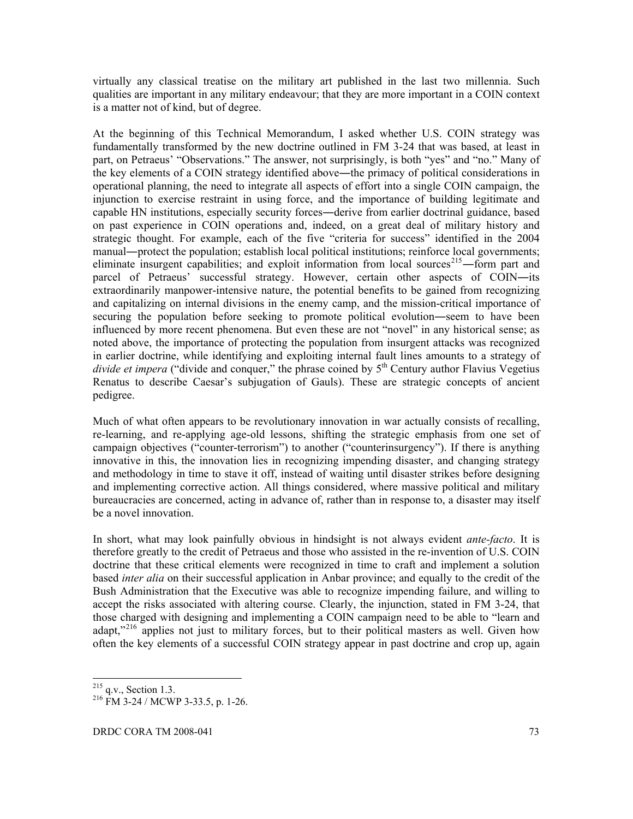virtually any classical treatise on the military art published in the last two millennia. Such qualities are important in any military endeavour; that they are more important in a COIN context is a matter not of kind, but of degree.

At the beginning of this Technical Memorandum, I asked whether U.S. COIN strategy was fundamentally transformed by the new doctrine outlined in FM 3-24 that was based, at least in part, on Petraeus' "Observations." The answer, not surprisingly, is both "yes" and "no." Many of the key elements of a COIN strategy identified above—the primacy of political considerations in operational planning, the need to integrate all aspects of effort into a single COIN campaign, the injunction to exercise restraint in using force, and the importance of building legitimate and capable HN institutions, especially security forces―derive from earlier doctrinal guidance, based on past experience in COIN operations and, indeed, on a great deal of military history and strategic thought. For example, each of the five "criteria for success" identified in the 2004 manual―protect the population; establish local political institutions; reinforce local governments; eliminate insurgent capabilities; and exploit information from local sources<sup>[215](#page-87-0)</sup>—form part and parcel of Petraeus' successful strategy. However, certain other aspects of COIN―its extraordinarily manpower-intensive nature, the potential benefits to be gained from recognizing and capitalizing on internal divisions in the enemy camp, and the mission-critical importance of securing the population before seeking to promote political evolution―seem to have been influenced by more recent phenomena. But even these are not "novel" in any historical sense; as noted above, the importance of protecting the population from insurgent attacks was recognized in earlier doctrine, while identifying and exploiting internal fault lines amounts to a strategy of *divide et impera* ("divide and conquer," the phrase coined by 5<sup>th</sup> Century author Flavius Vegetius Renatus to describe Caesar's subjugation of Gauls). These are strategic concepts of ancient pedigree.

Much of what often appears to be revolutionary innovation in war actually consists of recalling, re-learning, and re-applying age-old lessons, shifting the strategic emphasis from one set of campaign objectives ("counter-terrorism") to another ("counterinsurgency"). If there is anything innovative in this, the innovation lies in recognizing impending disaster, and changing strategy and methodology in time to stave it off, instead of waiting until disaster strikes before designing and implementing corrective action. All things considered, where massive political and military bureaucracies are concerned, acting in advance of, rather than in response to, a disaster may itself be a novel innovation.

In short, what may look painfully obvious in hindsight is not always evident *ante-facto*. It is therefore greatly to the credit of Petraeus and those who assisted in the re-invention of U.S. COIN doctrine that these critical elements were recognized in time to craft and implement a solution based *inter alia* on their successful application in Anbar province; and equally to the credit of the Bush Administration that the Executive was able to recognize impending failure, and willing to accept the risks associated with altering course. Clearly, the injunction, stated in FM 3-24, that those charged with designing and implementing a COIN campaign need to be able to "learn and adapt."<sup>[216](#page-87-1)</sup> applies not just to military forces, but to their political masters as well. Given how often the key elements of a successful COIN strategy appear in past doctrine and crop up, again

<span id="page-87-0"></span> $215$  q.v., Section 1.3.

<span id="page-87-1"></span> $216$  FM 3-24 / MCWP 3-33.5, p. 1-26.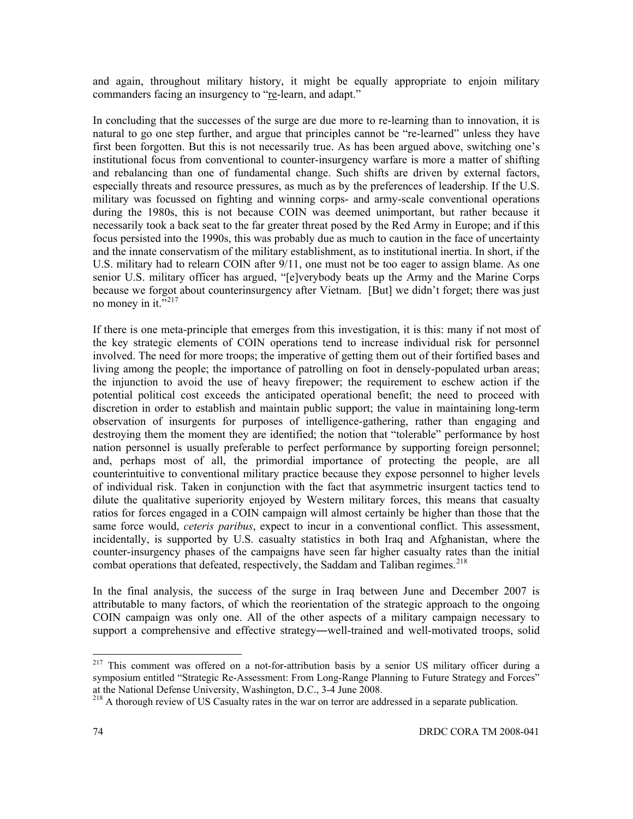and again, throughout military history, it might be equally appropriate to enjoin military commanders facing an insurgency to "re-learn, and adapt."

In concluding that the successes of the surge are due more to re-learning than to innovation, it is natural to go one step further, and argue that principles cannot be "re-learned" unless they have first been forgotten. But this is not necessarily true. As has been argued above, switching one's institutional focus from conventional to counter-insurgency warfare is more a matter of shifting and rebalancing than one of fundamental change. Such shifts are driven by external factors, especially threats and resource pressures, as much as by the preferences of leadership. If the U.S. military was focussed on fighting and winning corps- and army-scale conventional operations during the 1980s, this is not because COIN was deemed unimportant, but rather because it necessarily took a back seat to the far greater threat posed by the Red Army in Europe; and if this focus persisted into the 1990s, this was probably due as much to caution in the face of uncertainty and the innate conservatism of the military establishment, as to institutional inertia. In short, if the U.S. military had to relearn COIN after 9/11, one must not be too eager to assign blame. As one senior U.S. military officer has argued, "[e]verybody beats up the Army and the Marine Corps because we forgot about counterinsurgency after Vietnam. [But] we didn't forget; there was just no money in it."<sup>[217](#page-88-0)</sup>

If there is one meta-principle that emerges from this investigation, it is this: many if not most of the key strategic elements of COIN operations tend to increase individual risk for personnel involved. The need for more troops; the imperative of getting them out of their fortified bases and living among the people; the importance of patrolling on foot in densely-populated urban areas; the injunction to avoid the use of heavy firepower; the requirement to eschew action if the potential political cost exceeds the anticipated operational benefit; the need to proceed with discretion in order to establish and maintain public support; the value in maintaining long-term observation of insurgents for purposes of intelligence-gathering, rather than engaging and destroying them the moment they are identified; the notion that "tolerable" performance by host nation personnel is usually preferable to perfect performance by supporting foreign personnel; and, perhaps most of all, the primordial importance of protecting the people, are all counterintuitive to conventional military practice because they expose personnel to higher levels of individual risk. Taken in conjunction with the fact that asymmetric insurgent tactics tend to dilute the qualitative superiority enjoyed by Western military forces, this means that casualty ratios for forces engaged in a COIN campaign will almost certainly be higher than those that the same force would, *ceteris paribus*, expect to incur in a conventional conflict. This assessment, incidentally, is supported by U.S. casualty statistics in both Iraq and Afghanistan, where the counter-insurgency phases of the campaigns have seen far higher casualty rates than the initial combat operations that defeated, respectively, the Saddam and Taliban regimes.<sup>[218](#page-88-1)</sup>

In the final analysis, the success of the surge in Iraq between June and December 2007 is attributable to many factors, of which the reorientation of the strategic approach to the ongoing COIN campaign was only one. All of the other aspects of a military campaign necessary to support a comprehensive and effective strategy―well-trained and well-motivated troops, solid

<span id="page-88-0"></span><sup>&</sup>lt;sup>217</sup> This comment was offered on a not-for-attribution basis by a senior US military officer during a symposium entitled "Strategic Re-Assessment: From Long-Range Planning to Future Strategy and Forces" at the National Defense University, Washington, D.C., 3-4 June 2008.

<span id="page-88-1"></span><sup>&</sup>lt;sup>218</sup> A thorough review of US Casualty rates in the war on terror are addressed in a separate publication.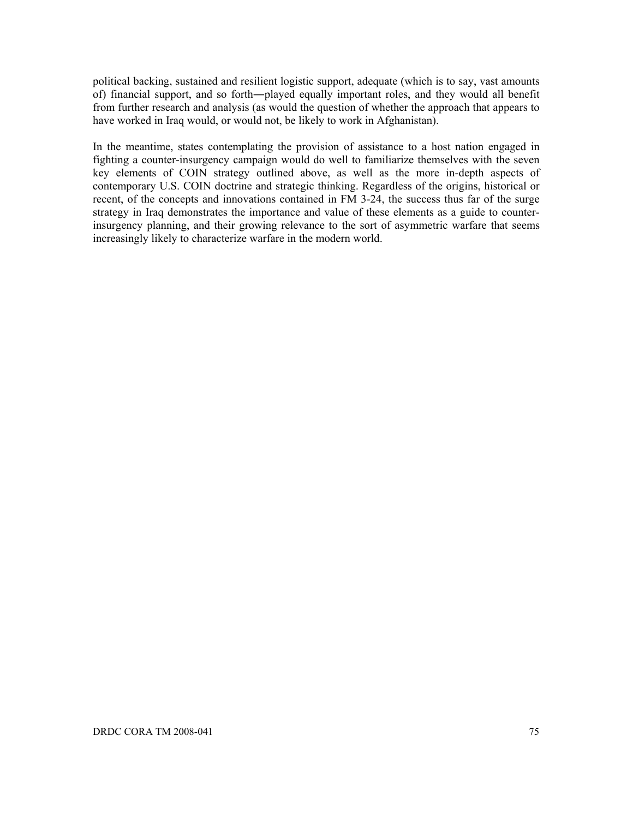political backing, sustained and resilient logistic support, adequate (which is to say, vast amounts of) financial support, and so forth―played equally important roles, and they would all benefit from further research and analysis (as would the question of whether the approach that appears to have worked in Iraq would, or would not, be likely to work in Afghanistan).

In the meantime, states contemplating the provision of assistance to a host nation engaged in fighting a counter-insurgency campaign would do well to familiarize themselves with the seven key elements of COIN strategy outlined above, as well as the more in-depth aspects of contemporary U.S. COIN doctrine and strategic thinking. Regardless of the origins, historical or recent, of the concepts and innovations contained in FM 3-24, the success thus far of the surge strategy in Iraq demonstrates the importance and value of these elements as a guide to counterinsurgency planning, and their growing relevance to the sort of asymmetric warfare that seems increasingly likely to characterize warfare in the modern world.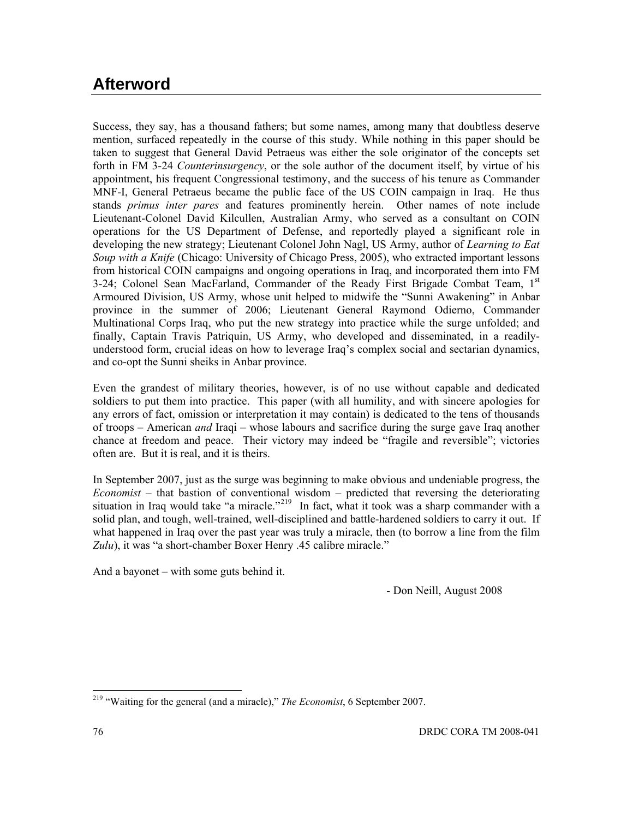# **Afterword**

Success, they say, has a thousand fathers; but some names, among many that doubtless deserve mention, surfaced repeatedly in the course of this study. While nothing in this paper should be taken to suggest that General David Petraeus was either the sole originator of the concepts set forth in FM 3-24 *Counterinsurgency*, or the sole author of the document itself, by virtue of his appointment, his frequent Congressional testimony, and the success of his tenure as Commander MNF-I, General Petraeus became the public face of the US COIN campaign in Iraq. He thus stands *primus inter pares* and features prominently herein. Other names of note include Lieutenant-Colonel David Kilcullen, Australian Army, who served as a consultant on COIN operations for the US Department of Defense, and reportedly played a significant role in developing the new strategy; Lieutenant Colonel John Nagl, US Army, author of *Learning to Eat Soup with a Knife* (Chicago: University of Chicago Press, 2005), who extracted important lessons from historical COIN campaigns and ongoing operations in Iraq, and incorporated them into FM 3-24; Colonel Sean MacFarland, Commander of the Ready First Brigade Combat Team,  $1<sup>st</sup>$ Armoured Division, US Army, whose unit helped to midwife the "Sunni Awakening" in Anbar province in the summer of 2006; Lieutenant General Raymond Odierno, Commander Multinational Corps Iraq, who put the new strategy into practice while the surge unfolded; and finally, Captain Travis Patriquin, US Army, who developed and disseminated, in a readilyunderstood form, crucial ideas on how to leverage Iraq's complex social and sectarian dynamics, and co-opt the Sunni sheiks in Anbar province.

Even the grandest of military theories, however, is of no use without capable and dedicated soldiers to put them into practice. This paper (with all humility, and with sincere apologies for any errors of fact, omission or interpretation it may contain) is dedicated to the tens of thousands of troops – American *and* Iraqi – whose labours and sacrifice during the surge gave Iraq another chance at freedom and peace. Their victory may indeed be "fragile and reversible"; victories often are. But it is real, and it is theirs.

In September 2007, just as the surge was beginning to make obvious and undeniable progress, the *Economist* – that bastion of conventional wisdom – predicted that reversing the deteriorating situation in Iraq would take "a miracle."<sup>[219](#page-90-0)</sup> In fact, what it took was a sharp commander with a solid plan, and tough, well-trained, well-disciplined and battle-hardened soldiers to carry it out. If what happened in Iraq over the past year was truly a miracle, then (to borrow a line from the film *Zulu*), it was "a short-chamber Boxer Henry .45 calibre miracle."

And a bayonet – with some guts behind it.

- Don Neill, August 2008

<span id="page-90-0"></span>l 219 "Waiting for the general (and a miracle)," *The Economist*, 6 September 2007.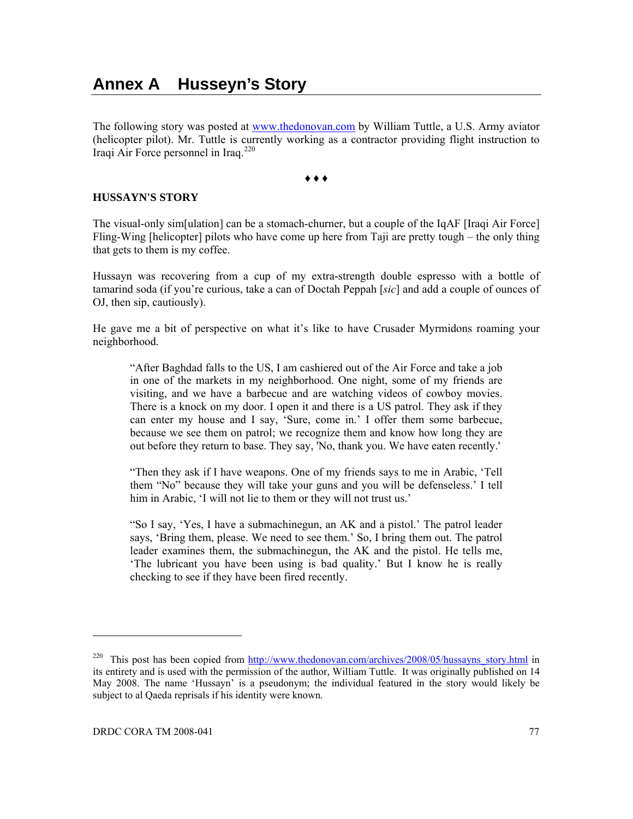## **Annex A Husseyn's Story**

The following story was posted at [www.thedonovan.com](http://www.thedonovan.com/) by William Tuttle, a U.S. Army aviator (helicopter pilot). Mr. Tuttle is currently working as a contractor providing flight instruction to Iraqi Air Force personnel in Iraq.<sup>[220](#page-91-0)</sup>

♦ ♦ ♦

#### **HUSSAYN'S STORY**

The visual-only sim[ulation] can be a stomach-churner, but a couple of the IqAF [Iraqi Air Force] Fling-Wing [helicopter] pilots who have come up here from Taji are pretty tough – the only thing that gets to them is my coffee.

Hussayn was recovering from a cup of my extra-strength double espresso with a bottle of tamarind soda (if you're curious, take a can of Doctah Peppah [*sic*] and add a couple of ounces of OJ, then sip, cautiously).

He gave me a bit of perspective on what it's like to have Crusader Myrmidons roaming your neighborhood.

"After Baghdad falls to the US, I am cashiered out of the Air Force and take a job in one of the markets in my neighborhood. One night, some of my friends are visiting, and we have a barbecue and are watching videos of cowboy movies. There is a knock on my door. I open it and there is a US patrol. They ask if they can enter my house and I say, 'Sure, come in.' I offer them some barbecue, because we see them on patrol; we recognize them and know how long they are out before they return to base. They say, 'No, thank you. We have eaten recently.'

"Then they ask if I have weapons. One of my friends says to me in Arabic, 'Tell them "No" because they will take your guns and you will be defenseless.' I tell him in Arabic, 'I will not lie to them or they will not trust us.'

"So I say, 'Yes, I have a submachinegun, an AK and a pistol.' The patrol leader says, 'Bring them, please. We need to see them.' So, I bring them out. The patrol leader examines them, the submachinegun, the AK and the pistol. He tells me, 'The lubricant you have been using is bad quality.' But I know he is really checking to see if they have been fired recently.

<span id="page-91-0"></span><sup>&</sup>lt;sup>220</sup> This post has been copied from http://www.thedonovan.com/archives/2008/05/hussayns story.html in its entirety and is used with the permission of the author, William Tuttle. It was originally published on 14 May 2008. The name 'Hussayn' is a pseudonym; the individual featured in the story would likely be subject to al Qaeda reprisals if his identity were known.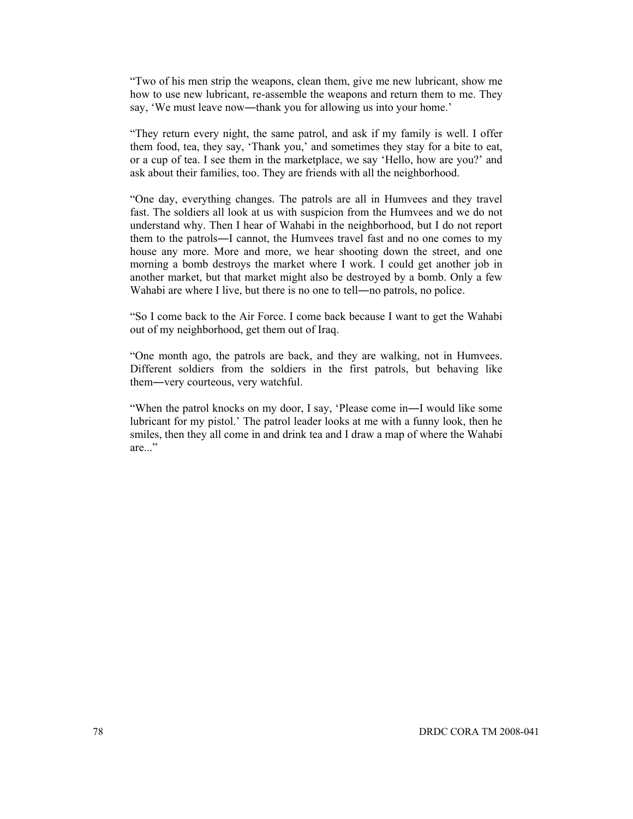"Two of his men strip the weapons, clean them, give me new lubricant, show me how to use new lubricant, re-assemble the weapons and return them to me. They say, 'We must leave now—thank you for allowing us into your home.'

"They return every night, the same patrol, and ask if my family is well. I offer them food, tea, they say, 'Thank you,' and sometimes they stay for a bite to eat, or a cup of tea. I see them in the marketplace, we say 'Hello, how are you?' and ask about their families, too. They are friends with all the neighborhood.

"One day, everything changes. The patrols are all in Humvees and they travel fast. The soldiers all look at us with suspicion from the Humvees and we do not understand why. Then I hear of Wahabi in the neighborhood, but I do not report them to the patrols―I cannot, the Humvees travel fast and no one comes to my house any more. More and more, we hear shooting down the street, and one morning a bomb destroys the market where I work. I could get another job in another market, but that market might also be destroyed by a bomb. Only a few Wahabi are where I live, but there is no one to tell—no patrols, no police.

"So I come back to the Air Force. I come back because I want to get the Wahabi out of my neighborhood, get them out of Iraq.

"One month ago, the patrols are back, and they are walking, not in Humvees. Different soldiers from the soldiers in the first patrols, but behaving like them―very courteous, very watchful.

"When the patrol knocks on my door, I say, 'Please come in―I would like some lubricant for my pistol.' The patrol leader looks at me with a funny look, then he smiles, then they all come in and drink tea and I draw a map of where the Wahabi are..."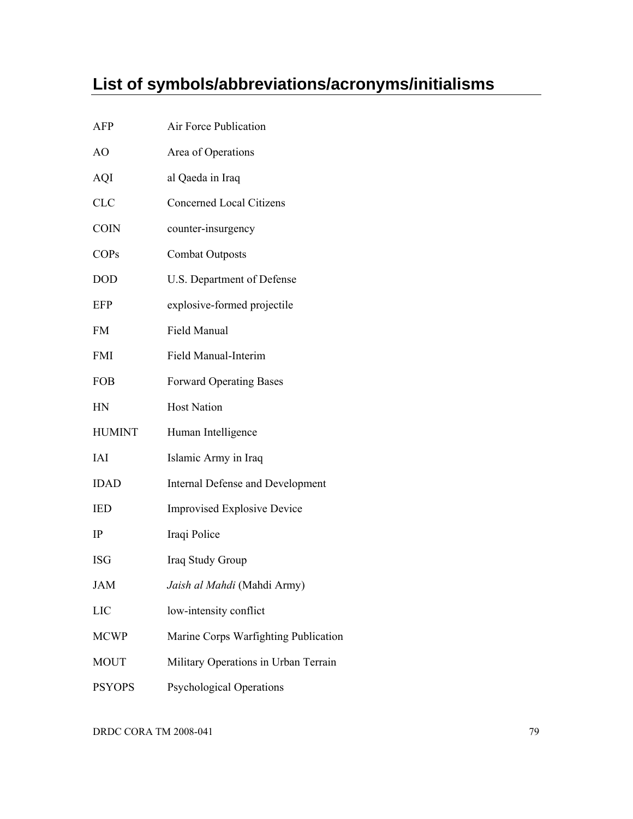# **List of symbols/abbreviations/acronyms/initialisms**

| <b>AFP</b>    | Air Force Publication                   |
|---------------|-----------------------------------------|
| AO            | Area of Operations                      |
| <b>AQI</b>    | al Qaeda in Iraq                        |
| <b>CLC</b>    | <b>Concerned Local Citizens</b>         |
| <b>COIN</b>   | counter-insurgency                      |
| <b>COPs</b>   | <b>Combat Outposts</b>                  |
| <b>DOD</b>    | U.S. Department of Defense              |
| <b>EFP</b>    | explosive-formed projectile             |
| <b>FM</b>     | Field Manual                            |
| <b>FMI</b>    | Field Manual-Interim                    |
| <b>FOB</b>    | <b>Forward Operating Bases</b>          |
| HN            | <b>Host Nation</b>                      |
| <b>HUMINT</b> | Human Intelligence                      |
| IAI           | Islamic Army in Iraq                    |
| <b>IDAD</b>   | <b>Internal Defense and Development</b> |
| <b>IED</b>    | <b>Improvised Explosive Device</b>      |
| IP            | Iraqi Police                            |
| <b>ISG</b>    | Iraq Study Group                        |
| JAM           | Jaish al Mahdi (Mahdi Army)             |
| LIC           | low-intensity conflict                  |
| <b>MCWP</b>   | Marine Corps Warfighting Publication    |
| <b>MOUT</b>   | Military Operations in Urban Terrain    |
| <b>PSYOPS</b> | <b>Psychological Operations</b>         |

DRDC CORA TM 2008-041 79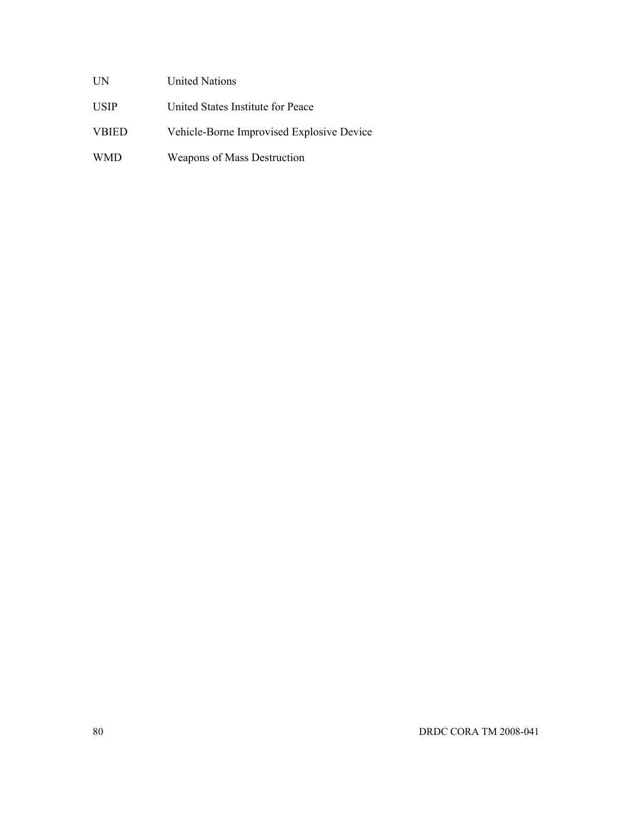- USIP United States Institute for Peace
- VBIED Vehicle-Borne Improvised Explosive Device
- WMD Weapons of Mass Destruction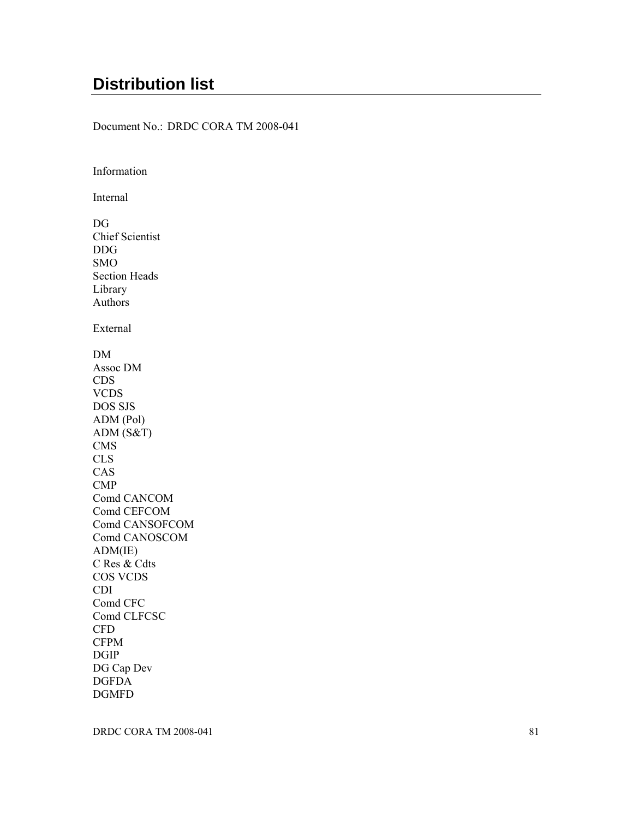# **Distribution list**

Document No.: DRDC CORA TM 2008-041

Information

Internal DG Chief Scientist DDG SMO Section Heads Library Authors

External

DM Assoc DM CDS VCDS DOS SJS ADM (Pol) ADM (S&T) CMS CLS CAS CMP Comd CANCOM Comd CEFCOM Comd CANSOFCOM Comd CANOSCOM ADM(IE) C Res & Cdts COS VCDS CDI Comd CFC Comd CLFCSC CFD CFPM DGIP DG Cap Dev DGFDA DGMFD

DRDC CORA TM 2008-041 81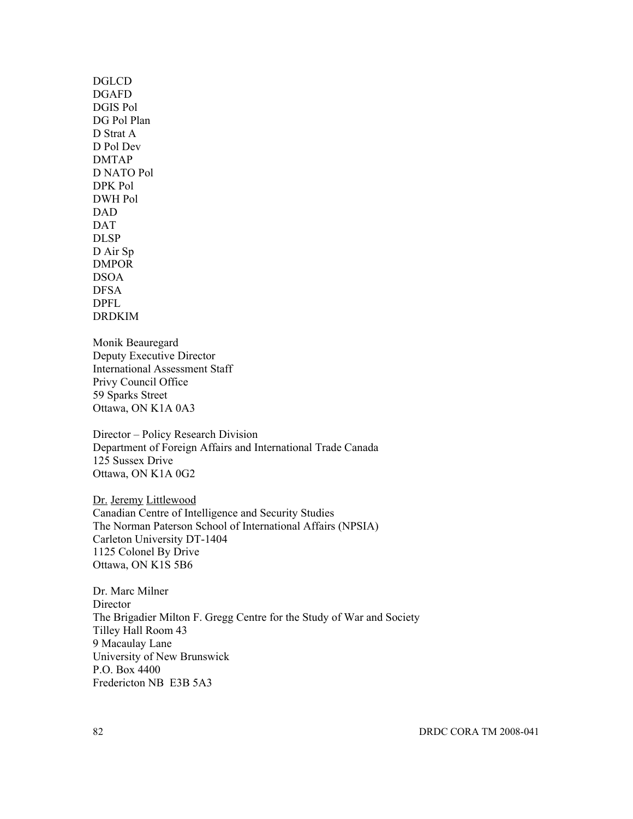DGLCD DGAFD DGIS Pol DG Pol Plan D Strat A D Pol Dev DMTAP D NATO Pol DPK Pol DWH Pol DAD DAT DLSP D Air Sp DMPOR DSOA DFSA DPFL DRDKIM

Monik Beauregard Deputy Executive Director International Assessment Staff Privy Council Office 59 Sparks Street Ottawa, ON K1A 0A3

Director – Policy Research Division Department of Foreign Affairs and International Trade Canada 125 Sussex Drive Ottawa, ON K1A 0G2

Dr. Jeremy Littlewood Canadian Centre of Intelligence and Security Studies The Norman Paterson School of International Affairs (NPSIA) Carleton University DT-1404 1125 Colonel By Drive Ottawa, ON K1S 5B6

Dr. Marc Milner **Director** The Brigadier Milton F. Gregg Centre for the Study of War and Society Tilley Hall Room 43 9 Macaulay Lane University of New Brunswick P.O. Box 4400 Fredericton NB E3B 5A3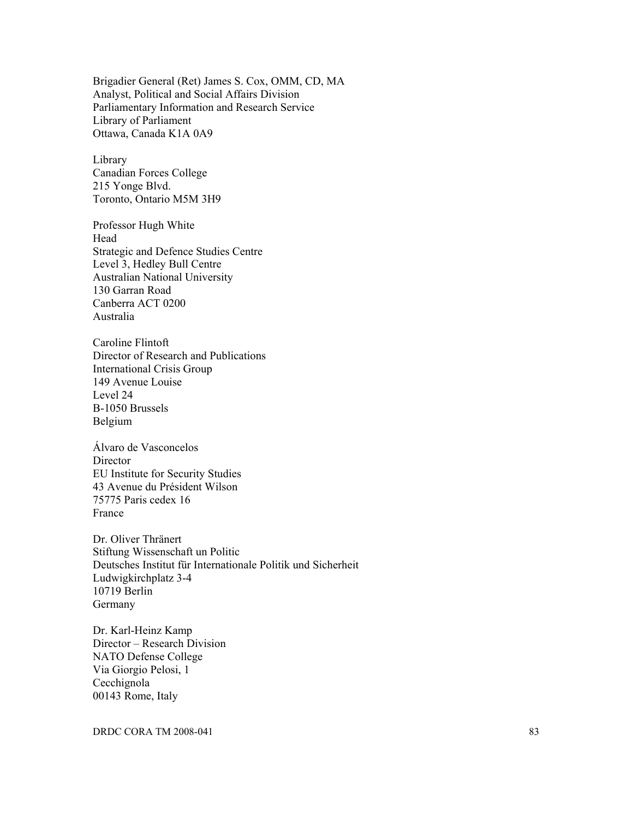Brigadier General (Ret) James S. Cox, OMM, CD, MA Analyst, Political and Social Affairs Division Parliamentary Information and Research Service Library of Parliament Ottawa, Canada K1A 0A9

Library Canadian Forces College 215 Yonge Blvd. Toronto, Ontario M5M 3H9

Professor Hugh White Head Strategic and Defence Studies Centre Level 3, Hedley Bull Centre Australian National University 130 Garran Road Canberra ACT 0200 Australia

Caroline Flintoft Director of Research and Publications International Crisis Group 149 Avenue Louise Level 24 B-1050 Brussels Belgium

Álvaro de Vasconcelos **Director** EU Institute for Security Studies 43 Avenue du Président Wilson 75775 Paris cedex 16 France

Dr. Oliver Thränert Stiftung Wissenschaft un Politic Deutsches Institut für Internationale Politik und Sicherheit Ludwigkirchplatz 3-4 10719 Berlin Germany

Dr. Karl-Heinz Kamp Director – Research Division NATO Defense College Via Giorgio Pelosi, 1 Cecchignola 00143 Rome, Italy

DRDC CORA TM 2008-041 83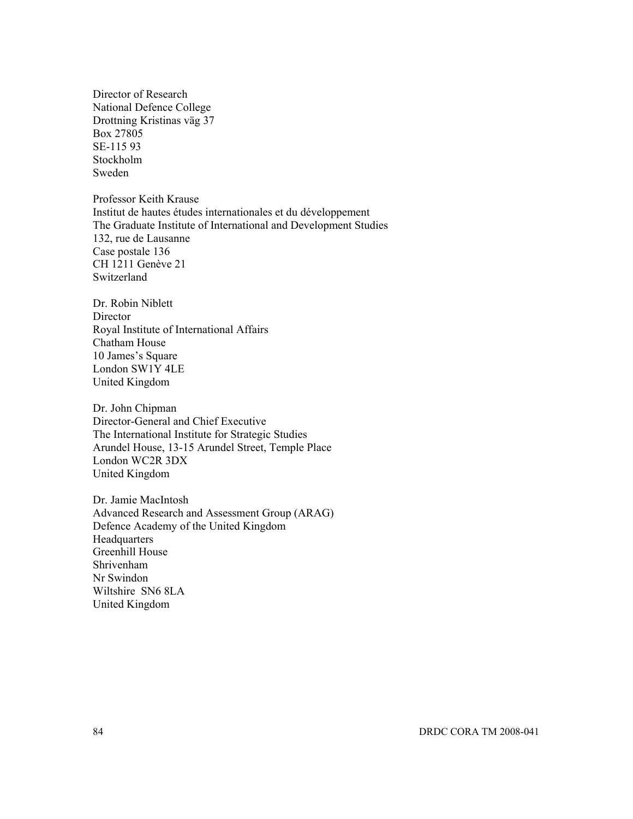Director of Research National Defence College Drottning Kristinas väg 37 Box 27805 SE-115 93 Stockholm Sweden

Professor Keith Krause Institut de hautes études internationales et du développement The Graduate Institute of International and Development Studies 132, rue de Lausanne Case postale 136 CH 1211 Genève 21 Switzerland

Dr. Robin Niblett **Director** Royal Institute of International Affairs Chatham House 10 James's Square London SW1Y 4LE United Kingdom

Dr. John Chipman Director-General and Chief Executive The International Institute for Strategic Studies Arundel House, 13-15 Arundel Street, Temple Place London WC2R 3DX United Kingdom

Dr. Jamie MacIntosh Advanced Research and Assessment Group (ARAG) Defence Academy of the United Kingdom **Headquarters** Greenhill House Shrivenham Nr Swindon Wiltshire SN6 8LA United Kingdom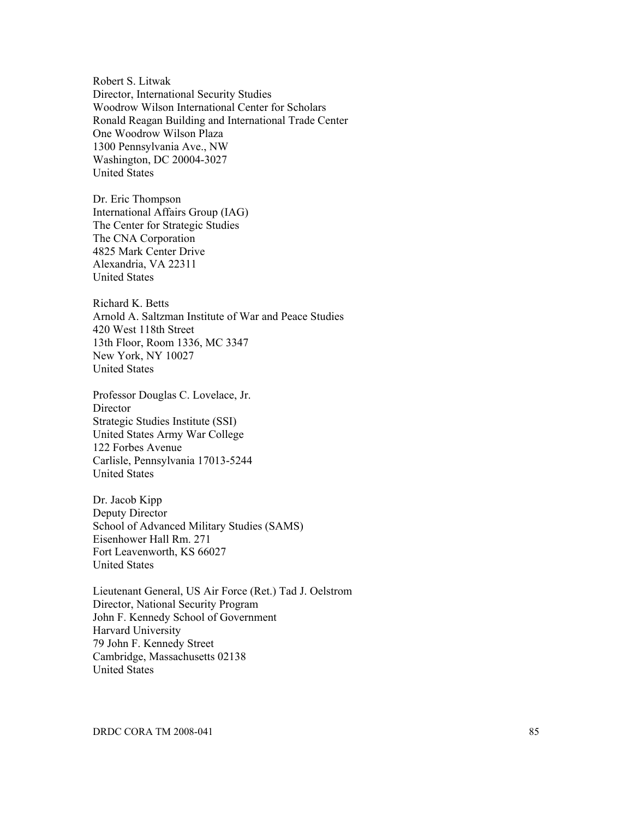Robert S. Litwak Director, International Security Studies Woodrow Wilson International Center for Scholars Ronald Reagan Building and International Trade Center One Woodrow Wilson Plaza 1300 Pennsylvania Ave., NW Washington, DC 20004-3027 United States

Dr. Eric Thompson International Affairs Group (IAG) The Center for Strategic Studies The CNA Corporation 4825 Mark Center Drive Alexandria, VA 22311 United States

Richard K. Betts Arnold A. Saltzman Institute of War and Peace Studies 420 West 118th Street 13th Floor, Room 1336, MC 3347 New York, NY 10027 United States

Professor Douglas C. Lovelace, Jr. Director Strategic Studies Institute (SSI) United States Army War College 122 Forbes Avenue Carlisle, Pennsylvania 17013-5244 United States

Dr. Jacob Kipp Deputy Director School of Advanced Military Studies (SAMS) Eisenhower Hall Rm. 271 Fort Leavenworth, KS 66027 United States

Lieutenant General, US Air Force (Ret.) Tad J. Oelstrom Director, National Security Program John F. Kennedy School of Government Harvard University 79 John F. Kennedy Street Cambridge, Massachusetts 02138 United States

DRDC CORA TM 2008-041 85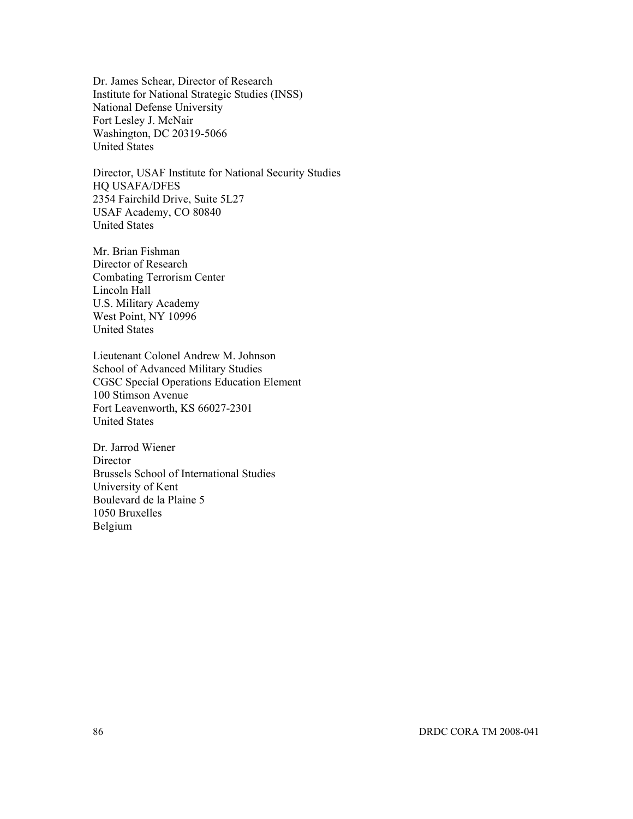[Dr. James Schear, Director of Research](http://www.ndu.edu/inss/staff/Staff_Bios_2005/Schear_Narrative_05.pdf)  Institute for National Strategic Studies (INSS) National Defense University Fort Lesley J. McNair Washington, DC 20319-5066 United States

Director, USAF Institute for National Security Studies HQ USAFA/DFES 2354 Fairchild Drive, Suite 5L27 USAF Academy, CO 80840 United States

Mr. Brian Fishman Director of Research Combating Terrorism Center Lincoln Hall U.S. Military Academy West Point, NY 10996 United States

Lieutenant Colonel Andrew M. Johnson School of Advanced Military Studies CGSC Special Operations Education Element 100 Stimson Avenue Fort Leavenworth, KS 66027-2301 United States

Dr. Jarrod Wiener **Director** Brussels School of International Studies University of Kent Boulevard de la Plaine 5 1050 Bruxelles Belgium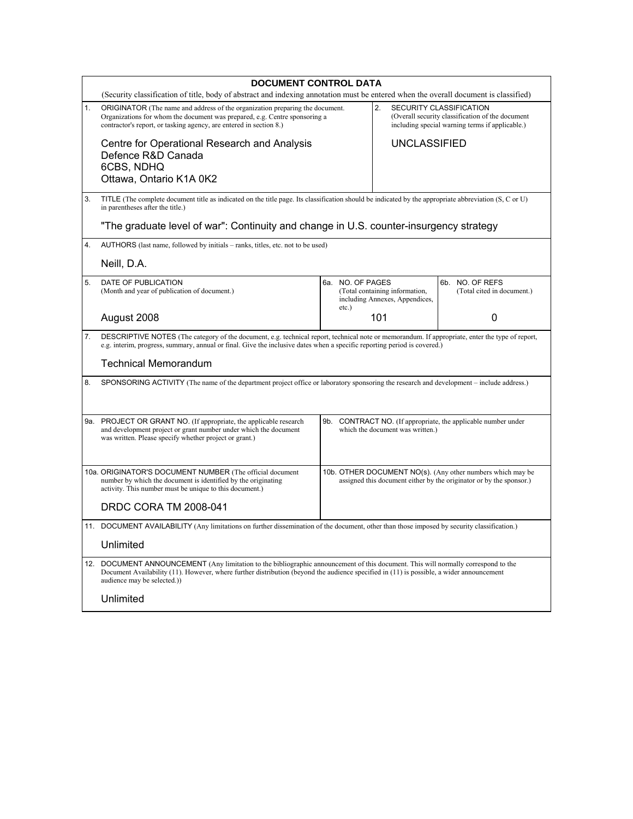|     | <b>DOCUMENT CONTROL DATA</b><br>(Security classification of title, body of abstract and indexing annotation must be entered when the overall document is classified)                                                                                                                                                                                                                                                                                   |                                                                                                                                   |                                                                                  |                                                                                                                                                       |  |  |
|-----|--------------------------------------------------------------------------------------------------------------------------------------------------------------------------------------------------------------------------------------------------------------------------------------------------------------------------------------------------------------------------------------------------------------------------------------------------------|-----------------------------------------------------------------------------------------------------------------------------------|----------------------------------------------------------------------------------|-------------------------------------------------------------------------------------------------------------------------------------------------------|--|--|
| 1.  | <b>ORIGINATOR</b> (The name and address of the organization preparing the document.<br>Organizations for whom the document was prepared, e.g. Centre sponsoring a<br>contractor's report, or tasking agency, are entered in section 8.)<br>Centre for Operational Research and Analysis<br>Defence R&D Canada<br>6CBS, NDHQ<br>Ottawa, Ontario K1A 0K2                                                                                                 |                                                                                                                                   | 2.                                                                               | SECURITY CLASSIFICATION<br>(Overall security classification of the document<br>including special warning terms if applicable.)<br><b>UNCLASSIFIED</b> |  |  |
| 3.  | TITLE (The complete document title as indicated on the title page. Its classification should be indicated by the appropriate abbreviation (S, C or U)<br>in parentheses after the title.)<br>"The graduate level of war": Continuity and change in U.S. counter-insurgency strategy                                                                                                                                                                    |                                                                                                                                   |                                                                                  |                                                                                                                                                       |  |  |
| 4.  | AUTHORS (last name, followed by initials – ranks, titles, etc. not to be used)                                                                                                                                                                                                                                                                                                                                                                         |                                                                                                                                   |                                                                                  |                                                                                                                                                       |  |  |
|     | Neill, D.A.                                                                                                                                                                                                                                                                                                                                                                                                                                            |                                                                                                                                   |                                                                                  |                                                                                                                                                       |  |  |
| 5.  | DATE OF PUBLICATION<br>(Month and year of publication of document.)                                                                                                                                                                                                                                                                                                                                                                                    | 6а.                                                                                                                               | NO. OF PAGES<br>(Total containing information,<br>including Annexes, Appendices, | 6b. NO. OF REFS<br>(Total cited in document.)                                                                                                         |  |  |
|     | August 2008                                                                                                                                                                                                                                                                                                                                                                                                                                            | etc.)                                                                                                                             | 101                                                                              | 0                                                                                                                                                     |  |  |
| 8.  | DESCRIPTIVE NOTES (The category of the document, e.g. technical report, technical note or memorandum. If appropriate, enter the type of report,<br>e.g. interim, progress, summary, annual or final. Give the inclusive dates when a specific reporting period is covered.)<br><b>Technical Memorandum</b><br>SPONSORING ACTIVITY (The name of the department project office or laboratory sponsoring the research and development – include address.) |                                                                                                                                   |                                                                                  |                                                                                                                                                       |  |  |
| 9a. | <b>PROJECT OR GRANT NO.</b> (If appropriate, the applicable research<br>and development project or grant number under which the document<br>was written. Please specify whether project or grant.)                                                                                                                                                                                                                                                     | 9b. CONTRACT NO. (If appropriate, the applicable number under<br>which the document was written.)                                 |                                                                                  |                                                                                                                                                       |  |  |
|     | 10a. ORIGINATOR'S DOCUMENT NUMBER (The official document<br>number by which the document is identified by the originating<br>activity. This number must be unique to this document.)<br>DRDC CORA TM 2008-041                                                                                                                                                                                                                                          | 10b. OTHER DOCUMENT NO(s). (Any other numbers which may be<br>assigned this document either by the originator or by the sponsor.) |                                                                                  |                                                                                                                                                       |  |  |
|     | 11. DOCUMENT AVAILABILITY (Any limitations on further dissemination of the document, other than those imposed by security classification.)                                                                                                                                                                                                                                                                                                             |                                                                                                                                   |                                                                                  |                                                                                                                                                       |  |  |
| 12. | Unlimited<br>DOCUMENT ANNOUNCEMENT (Any limitation to the bibliographic announcement of this document. This will normally correspond to the<br>Document Availability (11). However, where further distribution (beyond the audience specified in (11) is possible, a wider announcement<br>audience may be selected.))<br>Unlimited                                                                                                                    |                                                                                                                                   |                                                                                  |                                                                                                                                                       |  |  |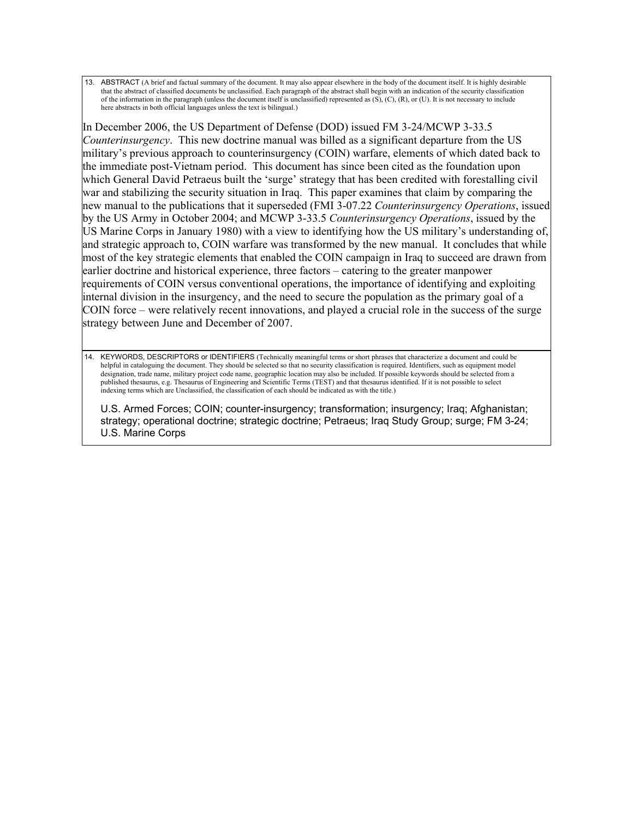13. ABSTRACT (A brief and factual summary of the document. It may also appear elsewhere in the body of the document itself. It is highly desirable that the abstract of classified documents be unclassified. Each paragraph of the abstract shall begin with an indication of the security classification of the information in the paragraph (unless the document itself is unclassified) represented as  $(S)$ ,  $(C)$ ,  $(R)$ , or  $(U)$ . It is not necessary to include here abstracts in both official languages unless the text is bilingual.)

In December 2006, the US Department of Defense (DOD) issued FM 3-24/MCWP 3-33.5 *Counterinsurgency*. This new doctrine manual was billed as a significant departure from the US military's previous approach to counterinsurgency (COIN) warfare, elements of which dated back to the immediate post-Vietnam period. This document has since been cited as the foundation upon which General David Petraeus built the 'surge' strategy that has been credited with forestalling civil war and stabilizing the security situation in Iraq. This paper examines that claim by comparing the new manual to the publications that it superseded (FMI 3-07.22 *Counterinsurgency Operations*, issued by the US Army in October 2004; and MCWP 3-33.5 *Counterinsurgency Operations*, issued by the US Marine Corps in January 1980) with a view to identifying how the US military's understanding of, and strategic approach to, COIN warfare was transformed by the new manual. It concludes that while most of the key strategic elements that enabled the COIN campaign in Iraq to succeed are drawn from earlier doctrine and historical experience, three factors – catering to the greater manpower requirements of COIN versus conventional operations, the importance of identifying and exploiting internal division in the insurgency, and the need to secure the population as the primary goal of a COIN force – were relatively recent innovations, and played a crucial role in the success of the surge strategy between June and December of 2007.

14. KEYWORDS, DESCRIPTORS or IDENTIFIERS (Technically meaningful terms or short phrases that characterize a document and could be helpful in cataloguing the document. They should be selected so that no security classification is required. Identifiers, such as equipment model designation, trade name, military project code name, geographic location may also be included. If possible keywords should be selected from a published thesaurus, e.g. Thesaurus of Engineering and Scientific Terms (TEST) and that thesaurus identified. If it is not possible to select indexing terms which are Unclassified, the classification of each should be indicated as with the title.)

U.S. Armed Forces; COIN; counter-insurgency; transformation; insurgency; Iraq; Afghanistan; strategy; operational doctrine; strategic doctrine; Petraeus; Iraq Study Group; surge; FM 3-24; U.S. Marine Corps